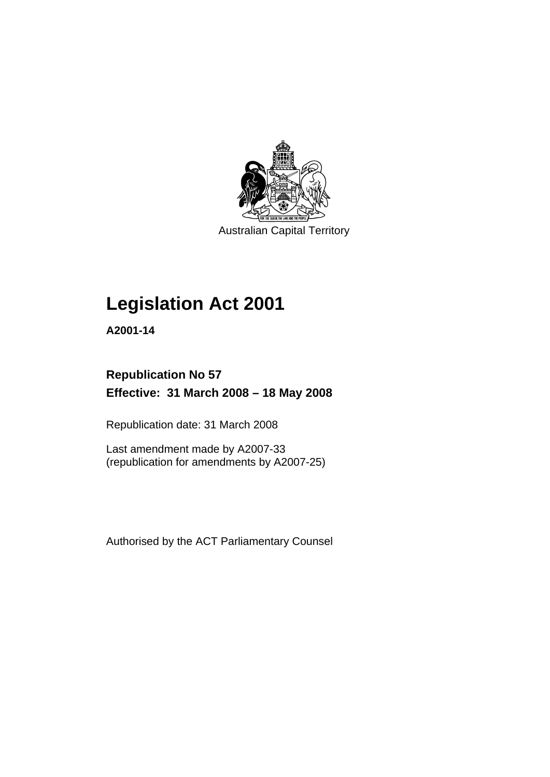

Australian Capital Territory

## **[Legislation Act 2001](#page-16-0)**

**A2001-14** 

## **Republication No 57 Effective: 31 March 2008 – 18 May 2008**

Republication date: 31 March 2008

Last amendment made by A2007-33 (republication for amendments by A2007-25)

Authorised by the ACT Parliamentary Counsel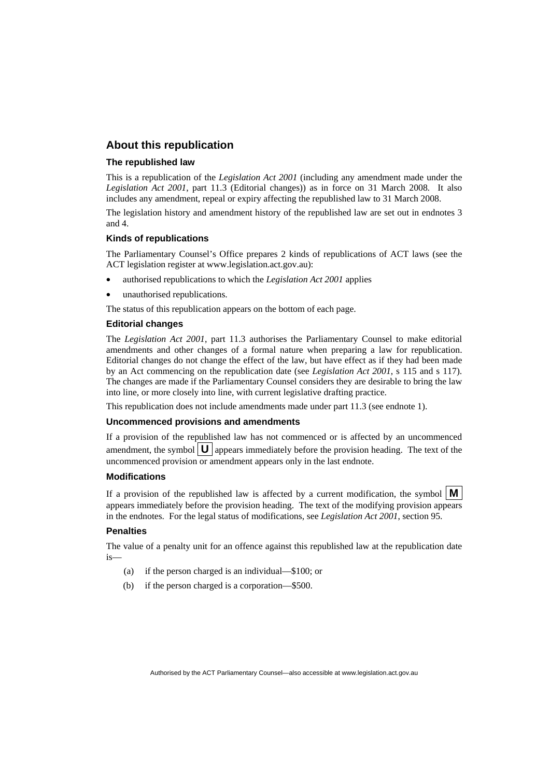## **About this republication**

#### **The republished law**

This is a republication of the *Legislation Act 2001* (including any amendment made under the *Legislation Act 2001*, part 11.3 (Editorial changes)) as in force on 31 March 2008*.* It also includes any amendment, repeal or expiry affecting the republished law to 31 March 2008.

The legislation history and amendment history of the republished law are set out in endnotes 3 and 4.

#### **Kinds of republications**

The Parliamentary Counsel's Office prepares 2 kinds of republications of ACT laws (see the ACT legislation register at www.legislation.act.gov.au):

- authorised republications to which the *Legislation Act 2001* applies
- unauthorised republications.

The status of this republication appears on the bottom of each page.

#### **Editorial changes**

The *Legislation Act 2001*, part 11.3 authorises the Parliamentary Counsel to make editorial amendments and other changes of a formal nature when preparing a law for republication. Editorial changes do not change the effect of the law, but have effect as if they had been made by an Act commencing on the republication date (see *Legislation Act 2001*, s 115 and s 117). The changes are made if the Parliamentary Counsel considers they are desirable to bring the law into line, or more closely into line, with current legislative drafting practice.

This republication does not include amendments made under part 11.3 (see endnote 1).

#### **Uncommenced provisions and amendments**

If a provision of the republished law has not commenced or is affected by an uncommenced amendment, the symbol  $\mathbf{U}$  appears immediately before the provision heading. The text of the uncommenced provision or amendment appears only in the last endnote.

#### **Modifications**

If a provision of the republished law is affected by a current modification, the symbol  $\mathbf{M}$ appears immediately before the provision heading. The text of the modifying provision appears in the endnotes. For the legal status of modifications, see *Legislation Act 2001*, section 95.

### **Penalties**

The value of a penalty unit for an offence against this republished law at the republication date is—

- (a) if the person charged is an individual—\$100; or
- (b) if the person charged is a corporation—\$500.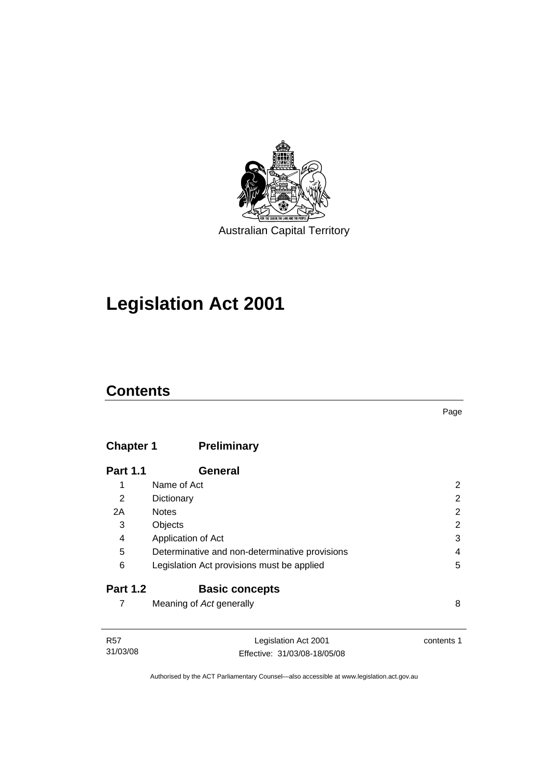

## **[Legislation Act 2001](#page-16-0)**

## **Contents**

## **Chapter 1 Preliminary**

| <b>Part 1.1</b> | General                                        |   |
|-----------------|------------------------------------------------|---|
| 1               | Name of Act                                    | 2 |
| 2               | Dictionary                                     | 2 |
| 2A              | <b>Notes</b>                                   | 2 |
| 3               | Objects                                        | 2 |
| 4               | Application of Act                             | 3 |
| 5               | Determinative and non-determinative provisions | 4 |
| 6               | Legislation Act provisions must be applied     | 5 |
| <b>Part 1.2</b> | <b>Basic concepts</b>                          |   |
|                 | Meaning of Act generally                       | 8 |

| R57      | Legislation Act 2001         | contents 1 |
|----------|------------------------------|------------|
|          |                              |            |
| 31/03/08 | Effective: 31/03/08-18/05/08 |            |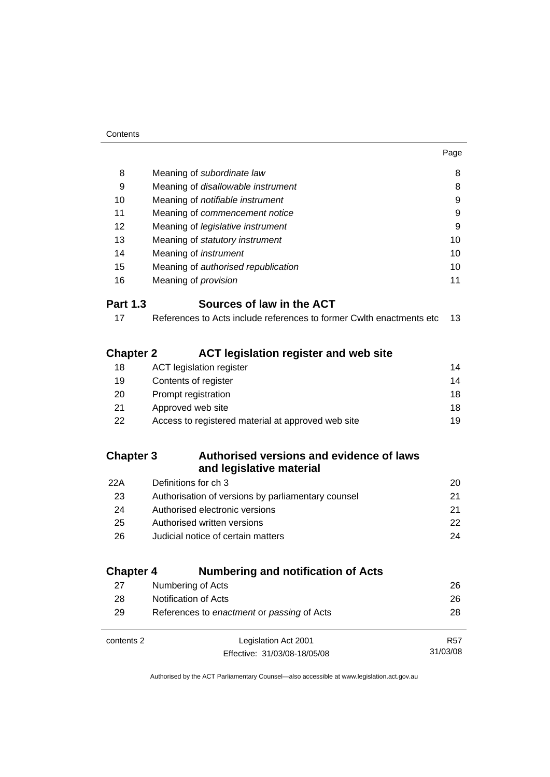| 8                | Meaning of subordinate law                                            | 8  |
|------------------|-----------------------------------------------------------------------|----|
| 9                | Meaning of disallowable instrument                                    | 8  |
| 10               | Meaning of <i>notifiable instrument</i>                               | 9  |
| 11               | Meaning of commencement notice                                        | 9  |
| 12               | Meaning of legislative instrument                                     | 9  |
| 13               | Meaning of statutory instrument                                       | 10 |
| 14               | Meaning of <i>instrument</i>                                          | 10 |
| 15               | Meaning of authorised republication                                   | 10 |
| 16               | Meaning of <i>provision</i>                                           | 11 |
| <b>Part 1.3</b>  | Sources of law in the ACT                                             |    |
| 17               | References to Acts include references to former Cwlth enactments etc. | 13 |
| <b>Chapter 2</b> | <b>ACT legislation register and web site</b>                          |    |
| 18               | <b>ACT</b> legislation register                                       | 14 |
| 19               | Contents of register                                                  | 14 |
| 20               | Prompt registration                                                   | 18 |
| 21               | Approved web site                                                     | 18 |
| 22               | Access to registered material at approved web site                    | 19 |
| <b>Chapter 3</b> | Authorised versions and evidence of laws<br>and legislative material  |    |

| 22A | Definitions for ch 3                               | 20 |
|-----|----------------------------------------------------|----|
| 23  | Authorisation of versions by parliamentary counsel | 21 |
| 24  | Authorised electronic versions                     | 21 |
| 25  | Authorised written versions                        | 22 |
| 26  | Judicial notice of certain matters                 | 24 |
|     |                                                    |    |

## **Chapter 4 Numbering and notification of Acts**

| 27         | Numbering of Acts                          | 26         |  |
|------------|--------------------------------------------|------------|--|
| 28         | Notification of Acts                       | 26         |  |
| 29         | References to enactment or passing of Acts | 28         |  |
|            |                                            |            |  |
| contents 2 | Legislation Act 2001                       | <b>R57</b> |  |
|            | Effective: 31/03/08-18/05/08               | 31/03/08   |  |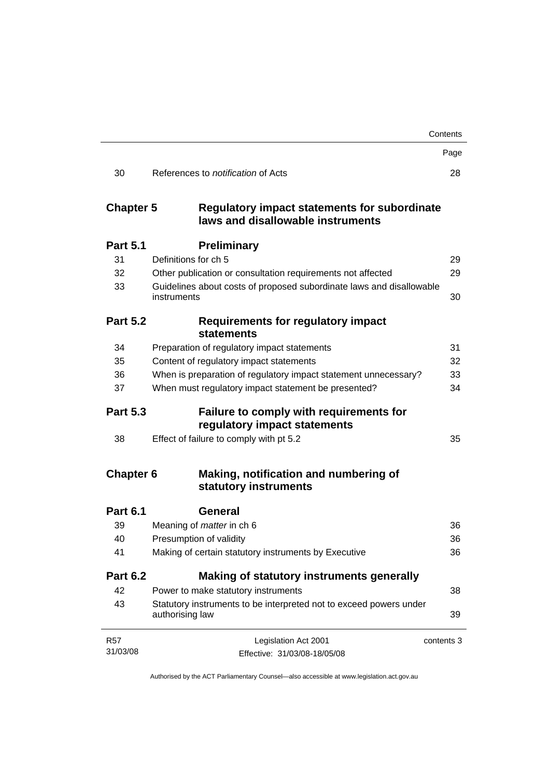|                        |                                                                                          | Contents   |
|------------------------|------------------------------------------------------------------------------------------|------------|
|                        |                                                                                          | Page       |
| 30                     | References to <i>notification</i> of Acts                                                | 28         |
| <b>Chapter 5</b>       | <b>Regulatory impact statements for subordinate</b><br>laws and disallowable instruments |            |
| <b>Part 5.1</b>        | <b>Preliminary</b>                                                                       |            |
| 31                     | Definitions for ch 5                                                                     | 29         |
| 32                     | Other publication or consultation requirements not affected                              | 29         |
| 33                     | Guidelines about costs of proposed subordinate laws and disallowable<br>instruments      | 30         |
| <b>Part 5.2</b>        | Requirements for regulatory impact<br><b>statements</b>                                  |            |
| 34                     | Preparation of regulatory impact statements                                              | 31         |
| 35                     | Content of regulatory impact statements                                                  | 32         |
| 36                     | When is preparation of regulatory impact statement unnecessary?                          | 33         |
| 37                     | When must regulatory impact statement be presented?                                      | 34         |
| <b>Part 5.3</b>        | Failure to comply with requirements for<br>regulatory impact statements                  |            |
| 38                     | Effect of failure to comply with pt 5.2                                                  | 35         |
| <b>Chapter 6</b>       | Making, notification and numbering of<br>statutory instruments                           |            |
| <b>Part 6.1</b>        | General                                                                                  |            |
| 39                     | Meaning of <i>matter</i> in ch 6                                                         | 36         |
| 40                     | Presumption of validity                                                                  | 36         |
| 41                     | Making of certain statutory instruments by Executive                                     | 36         |
| <b>Part 6.2</b>        | Making of statutory instruments generally                                                |            |
| 42                     | Power to make statutory instruments                                                      | 38         |
| 43                     | Statutory instruments to be interpreted not to exceed powers under<br>authorising law    | 39         |
| <b>R57</b><br>31/03/08 | Legislation Act 2001<br>Effective: 31/03/08-18/05/08                                     | contents 3 |
|                        |                                                                                          |            |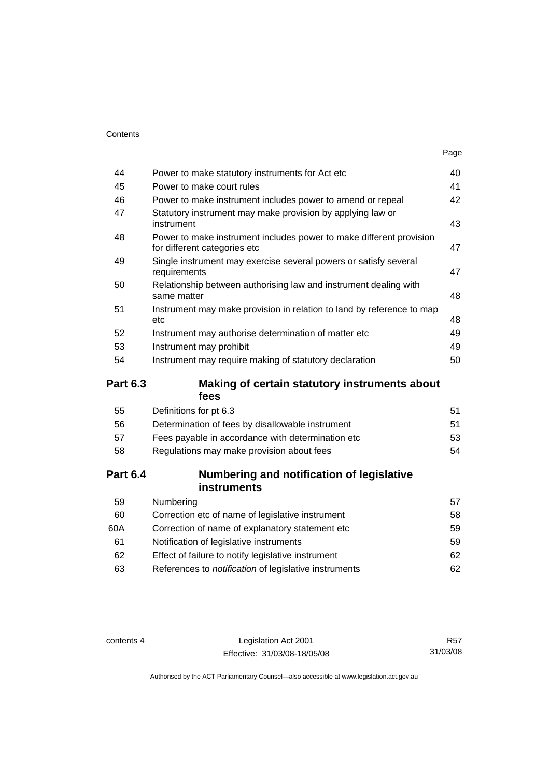|                 |                                                                                                     | Page |
|-----------------|-----------------------------------------------------------------------------------------------------|------|
| 44              | Power to make statutory instruments for Act etc                                                     | 40   |
| 45              | Power to make court rules                                                                           | 41   |
| 46              | Power to make instrument includes power to amend or repeal                                          | 42   |
| 47              | Statutory instrument may make provision by applying law or<br>instrument                            | 43   |
| 48              | Power to make instrument includes power to make different provision<br>for different categories etc | 47   |
| 49              | Single instrument may exercise several powers or satisfy several<br>requirements                    | 47   |
| 50              | Relationship between authorising law and instrument dealing with<br>same matter                     | 48   |
| 51              | Instrument may make provision in relation to land by reference to map<br>etc                        | 48   |
| 52              | Instrument may authorise determination of matter etc                                                | 49   |
| 53              | Instrument may prohibit                                                                             | 49   |
| 54              | Instrument may require making of statutory declaration                                              | 50   |
| <b>Part 6.3</b> | Making of certain statutory instruments about<br>fees                                               |      |
| 55              | Definitions for pt 6.3                                                                              | 51   |
| 56              | Determination of fees by disallowable instrument                                                    | 51   |
| 57              | Fees payable in accordance with determination etc                                                   | 53   |
| 58              | Regulations may make provision about fees                                                           | 54   |
| <b>Part 6.4</b> | Numbering and notification of legislative<br>instruments                                            |      |
| 59              | Numbering                                                                                           | 57   |
| 60              | Correction etc of name of legislative instrument                                                    | 58   |
| 60A             | Correction of name of explanatory statement etc                                                     | 59   |
| 61              | Notification of legislative instruments                                                             | 59   |
| 62              | Effect of failure to notify legislative instrument                                                  | 62   |
| 63              | References to notification of legislative instruments                                               | 62   |

contents 4 Legislation Act 2001 Effective: 31/03/08-18/05/08

R57 31/03/08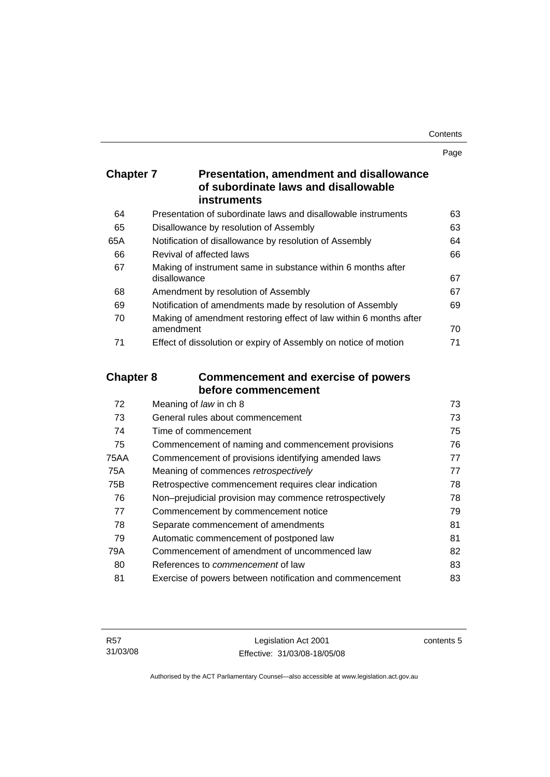Page

| <b>Chapter 7</b> | <b>Presentation, amendment and disallowance</b> |
|------------------|-------------------------------------------------|
|                  | of subordinate laws and disallowable            |
|                  | <b>instruments</b>                              |

| 64  | Presentation of subordinate laws and disallowable instruments     | 63 |
|-----|-------------------------------------------------------------------|----|
| 65  | Disallowance by resolution of Assembly                            | 63 |
| 65A | Notification of disallowance by resolution of Assembly            | 64 |
| 66  | Revival of affected laws                                          | 66 |
| 67  | Making of instrument same in substance within 6 months after      |    |
|     | disallowance                                                      | 67 |
| 68  | Amendment by resolution of Assembly                               | 67 |
| 69  | Notification of amendments made by resolution of Assembly         | 69 |
| 70  | Making of amendment restoring effect of law within 6 months after |    |
|     | amendment                                                         | 70 |
| 71  | Effect of dissolution or expiry of Assembly on notice of motion   | 71 |
|     |                                                                   |    |

## **Chapter 8 Commencement and exercise of powers before commencement**

| Meaning of law in ch 8                                   | 73 |
|----------------------------------------------------------|----|
| General rules about commencement                         | 73 |
| Time of commencement                                     | 75 |
| Commencement of naming and commencement provisions       | 76 |
| Commencement of provisions identifying amended laws      | 77 |
| Meaning of commences retrospectively                     | 77 |
| Retrospective commencement requires clear indication     | 78 |
| Non-prejudicial provision may commence retrospectively   | 78 |
| Commencement by commencement notice                      | 79 |
| Separate commencement of amendments                      | 81 |
| Automatic commencement of postponed law                  | 81 |
| Commencement of amendment of uncommenced law             | 82 |
| References to <i>commencement</i> of law                 | 83 |
| Exercise of powers between notification and commencement | 83 |
|                                                          |    |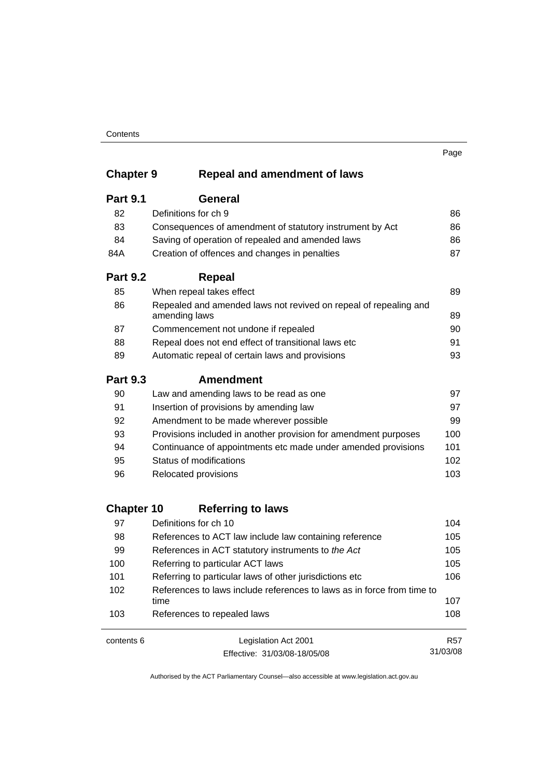#### **Contents**

31/03/08

## **Chapter 9 Repeal and amendment of laws**

| 86<br>86 |
|----------|
|          |
|          |
| 86       |
| 87       |
|          |
| 89       |
| 89       |
| 90       |
| 91       |
| 93       |
|          |
| 97       |
| 97       |
| 99       |
| 100      |
| 101      |
| 102      |
| 103      |
|          |

## **Chapter 10 Referring to laws**

| contents 6 | Legislation Act 2001                                                           | <b>R57</b> |
|------------|--------------------------------------------------------------------------------|------------|
| 103        | References to repealed laws                                                    | 108        |
| 102        | References to laws include references to laws as in force from time to<br>time | 107        |
| 101        | Referring to particular laws of other jurisdictions etc                        | 106        |
| 100        | Referring to particular ACT laws                                               | 105        |
| 99         | References in ACT statutory instruments to the Act                             | 105        |
| 98         | References to ACT law include law containing reference                         | 105        |
| 97         | Definitions for ch 10                                                          | 104        |

Effective: 31/03/08-18/05/08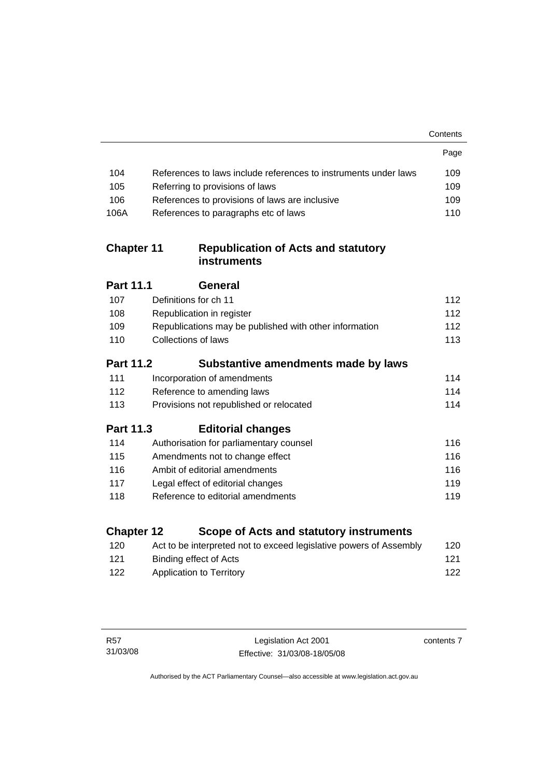|                   |                                                                    | Contents |
|-------------------|--------------------------------------------------------------------|----------|
|                   |                                                                    | Page     |
| 104               | References to laws include references to instruments under laws    | 109      |
| 105               | Referring to provisions of laws                                    | 109      |
| 106               | References to provisions of laws are inclusive                     | 109      |
| 106A              | References to paragraphs etc of laws                               | 110      |
| <b>Chapter 11</b> | <b>Republication of Acts and statutory</b><br><b>instruments</b>   |          |
| <b>Part 11.1</b>  | General                                                            |          |
| 107               | Definitions for ch 11                                              | 112      |
| 108               | Republication in register                                          | 112      |
| 109               | Republications may be published with other information             | 112      |
| 110               | Collections of laws                                                | 113      |
| <b>Part 11.2</b>  | Substantive amendments made by laws                                |          |
| 111               | Incorporation of amendments                                        | 114      |
| 112               | Reference to amending laws                                         | 114      |
| 113               | Provisions not republished or relocated                            | 114      |
| Part 11.3         | <b>Editorial changes</b>                                           |          |
| 114               | Authorisation for parliamentary counsel                            | 116      |
| 115               | Amendments not to change effect                                    | 116      |
| 116               | Ambit of editorial amendments                                      | 116      |
| 117               | Legal effect of editorial changes                                  | 119      |
| 118               | Reference to editorial amendments                                  | 119      |
| <b>Chapter 12</b> | Scope of Acts and statutory instruments                            |          |
| 120               | Act to be interpreted not to exceed legislative powers of Assembly | 120      |
| 121               | <b>Binding effect of Acts</b>                                      | 121      |
| 122               | <b>Application to Territory</b>                                    | 122      |
|                   |                                                                    |          |

contents 7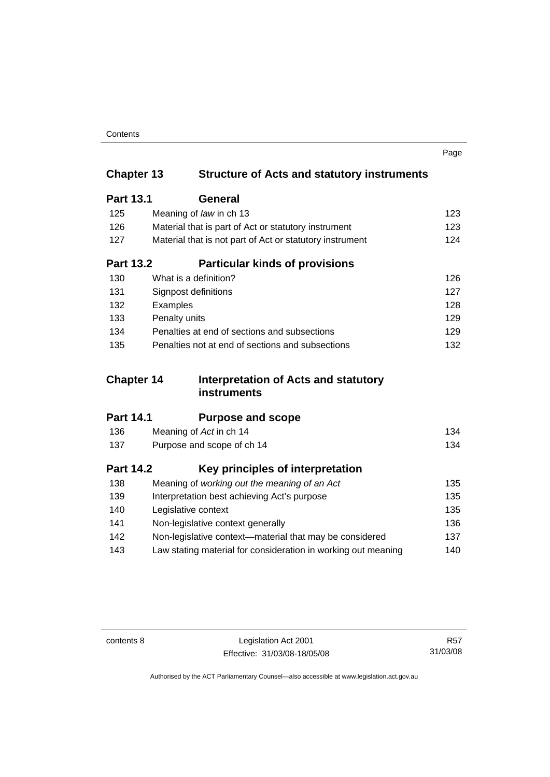| Contents |
|----------|
|----------|

|                   |                                                               | Page |
|-------------------|---------------------------------------------------------------|------|
| <b>Chapter 13</b> | <b>Structure of Acts and statutory instruments</b>            |      |
| <b>Part 13.1</b>  | General                                                       |      |
| 125               | Meaning of law in ch 13                                       | 123  |
| 126               | Material that is part of Act or statutory instrument          | 123  |
| 127               | Material that is not part of Act or statutory instrument      | 124  |
| <b>Part 13.2</b>  | <b>Particular kinds of provisions</b>                         |      |
| 130               | What is a definition?                                         | 126  |
| 131               | Signpost definitions                                          | 127  |
| 132               | Examples                                                      | 128  |
| 133               | Penalty units                                                 | 129  |
| 134               | Penalties at end of sections and subsections                  | 129  |
| 135               | Penalties not at end of sections and subsections              | 132  |
| <b>Chapter 14</b> | Interpretation of Acts and statutory                          |      |
|                   | <b>instruments</b>                                            |      |
| <b>Part 14.1</b>  | <b>Purpose and scope</b>                                      |      |
| 136               | Meaning of Act in ch 14                                       | 134  |
| 137               | Purpose and scope of ch 14                                    | 134  |
| <b>Part 14.2</b>  | Key principles of interpretation                              |      |
| 138               | Meaning of working out the meaning of an Act                  | 135  |
| 139               | Interpretation best achieving Act's purpose                   | 135  |
| 140               | Legislative context                                           | 135  |
| 141               | Non-legislative context generally                             | 136  |
| 142               | Non-legislative context-material that may be considered       | 137  |
| 143               | Law stating material for consideration in working out meaning | 140  |

contents 8 Legislation Act 2001 Effective: 31/03/08-18/05/08

R57 31/03/08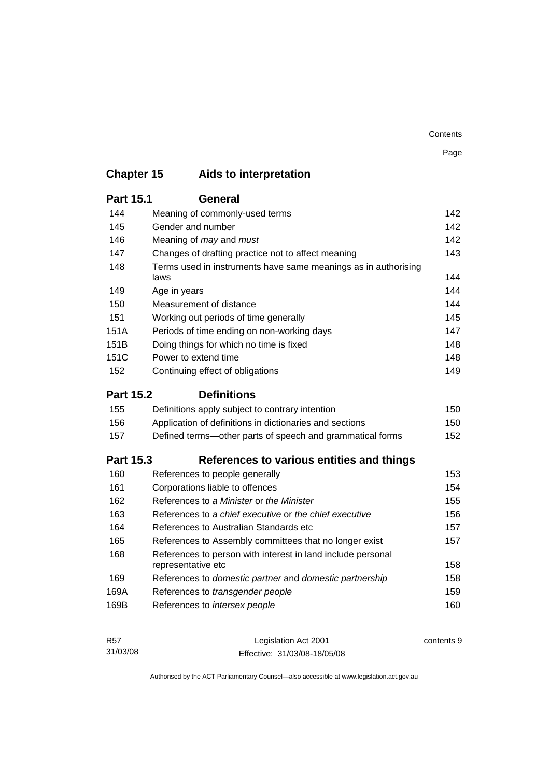| Contents |
|----------|
|----------|

|                   |                                                                                   | Page |
|-------------------|-----------------------------------------------------------------------------------|------|
| <b>Chapter 15</b> | Aids to interpretation                                                            |      |
| <b>Part 15.1</b>  | <b>General</b>                                                                    |      |
| 144               | Meaning of commonly-used terms                                                    | 142  |
| 145               | Gender and number                                                                 | 142  |
| 146               | Meaning of may and must                                                           | 142  |
| 147               | Changes of drafting practice not to affect meaning                                | 143  |
| 148               | Terms used in instruments have same meanings as in authorising<br>laws            | 144  |
| 149               | Age in years                                                                      | 144  |
| 150               | Measurement of distance                                                           | 144  |
| 151               | Working out periods of time generally                                             | 145  |
| 151A              | Periods of time ending on non-working days                                        | 147  |
| 151B              | Doing things for which no time is fixed                                           | 148  |
| 151C              | Power to extend time                                                              | 148  |
| 152               | Continuing effect of obligations                                                  | 149  |
| <b>Part 15.2</b>  | <b>Definitions</b>                                                                |      |
| 155               | Definitions apply subject to contrary intention                                   | 150  |
| 156               | Application of definitions in dictionaries and sections                           | 150  |
| 157               | Defined terms—other parts of speech and grammatical forms                         | 152  |
| <b>Part 15.3</b>  | References to various entities and things                                         |      |
| 160               | References to people generally                                                    | 153  |
| 161               | Corporations liable to offences                                                   | 154  |
| 162               | References to a Minister or the Minister                                          | 155  |
| 163               | References to a chief executive or the chief executive                            | 156  |
| 164               | References to Australian Standards etc                                            | 157  |
| 165               | References to Assembly committees that no longer exist                            | 157  |
| 168               | References to person with interest in land include personal<br>representative etc | 158  |
| 169               | References to domestic partner and domestic partnership                           | 158  |
| 169A              | References to transgender people                                                  | 159  |
| 169B              | References to intersex people                                                     | 160  |
|                   |                                                                                   |      |

| R57      | Legislation Act 2001         | contents 9 |
|----------|------------------------------|------------|
| 31/03/08 | Effective: 31/03/08-18/05/08 |            |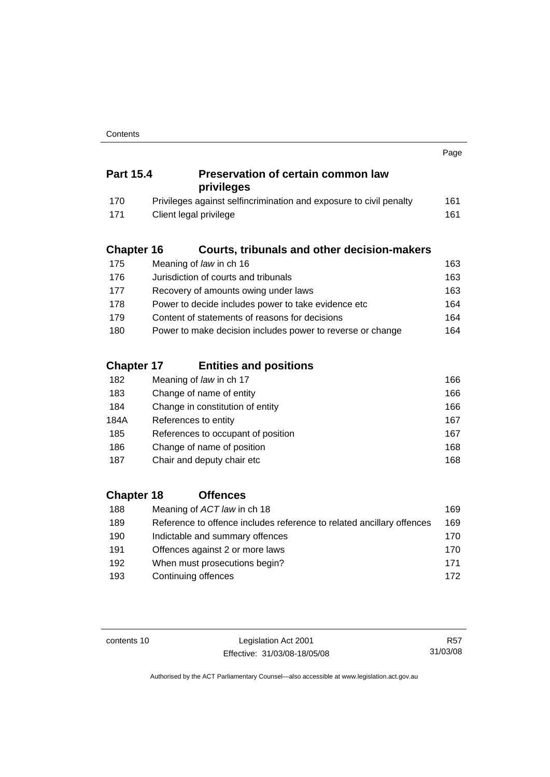|                   |                                                                       | Page |
|-------------------|-----------------------------------------------------------------------|------|
| <b>Part 15.4</b>  | <b>Preservation of certain common law</b><br>privileges               |      |
| 170               | Privileges against selfincrimination and exposure to civil penalty    | 161  |
| 171               | Client legal privilege                                                | 161  |
| <b>Chapter 16</b> | <b>Courts, tribunals and other decision-makers</b>                    |      |
| 175               | Meaning of law in ch 16                                               | 163  |
| 176               | Jurisdiction of courts and tribunals                                  | 163  |
| 177               | Recovery of amounts owing under laws                                  | 163  |
| 178               | Power to decide includes power to take evidence etc                   | 164  |
| 179               | Content of statements of reasons for decisions                        | 164  |
| 180               | Power to make decision includes power to reverse or change            | 164  |
| <b>Chapter 17</b> | <b>Entities and positions</b>                                         |      |
| 182               | Meaning of law in ch 17                                               | 166  |
| 183               | Change of name of entity                                              | 166  |
| 184               | Change in constitution of entity                                      | 166  |
| 184A              | References to entity                                                  | 167  |
| 185               | References to occupant of position                                    | 167  |
| 186               | Change of name of position                                            | 168  |
| 187               | Chair and deputy chair etc                                            | 168  |
| <b>Chapter 18</b> | <b>Offences</b>                                                       |      |
| 188               | Meaning of ACT law in ch 18                                           | 169  |
| 189               | Reference to offence includes reference to related ancillary offences | 169  |
| 10∩               | Indictable and summary offences                                       | 170  |

| 190 | Indictable and summary offences | 170 |
|-----|---------------------------------|-----|
| 191 | Offences against 2 or more laws | 170 |
| 192 | When must prosecutions begin?   | 171 |
| 193 | Continuing offences             | 172 |

contents 10 Legislation Act 2001 Effective: 31/03/08-18/05/08

R57 31/03/08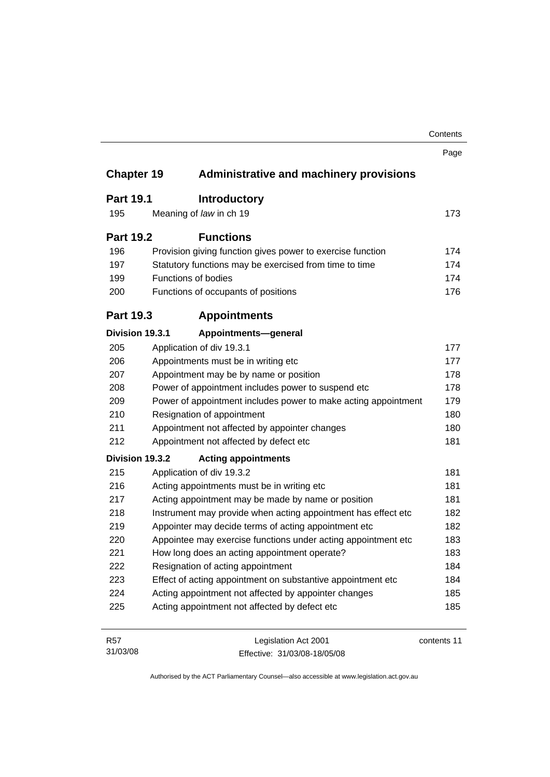|                   |                                                                | Contents    |
|-------------------|----------------------------------------------------------------|-------------|
|                   |                                                                | Page        |
| <b>Chapter 19</b> | <b>Administrative and machinery provisions</b>                 |             |
| <b>Part 19.1</b>  | <b>Introductory</b>                                            |             |
| 195               | Meaning of law in ch 19                                        | 173         |
| <b>Part 19.2</b>  | <b>Functions</b>                                               |             |
| 196               | Provision giving function gives power to exercise function     | 174         |
| 197               | Statutory functions may be exercised from time to time         | 174         |
| 199               | Functions of bodies                                            | 174         |
| 200               | Functions of occupants of positions                            | 176         |
| <b>Part 19.3</b>  | <b>Appointments</b>                                            |             |
| Division 19.3.1   | Appointments-general                                           |             |
| 205               | Application of div 19.3.1                                      | 177         |
| 206               | Appointments must be in writing etc                            | 177         |
| 207               | Appointment may be by name or position                         | 178         |
| 208               | Power of appointment includes power to suspend etc             | 178         |
| 209               | Power of appointment includes power to make acting appointment | 179         |
| 210               | Resignation of appointment                                     | 180         |
| 211               | Appointment not affected by appointer changes                  | 180         |
| 212               | Appointment not affected by defect etc                         | 181         |
| Division 19.3.2   | <b>Acting appointments</b>                                     |             |
| 215               | Application of div 19.3.2                                      | 181         |
| 216               | Acting appointments must be in writing etc                     | 181         |
| 217               | Acting appointment may be made by name or position             | 181         |
| 218               | Instrument may provide when acting appointment has effect etc  | 182         |
| 219               | Appointer may decide terms of acting appointment etc           | 182         |
| 220               | Appointee may exercise functions under acting appointment etc  | 183         |
| 221               | How long does an acting appointment operate?                   | 183         |
| 222               | Resignation of acting appointment                              | 184         |
| 223               | Effect of acting appointment on substantive appointment etc    | 184         |
| 224               | Acting appointment not affected by appointer changes           | 185         |
| 225               | Acting appointment not affected by defect etc                  | 185         |
| R57               | Legislation Act 2001                                           | contents 11 |

Effective: 31/03/08-18/05/08

31/03/08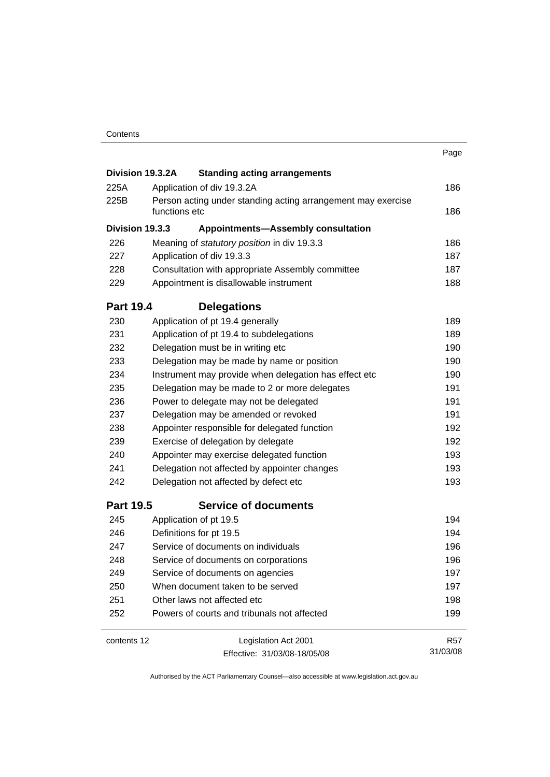|                  |                                                                                                                                                  |                                             | Page            |  |
|------------------|--------------------------------------------------------------------------------------------------------------------------------------------------|---------------------------------------------|-----------------|--|
| Division 19.3.2A |                                                                                                                                                  | <b>Standing acting arrangements</b>         |                 |  |
| 225A             |                                                                                                                                                  | Application of div 19.3.2A                  | 186             |  |
| 225B             | Person acting under standing acting arrangement may exercise<br>functions etc                                                                    |                                             |                 |  |
| Division 19.3.3  |                                                                                                                                                  | <b>Appointments-Assembly consultation</b>   |                 |  |
| 226              |                                                                                                                                                  | Meaning of statutory position in div 19.3.3 | 186             |  |
| 227              | Application of div 19.3.3<br>Consultation with appropriate Assembly committee                                                                    |                                             |                 |  |
| 228              |                                                                                                                                                  |                                             |                 |  |
| 229              | Appointment is disallowable instrument                                                                                                           |                                             |                 |  |
| <b>Part 19.4</b> |                                                                                                                                                  | <b>Delegations</b>                          |                 |  |
| 230              |                                                                                                                                                  | Application of pt 19.4 generally            | 189             |  |
| 231              | Application of pt 19.4 to subdelegations                                                                                                         |                                             |                 |  |
| 232              | Delegation must be in writing etc                                                                                                                |                                             |                 |  |
| 233              | Delegation may be made by name or position                                                                                                       |                                             |                 |  |
| 234              | Instrument may provide when delegation has effect etc<br>Delegation may be made to 2 or more delegates<br>Power to delegate may not be delegated |                                             |                 |  |
| 235              |                                                                                                                                                  |                                             |                 |  |
| 236              |                                                                                                                                                  |                                             |                 |  |
| 237              |                                                                                                                                                  | Delegation may be amended or revoked        | 191             |  |
| 238              | Appointer responsible for delegated function                                                                                                     |                                             |                 |  |
| 239              |                                                                                                                                                  | Exercise of delegation by delegate          | 192             |  |
| 240              |                                                                                                                                                  | Appointer may exercise delegated function   | 193<br>193      |  |
| 241              | Delegation not affected by appointer changes                                                                                                     |                                             |                 |  |
| 242              | Delegation not affected by defect etc                                                                                                            |                                             |                 |  |
| <b>Part 19.5</b> |                                                                                                                                                  | <b>Service of documents</b>                 |                 |  |
| 245              |                                                                                                                                                  | Application of pt 19.5                      | 194             |  |
| 246              |                                                                                                                                                  | Definitions for pt 19.5                     | 194             |  |
| 247              | Service of documents on individuals                                                                                                              |                                             | 196             |  |
| 248              | Service of documents on corporations                                                                                                             |                                             | 196             |  |
| 249              | Service of documents on agencies                                                                                                                 |                                             | 197             |  |
| 250              | When document taken to be served                                                                                                                 |                                             | 197             |  |
| 251              | Other laws not affected etc                                                                                                                      |                                             | 198             |  |
| 252              |                                                                                                                                                  | Powers of courts and tribunals not affected | 199             |  |
| contents 12      |                                                                                                                                                  | Legislation Act 2001                        | R <sub>57</sub> |  |
|                  |                                                                                                                                                  | Effective: 31/03/08-18/05/08                | 31/03/08        |  |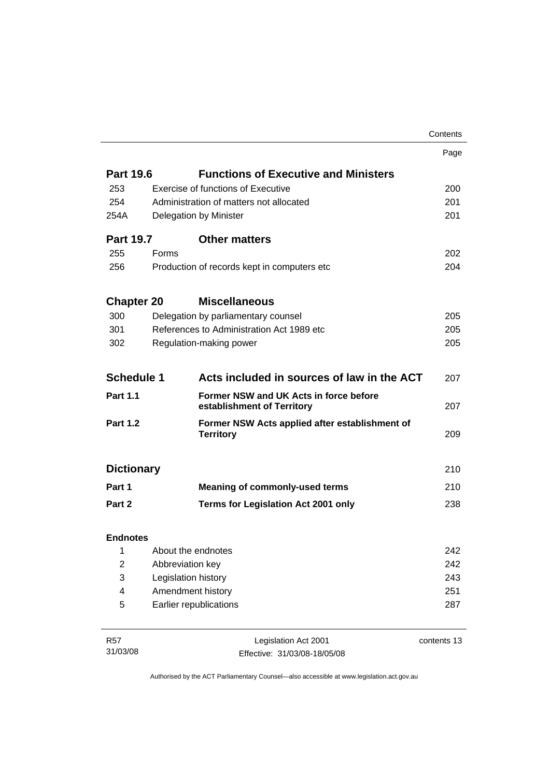|                   |                        |                                                                      | Contents    |
|-------------------|------------------------|----------------------------------------------------------------------|-------------|
|                   |                        |                                                                      | Page        |
| <b>Part 19.6</b>  |                        | <b>Functions of Executive and Ministers</b>                          |             |
| 253               |                        | <b>Exercise of functions of Executive</b>                            | 200         |
| 254               |                        | Administration of matters not allocated                              | 201         |
| 254A              |                        | Delegation by Minister                                               | 201         |
| <b>Part 19.7</b>  |                        | <b>Other matters</b>                                                 |             |
| 255               | <b>Forms</b>           |                                                                      | 202         |
| 256               |                        | Production of records kept in computers etc                          | 204         |
| <b>Chapter 20</b> |                        | <b>Miscellaneous</b>                                                 |             |
| 300               |                        | Delegation by parliamentary counsel                                  | 205         |
| 301               |                        | References to Administration Act 1989 etc                            | 205         |
| 302               |                        | Regulation-making power                                              | 205         |
| <b>Schedule 1</b> |                        | Acts included in sources of law in the ACT                           | 207         |
| <b>Part 1.1</b>   |                        | Former NSW and UK Acts in force before<br>establishment of Territory | 207         |
| <b>Part 1.2</b>   |                        | Former NSW Acts applied after establishment of<br><b>Territory</b>   | 209         |
| <b>Dictionary</b> |                        |                                                                      | 210         |
| Part 1            |                        | <b>Meaning of commonly-used terms</b>                                | 210         |
| Part 2            |                        | <b>Terms for Legislation Act 2001 only</b>                           | 238         |
| <b>Endnotes</b>   |                        |                                                                      |             |
| 1                 | About the endnotes     |                                                                      | 242         |
| $\overline{2}$    | Abbreviation key       |                                                                      | 242         |
| 3                 | Legislation history    |                                                                      | 243         |
| 4                 | Amendment history      |                                                                      | 251         |
| 5                 | Earlier republications |                                                                      |             |
| R <sub>57</sub>   |                        | Legislation Act 2001                                                 | contents 13 |

31/03/08

egislation Act 2001 Effective: 31/03/08-18/05/08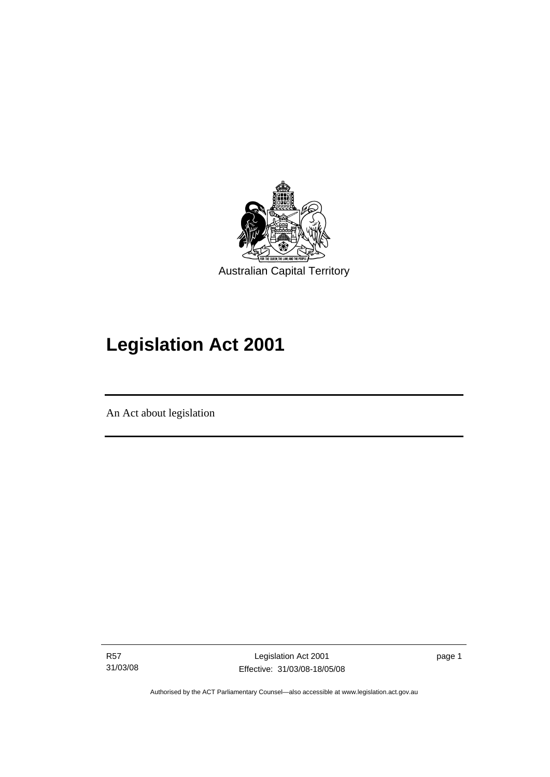<span id="page-16-0"></span>

# **Legislation Act 2001**

An Act about legislation

I

R57 31/03/08

Legislation Act 2001 Effective: 31/03/08-18/05/08 page 1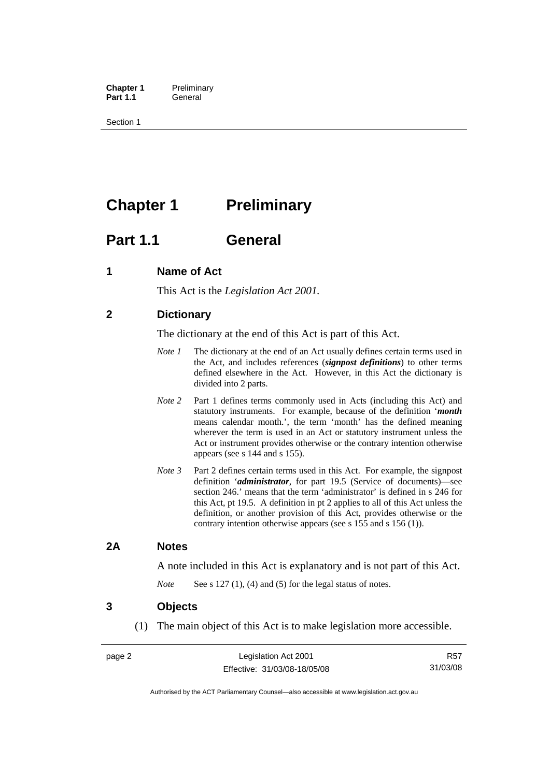<span id="page-17-0"></span>**Chapter 1** Preliminary<br>**Part 1.1** General General

Section 1

## **Chapter 1** Preliminary

## **Part 1.1 General**

## **1 Name of Act**

This Act is the *Legislation Act 2001.* 

## **2 Dictionary**

The dictionary at the end of this Act is part of this Act.

- *Note 1* The dictionary at the end of an Act usually defines certain terms used in the Act, and includes references (*signpost definitions*) to other terms defined elsewhere in the Act. However, in this Act the dictionary is divided into 2 parts.
- *Note* 2 Part 1 defines terms commonly used in Acts (including this Act) and statutory instruments. For example, because of the definition '*month* means calendar month.', the term 'month' has the defined meaning wherever the term is used in an Act or statutory instrument unless the Act or instrument provides otherwise or the contrary intention otherwise appears (see s 144 and s 155).
- *Note 3* Part 2 defines certain terms used in this Act. For example, the signpost definition '*administrator*, for part 19.5 (Service of documents)—see section 246.' means that the term 'administrator' is defined in s 246 for this Act, pt 19.5. A definition in pt 2 applies to all of this Act unless the definition, or another provision of this Act, provides otherwise or the contrary intention otherwise appears (see s 155 and s 156 (1)).

### **2A Notes**

A note included in this Act is explanatory and is not part of this Act.

*Note* See s 127 (1), (4) and (5) for the legal status of notes.

### **3 Objects**

(1) The main object of this Act is to make legislation more accessible.

R57 31/03/08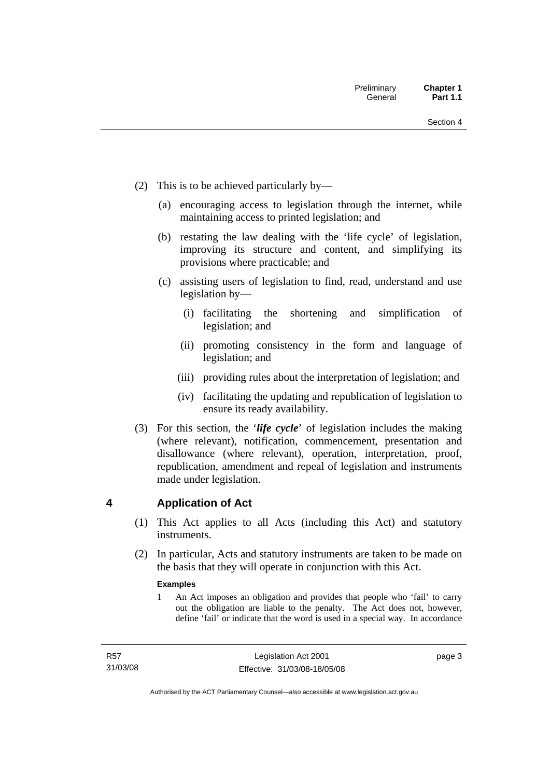- <span id="page-18-0"></span> (2) This is to be achieved particularly by—
	- (a) encouraging access to legislation through the internet, while maintaining access to printed legislation; and
	- (b) restating the law dealing with the 'life cycle' of legislation, improving its structure and content, and simplifying its provisions where practicable; and
	- (c) assisting users of legislation to find, read, understand and use legislation by—
		- (i) facilitating the shortening and simplification of legislation; and
		- (ii) promoting consistency in the form and language of legislation; and
		- (iii) providing rules about the interpretation of legislation; and
		- (iv) facilitating the updating and republication of legislation to ensure its ready availability.
- (3) For this section, the '*life cycle*' of legislation includes the making (where relevant), notification, commencement, presentation and disallowance (where relevant), operation, interpretation, proof, republication, amendment and repeal of legislation and instruments made under legislation.

## **4 Application of Act**

- (1) This Act applies to all Acts (including this Act) and statutory **instruments**
- (2) In particular, Acts and statutory instruments are taken to be made on the basis that they will operate in conjunction with this Act.

### **Examples**

1 An Act imposes an obligation and provides that people who 'fail' to carry out the obligation are liable to the penalty. The Act does not, however, define 'fail' or indicate that the word is used in a special way. In accordance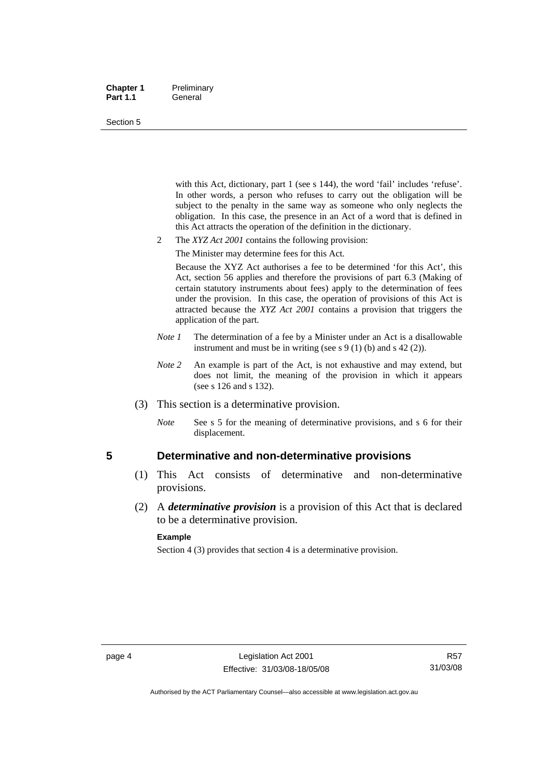#### <span id="page-19-0"></span>**Chapter 1** Preliminary Part 1.1 **General**

#### Section 5

with this Act, dictionary, part 1 (see s 144), the word 'fail' includes 'refuse'. In other words, a person who refuses to carry out the obligation will be subject to the penalty in the same way as someone who only neglects the obligation. In this case, the presence in an Act of a word that is defined in this Act attracts the operation of the definition in the dictionary.

- 2 The *XYZ Act 2001* contains the following provision:
	- The Minister may determine fees for this Act.

Because the XYZ Act authorises a fee to be determined 'for this Act', this Act, section 56 applies and therefore the provisions of part 6.3 (Making of certain statutory instruments about fees) apply to the determination of fees under the provision. In this case, the operation of provisions of this Act is attracted because the *XYZ Act 2001* contains a provision that triggers the application of the part.

- *Note 1* The determination of a fee by a Minister under an Act is a disallowable instrument and must be in writing (see s 9 (1) (b) and s 42 (2)).
- *Note* 2 An example is part of the Act, is not exhaustive and may extend, but does not limit, the meaning of the provision in which it appears (see s 126 and s 132).
- (3) This section is a determinative provision.
	- *Note* See s 5 for the meaning of determinative provisions, and s 6 for their displacement.

### **5 Determinative and non-determinative provisions**

- (1) This Act consists of determinative and non-determinative provisions.
- (2) A *determinative provision* is a provision of this Act that is declared to be a determinative provision.

#### **Example**

Section 4 (3) provides that section 4 is a determinative provision.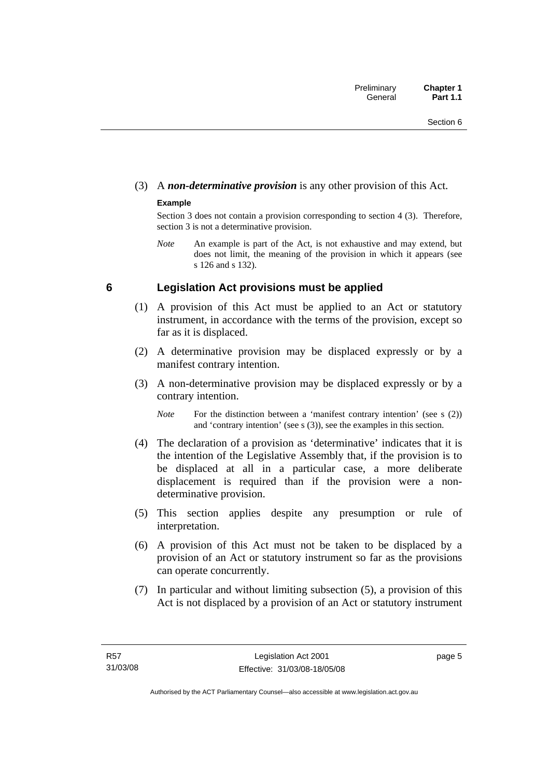## <span id="page-20-0"></span>(3) A *non-determinative provision* is any other provision of this Act.

### **Example**

Section 3 does not contain a provision corresponding to section 4 (3). Therefore, section 3 is not a determinative provision.

*Note* An example is part of the Act, is not exhaustive and may extend, but does not limit, the meaning of the provision in which it appears (see s 126 and s 132).

## **6 Legislation Act provisions must be applied**

- (1) A provision of this Act must be applied to an Act or statutory instrument, in accordance with the terms of the provision, except so far as it is displaced.
- (2) A determinative provision may be displaced expressly or by a manifest contrary intention.
- (3) A non-determinative provision may be displaced expressly or by a contrary intention.

*Note* For the distinction between a 'manifest contrary intention' (see s (2)) and 'contrary intention' (see s (3)), see the examples in this section.

- (4) The declaration of a provision as 'determinative' indicates that it is the intention of the Legislative Assembly that, if the provision is to be displaced at all in a particular case, a more deliberate displacement is required than if the provision were a nondeterminative provision.
- (5) This section applies despite any presumption or rule of interpretation.
- (6) A provision of this Act must not be taken to be displaced by a provision of an Act or statutory instrument so far as the provisions can operate concurrently.
- (7) In particular and without limiting subsection (5), a provision of this Act is not displaced by a provision of an Act or statutory instrument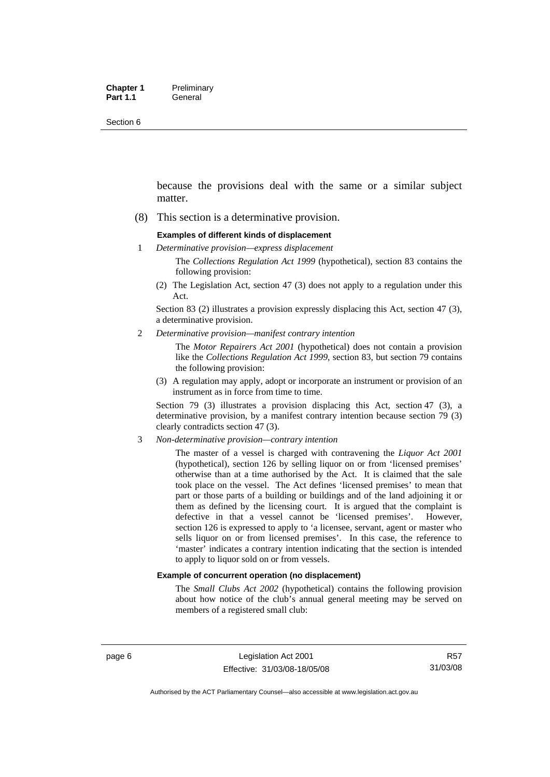Section 6

because the provisions deal with the same or a similar subject matter.

(8) This section is a determinative provision.

#### **Examples of different kinds of displacement**

1 *Determinative provision—express displacement*

The *Collections Regulation Act 1999* (hypothetical), section 83 contains the following provision:

(2) The Legislation Act, section 47 (3) does not apply to a regulation under this Act.

Section 83 (2) illustrates a provision expressly displacing this Act, section 47 (3), a determinative provision.

2 *Determinative provision—manifest contrary intention*

The *Motor Repairers Act 2001* (hypothetical) does not contain a provision like the *Collections Regulation Act 1999*, section 83, but section 79 contains the following provision:

(3) A regulation may apply, adopt or incorporate an instrument or provision of an instrument as in force from time to time.

Section 79 (3) illustrates a provision displacing this Act, section 47 (3), a determinative provision, by a manifest contrary intention because section 79 (3) clearly contradicts section 47 (3).

3 *Non-determinative provision—contrary intention*

The master of a vessel is charged with contravening the *Liquor Act 2001* (hypothetical), section 126 by selling liquor on or from 'licensed premises' otherwise than at a time authorised by the Act. It is claimed that the sale took place on the vessel. The Act defines 'licensed premises' to mean that part or those parts of a building or buildings and of the land adjoining it or them as defined by the licensing court. It is argued that the complaint is defective in that a vessel cannot be 'licensed premises'. However, section 126 is expressed to apply to 'a licensee, servant, agent or master who sells liquor on or from licensed premises'. In this case, the reference to 'master' indicates a contrary intention indicating that the section is intended to apply to liquor sold on or from vessels.

#### **Example of concurrent operation (no displacement)**

The *Small Clubs Act 2002* (hypothetical) contains the following provision about how notice of the club's annual general meeting may be served on members of a registered small club: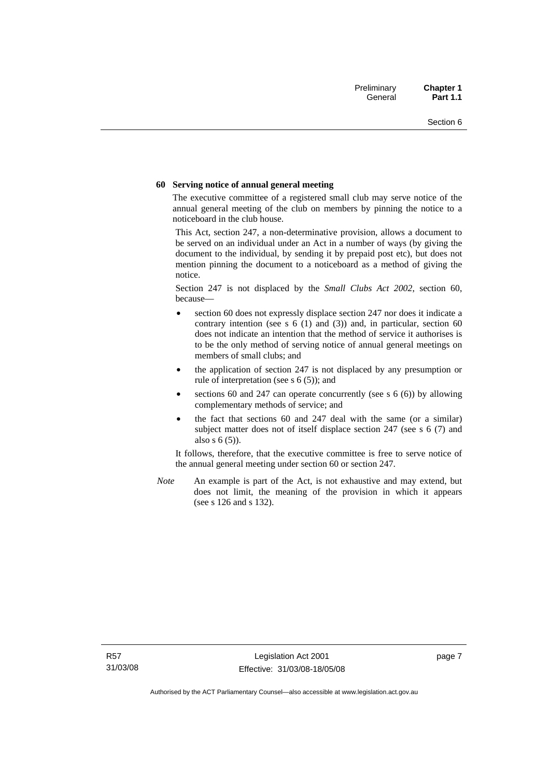#### **60 Serving notice of annual general meeting**

The executive committee of a registered small club may serve notice of the annual general meeting of the club on members by pinning the notice to a noticeboard in the club house.

This Act, section 247, a non-determinative provision, allows a document to be served on an individual under an Act in a number of ways (by giving the document to the individual, by sending it by prepaid post etc), but does not mention pinning the document to a noticeboard as a method of giving the notice.

Section 247 is not displaced by the *Small Clubs Act 2002*, section 60, because—

- section 60 does not expressly displace section 247 nor does it indicate a contrary intention (see s  $6(1)$  and  $(3)$ ) and, in particular, section  $60$ does not indicate an intention that the method of service it authorises is to be the only method of serving notice of annual general meetings on members of small clubs; and
- the application of section 247 is not displaced by any presumption or rule of interpretation (see s 6 (5)); and
- sections 60 and 247 can operate concurrently (see s  $6(6)$ ) by allowing complementary methods of service; and
- the fact that sections 60 and 247 deal with the same (or a similar) subject matter does not of itself displace section 247 (see s 6 (7) and also s 6 (5)).

It follows, therefore, that the executive committee is free to serve notice of the annual general meeting under section 60 or section 247.

*Note* An example is part of the Act, is not exhaustive and may extend, but does not limit, the meaning of the provision in which it appears (see s 126 and s 132).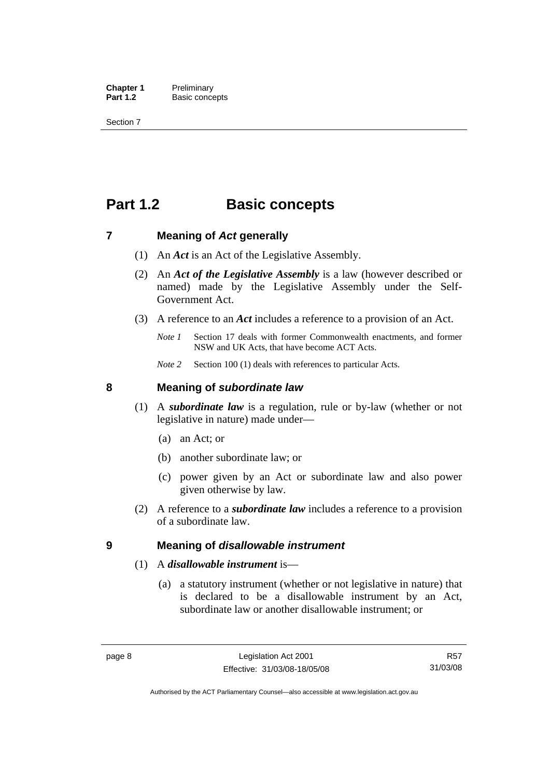<span id="page-23-0"></span>**Chapter 1** Preliminary<br>**Part 1.2** Basic conce **Basic concepts** 

Section 7

## **Part 1.2 Basic concepts**

### **7 Meaning of** *Act* **generally**

- (1) An *Act* is an Act of the Legislative Assembly.
- (2) An *Act of the Legislative Assembly* is a law (however described or named) made by the Legislative Assembly under the Self-Government Act.
- (3) A reference to an *Act* includes a reference to a provision of an Act.
	- *Note 1* Section 17 deals with former Commonwealth enactments, and former NSW and UK Acts, that have become ACT Acts.
	- *Note 2* Section 100 (1) deals with references to particular Acts.

### **8 Meaning of** *subordinate law*

- (1) A *subordinate law* is a regulation, rule or by-law (whether or not legislative in nature) made under—
	- (a) an Act; or
	- (b) another subordinate law; or
	- (c) power given by an Act or subordinate law and also power given otherwise by law.
- (2) A reference to a *subordinate law* includes a reference to a provision of a subordinate law.

### **9 Meaning of** *disallowable instrument*

### (1) A *disallowable instrument* is—

 (a) a statutory instrument (whether or not legislative in nature) that is declared to be a disallowable instrument by an Act, subordinate law or another disallowable instrument; or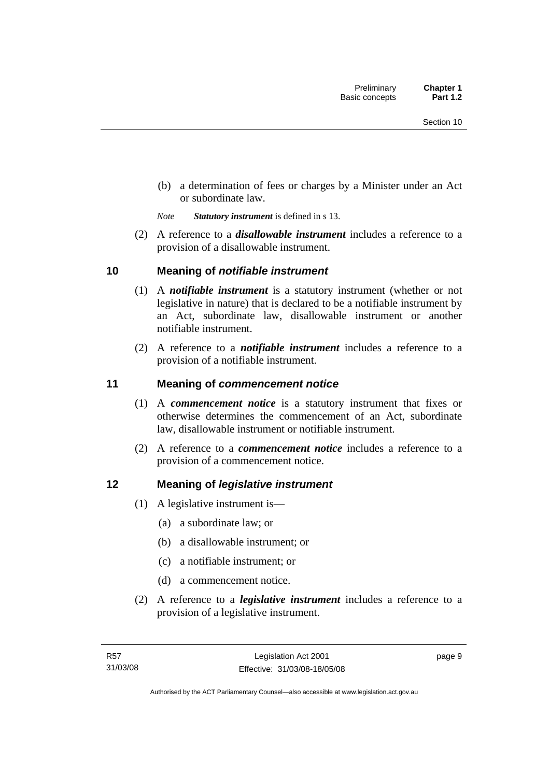<span id="page-24-0"></span> (b) a determination of fees or charges by a Minister under an Act or subordinate law.

*Note Statutory instrument* is defined in s 13.

 (2) A reference to a *disallowable instrument* includes a reference to a provision of a disallowable instrument.

## **10 Meaning of** *notifiable instrument*

- (1) A *notifiable instrument* is a statutory instrument (whether or not legislative in nature) that is declared to be a notifiable instrument by an Act, subordinate law, disallowable instrument or another notifiable instrument.
- (2) A reference to a *notifiable instrument* includes a reference to a provision of a notifiable instrument.

## **11 Meaning of** *commencement notice*

- (1) A *commencement notice* is a statutory instrument that fixes or otherwise determines the commencement of an Act, subordinate law, disallowable instrument or notifiable instrument.
- (2) A reference to a *commencement notice* includes a reference to a provision of a commencement notice.

## **12 Meaning of** *legislative instrument*

- (1) A legislative instrument is—
	- (a) a subordinate law; or
	- (b) a disallowable instrument; or
	- (c) a notifiable instrument; or
	- (d) a commencement notice.
- (2) A reference to a *legislative instrument* includes a reference to a provision of a legislative instrument.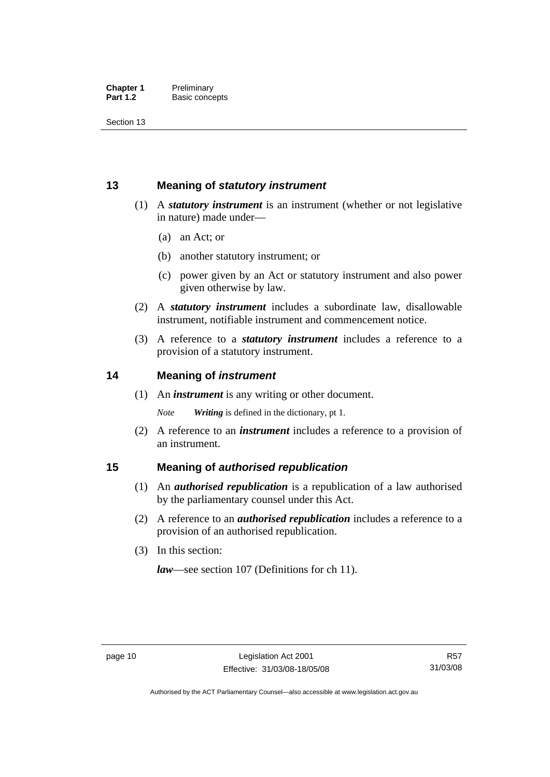<span id="page-25-0"></span>Section 13

## **13 Meaning of** *statutory instrument*

- (1) A *statutory instrument* is an instrument (whether or not legislative in nature) made under—
	- (a) an Act; or
	- (b) another statutory instrument; or
	- (c) power given by an Act or statutory instrument and also power given otherwise by law.
- (2) A *statutory instrument* includes a subordinate law, disallowable instrument, notifiable instrument and commencement notice.
- (3) A reference to a *statutory instrument* includes a reference to a provision of a statutory instrument.

## **14 Meaning of** *instrument*

(1) An *instrument* is any writing or other document.

*Note Writing* is defined in the dictionary, pt 1.

 (2) A reference to an *instrument* includes a reference to a provision of an instrument.

## **15 Meaning of** *authorised republication*

- (1) An *authorised republication* is a republication of a law authorised by the parliamentary counsel under this Act.
- (2) A reference to an *authorised republication* includes a reference to a provision of an authorised republication.
- (3) In this section:

*law*—see section 107 (Definitions for ch 11).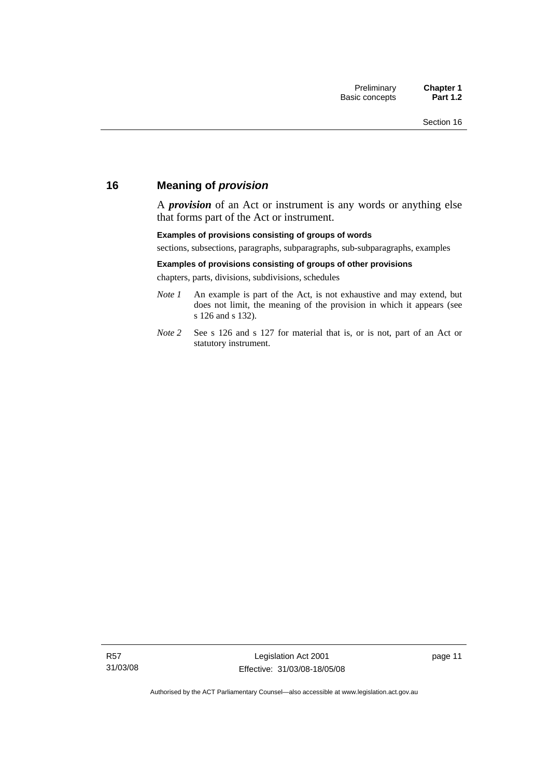## <span id="page-26-0"></span>**16 Meaning of** *provision*

A *provision* of an Act or instrument is any words or anything else that forms part of the Act or instrument.

#### **Examples of provisions consisting of groups of words**

sections, subsections, paragraphs, subparagraphs, sub-subparagraphs, examples

#### **Examples of provisions consisting of groups of other provisions**

chapters, parts, divisions, subdivisions, schedules

- *Note 1* An example is part of the Act, is not exhaustive and may extend, but does not limit, the meaning of the provision in which it appears (see s 126 and s 132).
- *Note 2* See s 126 and s 127 for material that is, or is not, part of an Act or statutory instrument.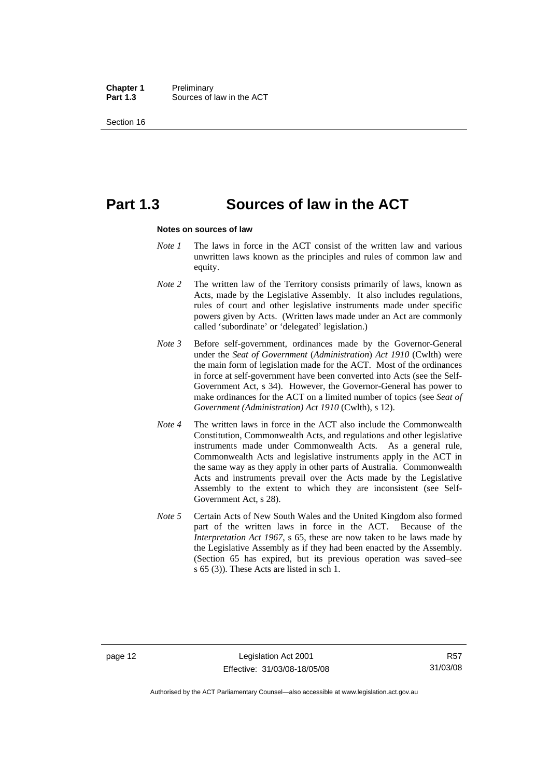**Chapter 1** Preliminary<br>**Part 1.3** Sources of Sources of law in the ACT

Section 16

## **Part 1.3 Sources of law in the ACT**

#### **Notes on sources of law**

- *Note 1* The laws in force in the ACT consist of the written law and various unwritten laws known as the principles and rules of common law and equity.
- *Note* 2 The written law of the Territory consists primarily of laws, known as Acts, made by the Legislative Assembly. It also includes regulations, rules of court and other legislative instruments made under specific powers given by Acts. (Written laws made under an Act are commonly called 'subordinate' or 'delegated' legislation.)
- *Note 3* Before self-government, ordinances made by the Governor-General under the *Seat of Government* (*Administration*) *Act 1910* (Cwlth) were the main form of legislation made for the ACT. Most of the ordinances in force at self-government have been converted into Acts (see the Self-Government Act, s 34). However, the Governor-General has power to make ordinances for the ACT on a limited number of topics (see *Seat of Government (Administration) Act 1910* (Cwlth), s 12).
- *Note 4* The written laws in force in the ACT also include the Commonwealth Constitution, Commonwealth Acts, and regulations and other legislative instruments made under Commonwealth Acts. As a general rule, Commonwealth Acts and legislative instruments apply in the ACT in the same way as they apply in other parts of Australia. Commonwealth Acts and instruments prevail over the Acts made by the Legislative Assembly to the extent to which they are inconsistent (see Self-Government Act, s 28).
- *Note 5* Certain Acts of New South Wales and the United Kingdom also formed part of the written laws in force in the ACT. Because of the *Interpretation Act 1967*, s 65, these are now taken to be laws made by the Legislative Assembly as if they had been enacted by the Assembly. (Section 65 has expired, but its previous operation was saved–see s 65 (3)). These Acts are listed in sch 1.

Authorised by the ACT Parliamentary Counsel—also accessible at www.legislation.act.gov.au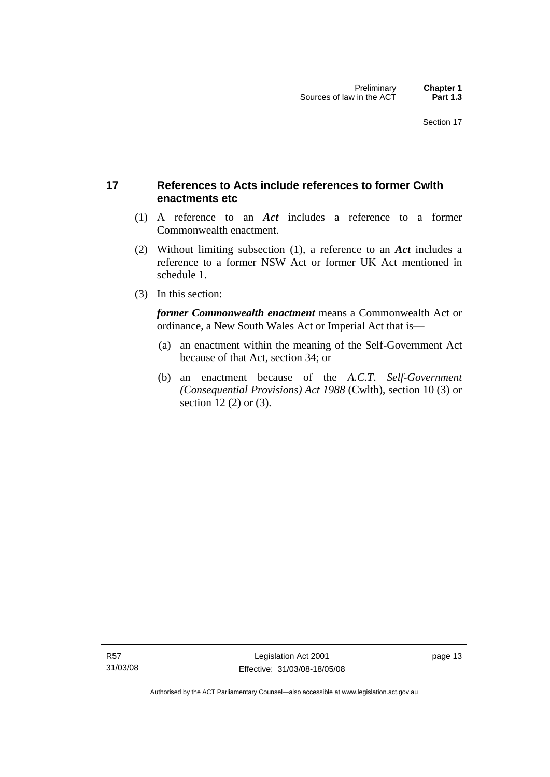## <span id="page-28-0"></span>**17 References to Acts include references to former Cwlth enactments etc**

- (1) A reference to an *Act* includes a reference to a former Commonwealth enactment.
- (2) Without limiting subsection (1), a reference to an *Act* includes a reference to a former NSW Act or former UK Act mentioned in schedule 1.
- (3) In this section:

*former Commonwealth enactment* means a Commonwealth Act or ordinance, a New South Wales Act or Imperial Act that is—

- (a) an enactment within the meaning of the Self-Government Act because of that Act, section 34; or
- (b) an enactment because of the *A.C.T*. *Self-Government (Consequential Provisions) Act 1988* (Cwlth), section 10 (3) or section 12 (2) or (3).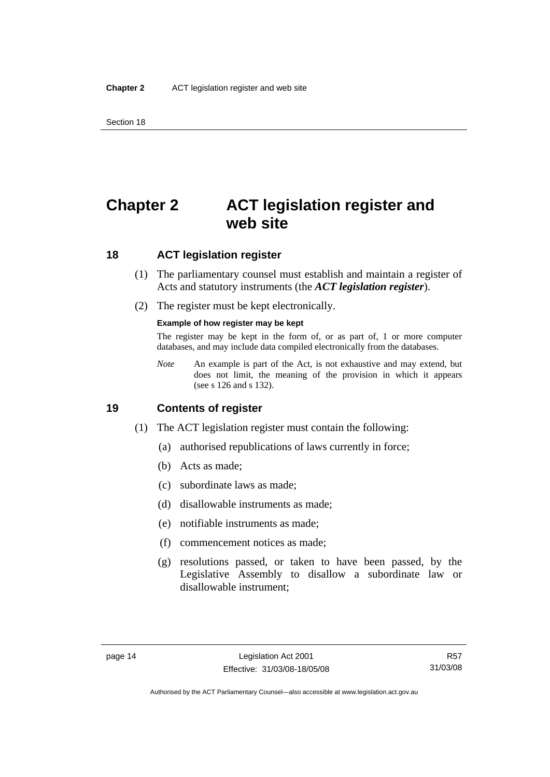## <span id="page-29-0"></span>**Chapter 2 ACT legislation register and web site**

## **18 ACT legislation register**

- (1) The parliamentary counsel must establish and maintain a register of Acts and statutory instruments (the *ACT legislation register*).
- (2) The register must be kept electronically.

#### **Example of how register may be kept**

The register may be kept in the form of, or as part of, 1 or more computer databases, and may include data compiled electronically from the databases.

*Note* An example is part of the Act, is not exhaustive and may extend, but does not limit, the meaning of the provision in which it appears (see s 126 and s 132).

### **19 Contents of register**

- (1) The ACT legislation register must contain the following:
	- (a) authorised republications of laws currently in force;
	- (b) Acts as made;
	- (c) subordinate laws as made;
	- (d) disallowable instruments as made;
	- (e) notifiable instruments as made;
	- (f) commencement notices as made;
	- (g) resolutions passed, or taken to have been passed, by the Legislative Assembly to disallow a subordinate law or disallowable instrument;

Authorised by the ACT Parliamentary Counsel—also accessible at www.legislation.act.gov.au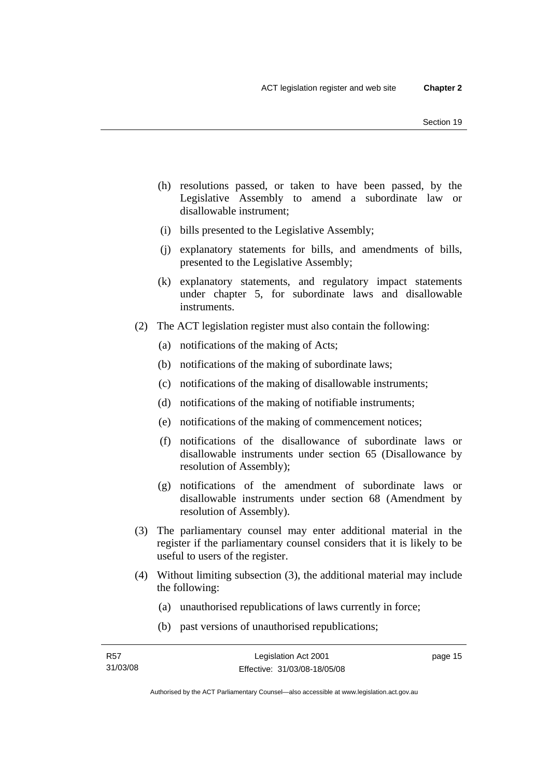- (h) resolutions passed, or taken to have been passed, by the Legislative Assembly to amend a subordinate law or disallowable instrument;
- (i) bills presented to the Legislative Assembly;
- (j) explanatory statements for bills, and amendments of bills, presented to the Legislative Assembly;
- (k) explanatory statements, and regulatory impact statements under chapter 5, for subordinate laws and disallowable instruments.
- (2) The ACT legislation register must also contain the following:
	- (a) notifications of the making of Acts;
	- (b) notifications of the making of subordinate laws;
	- (c) notifications of the making of disallowable instruments;
	- (d) notifications of the making of notifiable instruments;
	- (e) notifications of the making of commencement notices;
	- (f) notifications of the disallowance of subordinate laws or disallowable instruments under section 65 (Disallowance by resolution of Assembly);
	- (g) notifications of the amendment of subordinate laws or disallowable instruments under section 68 (Amendment by resolution of Assembly).
- (3) The parliamentary counsel may enter additional material in the register if the parliamentary counsel considers that it is likely to be useful to users of the register.
- (4) Without limiting subsection (3), the additional material may include the following:
	- (a) unauthorised republications of laws currently in force;
	- (b) past versions of unauthorised republications;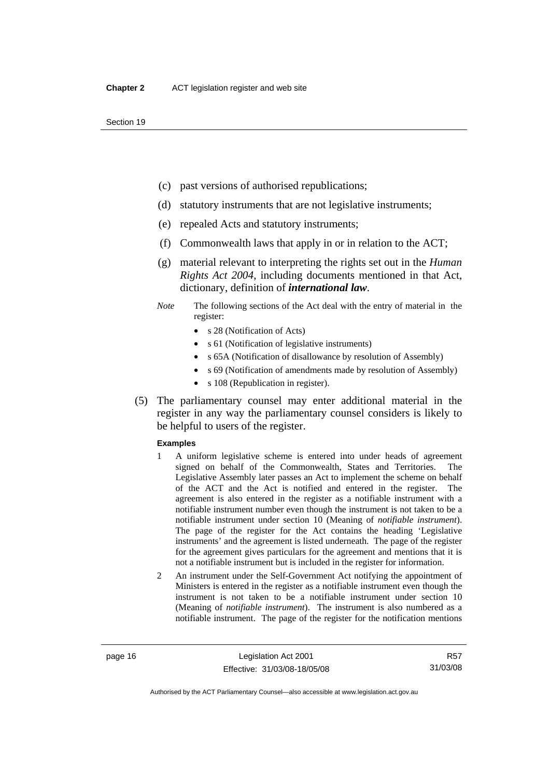- (c) past versions of authorised republications;
- (d) statutory instruments that are not legislative instruments;
- (e) repealed Acts and statutory instruments;
- (f) Commonwealth laws that apply in or in relation to the ACT;
- (g) material relevant to interpreting the rights set out in the *Human Rights Act 2004*, including documents mentioned in that Act, dictionary, definition of *international law*.
- *Note* The following sections of the Act deal with the entry of material in the register:
	- s 28 (Notification of Acts)
	- s 61 (Notification of legislative instruments)
	- s 65A (Notification of disallowance by resolution of Assembly)
	- s 69 (Notification of amendments made by resolution of Assembly)
	- s 108 (Republication in register).
- (5) The parliamentary counsel may enter additional material in the register in any way the parliamentary counsel considers is likely to be helpful to users of the register.

#### **Examples**

- 1 A uniform legislative scheme is entered into under heads of agreement signed on behalf of the Commonwealth, States and Territories. The Legislative Assembly later passes an Act to implement the scheme on behalf of the ACT and the Act is notified and entered in the register. The agreement is also entered in the register as a notifiable instrument with a notifiable instrument number even though the instrument is not taken to be a notifiable instrument under section 10 (Meaning of *notifiable instrument*). The page of the register for the Act contains the heading 'Legislative instruments' and the agreement is listed underneath. The page of the register for the agreement gives particulars for the agreement and mentions that it is not a notifiable instrument but is included in the register for information.
- 2 An instrument under the Self-Government Act notifying the appointment of Ministers is entered in the register as a notifiable instrument even though the instrument is not taken to be a notifiable instrument under section 10 (Meaning of *notifiable instrument*). The instrument is also numbered as a notifiable instrument. The page of the register for the notification mentions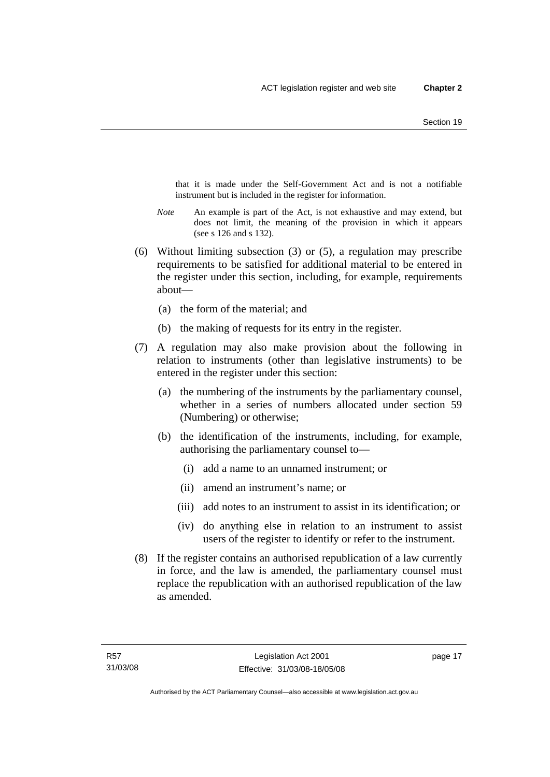that it is made under the Self-Government Act and is not a notifiable instrument but is included in the register for information.

- *Note* An example is part of the Act, is not exhaustive and may extend, but does not limit, the meaning of the provision in which it appears (see s 126 and s 132).
- (6) Without limiting subsection (3) or (5), a regulation may prescribe requirements to be satisfied for additional material to be entered in the register under this section, including, for example, requirements about—
	- (a) the form of the material; and
	- (b) the making of requests for its entry in the register.
- (7) A regulation may also make provision about the following in relation to instruments (other than legislative instruments) to be entered in the register under this section:
	- (a) the numbering of the instruments by the parliamentary counsel, whether in a series of numbers allocated under section 59 (Numbering) or otherwise;
	- (b) the identification of the instruments, including, for example, authorising the parliamentary counsel to—
		- (i) add a name to an unnamed instrument; or
		- (ii) amend an instrument's name; or
		- (iii) add notes to an instrument to assist in its identification; or
		- (iv) do anything else in relation to an instrument to assist users of the register to identify or refer to the instrument.
- (8) If the register contains an authorised republication of a law currently in force, and the law is amended, the parliamentary counsel must replace the republication with an authorised republication of the law as amended.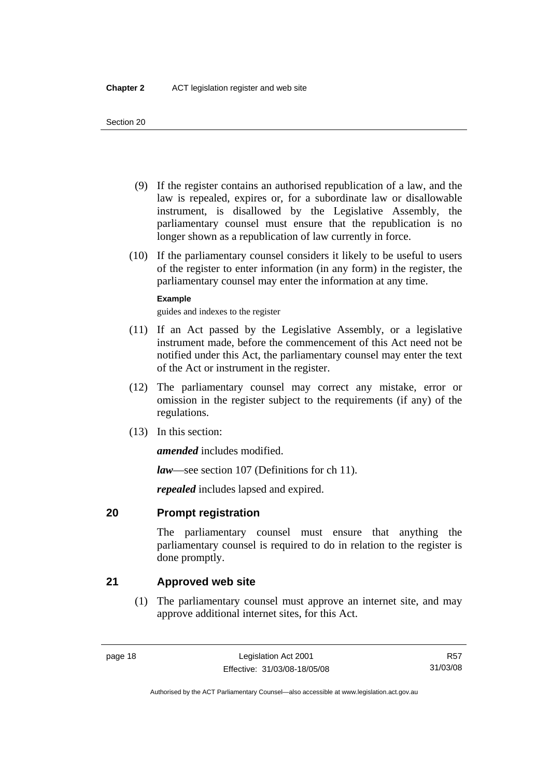- <span id="page-33-0"></span> (9) If the register contains an authorised republication of a law, and the law is repealed, expires or, for a subordinate law or disallowable instrument, is disallowed by the Legislative Assembly, the parliamentary counsel must ensure that the republication is no longer shown as a republication of law currently in force.
- (10) If the parliamentary counsel considers it likely to be useful to users of the register to enter information (in any form) in the register, the parliamentary counsel may enter the information at any time.

### **Example**

guides and indexes to the register

- (11) If an Act passed by the Legislative Assembly, or a legislative instrument made, before the commencement of this Act need not be notified under this Act, the parliamentary counsel may enter the text of the Act or instrument in the register.
- (12) The parliamentary counsel may correct any mistake, error or omission in the register subject to the requirements (if any) of the regulations.
- (13) In this section:

*amended* includes modified.

*law*—see section 107 (Definitions for ch 11).

*repealed* includes lapsed and expired.

## **20 Prompt registration**

The parliamentary counsel must ensure that anything the parliamentary counsel is required to do in relation to the register is done promptly.

## **21 Approved web site**

 (1) The parliamentary counsel must approve an internet site, and may approve additional internet sites, for this Act.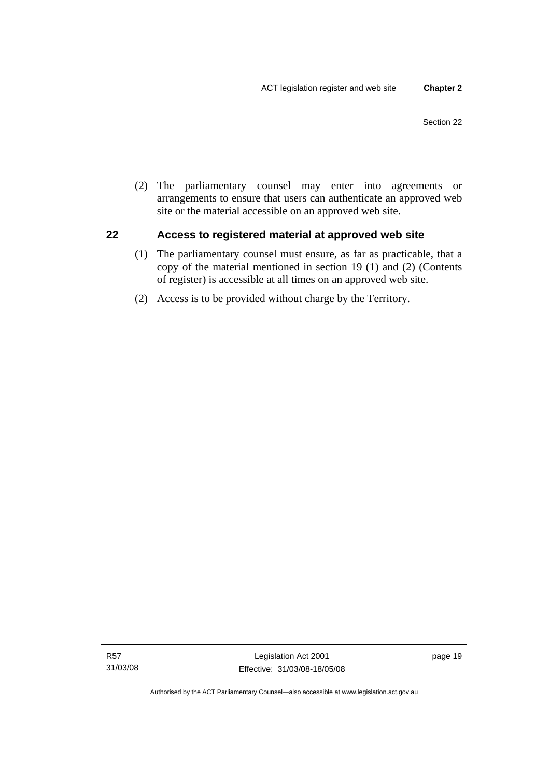<span id="page-34-0"></span> (2) The parliamentary counsel may enter into agreements or arrangements to ensure that users can authenticate an approved web site or the material accessible on an approved web site.

## **22 Access to registered material at approved web site**

- (1) The parliamentary counsel must ensure, as far as practicable, that a copy of the material mentioned in section 19 (1) and (2) (Contents of register) is accessible at all times on an approved web site.
- (2) Access is to be provided without charge by the Territory.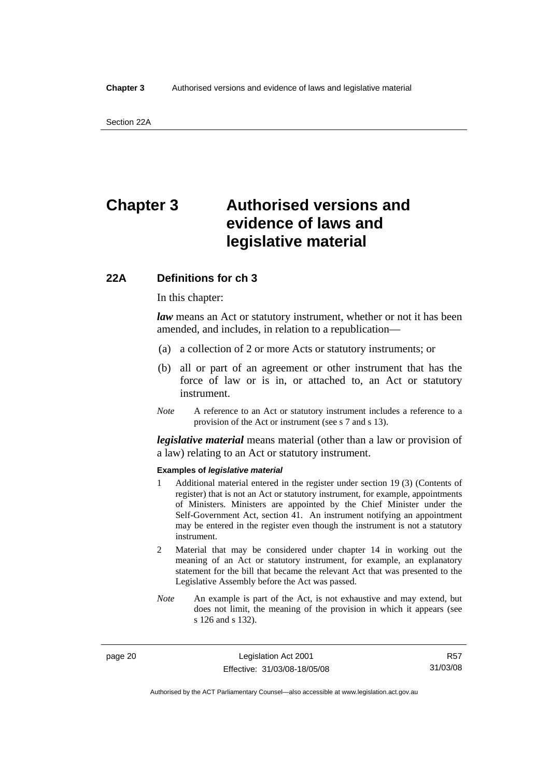## <span id="page-35-0"></span>**Chapter 3 Authorised versions and evidence of laws and legislative material**

## **22A Definitions for ch 3**

In this chapter:

*law* means an Act or statutory instrument, whether or not it has been amended, and includes, in relation to a republication—

- (a) a collection of 2 or more Acts or statutory instruments; or
- (b) all or part of an agreement or other instrument that has the force of law or is in, or attached to, an Act or statutory instrument.
- *Note* A reference to an Act or statutory instrument includes a reference to a provision of the Act or instrument (see s 7 and s 13).

*legislative material* means material (other than a law or provision of a law) relating to an Act or statutory instrument.

#### **Examples of** *legislative material*

- 1 Additional material entered in the register under section 19 (3) (Contents of register) that is not an Act or statutory instrument, for example, appointments of Ministers. Ministers are appointed by the Chief Minister under the Self-Government Act, section 41. An instrument notifying an appointment may be entered in the register even though the instrument is not a statutory instrument.
- 2 Material that may be considered under chapter 14 in working out the meaning of an Act or statutory instrument, for example, an explanatory statement for the bill that became the relevant Act that was presented to the Legislative Assembly before the Act was passed.
- *Note* An example is part of the Act, is not exhaustive and may extend, but does not limit, the meaning of the provision in which it appears (see s 126 and s 132).

page 20 Legislation Act 2001 Effective: 31/03/08-18/05/08

R57 31/03/08

Authorised by the ACT Parliamentary Counsel—also accessible at www.legislation.act.gov.au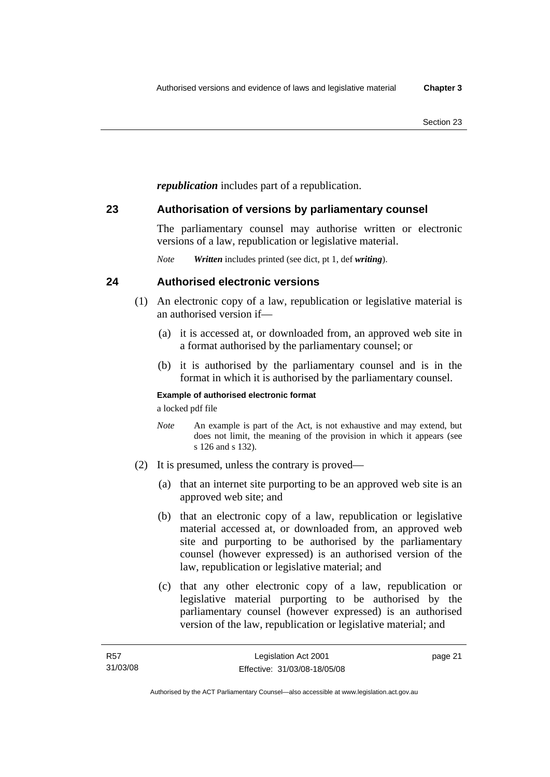*republication* includes part of a republication.

## **23 Authorisation of versions by parliamentary counsel**

The parliamentary counsel may authorise written or electronic versions of a law, republication or legislative material.

*Note Written* includes printed (see dict, pt 1, def *writing*).

## **24 Authorised electronic versions**

- (1) An electronic copy of a law, republication or legislative material is an authorised version if—
	- (a) it is accessed at, or downloaded from, an approved web site in a format authorised by the parliamentary counsel; or
	- (b) it is authorised by the parliamentary counsel and is in the format in which it is authorised by the parliamentary counsel.

### **Example of authorised electronic format**

a locked pdf file

- *Note* An example is part of the Act, is not exhaustive and may extend, but does not limit, the meaning of the provision in which it appears (see s 126 and s 132).
- (2) It is presumed, unless the contrary is proved—
	- (a) that an internet site purporting to be an approved web site is an approved web site; and
	- (b) that an electronic copy of a law, republication or legislative material accessed at, or downloaded from, an approved web site and purporting to be authorised by the parliamentary counsel (however expressed) is an authorised version of the law, republication or legislative material; and
	- (c) that any other electronic copy of a law, republication or legislative material purporting to be authorised by the parliamentary counsel (however expressed) is an authorised version of the law, republication or legislative material; and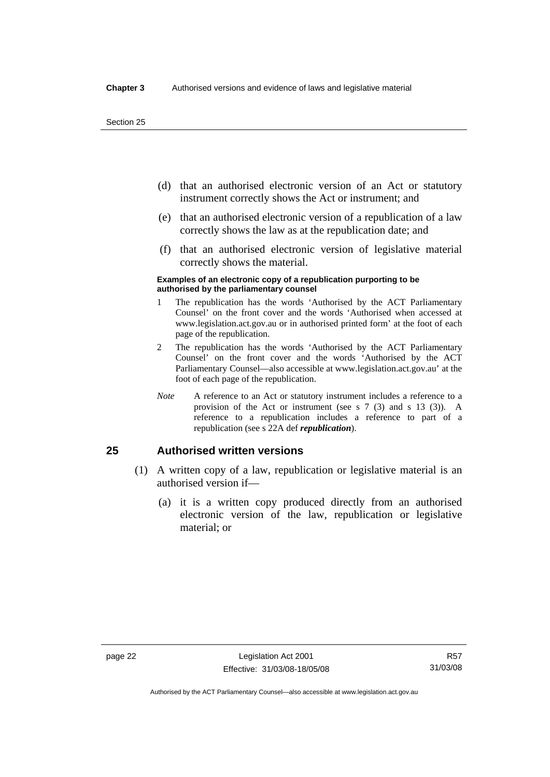- (d) that an authorised electronic version of an Act or statutory instrument correctly shows the Act or instrument; and
- (e) that an authorised electronic version of a republication of a law correctly shows the law as at the republication date; and
- (f) that an authorised electronic version of legislative material correctly shows the material.

#### **Examples of an electronic copy of a republication purporting to be authorised by the parliamentary counsel**

- 1 The republication has the words 'Authorised by the ACT Parliamentary Counsel' on the front cover and the words 'Authorised when accessed at www.legislation.act.gov.au or in authorised printed form' at the foot of each page of the republication.
- 2 The republication has the words 'Authorised by the ACT Parliamentary Counsel' on the front cover and the words 'Authorised by the ACT Parliamentary Counsel—also accessible at www.legislation.act.gov.au' at the foot of each page of the republication.
- *Note* A reference to an Act or statutory instrument includes a reference to a provision of the Act or instrument (see s 7 (3) and s 13 (3)). A reference to a republication includes a reference to part of a republication (see s 22A def *republication*).

## **25 Authorised written versions**

- (1) A written copy of a law, republication or legislative material is an authorised version if—
	- (a) it is a written copy produced directly from an authorised electronic version of the law, republication or legislative material; or

Authorised by the ACT Parliamentary Counsel—also accessible at www.legislation.act.gov.au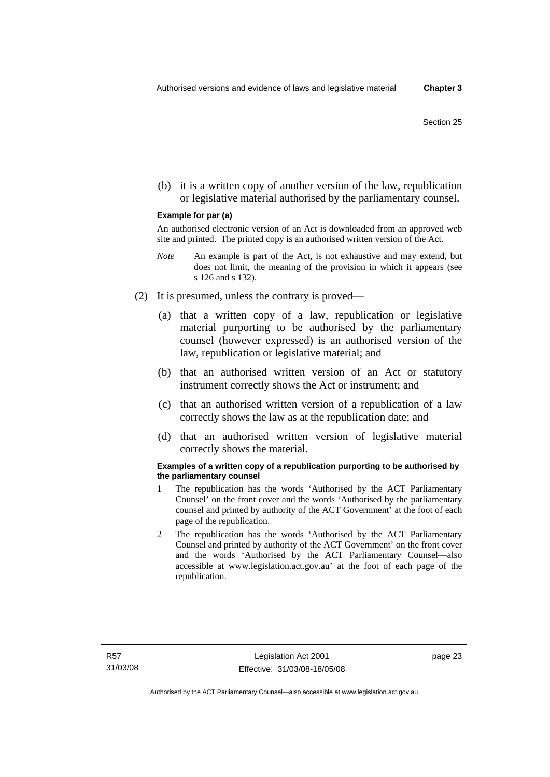(b) it is a written copy of another version of the law, republication or legislative material authorised by the parliamentary counsel.

#### **Example for par (a)**

An authorised electronic version of an Act is downloaded from an approved web site and printed. The printed copy is an authorised written version of the Act.

- *Note* An example is part of the Act, is not exhaustive and may extend, but does not limit, the meaning of the provision in which it appears (see s 126 and s 132).
- (2) It is presumed, unless the contrary is proved—
	- (a) that a written copy of a law, republication or legislative material purporting to be authorised by the parliamentary counsel (however expressed) is an authorised version of the law, republication or legislative material; and
	- (b) that an authorised written version of an Act or statutory instrument correctly shows the Act or instrument; and
	- (c) that an authorised written version of a republication of a law correctly shows the law as at the republication date; and
	- (d) that an authorised written version of legislative material correctly shows the material.

#### **Examples of a written copy of a republication purporting to be authorised by the parliamentary counsel**

- 1 The republication has the words 'Authorised by the ACT Parliamentary Counsel' on the front cover and the words 'Authorised by the parliamentary counsel and printed by authority of the ACT Government' at the foot of each page of the republication.
- 2 The republication has the words 'Authorised by the ACT Parliamentary Counsel and printed by authority of the ACT Government' on the front cover and the words 'Authorised by the ACT Parliamentary Counsel—also accessible at www.legislation.act.gov.au' at the foot of each page of the republication.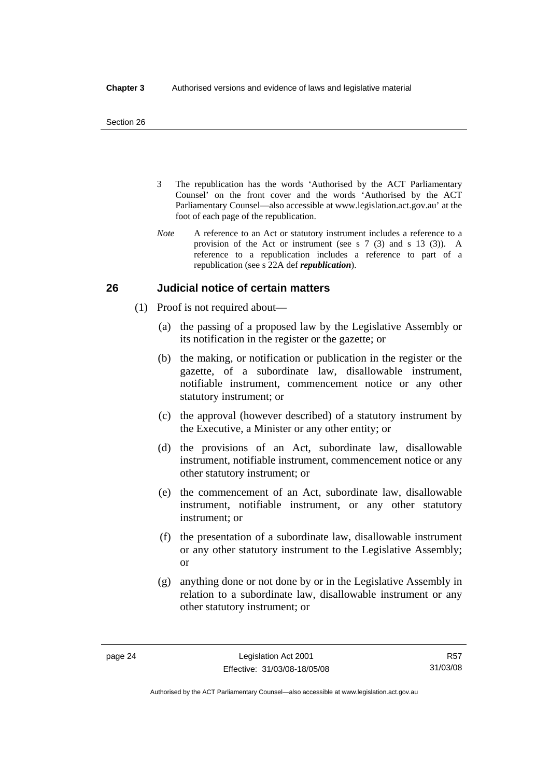- 3 The republication has the words 'Authorised by the ACT Parliamentary Counsel' on the front cover and the words 'Authorised by the ACT Parliamentary Counsel—also accessible at www.legislation.act.gov.au' at the foot of each page of the republication.
- *Note* A reference to an Act or statutory instrument includes a reference to a provision of the Act or instrument (see s 7 (3) and s 13 (3)). A reference to a republication includes a reference to part of a republication (see s 22A def *republication*).

## **26 Judicial notice of certain matters**

- (1) Proof is not required about—
	- (a) the passing of a proposed law by the Legislative Assembly or its notification in the register or the gazette; or
	- (b) the making, or notification or publication in the register or the gazette, of a subordinate law, disallowable instrument, notifiable instrument, commencement notice or any other statutory instrument; or
	- (c) the approval (however described) of a statutory instrument by the Executive, a Minister or any other entity; or
	- (d) the provisions of an Act, subordinate law, disallowable instrument, notifiable instrument, commencement notice or any other statutory instrument; or
	- (e) the commencement of an Act, subordinate law, disallowable instrument, notifiable instrument, or any other statutory instrument; or
	- (f) the presentation of a subordinate law, disallowable instrument or any other statutory instrument to the Legislative Assembly; or
	- (g) anything done or not done by or in the Legislative Assembly in relation to a subordinate law, disallowable instrument or any other statutory instrument; or

R57 31/03/08

Authorised by the ACT Parliamentary Counsel—also accessible at www.legislation.act.gov.au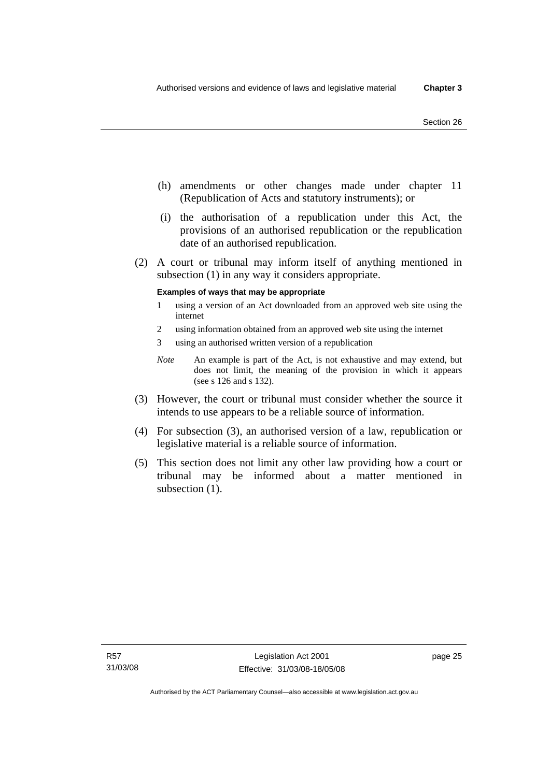- (h) amendments or other changes made under chapter 11 (Republication of Acts and statutory instruments); or
- (i) the authorisation of a republication under this Act, the provisions of an authorised republication or the republication date of an authorised republication.
- (2) A court or tribunal may inform itself of anything mentioned in subsection (1) in any way it considers appropriate.

#### **Examples of ways that may be appropriate**

- 1 using a version of an Act downloaded from an approved web site using the internet
- 2 using information obtained from an approved web site using the internet
- 3 using an authorised written version of a republication
- *Note* An example is part of the Act, is not exhaustive and may extend, but does not limit, the meaning of the provision in which it appears (see s 126 and s 132).
- (3) However, the court or tribunal must consider whether the source it intends to use appears to be a reliable source of information.
- (4) For subsection (3), an authorised version of a law, republication or legislative material is a reliable source of information.
- (5) This section does not limit any other law providing how a court or tribunal may be informed about a matter mentioned in subsection  $(1)$ .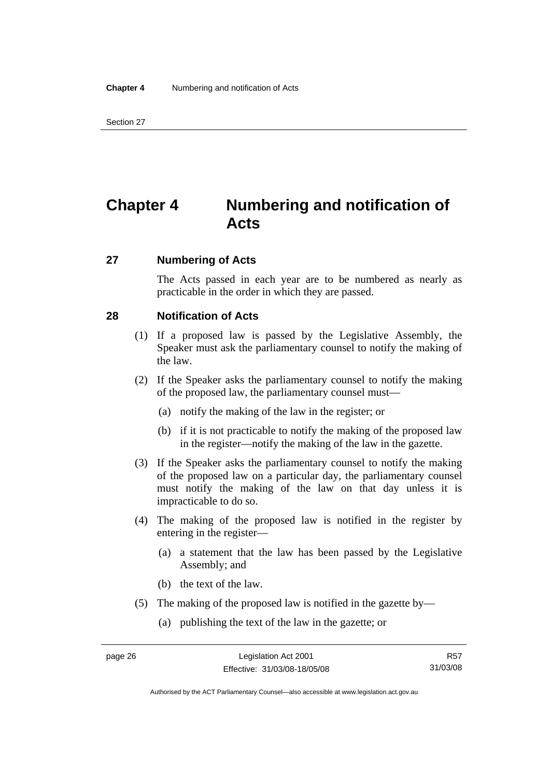## **Chapter 4 Numbering and notification of Acts**

### **27 Numbering of Acts**

The Acts passed in each year are to be numbered as nearly as practicable in the order in which they are passed.

## **28 Notification of Acts**

- (1) If a proposed law is passed by the Legislative Assembly, the Speaker must ask the parliamentary counsel to notify the making of the law.
- (2) If the Speaker asks the parliamentary counsel to notify the making of the proposed law, the parliamentary counsel must—
	- (a) notify the making of the law in the register; or
	- (b) if it is not practicable to notify the making of the proposed law in the register—notify the making of the law in the gazette.
- (3) If the Speaker asks the parliamentary counsel to notify the making of the proposed law on a particular day, the parliamentary counsel must notify the making of the law on that day unless it is impracticable to do so.
- (4) The making of the proposed law is notified in the register by entering in the register—
	- (a) a statement that the law has been passed by the Legislative Assembly; and
	- (b) the text of the law.
- (5) The making of the proposed law is notified in the gazette by—
	- (a) publishing the text of the law in the gazette; or

Authorised by the ACT Parliamentary Counsel—also accessible at www.legislation.act.gov.au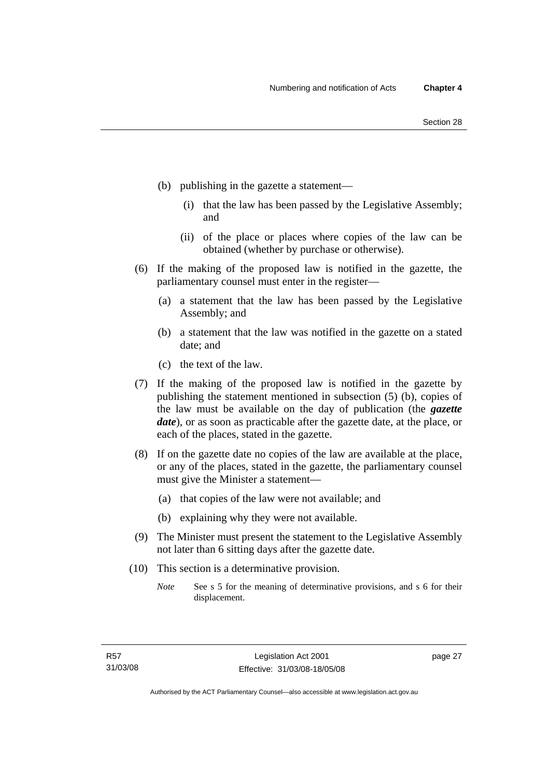- (b) publishing in the gazette a statement—
	- (i) that the law has been passed by the Legislative Assembly; and
	- (ii) of the place or places where copies of the law can be obtained (whether by purchase or otherwise).
- (6) If the making of the proposed law is notified in the gazette, the parliamentary counsel must enter in the register—
	- (a) a statement that the law has been passed by the Legislative Assembly; and
	- (b) a statement that the law was notified in the gazette on a stated date; and
	- (c) the text of the law.
- (7) If the making of the proposed law is notified in the gazette by publishing the statement mentioned in subsection (5) (b), copies of the law must be available on the day of publication (the *gazette date*), or as soon as practicable after the gazette date, at the place, or each of the places, stated in the gazette.
- (8) If on the gazette date no copies of the law are available at the place, or any of the places, stated in the gazette, the parliamentary counsel must give the Minister a statement—
	- (a) that copies of the law were not available; and
	- (b) explaining why they were not available.
- (9) The Minister must present the statement to the Legislative Assembly not later than 6 sitting days after the gazette date.
- (10) This section is a determinative provision.
	- *Note* See s 5 for the meaning of determinative provisions, and s 6 for their displacement.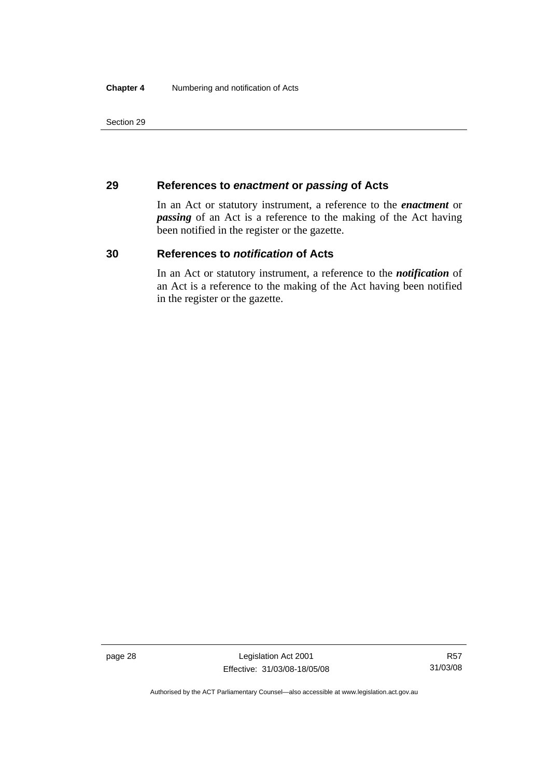## **29 References to** *enactment* **or** *passing* **of Acts**

In an Act or statutory instrument, a reference to the *enactment* or *passing* of an Act is a reference to the making of the Act having been notified in the register or the gazette.

## **30 References to** *notification* **of Acts**

In an Act or statutory instrument, a reference to the *notification* of an Act is a reference to the making of the Act having been notified in the register or the gazette.

page 28 Legislation Act 2001 Effective: 31/03/08-18/05/08

Authorised by the ACT Parliamentary Counsel—also accessible at www.legislation.act.gov.au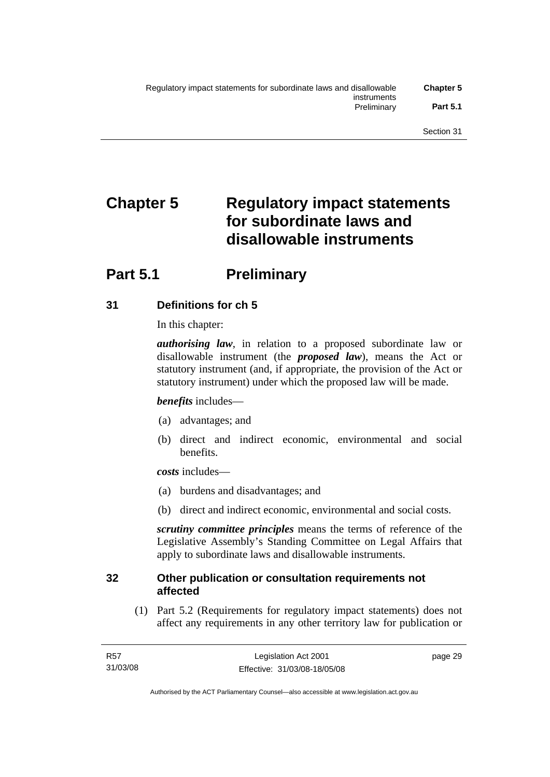# **Chapter 5 Regulatory impact statements for subordinate laws and disallowable instruments**

## **Part 5.1** Preliminary

## **31 Definitions for ch 5**

In this chapter:

*authorising law*, in relation to a proposed subordinate law or disallowable instrument (the *proposed law*), means the Act or statutory instrument (and, if appropriate, the provision of the Act or statutory instrument) under which the proposed law will be made.

## *benefits* includes—

- (a) advantages; and
- (b) direct and indirect economic, environmental and social benefits.

*costs* includes—

- (a) burdens and disadvantages; and
- (b) direct and indirect economic, environmental and social costs.

*scrutiny committee principles* means the terms of reference of the Legislative Assembly's Standing Committee on Legal Affairs that apply to subordinate laws and disallowable instruments.

## **32 Other publication or consultation requirements not affected**

 (1) Part 5.2 (Requirements for regulatory impact statements) does not affect any requirements in any other territory law for publication or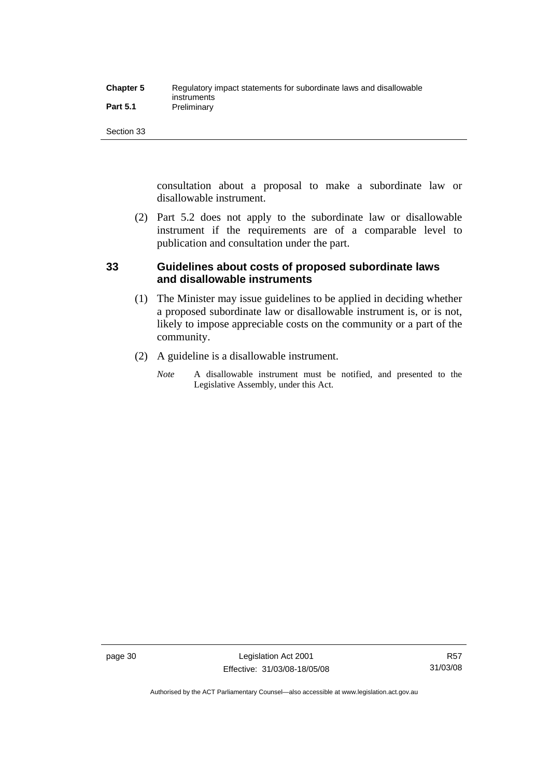| <b>Chapter 5</b> | Regulatory impact statements for subordinate laws and disallowable |
|------------------|--------------------------------------------------------------------|
|                  | instruments                                                        |
| <b>Part 5.1</b>  | Preliminary                                                        |

consultation about a proposal to make a subordinate law or disallowable instrument.

 (2) Part 5.2 does not apply to the subordinate law or disallowable instrument if the requirements are of a comparable level to publication and consultation under the part.

## **33 Guidelines about costs of proposed subordinate laws and disallowable instruments**

- (1) The Minister may issue guidelines to be applied in deciding whether a proposed subordinate law or disallowable instrument is, or is not, likely to impose appreciable costs on the community or a part of the community.
- (2) A guideline is a disallowable instrument.
	- *Note* A disallowable instrument must be notified, and presented to the Legislative Assembly, under this Act.

Authorised by the ACT Parliamentary Counsel—also accessible at www.legislation.act.gov.au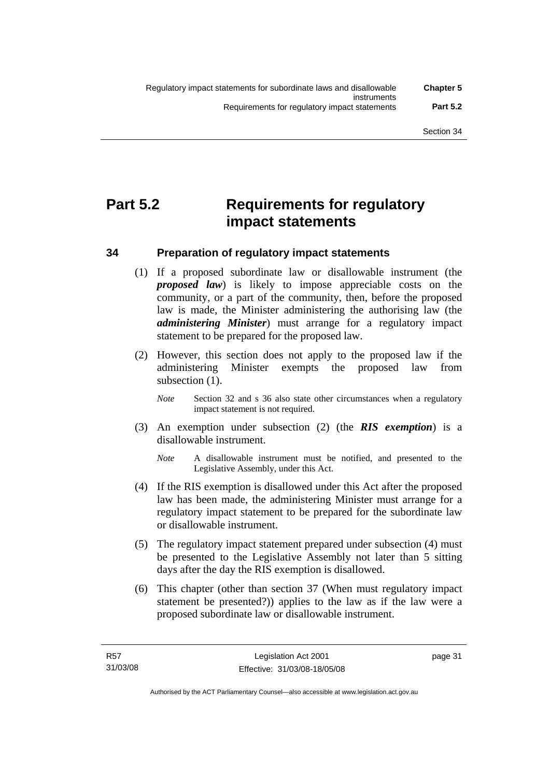## **Part 5.2 Requirements for regulatory impact statements**

## **34 Preparation of regulatory impact statements**

- (1) If a proposed subordinate law or disallowable instrument (the *proposed law*) is likely to impose appreciable costs on the community, or a part of the community, then, before the proposed law is made, the Minister administering the authorising law (the *administering Minister*) must arrange for a regulatory impact statement to be prepared for the proposed law.
- (2) However, this section does not apply to the proposed law if the administering Minister exempts the proposed law from subsection (1).
	- *Note* Section 32 and s 36 also state other circumstances when a regulatory impact statement is not required.
- (3) An exemption under subsection (2) (the *RIS exemption*) is a disallowable instrument.
	- *Note* A disallowable instrument must be notified, and presented to the Legislative Assembly, under this Act.
- (4) If the RIS exemption is disallowed under this Act after the proposed law has been made, the administering Minister must arrange for a regulatory impact statement to be prepared for the subordinate law or disallowable instrument.
- (5) The regulatory impact statement prepared under subsection (4) must be presented to the Legislative Assembly not later than 5 sitting days after the day the RIS exemption is disallowed.
- (6) This chapter (other than section 37 (When must regulatory impact statement be presented?)) applies to the law as if the law were a proposed subordinate law or disallowable instrument.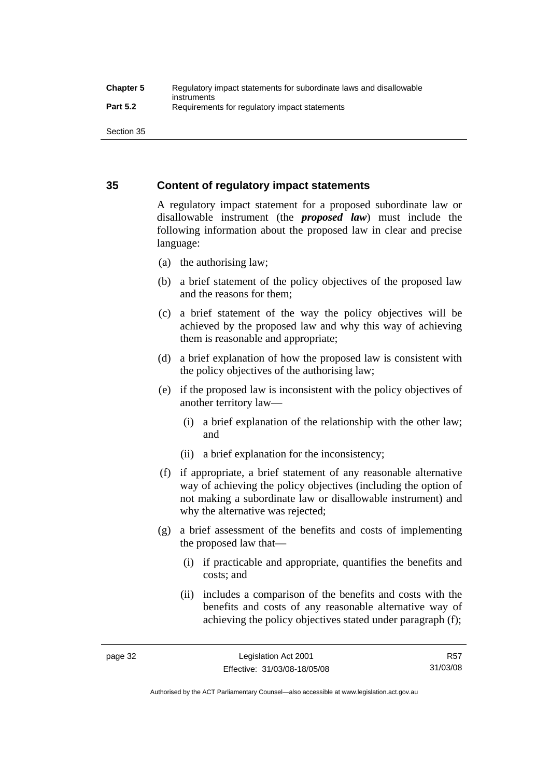## **35 Content of regulatory impact statements**

A regulatory impact statement for a proposed subordinate law or disallowable instrument (the *proposed law*) must include the following information about the proposed law in clear and precise language:

- (a) the authorising law;
- (b) a brief statement of the policy objectives of the proposed law and the reasons for them;
- (c) a brief statement of the way the policy objectives will be achieved by the proposed law and why this way of achieving them is reasonable and appropriate;
- (d) a brief explanation of how the proposed law is consistent with the policy objectives of the authorising law;
- (e) if the proposed law is inconsistent with the policy objectives of another territory law—
	- (i) a brief explanation of the relationship with the other law; and
	- (ii) a brief explanation for the inconsistency;
- (f) if appropriate, a brief statement of any reasonable alternative way of achieving the policy objectives (including the option of not making a subordinate law or disallowable instrument) and why the alternative was rejected;
- (g) a brief assessment of the benefits and costs of implementing the proposed law that—
	- (i) if practicable and appropriate, quantifies the benefits and costs; and
	- (ii) includes a comparison of the benefits and costs with the benefits and costs of any reasonable alternative way of achieving the policy objectives stated under paragraph (f);

Authorised by the ACT Parliamentary Counsel—also accessible at www.legislation.act.gov.au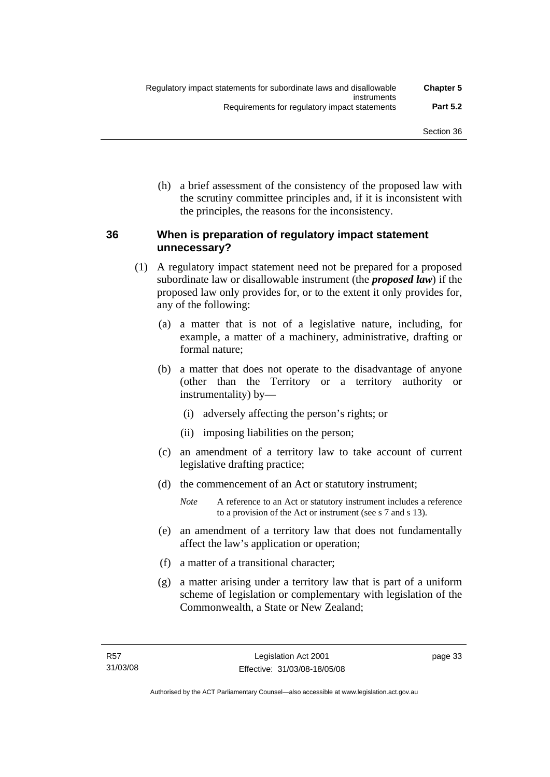(h) a brief assessment of the consistency of the proposed law with the scrutiny committee principles and, if it is inconsistent with the principles, the reasons for the inconsistency.

## **36 When is preparation of regulatory impact statement unnecessary?**

- (1) A regulatory impact statement need not be prepared for a proposed subordinate law or disallowable instrument (the *proposed law*) if the proposed law only provides for, or to the extent it only provides for, any of the following:
	- (a) a matter that is not of a legislative nature, including, for example, a matter of a machinery, administrative, drafting or formal nature;
	- (b) a matter that does not operate to the disadvantage of anyone (other than the Territory or a territory authority or instrumentality) by—
		- (i) adversely affecting the person's rights; or
		- (ii) imposing liabilities on the person;
	- (c) an amendment of a territory law to take account of current legislative drafting practice;
	- (d) the commencement of an Act or statutory instrument;
		- *Note* A reference to an Act or statutory instrument includes a reference to a provision of the Act or instrument (see s 7 and s 13).
	- (e) an amendment of a territory law that does not fundamentally affect the law's application or operation;
	- (f) a matter of a transitional character;
	- (g) a matter arising under a territory law that is part of a uniform scheme of legislation or complementary with legislation of the Commonwealth, a State or New Zealand;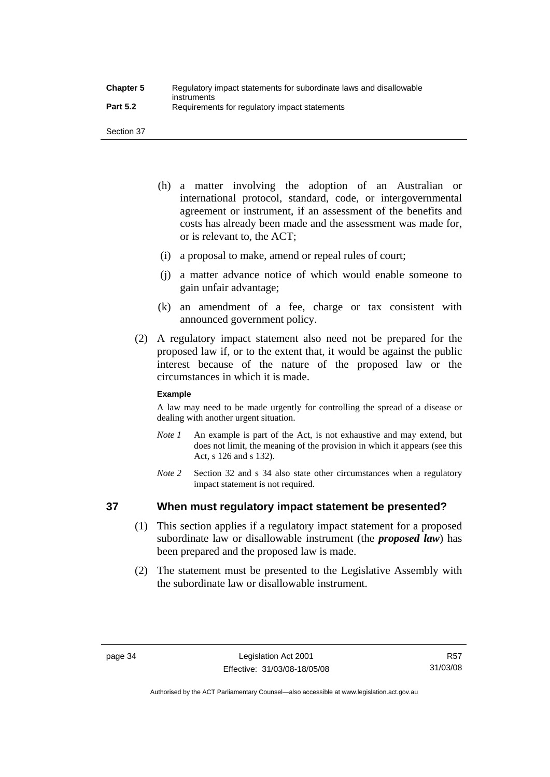- (h) a matter involving the adoption of an Australian or international protocol, standard, code, or intergovernmental agreement or instrument, if an assessment of the benefits and costs has already been made and the assessment was made for, or is relevant to, the ACT;
- (i) a proposal to make, amend or repeal rules of court;
- (j) a matter advance notice of which would enable someone to gain unfair advantage;
- (k) an amendment of a fee, charge or tax consistent with announced government policy.
- (2) A regulatory impact statement also need not be prepared for the proposed law if, or to the extent that, it would be against the public interest because of the nature of the proposed law or the circumstances in which it is made.

### **Example**

A law may need to be made urgently for controlling the spread of a disease or dealing with another urgent situation.

- *Note 1* An example is part of the Act, is not exhaustive and may extend, but does not limit, the meaning of the provision in which it appears (see this Act, s 126 and s 132).
- *Note* 2 Section 32 and s 34 also state other circumstances when a regulatory impact statement is not required.

## **37 When must regulatory impact statement be presented?**

- (1) This section applies if a regulatory impact statement for a proposed subordinate law or disallowable instrument (the *proposed law*) has been prepared and the proposed law is made.
- (2) The statement must be presented to the Legislative Assembly with the subordinate law or disallowable instrument.

R57 31/03/08

Authorised by the ACT Parliamentary Counsel—also accessible at www.legislation.act.gov.au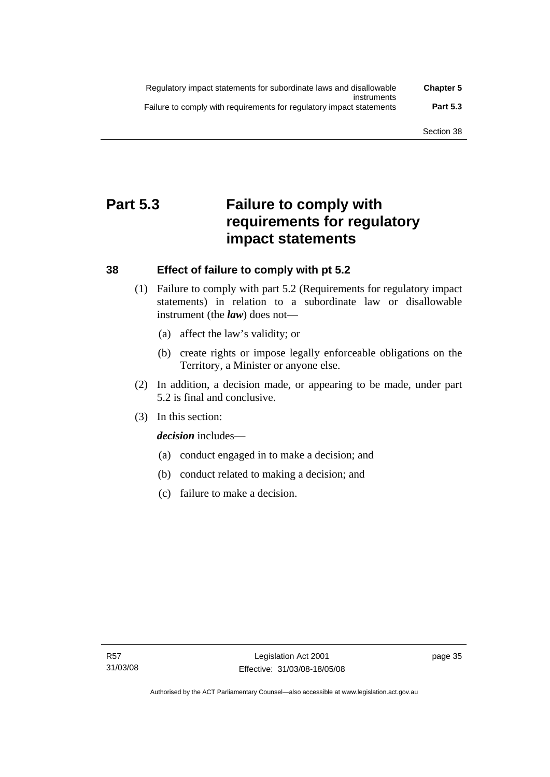| Regulatory impact statements for subordinate laws and disallowable   | <b>Chapter 5</b> |
|----------------------------------------------------------------------|------------------|
| instruments                                                          |                  |
| Failure to comply with requirements for regulatory impact statements | <b>Part 5.3</b>  |

## **Part 5.3 Failure to comply with requirements for regulatory impact statements**

## **38 Effect of failure to comply with pt 5.2**

- (1) Failure to comply with part 5.2 (Requirements for regulatory impact statements) in relation to a subordinate law or disallowable instrument (the *law*) does not—
	- (a) affect the law's validity; or
	- (b) create rights or impose legally enforceable obligations on the Territory, a Minister or anyone else.
- (2) In addition, a decision made, or appearing to be made, under part 5.2 is final and conclusive.
- (3) In this section:

*decision* includes—

- (a) conduct engaged in to make a decision; and
- (b) conduct related to making a decision; and
- (c) failure to make a decision.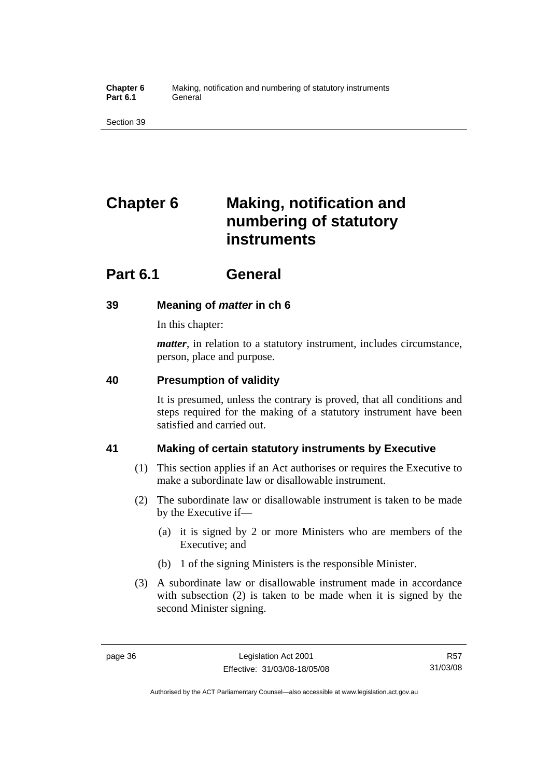**Chapter 6** Making, notification and numbering of statutory instruments Part 6.1 **General** 

Section 39

# **Chapter 6 Making, notification and numbering of statutory instruments**

## **Part 6.1 General**

## **39 Meaning of** *matter* **in ch 6**

In this chapter:

*matter*, in relation to a statutory instrument, includes circumstance, person, place and purpose.

## **40 Presumption of validity**

It is presumed, unless the contrary is proved, that all conditions and steps required for the making of a statutory instrument have been satisfied and carried out.

## **41 Making of certain statutory instruments by Executive**

- (1) This section applies if an Act authorises or requires the Executive to make a subordinate law or disallowable instrument.
- (2) The subordinate law or disallowable instrument is taken to be made by the Executive if—
	- (a) it is signed by 2 or more Ministers who are members of the Executive; and
	- (b) 1 of the signing Ministers is the responsible Minister.
- (3) A subordinate law or disallowable instrument made in accordance with subsection (2) is taken to be made when it is signed by the second Minister signing.

R57 31/03/08

Authorised by the ACT Parliamentary Counsel—also accessible at www.legislation.act.gov.au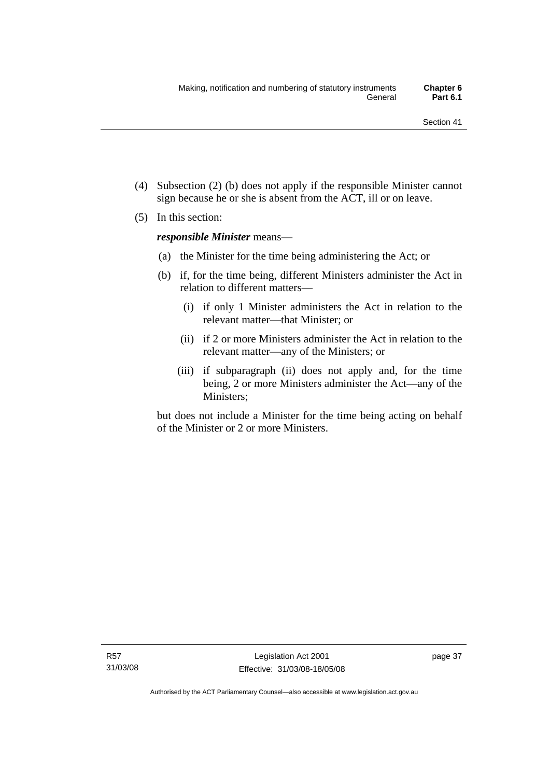- (4) Subsection (2) (b) does not apply if the responsible Minister cannot sign because he or she is absent from the ACT, ill or on leave.
- (5) In this section:

*responsible Minister* means—

- (a) the Minister for the time being administering the Act; or
- (b) if, for the time being, different Ministers administer the Act in relation to different matters—
	- (i) if only 1 Minister administers the Act in relation to the relevant matter—that Minister; or
	- (ii) if 2 or more Ministers administer the Act in relation to the relevant matter—any of the Ministers; or
	- (iii) if subparagraph (ii) does not apply and, for the time being, 2 or more Ministers administer the Act—any of the Ministers;

but does not include a Minister for the time being acting on behalf of the Minister or 2 or more Ministers.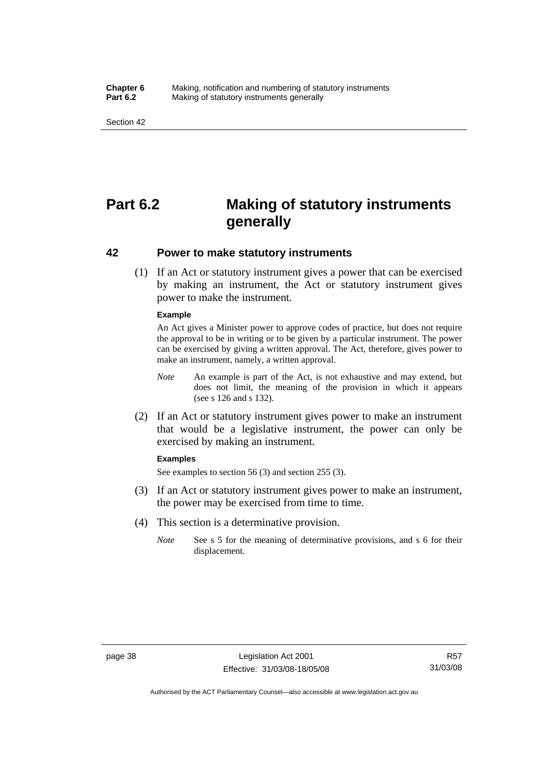#### **Chapter 6** Making, notification and numbering of statutory instruments<br>**Part 6.2** Making of statutory instruments generally **Making of statutory instruments generally**

Section 42

## **Part 6.2 Making of statutory instruments generally**

### **42 Power to make statutory instruments**

 (1) If an Act or statutory instrument gives a power that can be exercised by making an instrument, the Act or statutory instrument gives power to make the instrument.

#### **Example**

An Act gives a Minister power to approve codes of practice, but does not require the approval to be in writing or to be given by a particular instrument. The power can be exercised by giving a written approval. The Act, therefore, gives power to make an instrument, namely, a written approval.

- *Note* An example is part of the Act, is not exhaustive and may extend, but does not limit, the meaning of the provision in which it appears (see s 126 and s 132).
- (2) If an Act or statutory instrument gives power to make an instrument that would be a legislative instrument, the power can only be exercised by making an instrument.

#### **Examples**

See examples to section 56 (3) and section 255 (3).

- (3) If an Act or statutory instrument gives power to make an instrument, the power may be exercised from time to time.
- (4) This section is a determinative provision.
	- *Note* See s 5 for the meaning of determinative provisions, and s 6 for their displacement.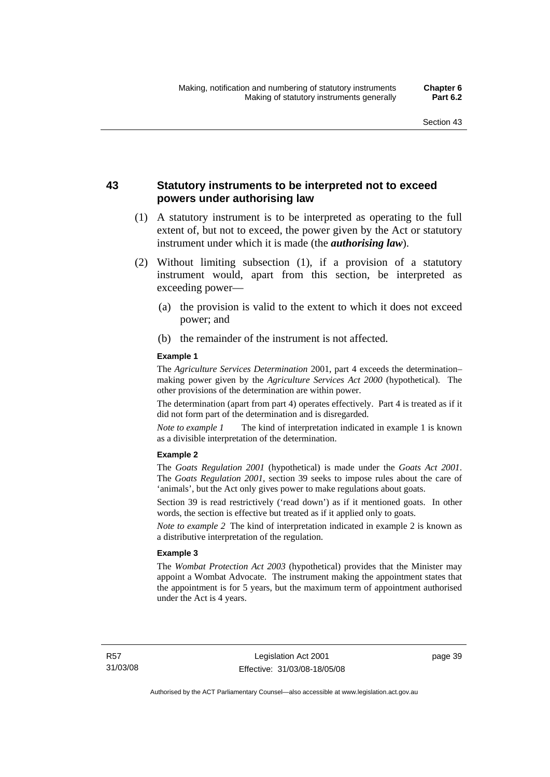## **43 Statutory instruments to be interpreted not to exceed powers under authorising law**

- (1) A statutory instrument is to be interpreted as operating to the full extent of, but not to exceed, the power given by the Act or statutory instrument under which it is made (the *authorising law*).
- (2) Without limiting subsection (1), if a provision of a statutory instrument would, apart from this section, be interpreted as exceeding power—
	- (a) the provision is valid to the extent to which it does not exceed power; and
	- (b) the remainder of the instrument is not affected.

#### **Example 1**

The *Agriculture Services Determination* 2001, part 4 exceeds the determination– making power given by the *Agriculture Services Act 2000* (hypothetical). The other provisions of the determination are within power.

The determination (apart from part 4) operates effectively. Part 4 is treated as if it did not form part of the determination and is disregarded.

*Note to example 1* The kind of interpretation indicated in example 1 is known as a divisible interpretation of the determination.

#### **Example 2**

The *Goats Regulation 2001* (hypothetical) is made under the *Goats Act 2001*. The *Goats Regulation 2001*, section 39 seeks to impose rules about the care of 'animals', but the Act only gives power to make regulations about goats.

Section 39 is read restrictively ('read down') as if it mentioned goats. In other words, the section is effective but treated as if it applied only to goats.

*Note to example 2* The kind of interpretation indicated in example 2 is known as a distributive interpretation of the regulation.

#### **Example 3**

The *Wombat Protection Act 2003* (hypothetical) provides that the Minister may appoint a Wombat Advocate. The instrument making the appointment states that the appointment is for 5 years, but the maximum term of appointment authorised under the Act is 4 years.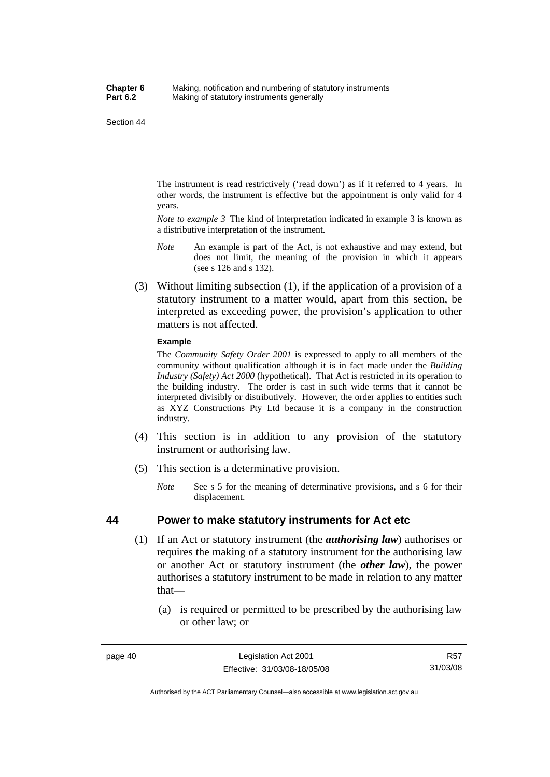The instrument is read restrictively ('read down') as if it referred to 4 years. In other words, the instrument is effective but the appointment is only valid for 4 years.

*Note to example 3* The kind of interpretation indicated in example 3 is known as a distributive interpretation of the instrument.

- *Note* An example is part of the Act, is not exhaustive and may extend, but does not limit, the meaning of the provision in which it appears (see s 126 and s 132).
- (3) Without limiting subsection (1), if the application of a provision of a statutory instrument to a matter would, apart from this section, be interpreted as exceeding power, the provision's application to other matters is not affected.

#### **Example**

The *Community Safety Order 2001* is expressed to apply to all members of the community without qualification although it is in fact made under the *Building Industry (Safety) Act 2000* (hypothetical). That Act is restricted in its operation to the building industry. The order is cast in such wide terms that it cannot be interpreted divisibly or distributively. However, the order applies to entities such as XYZ Constructions Pty Ltd because it is a company in the construction industry.

- (4) This section is in addition to any provision of the statutory instrument or authorising law.
- (5) This section is a determinative provision.
	- *Note* See s 5 for the meaning of determinative provisions, and s 6 for their displacement.

### **44 Power to make statutory instruments for Act etc**

- (1) If an Act or statutory instrument (the *authorising law*) authorises or requires the making of a statutory instrument for the authorising law or another Act or statutory instrument (the *other law*), the power authorises a statutory instrument to be made in relation to any matter that—
	- (a) is required or permitted to be prescribed by the authorising law or other law; or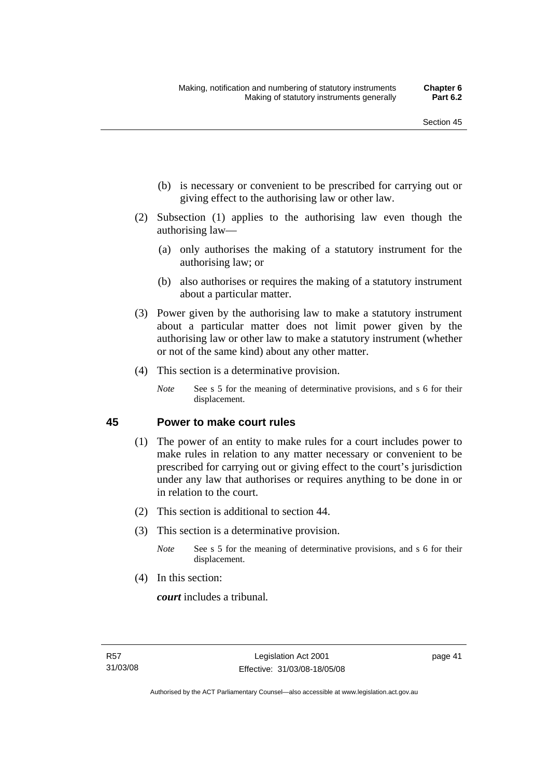- (b) is necessary or convenient to be prescribed for carrying out or giving effect to the authorising law or other law.
- (2) Subsection (1) applies to the authorising law even though the authorising law—
	- (a) only authorises the making of a statutory instrument for the authorising law; or
	- (b) also authorises or requires the making of a statutory instrument about a particular matter.
- (3) Power given by the authorising law to make a statutory instrument about a particular matter does not limit power given by the authorising law or other law to make a statutory instrument (whether or not of the same kind) about any other matter.
- (4) This section is a determinative provision.
	- *Note* See s 5 for the meaning of determinative provisions, and s 6 for their displacement.

### **45 Power to make court rules**

- (1) The power of an entity to make rules for a court includes power to make rules in relation to any matter necessary or convenient to be prescribed for carrying out or giving effect to the court's jurisdiction under any law that authorises or requires anything to be done in or in relation to the court.
- (2) This section is additional to section 44.
- (3) This section is a determinative provision.
	- *Note* See s 5 for the meaning of determinative provisions, and s 6 for their displacement.
- (4) In this section:

*court* includes a tribunal*.*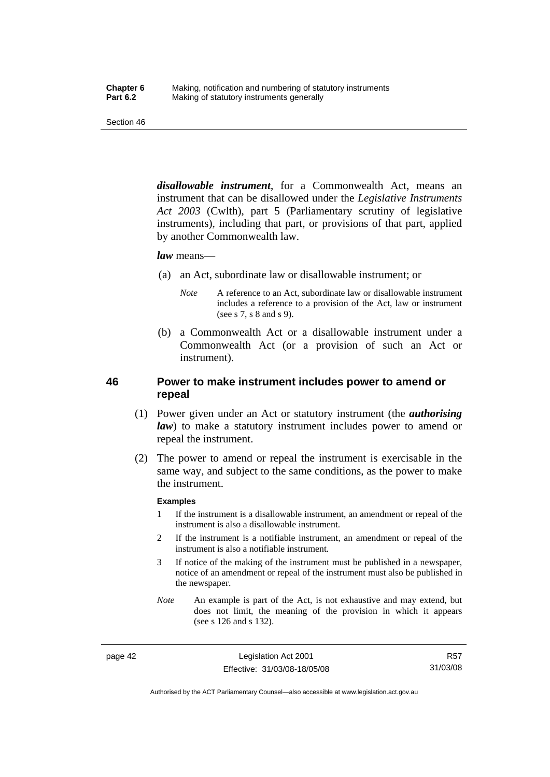*disallowable instrument*, for a Commonwealth Act, means an instrument that can be disallowed under the *Legislative Instruments Act 2003* (Cwlth), part 5 (Parliamentary scrutiny of legislative instruments), including that part, or provisions of that part, applied by another Commonwealth law.

#### *law* means—

- (a) an Act, subordinate law or disallowable instrument; or
	- *Note* A reference to an Act, subordinate law or disallowable instrument includes a reference to a provision of the Act, law or instrument (see s 7, s 8 and s 9).
- (b) a Commonwealth Act or a disallowable instrument under a Commonwealth Act (or a provision of such an Act or instrument).

## **46 Power to make instrument includes power to amend or repeal**

- (1) Power given under an Act or statutory instrument (the *authorising law*) to make a statutory instrument includes power to amend or repeal the instrument.
- (2) The power to amend or repeal the instrument is exercisable in the same way, and subject to the same conditions, as the power to make the instrument.

#### **Examples**

- 1 If the instrument is a disallowable instrument, an amendment or repeal of the instrument is also a disallowable instrument.
- 2 If the instrument is a notifiable instrument, an amendment or repeal of the instrument is also a notifiable instrument.
- 3 If notice of the making of the instrument must be published in a newspaper, notice of an amendment or repeal of the instrument must also be published in the newspaper.
- *Note* An example is part of the Act, is not exhaustive and may extend, but does not limit, the meaning of the provision in which it appears (see s 126 and s 132).

page 42 Legislation Act 2001 Effective: 31/03/08-18/05/08

R57 31/03/08

Authorised by the ACT Parliamentary Counsel—also accessible at www.legislation.act.gov.au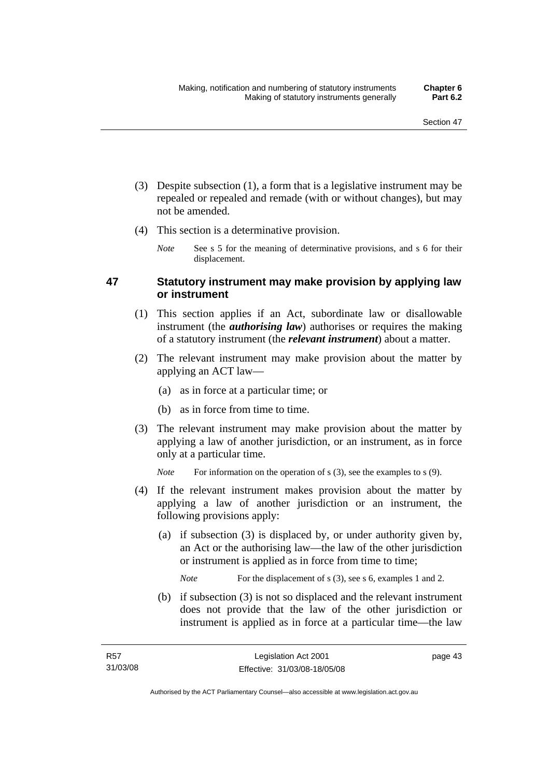- (3) Despite subsection (1), a form that is a legislative instrument may be repealed or repealed and remade (with or without changes), but may not be amended.
- (4) This section is a determinative provision.
	- *Note* See s 5 for the meaning of determinative provisions, and s 6 for their displacement.

## **47 Statutory instrument may make provision by applying law or instrument**

- (1) This section applies if an Act, subordinate law or disallowable instrument (the *authorising law*) authorises or requires the making of a statutory instrument (the *relevant instrument*) about a matter.
- (2) The relevant instrument may make provision about the matter by applying an ACT law—
	- (a) as in force at a particular time; or
	- (b) as in force from time to time.
- (3) The relevant instrument may make provision about the matter by applying a law of another jurisdiction, or an instrument, as in force only at a particular time.

*Note* For information on the operation of s (3), see the examples to s (9).

- (4) If the relevant instrument makes provision about the matter by applying a law of another jurisdiction or an instrument, the following provisions apply:
	- (a) if subsection (3) is displaced by, or under authority given by, an Act or the authorising law—the law of the other jurisdiction or instrument is applied as in force from time to time;

*Note* For the displacement of s (3), see s 6, examples 1 and 2.

 (b) if subsection (3) is not so displaced and the relevant instrument does not provide that the law of the other jurisdiction or instrument is applied as in force at a particular time—the law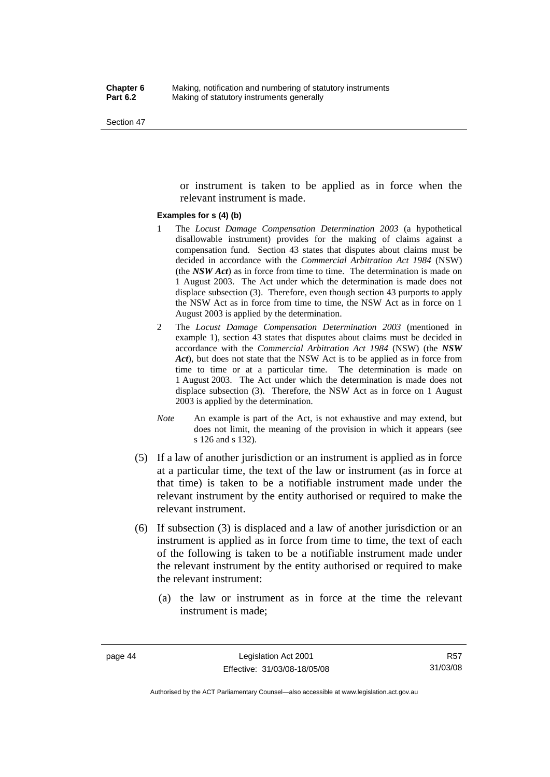or instrument is taken to be applied as in force when the relevant instrument is made.

#### **Examples for s (4) (b)**

- 1 The *Locust Damage Compensation Determination 2003* (a hypothetical disallowable instrument) provides for the making of claims against a compensation fund. Section 43 states that disputes about claims must be decided in accordance with the *Commercial Arbitration Act 1984* (NSW) (the *NSW Act*) as in force from time to time. The determination is made on 1 August 2003. The Act under which the determination is made does not displace subsection (3). Therefore, even though section 43 purports to apply the NSW Act as in force from time to time, the NSW Act as in force on 1 August 2003 is applied by the determination.
- 2 The *Locust Damage Compensation Determination 2003* (mentioned in example 1), section 43 states that disputes about claims must be decided in accordance with the *Commercial Arbitration Act 1984* (NSW) (the *NSW Act*), but does not state that the NSW Act is to be applied as in force from time to time or at a particular time. The determination is made on 1 August 2003. The Act under which the determination is made does not displace subsection (3). Therefore, the NSW Act as in force on 1 August 2003 is applied by the determination.
- *Note* An example is part of the Act, is not exhaustive and may extend, but does not limit, the meaning of the provision in which it appears (see s 126 and s 132).
- (5) If a law of another jurisdiction or an instrument is applied as in force at a particular time, the text of the law or instrument (as in force at that time) is taken to be a notifiable instrument made under the relevant instrument by the entity authorised or required to make the relevant instrument.
- (6) If subsection (3) is displaced and a law of another jurisdiction or an instrument is applied as in force from time to time, the text of each of the following is taken to be a notifiable instrument made under the relevant instrument by the entity authorised or required to make the relevant instrument:
	- (a) the law or instrument as in force at the time the relevant instrument is made;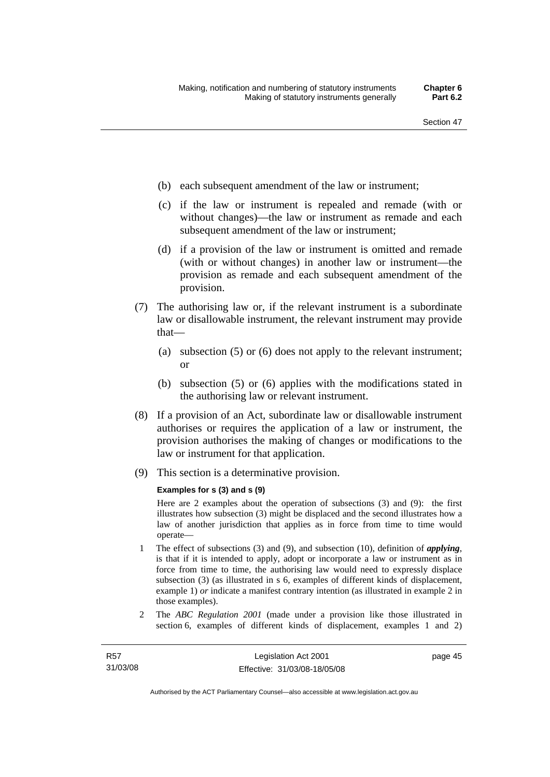- (b) each subsequent amendment of the law or instrument;
- (c) if the law or instrument is repealed and remade (with or without changes)—the law or instrument as remade and each subsequent amendment of the law or instrument;
- (d) if a provision of the law or instrument is omitted and remade (with or without changes) in another law or instrument—the provision as remade and each subsequent amendment of the provision.
- (7) The authorising law or, if the relevant instrument is a subordinate law or disallowable instrument, the relevant instrument may provide that—
	- (a) subsection (5) or (6) does not apply to the relevant instrument; or
	- (b) subsection (5) or (6) applies with the modifications stated in the authorising law or relevant instrument.
- (8) If a provision of an Act, subordinate law or disallowable instrument authorises or requires the application of a law or instrument, the provision authorises the making of changes or modifications to the law or instrument for that application.
- (9) This section is a determinative provision.

#### **Examples for s (3) and s (9)**

Here are 2 examples about the operation of subsections (3) and (9): the first illustrates how subsection (3) might be displaced and the second illustrates how a law of another jurisdiction that applies as in force from time to time would operate—

- 1 The effect of subsections (3) and (9), and subsection (10), definition of *applying*, is that if it is intended to apply, adopt or incorporate a law or instrument as in force from time to time, the authorising law would need to expressly displace subsection (3) (as illustrated in s 6, examples of different kinds of displacement, example 1) *or* indicate a manifest contrary intention (as illustrated in example 2 in those examples).
- 2 The *ABC Regulation 2001* (made under a provision like those illustrated in section 6, examples of different kinds of displacement, examples 1 and 2)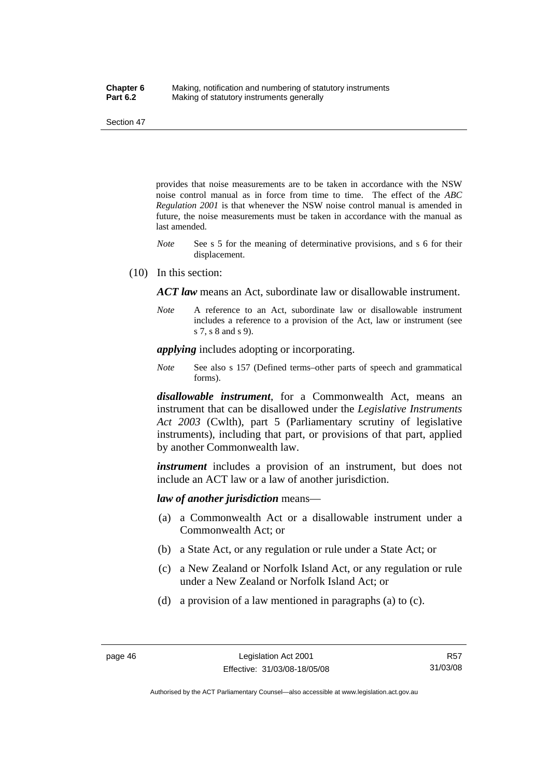provides that noise measurements are to be taken in accordance with the NSW noise control manual as in force from time to time. The effect of the *ABC Regulation 2001* is that whenever the NSW noise control manual is amended in future, the noise measurements must be taken in accordance with the manual as last amended.

- *Note* See s 5 for the meaning of determinative provisions, and s 6 for their displacement.
- (10) In this section:

*ACT law* means an Act, subordinate law or disallowable instrument.

*Note* A reference to an Act, subordinate law or disallowable instrument includes a reference to a provision of the Act, law or instrument (see s 7, s 8 and s 9).

*applying* includes adopting or incorporating.

*Note* See also s 157 (Defined terms–other parts of speech and grammatical forms).

*disallowable instrument*, for a Commonwealth Act, means an instrument that can be disallowed under the *Legislative Instruments Act 2003* (Cwlth), part 5 (Parliamentary scrutiny of legislative instruments), including that part, or provisions of that part, applied by another Commonwealth law.

*instrument* includes a provision of an instrument, but does not include an ACT law or a law of another jurisdiction.

*law of another jurisdiction* means—

- (a) a Commonwealth Act or a disallowable instrument under a Commonwealth Act; or
- (b) a State Act, or any regulation or rule under a State Act; or
- (c) a New Zealand or Norfolk Island Act, or any regulation or rule under a New Zealand or Norfolk Island Act; or
- (d) a provision of a law mentioned in paragraphs (a) to (c).

Authorised by the ACT Parliamentary Counsel—also accessible at www.legislation.act.gov.au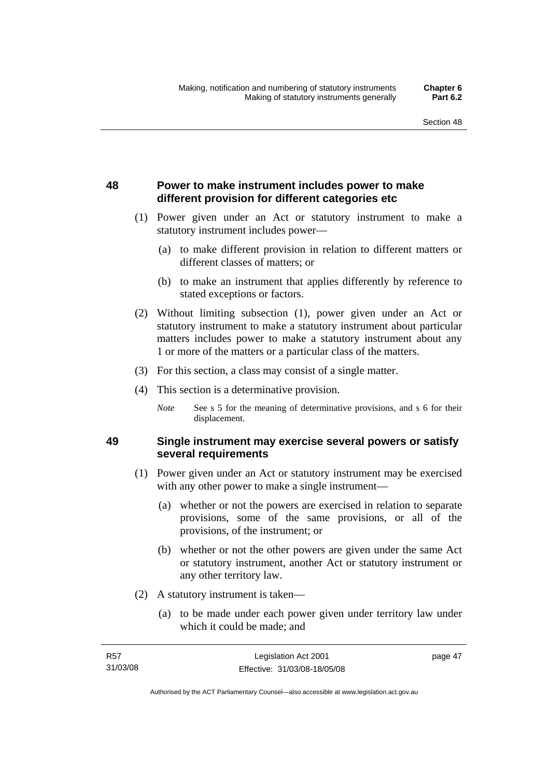page 47

## **48 Power to make instrument includes power to make different provision for different categories etc**

- (1) Power given under an Act or statutory instrument to make a statutory instrument includes power—
	- (a) to make different provision in relation to different matters or different classes of matters; or
	- (b) to make an instrument that applies differently by reference to stated exceptions or factors.
- (2) Without limiting subsection (1), power given under an Act or statutory instrument to make a statutory instrument about particular matters includes power to make a statutory instrument about any 1 or more of the matters or a particular class of the matters.
- (3) For this section, a class may consist of a single matter.
- (4) This section is a determinative provision.
	- *Note* See s 5 for the meaning of determinative provisions, and s 6 for their displacement.

## **49 Single instrument may exercise several powers or satisfy several requirements**

- (1) Power given under an Act or statutory instrument may be exercised with any other power to make a single instrument—
	- (a) whether or not the powers are exercised in relation to separate provisions, some of the same provisions, or all of the provisions, of the instrument; or
	- (b) whether or not the other powers are given under the same Act or statutory instrument, another Act or statutory instrument or any other territory law.
- (2) A statutory instrument is taken—
	- (a) to be made under each power given under territory law under which it could be made; and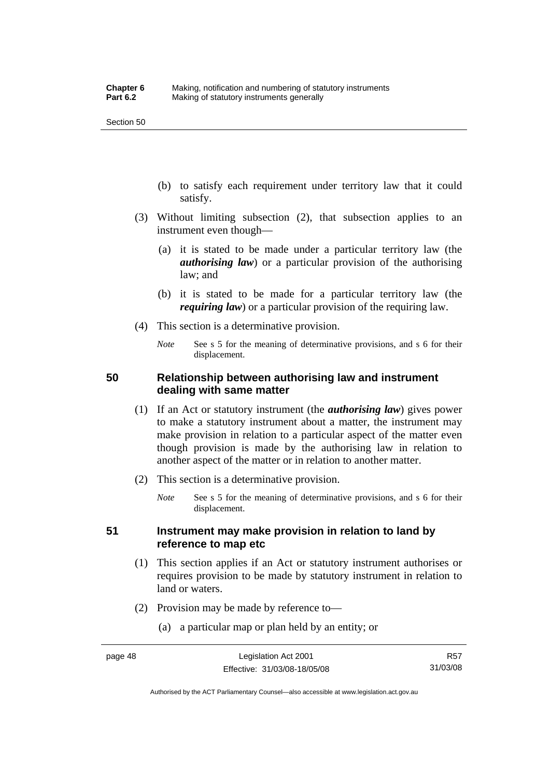- (b) to satisfy each requirement under territory law that it could satisfy.
- (3) Without limiting subsection (2), that subsection applies to an instrument even though—
	- (a) it is stated to be made under a particular territory law (the *authorising law*) or a particular provision of the authorising law; and
	- (b) it is stated to be made for a particular territory law (the *requiring law*) or a particular provision of the requiring law.
- (4) This section is a determinative provision.
	- *Note* See s 5 for the meaning of determinative provisions, and s 6 for their displacement.

## **50 Relationship between authorising law and instrument dealing with same matter**

- (1) If an Act or statutory instrument (the *authorising law*) gives power to make a statutory instrument about a matter, the instrument may make provision in relation to a particular aspect of the matter even though provision is made by the authorising law in relation to another aspect of the matter or in relation to another matter.
- (2) This section is a determinative provision.
	- *Note* See s 5 for the meaning of determinative provisions, and s 6 for their displacement.

### **51 Instrument may make provision in relation to land by reference to map etc**

- (1) This section applies if an Act or statutory instrument authorises or requires provision to be made by statutory instrument in relation to land or waters.
- (2) Provision may be made by reference to—
	- (a) a particular map or plan held by an entity; or

Authorised by the ACT Parliamentary Counsel—also accessible at www.legislation.act.gov.au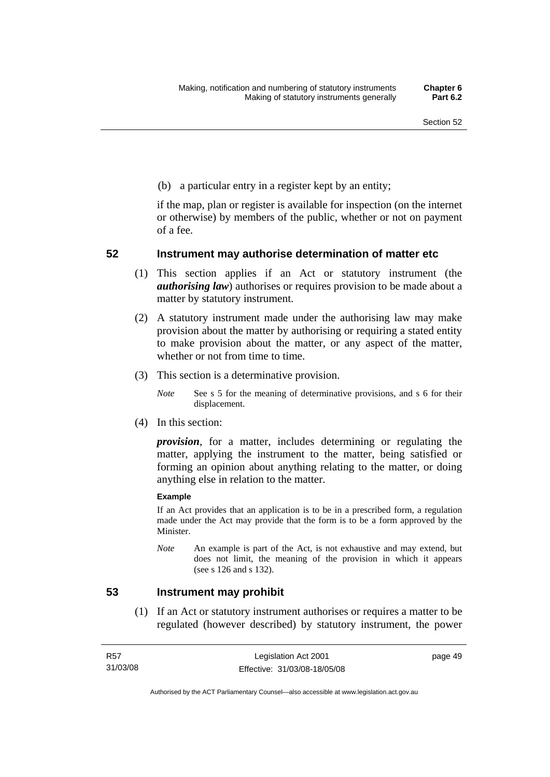(b) a particular entry in a register kept by an entity;

if the map, plan or register is available for inspection (on the internet or otherwise) by members of the public, whether or not on payment of a fee.

## **52 Instrument may authorise determination of matter etc**

- (1) This section applies if an Act or statutory instrument (the *authorising law*) authorises or requires provision to be made about a matter by statutory instrument.
- (2) A statutory instrument made under the authorising law may make provision about the matter by authorising or requiring a stated entity to make provision about the matter, or any aspect of the matter, whether or not from time to time.
- (3) This section is a determinative provision.
	- *Note* See s 5 for the meaning of determinative provisions, and s 6 for their displacement.
- (4) In this section:

*provision*, for a matter, includes determining or regulating the matter, applying the instrument to the matter, being satisfied or forming an opinion about anything relating to the matter, or doing anything else in relation to the matter.

#### **Example**

If an Act provides that an application is to be in a prescribed form, a regulation made under the Act may provide that the form is to be a form approved by the Minister.

*Note* An example is part of the Act, is not exhaustive and may extend, but does not limit, the meaning of the provision in which it appears (see s 126 and s 132).

### **53 Instrument may prohibit**

 (1) If an Act or statutory instrument authorises or requires a matter to be regulated (however described) by statutory instrument, the power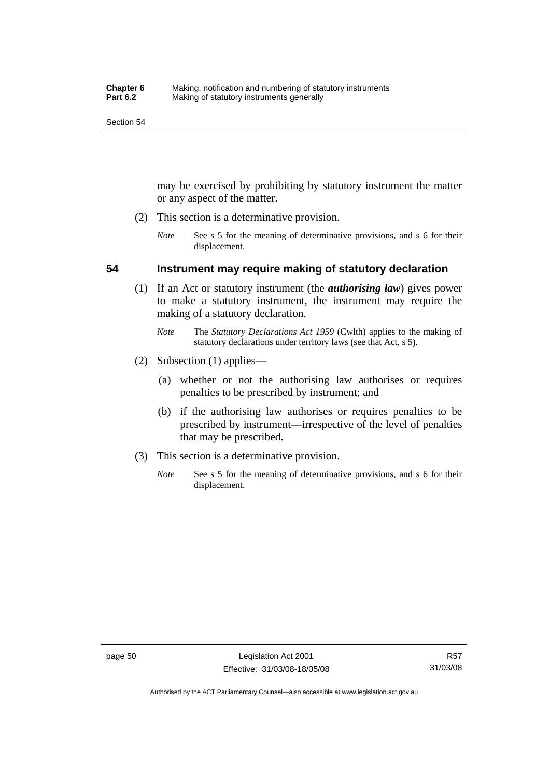may be exercised by prohibiting by statutory instrument the matter or any aspect of the matter.

- (2) This section is a determinative provision.
	- *Note* See s 5 for the meaning of determinative provisions, and s 6 for their displacement.

### **54 Instrument may require making of statutory declaration**

- (1) If an Act or statutory instrument (the *authorising law*) gives power to make a statutory instrument, the instrument may require the making of a statutory declaration.
	- *Note* The *Statutory Declarations Act 1959* (Cwlth) applies to the making of statutory declarations under territory laws (see that Act, s 5).
- (2) Subsection (1) applies—
	- (a) whether or not the authorising law authorises or requires penalties to be prescribed by instrument; and
	- (b) if the authorising law authorises or requires penalties to be prescribed by instrument—irrespective of the level of penalties that may be prescribed.
- (3) This section is a determinative provision.
	- *Note* See s 5 for the meaning of determinative provisions, and s 6 for their displacement.

Authorised by the ACT Parliamentary Counsel—also accessible at www.legislation.act.gov.au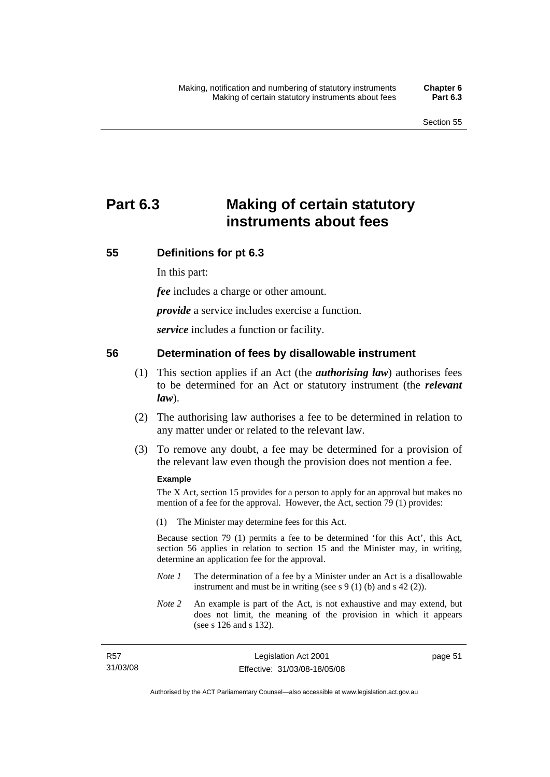# **Part 6.3 Making of certain statutory instruments about fees**

## **55 Definitions for pt 6.3**

In this part:

*fee* includes a charge or other amount.

*provide* a service includes exercise a function.

*service* includes a function or facility.

## **56 Determination of fees by disallowable instrument**

- (1) This section applies if an Act (the *authorising law*) authorises fees to be determined for an Act or statutory instrument (the *relevant law*).
- (2) The authorising law authorises a fee to be determined in relation to any matter under or related to the relevant law.
- (3) To remove any doubt, a fee may be determined for a provision of the relevant law even though the provision does not mention a fee.

### **Example**

The X Act, section 15 provides for a person to apply for an approval but makes no mention of a fee for the approval. However, the Act, section 79 (1) provides:

(1) The Minister may determine fees for this Act.

Because section 79 (1) permits a fee to be determined 'for this Act', this Act, section 56 applies in relation to section 15 and the Minister may, in writing, determine an application fee for the approval.

- *Note 1* The determination of a fee by a Minister under an Act is a disallowable instrument and must be in writing (see s 9 (1) (b) and s 42 (2)).
- *Note 2* An example is part of the Act, is not exhaustive and may extend, but does not limit, the meaning of the provision in which it appears (see s 126 and s 132).

| <b>R57</b> | Legislation Act 2001         |
|------------|------------------------------|
| 31/03/08   | Effective: 31/03/08-18/05/08 |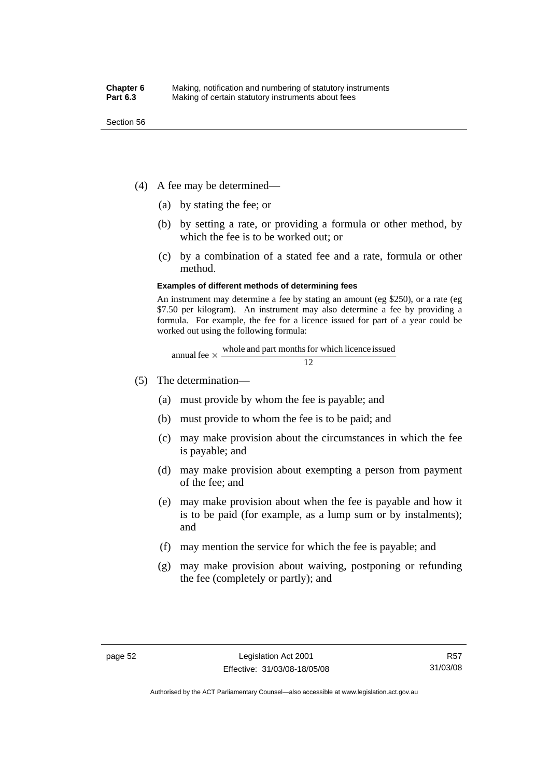- (4) A fee may be determined—
	- (a) by stating the fee; or
	- (b) by setting a rate, or providing a formula or other method, by which the fee is to be worked out; or
	- (c) by a combination of a stated fee and a rate, formula or other method.

#### **Examples of different methods of determining fees**

An instrument may determine a fee by stating an amount (eg \$250), or a rate (eg \$7.50 per kilogram). An instrument may also determine a fee by providing a formula. For example, the fee for a licence issued for part of a year could be worked out using the following formula:

annual fee 
$$
\times
$$
  $\frac{\text{whole and part months for which licence issued}}{12}$ 

- (5) The determination—
	- (a) must provide by whom the fee is payable; and
	- (b) must provide to whom the fee is to be paid; and
	- (c) may make provision about the circumstances in which the fee is payable; and
	- (d) may make provision about exempting a person from payment of the fee; and
	- (e) may make provision about when the fee is payable and how it is to be paid (for example, as a lump sum or by instalments); and
	- (f) may mention the service for which the fee is payable; and
	- (g) may make provision about waiving, postponing or refunding the fee (completely or partly); and

Authorised by the ACT Parliamentary Counsel—also accessible at www.legislation.act.gov.au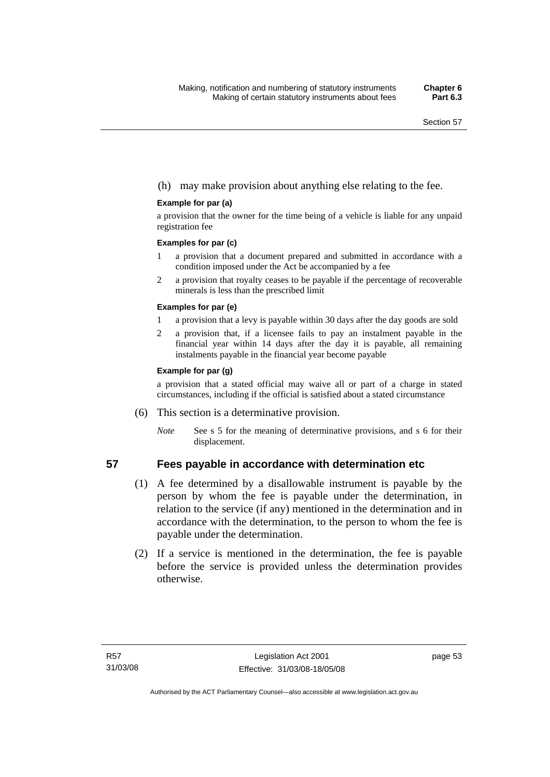### (h) may make provision about anything else relating to the fee.

#### **Example for par (a)**

a provision that the owner for the time being of a vehicle is liable for any unpaid registration fee

#### **Examples for par (c)**

- 1 a provision that a document prepared and submitted in accordance with a condition imposed under the Act be accompanied by a fee
- 2 a provision that royalty ceases to be payable if the percentage of recoverable minerals is less than the prescribed limit

#### **Examples for par (e)**

- 1 a provision that a levy is payable within 30 days after the day goods are sold
- 2 a provision that, if a licensee fails to pay an instalment payable in the financial year within 14 days after the day it is payable, all remaining instalments payable in the financial year become payable

#### **Example for par (g)**

a provision that a stated official may waive all or part of a charge in stated circumstances, including if the official is satisfied about a stated circumstance

- (6) This section is a determinative provision.
	- *Note* See s 5 for the meaning of determinative provisions, and s 6 for their displacement.

### **57 Fees payable in accordance with determination etc**

- (1) A fee determined by a disallowable instrument is payable by the person by whom the fee is payable under the determination, in relation to the service (if any) mentioned in the determination and in accordance with the determination, to the person to whom the fee is payable under the determination.
- (2) If a service is mentioned in the determination, the fee is payable before the service is provided unless the determination provides otherwise.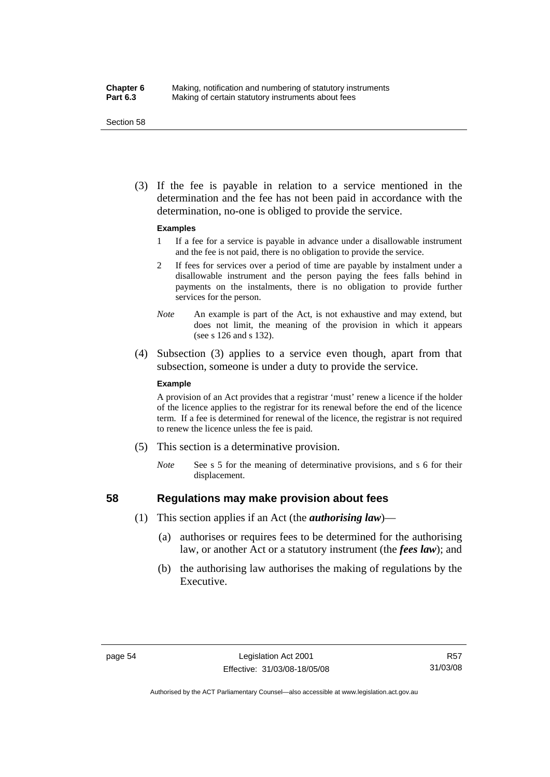#### **Chapter 6** Making, notification and numbering of statutory instruments<br>**Part 6.3** Making of certain statutory instruments about fees Making of certain statutory instruments about fees

Section 58

 (3) If the fee is payable in relation to a service mentioned in the determination and the fee has not been paid in accordance with the determination, no-one is obliged to provide the service.

#### **Examples**

- 1 If a fee for a service is payable in advance under a disallowable instrument and the fee is not paid, there is no obligation to provide the service.
- 2 If fees for services over a period of time are payable by instalment under a disallowable instrument and the person paying the fees falls behind in payments on the instalments, there is no obligation to provide further services for the person.
- *Note* An example is part of the Act, is not exhaustive and may extend, but does not limit, the meaning of the provision in which it appears (see s 126 and s 132).
- (4) Subsection (3) applies to a service even though, apart from that subsection, someone is under a duty to provide the service.

#### **Example**

A provision of an Act provides that a registrar 'must' renew a licence if the holder of the licence applies to the registrar for its renewal before the end of the licence term. If a fee is determined for renewal of the licence, the registrar is not required to renew the licence unless the fee is paid.

- (5) This section is a determinative provision.
	- *Note* See s 5 for the meaning of determinative provisions, and s 6 for their displacement.

### **58 Regulations may make provision about fees**

- (1) This section applies if an Act (the *authorising law*)—
	- (a) authorises or requires fees to be determined for the authorising law, or another Act or a statutory instrument (the *fees law*); and
	- (b) the authorising law authorises the making of regulations by the Executive.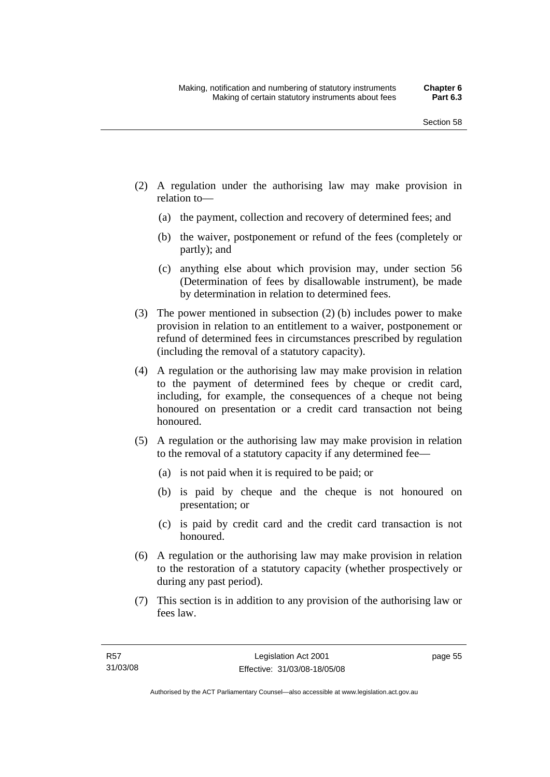- (2) A regulation under the authorising law may make provision in relation to—
	- (a) the payment, collection and recovery of determined fees; and
	- (b) the waiver, postponement or refund of the fees (completely or partly); and
	- (c) anything else about which provision may, under section 56 (Determination of fees by disallowable instrument), be made by determination in relation to determined fees.
- (3) The power mentioned in subsection (2) (b) includes power to make provision in relation to an entitlement to a waiver, postponement or refund of determined fees in circumstances prescribed by regulation (including the removal of a statutory capacity).
- (4) A regulation or the authorising law may make provision in relation to the payment of determined fees by cheque or credit card, including, for example, the consequences of a cheque not being honoured on presentation or a credit card transaction not being honoured.
- (5) A regulation or the authorising law may make provision in relation to the removal of a statutory capacity if any determined fee—
	- (a) is not paid when it is required to be paid; or
	- (b) is paid by cheque and the cheque is not honoured on presentation; or
	- (c) is paid by credit card and the credit card transaction is not honoured.
- (6) A regulation or the authorising law may make provision in relation to the restoration of a statutory capacity (whether prospectively or during any past period).
- (7) This section is in addition to any provision of the authorising law or fees law.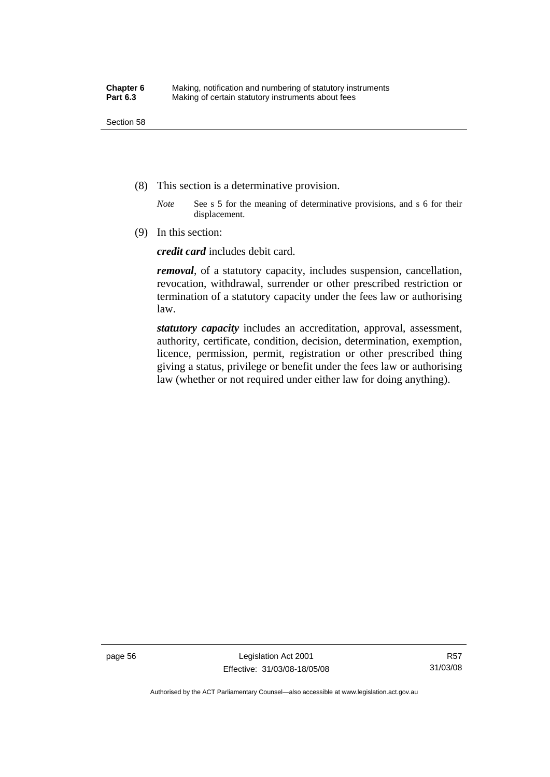- (8) This section is a determinative provision.
	- *Note* See s 5 for the meaning of determinative provisions, and s 6 for their displacement.
- (9) In this section:

*credit card* includes debit card.

*removal*, of a statutory capacity, includes suspension, cancellation, revocation, withdrawal, surrender or other prescribed restriction or termination of a statutory capacity under the fees law or authorising law.

*statutory capacity* includes an accreditation, approval, assessment, authority, certificate, condition, decision, determination, exemption, licence, permission, permit, registration or other prescribed thing giving a status, privilege or benefit under the fees law or authorising law (whether or not required under either law for doing anything).

page 56 Legislation Act 2001 Effective: 31/03/08-18/05/08

Authorised by the ACT Parliamentary Counsel—also accessible at www.legislation.act.gov.au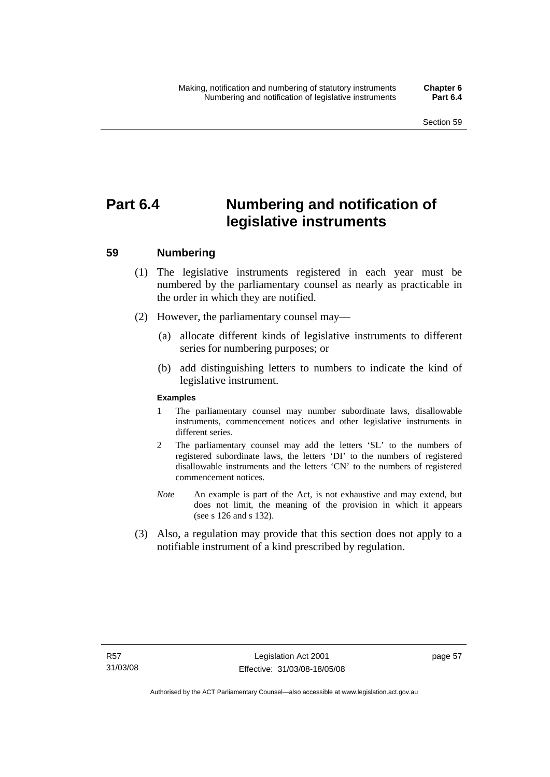# **Part 6.4 Numbering and notification of legislative instruments**

# **59 Numbering**

- (1) The legislative instruments registered in each year must be numbered by the parliamentary counsel as nearly as practicable in the order in which they are notified.
- (2) However, the parliamentary counsel may—
	- (a) allocate different kinds of legislative instruments to different series for numbering purposes; or
	- (b) add distinguishing letters to numbers to indicate the kind of legislative instrument.

#### **Examples**

- 1 The parliamentary counsel may number subordinate laws, disallowable instruments, commencement notices and other legislative instruments in different series.
- 2 The parliamentary counsel may add the letters 'SL' to the numbers of registered subordinate laws, the letters 'DI' to the numbers of registered disallowable instruments and the letters 'CN' to the numbers of registered commencement notices.
- *Note* An example is part of the Act, is not exhaustive and may extend, but does not limit, the meaning of the provision in which it appears (see s 126 and s 132).
- (3) Also, a regulation may provide that this section does not apply to a notifiable instrument of a kind prescribed by regulation.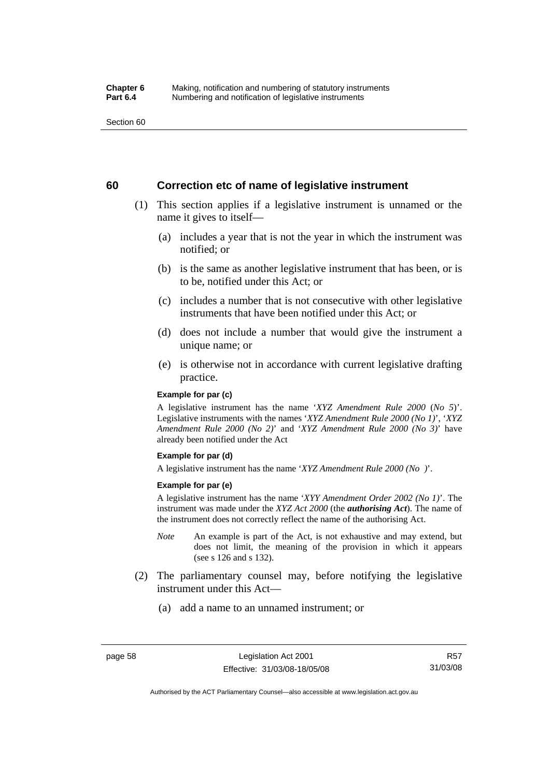Section 60

# **60 Correction etc of name of legislative instrument**

- (1) This section applies if a legislative instrument is unnamed or the name it gives to itself—
	- (a) includes a year that is not the year in which the instrument was notified; or
	- (b) is the same as another legislative instrument that has been, or is to be, notified under this Act; or
	- (c) includes a number that is not consecutive with other legislative instruments that have been notified under this Act; or
	- (d) does not include a number that would give the instrument a unique name; or
	- (e) is otherwise not in accordance with current legislative drafting practice.

#### **Example for par (c)**

A legislative instrument has the name '*XYZ Amendment Rule 2000* (*No 5*)'. Legislative instruments with the names '*XYZ Amendment Rule 2000 (No 1)*', '*XYZ Amendment Rule 2000 (No 2)*' and '*XYZ Amendment Rule 2000 (No 3)*' have already been notified under the Act

#### **Example for par (d)**

A legislative instrument has the name '*XYZ Amendment Rule 2000 (No )*'.

#### **Example for par (e)**

A legislative instrument has the name '*XYY Amendment Order 2002 (No 1)*'. The instrument was made under the *XYZ Act 2000* (the *authorising Act*). The name of the instrument does not correctly reflect the name of the authorising Act.

- *Note* An example is part of the Act, is not exhaustive and may extend, but does not limit, the meaning of the provision in which it appears (see s 126 and s 132).
- (2) The parliamentary counsel may, before notifying the legislative instrument under this Act—
	- (a) add a name to an unnamed instrument; or

Authorised by the ACT Parliamentary Counsel—also accessible at www.legislation.act.gov.au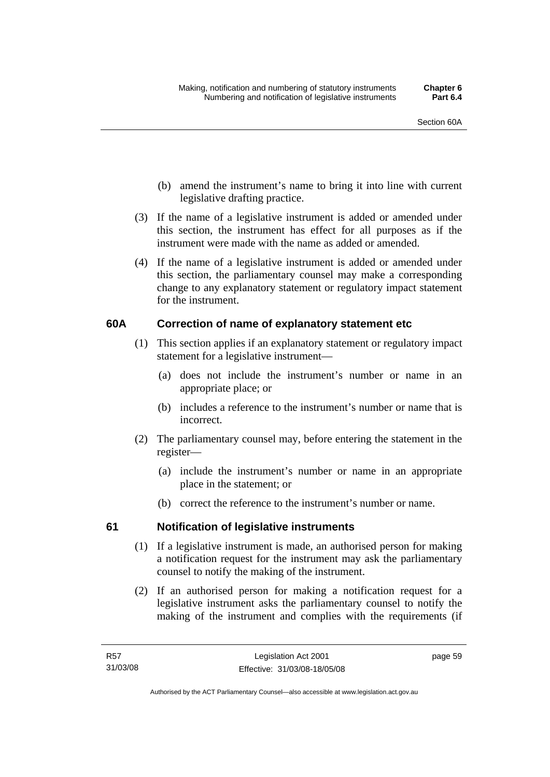- (b) amend the instrument's name to bring it into line with current legislative drafting practice.
- (3) If the name of a legislative instrument is added or amended under this section, the instrument has effect for all purposes as if the instrument were made with the name as added or amended.
- (4) If the name of a legislative instrument is added or amended under this section, the parliamentary counsel may make a corresponding change to any explanatory statement or regulatory impact statement for the instrument.

# **60A Correction of name of explanatory statement etc**

- (1) This section applies if an explanatory statement or regulatory impact statement for a legislative instrument—
	- (a) does not include the instrument's number or name in an appropriate place; or
	- (b) includes a reference to the instrument's number or name that is incorrect.
- (2) The parliamentary counsel may, before entering the statement in the register—
	- (a) include the instrument's number or name in an appropriate place in the statement; or
	- (b) correct the reference to the instrument's number or name.

# **61 Notification of legislative instruments**

- (1) If a legislative instrument is made, an authorised person for making a notification request for the instrument may ask the parliamentary counsel to notify the making of the instrument.
- (2) If an authorised person for making a notification request for a legislative instrument asks the parliamentary counsel to notify the making of the instrument and complies with the requirements (if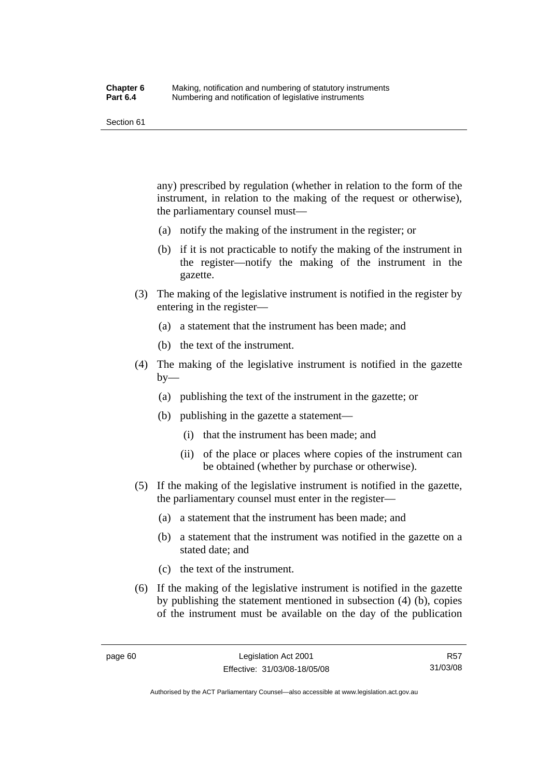Section 61

any) prescribed by regulation (whether in relation to the form of the instrument, in relation to the making of the request or otherwise), the parliamentary counsel must—

- (a) notify the making of the instrument in the register; or
- (b) if it is not practicable to notify the making of the instrument in the register—notify the making of the instrument in the gazette.
- (3) The making of the legislative instrument is notified in the register by entering in the register—
	- (a) a statement that the instrument has been made; and
	- (b) the text of the instrument.
- (4) The making of the legislative instrument is notified in the gazette  $by-$ 
	- (a) publishing the text of the instrument in the gazette; or
	- (b) publishing in the gazette a statement—
		- (i) that the instrument has been made; and
		- (ii) of the place or places where copies of the instrument can be obtained (whether by purchase or otherwise).
- (5) If the making of the legislative instrument is notified in the gazette, the parliamentary counsel must enter in the register—
	- (a) a statement that the instrument has been made; and
	- (b) a statement that the instrument was notified in the gazette on a stated date; and
	- (c) the text of the instrument.
- (6) If the making of the legislative instrument is notified in the gazette by publishing the statement mentioned in subsection (4) (b), copies of the instrument must be available on the day of the publication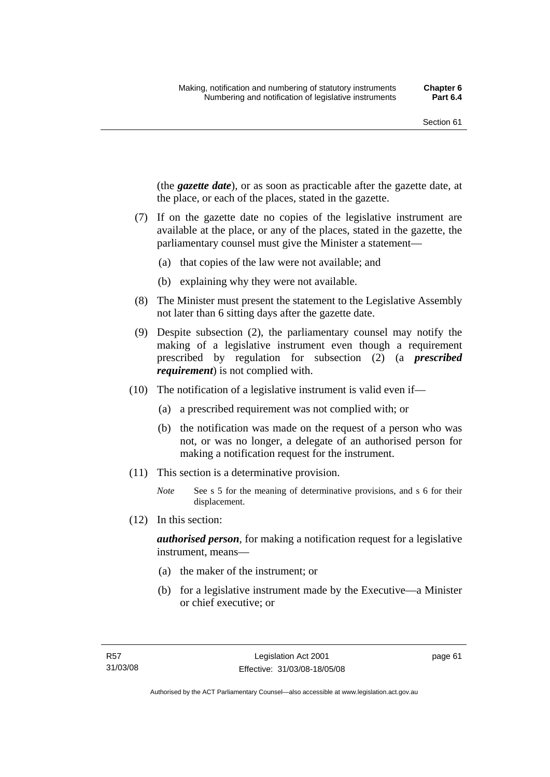(the *gazette date*), or as soon as practicable after the gazette date, at the place, or each of the places, stated in the gazette.

- (7) If on the gazette date no copies of the legislative instrument are available at the place, or any of the places, stated in the gazette, the parliamentary counsel must give the Minister a statement—
	- (a) that copies of the law were not available; and
	- (b) explaining why they were not available.
- (8) The Minister must present the statement to the Legislative Assembly not later than 6 sitting days after the gazette date.
- (9) Despite subsection (2), the parliamentary counsel may notify the making of a legislative instrument even though a requirement prescribed by regulation for subsection (2) (a *prescribed requirement*) is not complied with.
- (10) The notification of a legislative instrument is valid even if—
	- (a) a prescribed requirement was not complied with; or
	- (b) the notification was made on the request of a person who was not, or was no longer, a delegate of an authorised person for making a notification request for the instrument.
- (11) This section is a determinative provision.
	- *Note* See s 5 for the meaning of determinative provisions, and s 6 for their displacement.
- (12) In this section:

*authorised person*, for making a notification request for a legislative instrument, means—

- (a) the maker of the instrument; or
- (b) for a legislative instrument made by the Executive—a Minister or chief executive; or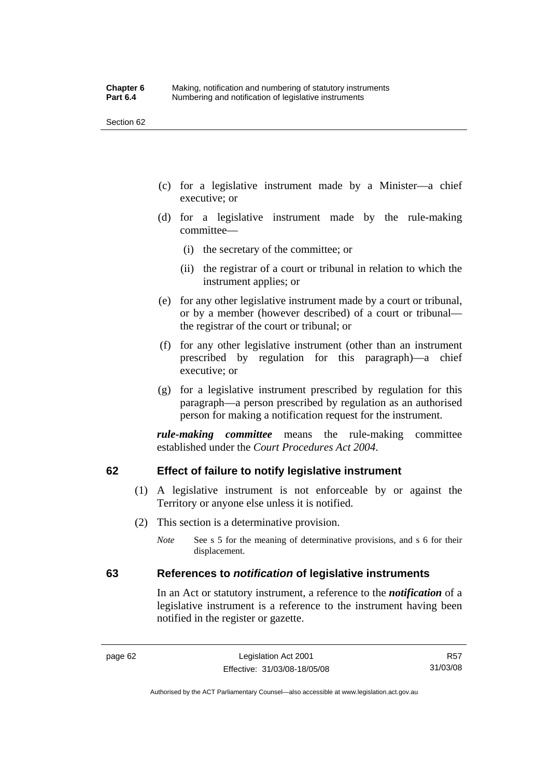Section 62

- (c) for a legislative instrument made by a Minister—a chief executive; or
- (d) for a legislative instrument made by the rule-making committee—
	- (i) the secretary of the committee; or
	- (ii) the registrar of a court or tribunal in relation to which the instrument applies; or
- (e) for any other legislative instrument made by a court or tribunal, or by a member (however described) of a court or tribunal the registrar of the court or tribunal; or
- (f) for any other legislative instrument (other than an instrument prescribed by regulation for this paragraph)—a chief executive; or
- (g) for a legislative instrument prescribed by regulation for this paragraph—a person prescribed by regulation as an authorised person for making a notification request for the instrument.

*rule-making committee* means the rule-making committee established under the *Court Procedures Act 2004*.

# **62 Effect of failure to notify legislative instrument**

- (1) A legislative instrument is not enforceable by or against the Territory or anyone else unless it is notified.
- (2) This section is a determinative provision.
	- *Note* See s 5 for the meaning of determinative provisions, and s 6 for their displacement.

# **63 References to** *notification* **of legislative instruments**

In an Act or statutory instrument, a reference to the *notification* of a legislative instrument is a reference to the instrument having been notified in the register or gazette.

R57 31/03/08

Authorised by the ACT Parliamentary Counsel—also accessible at www.legislation.act.gov.au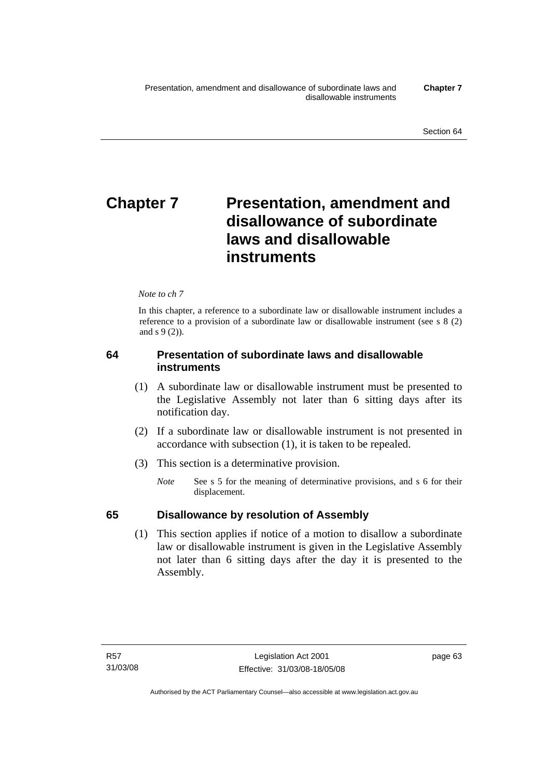# **Chapter 7** Presentation, amendment and **disallowance of subordinate laws and disallowable instruments**

## *Note to ch 7*

In this chapter, a reference to a subordinate law or disallowable instrument includes a reference to a provision of a subordinate law or disallowable instrument (see s 8 (2) and s 9 (2)).

# **64 Presentation of subordinate laws and disallowable instruments**

- (1) A subordinate law or disallowable instrument must be presented to the Legislative Assembly not later than 6 sitting days after its notification day.
- (2) If a subordinate law or disallowable instrument is not presented in accordance with subsection (1), it is taken to be repealed.
- (3) This section is a determinative provision.
	- *Note* See s 5 for the meaning of determinative provisions, and s 6 for their displacement.

# **65 Disallowance by resolution of Assembly**

 (1) This section applies if notice of a motion to disallow a subordinate law or disallowable instrument is given in the Legislative Assembly not later than 6 sitting days after the day it is presented to the Assembly.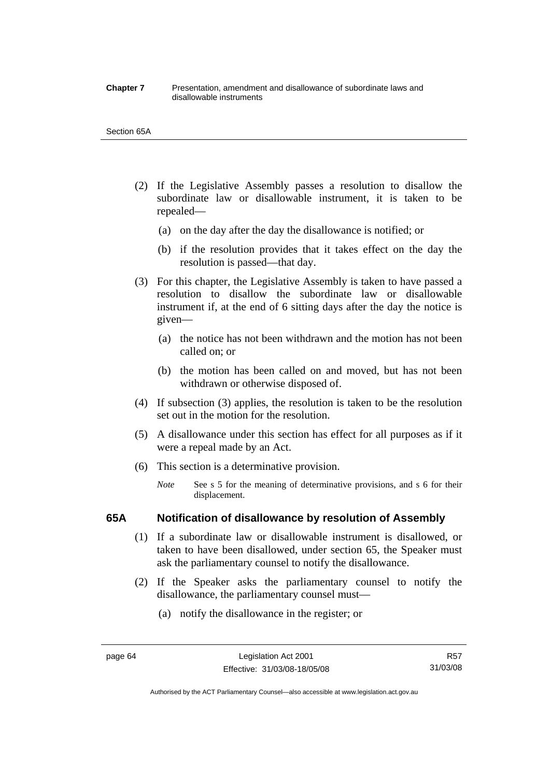#### **Chapter 7** Presentation, amendment and disallowance of subordinate laws and disallowable instruments

#### Section 65A

- (2) If the Legislative Assembly passes a resolution to disallow the subordinate law or disallowable instrument, it is taken to be repealed—
	- (a) on the day after the day the disallowance is notified; or
	- (b) if the resolution provides that it takes effect on the day the resolution is passed—that day.
- (3) For this chapter, the Legislative Assembly is taken to have passed a resolution to disallow the subordinate law or disallowable instrument if, at the end of 6 sitting days after the day the notice is given—
	- (a) the notice has not been withdrawn and the motion has not been called on; or
	- (b) the motion has been called on and moved, but has not been withdrawn or otherwise disposed of.
- (4) If subsection (3) applies, the resolution is taken to be the resolution set out in the motion for the resolution.
- (5) A disallowance under this section has effect for all purposes as if it were a repeal made by an Act.
- (6) This section is a determinative provision.
	- *Note* See s 5 for the meaning of determinative provisions, and s 6 for their displacement.

## **65A Notification of disallowance by resolution of Assembly**

- (1) If a subordinate law or disallowable instrument is disallowed, or taken to have been disallowed, under section 65, the Speaker must ask the parliamentary counsel to notify the disallowance.
- (2) If the Speaker asks the parliamentary counsel to notify the disallowance, the parliamentary counsel must—
	- (a) notify the disallowance in the register; or

R57 31/03/08

Authorised by the ACT Parliamentary Counsel—also accessible at www.legislation.act.gov.au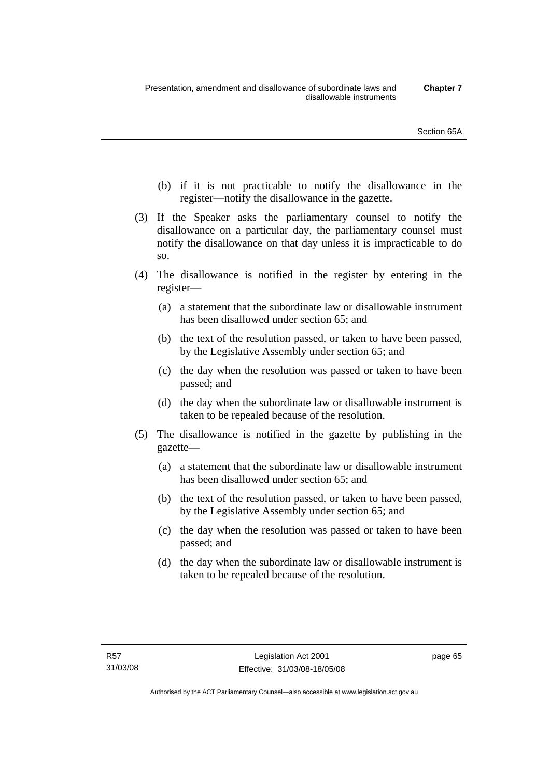- (b) if it is not practicable to notify the disallowance in the register—notify the disallowance in the gazette.
- (3) If the Speaker asks the parliamentary counsel to notify the disallowance on a particular day, the parliamentary counsel must notify the disallowance on that day unless it is impracticable to do so.
- (4) The disallowance is notified in the register by entering in the register—
	- (a) a statement that the subordinate law or disallowable instrument has been disallowed under section 65; and
	- (b) the text of the resolution passed, or taken to have been passed, by the Legislative Assembly under section 65; and
	- (c) the day when the resolution was passed or taken to have been passed; and
	- (d) the day when the subordinate law or disallowable instrument is taken to be repealed because of the resolution.
- (5) The disallowance is notified in the gazette by publishing in the gazette—
	- (a) a statement that the subordinate law or disallowable instrument has been disallowed under section 65; and
	- (b) the text of the resolution passed, or taken to have been passed, by the Legislative Assembly under section 65; and
	- (c) the day when the resolution was passed or taken to have been passed; and
	- (d) the day when the subordinate law or disallowable instrument is taken to be repealed because of the resolution.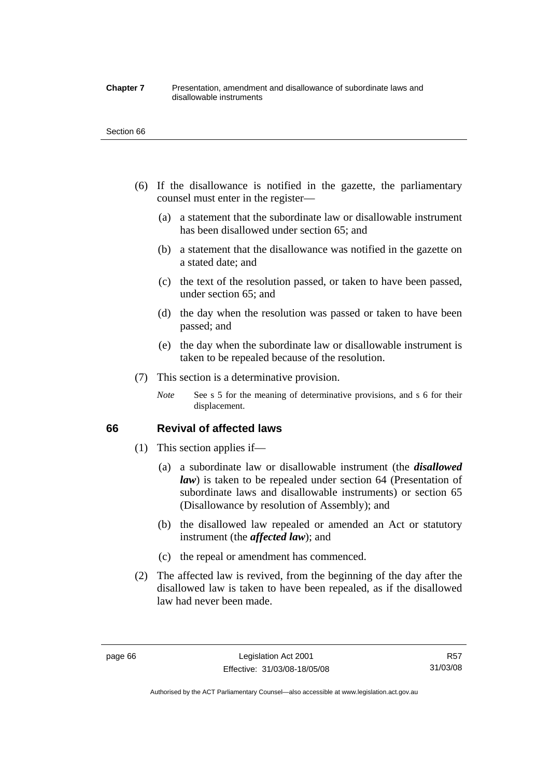#### **Chapter 7** Presentation, amendment and disallowance of subordinate laws and disallowable instruments

#### Section 66

- (6) If the disallowance is notified in the gazette, the parliamentary counsel must enter in the register—
	- (a) a statement that the subordinate law or disallowable instrument has been disallowed under section 65; and
	- (b) a statement that the disallowance was notified in the gazette on a stated date; and
	- (c) the text of the resolution passed, or taken to have been passed, under section 65; and
	- (d) the day when the resolution was passed or taken to have been passed; and
	- (e) the day when the subordinate law or disallowable instrument is taken to be repealed because of the resolution.
- (7) This section is a determinative provision.
	- *Note* See s 5 for the meaning of determinative provisions, and s 6 for their displacement.

## **66 Revival of affected laws**

- (1) This section applies if—
	- (a) a subordinate law or disallowable instrument (the *disallowed law*) is taken to be repealed under section 64 (Presentation of subordinate laws and disallowable instruments) or section 65 (Disallowance by resolution of Assembly); and
	- (b) the disallowed law repealed or amended an Act or statutory instrument (the *affected law*); and
	- (c) the repeal or amendment has commenced.
- (2) The affected law is revived, from the beginning of the day after the disallowed law is taken to have been repealed, as if the disallowed law had never been made.

R57 31/03/08

Authorised by the ACT Parliamentary Counsel—also accessible at www.legislation.act.gov.au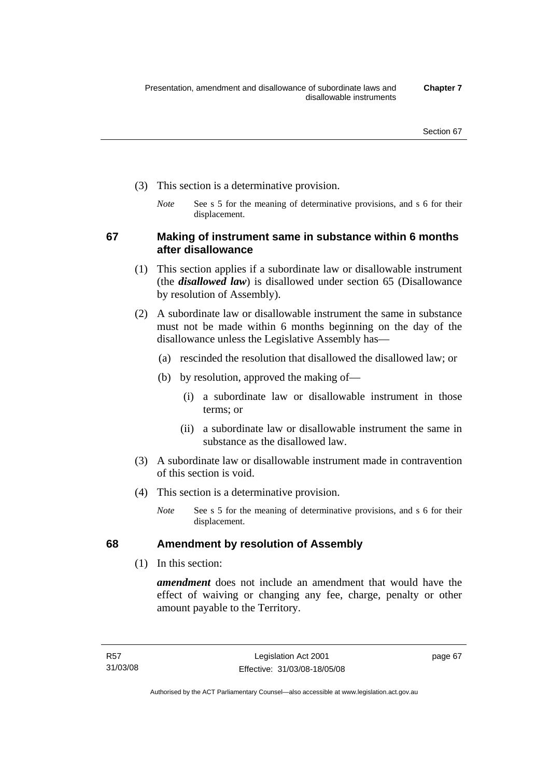- (3) This section is a determinative provision.
	- *Note* See s 5 for the meaning of determinative provisions, and s 6 for their displacement.

**67 Making of instrument same in substance within 6 months after disallowance** 

- (1) This section applies if a subordinate law or disallowable instrument (the *disallowed law*) is disallowed under section 65 (Disallowance by resolution of Assembly).
- (2) A subordinate law or disallowable instrument the same in substance must not be made within 6 months beginning on the day of the disallowance unless the Legislative Assembly has—
	- (a) rescinded the resolution that disallowed the disallowed law; or
	- (b) by resolution, approved the making of—
		- (i) a subordinate law or disallowable instrument in those terms; or
		- (ii) a subordinate law or disallowable instrument the same in substance as the disallowed law.
- (3) A subordinate law or disallowable instrument made in contravention of this section is void.
- (4) This section is a determinative provision.
	- *Note* See s 5 for the meaning of determinative provisions, and s 6 for their displacement.

# **68 Amendment by resolution of Assembly**

(1) In this section:

*amendment* does not include an amendment that would have the effect of waiving or changing any fee, charge, penalty or other amount payable to the Territory.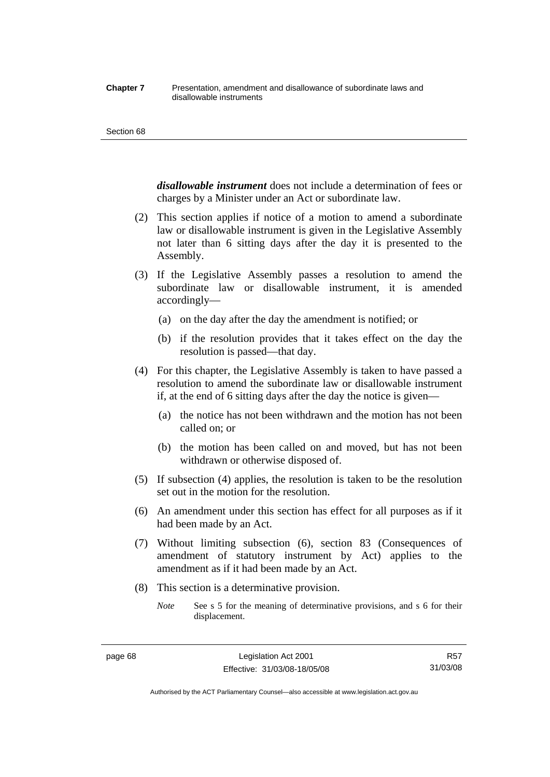#### **Chapter 7** Presentation, amendment and disallowance of subordinate laws and disallowable instruments

#### Section 68

*disallowable instrument* does not include a determination of fees or charges by a Minister under an Act or subordinate law.

- (2) This section applies if notice of a motion to amend a subordinate law or disallowable instrument is given in the Legislative Assembly not later than 6 sitting days after the day it is presented to the Assembly.
- (3) If the Legislative Assembly passes a resolution to amend the subordinate law or disallowable instrument, it is amended accordingly—
	- (a) on the day after the day the amendment is notified; or
	- (b) if the resolution provides that it takes effect on the day the resolution is passed—that day.
- (4) For this chapter, the Legislative Assembly is taken to have passed a resolution to amend the subordinate law or disallowable instrument if, at the end of 6 sitting days after the day the notice is given—
	- (a) the notice has not been withdrawn and the motion has not been called on; or
	- (b) the motion has been called on and moved, but has not been withdrawn or otherwise disposed of.
- (5) If subsection (4) applies, the resolution is taken to be the resolution set out in the motion for the resolution.
- (6) An amendment under this section has effect for all purposes as if it had been made by an Act.
- (7) Without limiting subsection (6), section 83 (Consequences of amendment of statutory instrument by Act) applies to the amendment as if it had been made by an Act.
- (8) This section is a determinative provision.
	- *Note* See s 5 for the meaning of determinative provisions, and s 6 for their displacement.

R57 31/03/08

Authorised by the ACT Parliamentary Counsel—also accessible at www.legislation.act.gov.au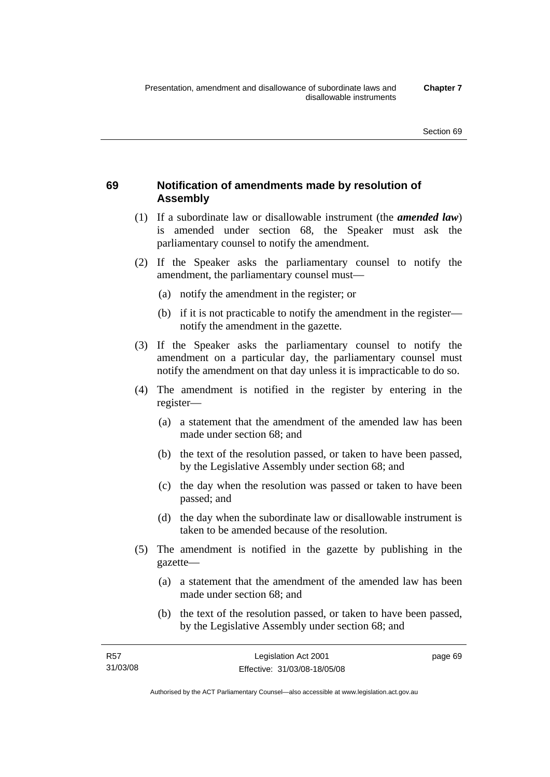# **69 Notification of amendments made by resolution of Assembly**

- (1) If a subordinate law or disallowable instrument (the *amended law*) is amended under section 68, the Speaker must ask the parliamentary counsel to notify the amendment.
- (2) If the Speaker asks the parliamentary counsel to notify the amendment, the parliamentary counsel must—
	- (a) notify the amendment in the register; or
	- (b) if it is not practicable to notify the amendment in the register notify the amendment in the gazette.
- (3) If the Speaker asks the parliamentary counsel to notify the amendment on a particular day, the parliamentary counsel must notify the amendment on that day unless it is impracticable to do so.
- (4) The amendment is notified in the register by entering in the register—
	- (a) a statement that the amendment of the amended law has been made under section 68; and
	- (b) the text of the resolution passed, or taken to have been passed, by the Legislative Assembly under section 68; and
	- (c) the day when the resolution was passed or taken to have been passed; and
	- (d) the day when the subordinate law or disallowable instrument is taken to be amended because of the resolution.
- (5) The amendment is notified in the gazette by publishing in the gazette—
	- (a) a statement that the amendment of the amended law has been made under section 68; and
	- (b) the text of the resolution passed, or taken to have been passed, by the Legislative Assembly under section 68; and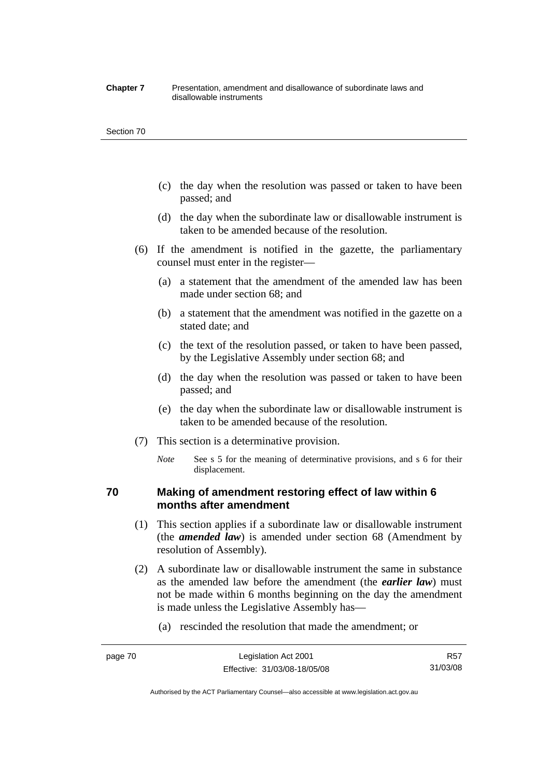#### **Chapter 7** Presentation, amendment and disallowance of subordinate laws and disallowable instruments

#### Section 70

- (c) the day when the resolution was passed or taken to have been passed; and
- (d) the day when the subordinate law or disallowable instrument is taken to be amended because of the resolution.
- (6) If the amendment is notified in the gazette, the parliamentary counsel must enter in the register—
	- (a) a statement that the amendment of the amended law has been made under section 68; and
	- (b) a statement that the amendment was notified in the gazette on a stated date; and
	- (c) the text of the resolution passed, or taken to have been passed, by the Legislative Assembly under section 68; and
	- (d) the day when the resolution was passed or taken to have been passed; and
	- (e) the day when the subordinate law or disallowable instrument is taken to be amended because of the resolution.
- (7) This section is a determinative provision.
	- *Note* See s 5 for the meaning of determinative provisions, and s 6 for their displacement.

# **70 Making of amendment restoring effect of law within 6 months after amendment**

- (1) This section applies if a subordinate law or disallowable instrument (the *amended law*) is amended under section 68 (Amendment by resolution of Assembly).
- (2) A subordinate law or disallowable instrument the same in substance as the amended law before the amendment (the *earlier law*) must not be made within 6 months beginning on the day the amendment is made unless the Legislative Assembly has—
	- (a) rescinded the resolution that made the amendment; or

Authorised by the ACT Parliamentary Counsel—also accessible at www.legislation.act.gov.au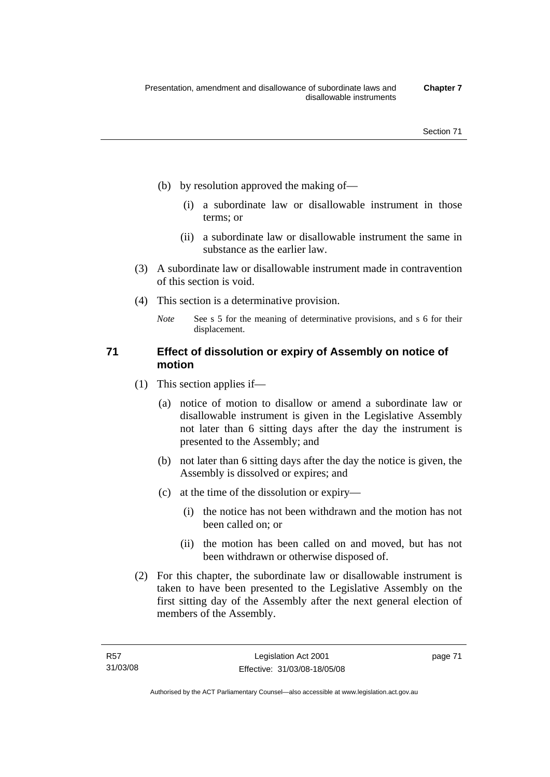- (b) by resolution approved the making of—
	- (i) a subordinate law or disallowable instrument in those terms; or
	- (ii) a subordinate law or disallowable instrument the same in substance as the earlier law.
- (3) A subordinate law or disallowable instrument made in contravention of this section is void.
- (4) This section is a determinative provision.
	- *Note* See s 5 for the meaning of determinative provisions, and s 6 for their displacement.

# **71 Effect of dissolution or expiry of Assembly on notice of motion**

- (1) This section applies if—
	- (a) notice of motion to disallow or amend a subordinate law or disallowable instrument is given in the Legislative Assembly not later than 6 sitting days after the day the instrument is presented to the Assembly; and
	- (b) not later than 6 sitting days after the day the notice is given, the Assembly is dissolved or expires; and
	- (c) at the time of the dissolution or expiry—
		- (i) the notice has not been withdrawn and the motion has not been called on; or
		- (ii) the motion has been called on and moved, but has not been withdrawn or otherwise disposed of.
- (2) For this chapter, the subordinate law or disallowable instrument is taken to have been presented to the Legislative Assembly on the first sitting day of the Assembly after the next general election of members of the Assembly.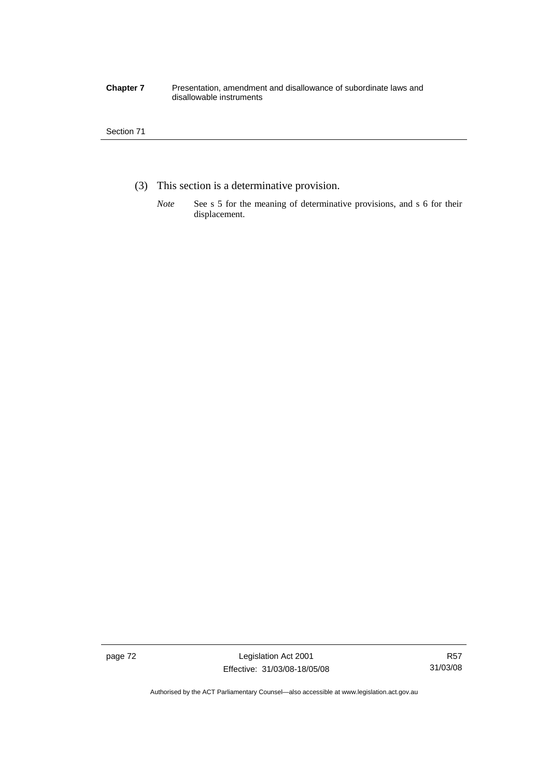#### **Chapter 7** Presentation, amendment and disallowance of subordinate laws and disallowable instruments

## Section 71

- (3) This section is a determinative provision.
	- *Note* See s 5 for the meaning of determinative provisions, and s 6 for their displacement.

page 72 Legislation Act 2001 Effective: 31/03/08-18/05/08

Authorised by the ACT Parliamentary Counsel—also accessible at www.legislation.act.gov.au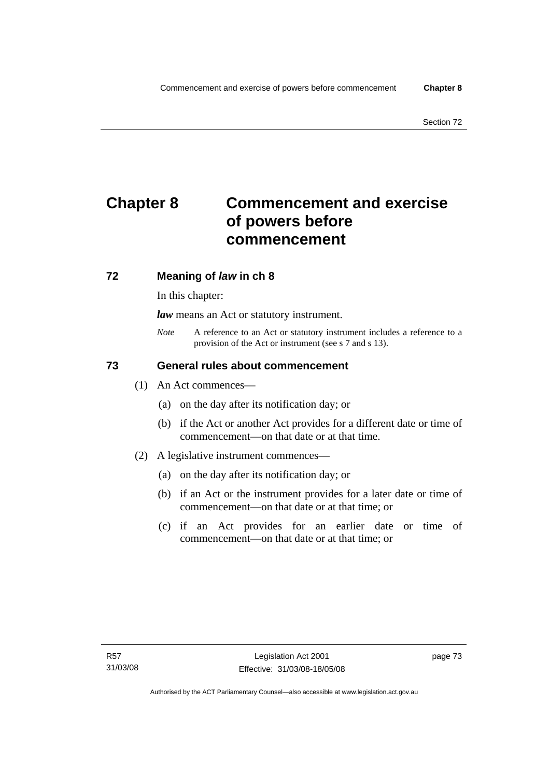# **Chapter 8 Commencement and exercise of powers before commencement**

# **72 Meaning of** *law* **in ch 8**

In this chapter:

*law* means an Act or statutory instrument.

*Note* A reference to an Act or statutory instrument includes a reference to a provision of the Act or instrument (see s 7 and s 13).

# **73 General rules about commencement**

- (1) An Act commences—
	- (a) on the day after its notification day; or
	- (b) if the Act or another Act provides for a different date or time of commencement—on that date or at that time.
- (2) A legislative instrument commences—
	- (a) on the day after its notification day; or
	- (b) if an Act or the instrument provides for a later date or time of commencement—on that date or at that time; or
	- (c) if an Act provides for an earlier date or time of commencement—on that date or at that time; or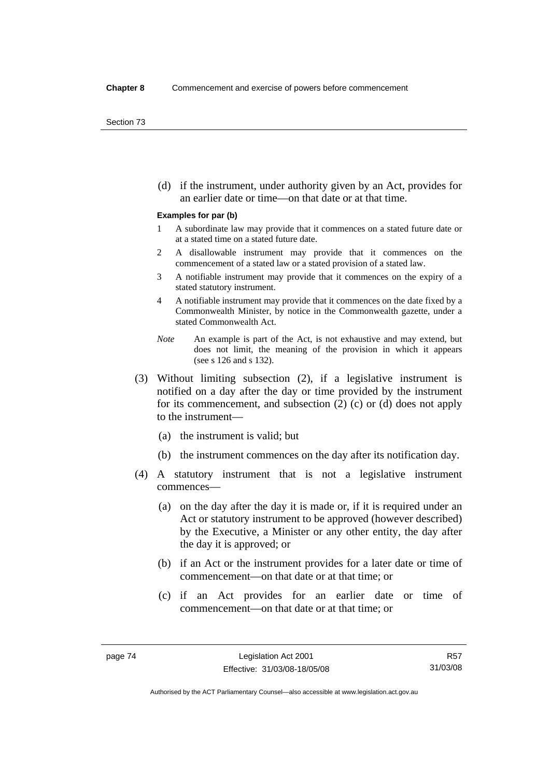(d) if the instrument, under authority given by an Act, provides for an earlier date or time—on that date or at that time.

#### **Examples for par (b)**

- 1 A subordinate law may provide that it commences on a stated future date or at a stated time on a stated future date.
- 2 A disallowable instrument may provide that it commences on the commencement of a stated law or a stated provision of a stated law.
- 3 A notifiable instrument may provide that it commences on the expiry of a stated statutory instrument.
- 4 A notifiable instrument may provide that it commences on the date fixed by a Commonwealth Minister, by notice in the Commonwealth gazette, under a stated Commonwealth Act.
- *Note* An example is part of the Act, is not exhaustive and may extend, but does not limit, the meaning of the provision in which it appears (see s 126 and s 132).
- (3) Without limiting subsection (2), if a legislative instrument is notified on a day after the day or time provided by the instrument for its commencement, and subsection (2) (c) or (d) does not apply to the instrument—
	- (a) the instrument is valid; but
	- (b) the instrument commences on the day after its notification day.
- (4) A statutory instrument that is not a legislative instrument commences—
	- (a) on the day after the day it is made or, if it is required under an Act or statutory instrument to be approved (however described) by the Executive, a Minister or any other entity, the day after the day it is approved; or
	- (b) if an Act or the instrument provides for a later date or time of commencement—on that date or at that time; or
	- (c) if an Act provides for an earlier date or time of commencement—on that date or at that time; or

Authorised by the ACT Parliamentary Counsel—also accessible at www.legislation.act.gov.au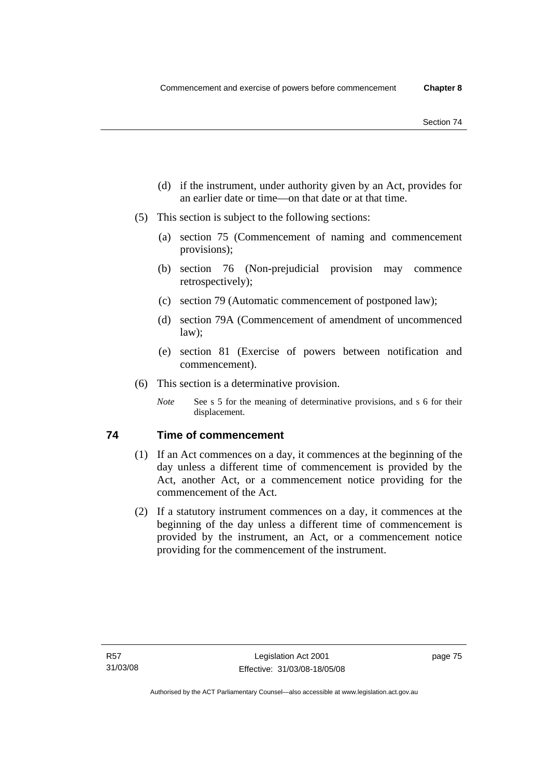- (d) if the instrument, under authority given by an Act, provides for an earlier date or time—on that date or at that time.
- (5) This section is subject to the following sections:
	- (a) section 75 (Commencement of naming and commencement provisions);
	- (b) section 76 (Non-prejudicial provision may commence retrospectively);
	- (c) section 79 (Automatic commencement of postponed law);
	- (d) section 79A (Commencement of amendment of uncommenced law);
	- (e) section 81 (Exercise of powers between notification and commencement).
- (6) This section is a determinative provision.
	- *Note* See s 5 for the meaning of determinative provisions, and s 6 for their displacement.

# **74 Time of commencement**

- (1) If an Act commences on a day, it commences at the beginning of the day unless a different time of commencement is provided by the Act, another Act, or a commencement notice providing for the commencement of the Act.
- (2) If a statutory instrument commences on a day, it commences at the beginning of the day unless a different time of commencement is provided by the instrument, an Act, or a commencement notice providing for the commencement of the instrument.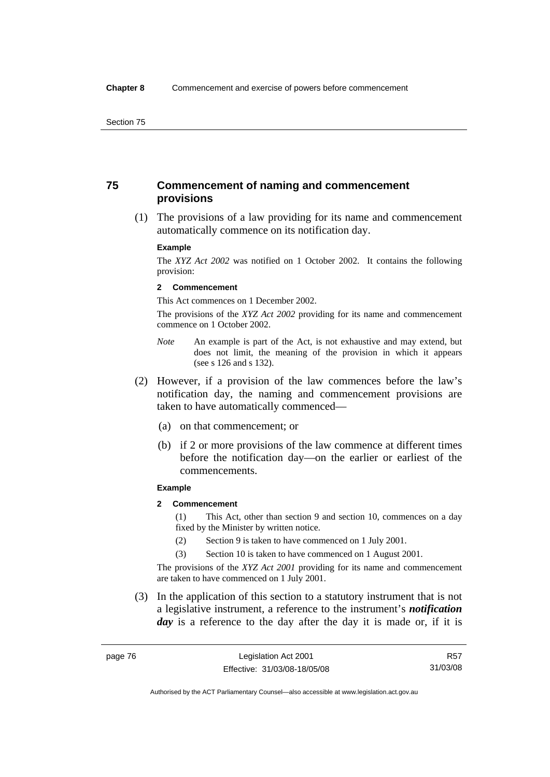# **75 Commencement of naming and commencement provisions**

 (1) The provisions of a law providing for its name and commencement automatically commence on its notification day.

#### **Example**

The *XYZ Act 2002* was notified on 1 October 2002. It contains the following provision:

#### **2 Commencement**

This Act commences on 1 December 2002.

The provisions of the *XYZ Act 2002* providing for its name and commencement commence on 1 October 2002.

- *Note* An example is part of the Act, is not exhaustive and may extend, but does not limit, the meaning of the provision in which it appears (see s 126 and s 132).
- (2) However, if a provision of the law commences before the law's notification day, the naming and commencement provisions are taken to have automatically commenced—
	- (a) on that commencement; or
	- (b) if 2 or more provisions of the law commence at different times before the notification day—on the earlier or earliest of the commencements.

#### **Example**

## **2 Commencement**

(1) This Act, other than section 9 and section 10, commences on a day fixed by the Minister by written notice.

- (2) Section 9 is taken to have commenced on 1 July 2001.
- (3) Section 10 is taken to have commenced on 1 August 2001.

The provisions of the *XYZ Act 2001* providing for its name and commencement are taken to have commenced on 1 July 2001.

 (3) In the application of this section to a statutory instrument that is not a legislative instrument, a reference to the instrument's *notification*  day is a reference to the day after the day it is made or, if it is

R57 31/03/08

Authorised by the ACT Parliamentary Counsel—also accessible at www.legislation.act.gov.au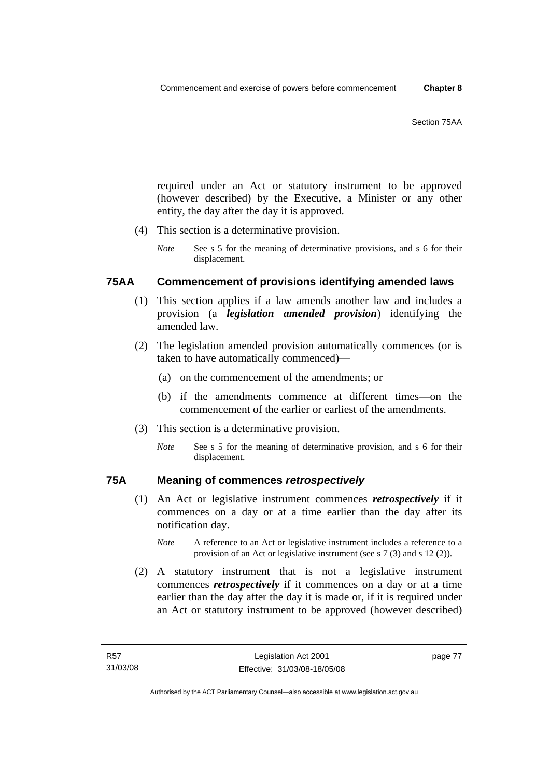required under an Act or statutory instrument to be approved (however described) by the Executive, a Minister or any other entity, the day after the day it is approved.

- (4) This section is a determinative provision.
	- *Note* See s 5 for the meaning of determinative provisions, and s 6 for their displacement.

# **75AA Commencement of provisions identifying amended laws**

- (1) This section applies if a law amends another law and includes a provision (a *legislation amended provision*) identifying the amended law.
- (2) The legislation amended provision automatically commences (or is taken to have automatically commenced)—
	- (a) on the commencement of the amendments; or
	- (b) if the amendments commence at different times—on the commencement of the earlier or earliest of the amendments.
- (3) This section is a determinative provision.
	- *Note* See s 5 for the meaning of determinative provision, and s 6 for their displacement.

# **75A Meaning of commences** *retrospectively*

- (1) An Act or legislative instrument commences *retrospectively* if it commences on a day or at a time earlier than the day after its notification day.
	- *Note* A reference to an Act or legislative instrument includes a reference to a provision of an Act or legislative instrument (see s 7 (3) and s 12 (2)).
- (2) A statutory instrument that is not a legislative instrument commences *retrospectively* if it commences on a day or at a time earlier than the day after the day it is made or, if it is required under an Act or statutory instrument to be approved (however described)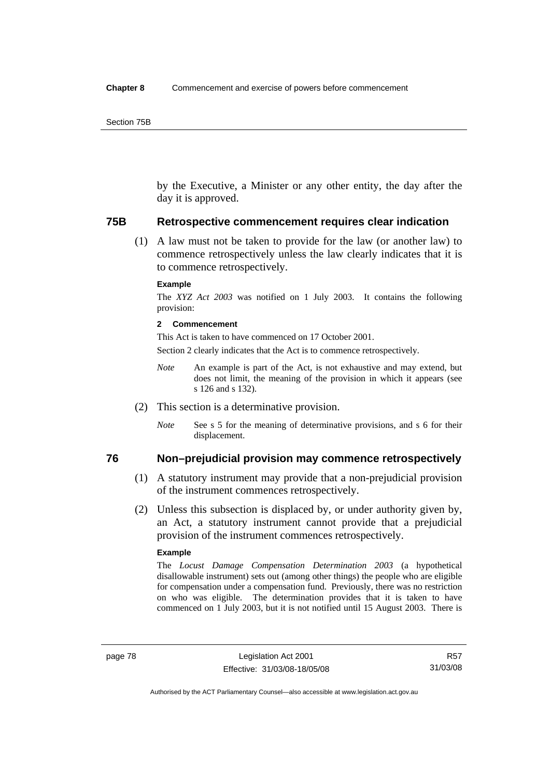by the Executive, a Minister or any other entity, the day after the day it is approved.

#### **75B Retrospective commencement requires clear indication**

 (1) A law must not be taken to provide for the law (or another law) to commence retrospectively unless the law clearly indicates that it is to commence retrospectively.

#### **Example**

The *XYZ Act 2003* was notified on 1 July 2003. It contains the following provision:

#### **2 Commencement**

This Act is taken to have commenced on 17 October 2001.

Section 2 clearly indicates that the Act is to commence retrospectively.

- *Note* An example is part of the Act, is not exhaustive and may extend, but does not limit, the meaning of the provision in which it appears (see s 126 and s 132).
- (2) This section is a determinative provision.
	- *Note* See s 5 for the meaning of determinative provisions, and s 6 for their displacement.

# **76 Non–prejudicial provision may commence retrospectively**

- (1) A statutory instrument may provide that a non-prejudicial provision of the instrument commences retrospectively.
- (2) Unless this subsection is displaced by, or under authority given by, an Act, a statutory instrument cannot provide that a prejudicial provision of the instrument commences retrospectively.

#### **Example**

The *Locust Damage Compensation Determination 2003* (a hypothetical disallowable instrument) sets out (among other things) the people who are eligible for compensation under a compensation fund. Previously, there was no restriction on who was eligible. The determination provides that it is taken to have commenced on 1 July 2003, but it is not notified until 15 August 2003. There is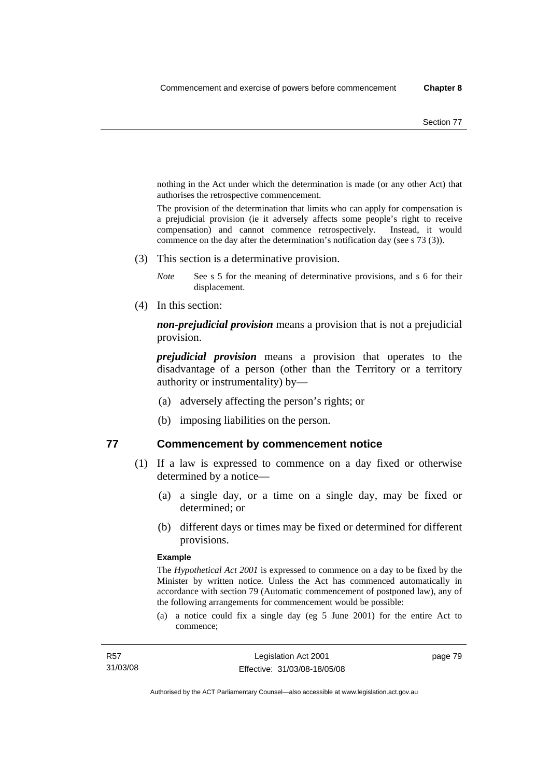nothing in the Act under which the determination is made (or any other Act) that authorises the retrospective commencement.

The provision of the determination that limits who can apply for compensation is a prejudicial provision (ie it adversely affects some people's right to receive compensation) and cannot commence retrospectively. Instead, it would commence on the day after the determination's notification day (see s 73 (3)).

(3) This section is a determinative provision.

*Note* See s 5 for the meaning of determinative provisions, and s 6 for their displacement.

(4) In this section:

*non-prejudicial provision* means a provision that is not a prejudicial provision.

*prejudicial provision* means a provision that operates to the disadvantage of a person (other than the Territory or a territory authority or instrumentality) by—

- (a) adversely affecting the person's rights; or
- (b) imposing liabilities on the person.

## **77 Commencement by commencement notice**

- (1) If a law is expressed to commence on a day fixed or otherwise determined by a notice—
	- (a) a single day, or a time on a single day, may be fixed or determined; or
	- (b) different days or times may be fixed or determined for different provisions.

#### **Example**

The *Hypothetical Act 2001* is expressed to commence on a day to be fixed by the Minister by written notice. Unless the Act has commenced automatically in accordance with section 79 (Automatic commencement of postponed law), any of the following arrangements for commencement would be possible:

(a) a notice could fix a single day (eg 5 June 2001) for the entire Act to commence;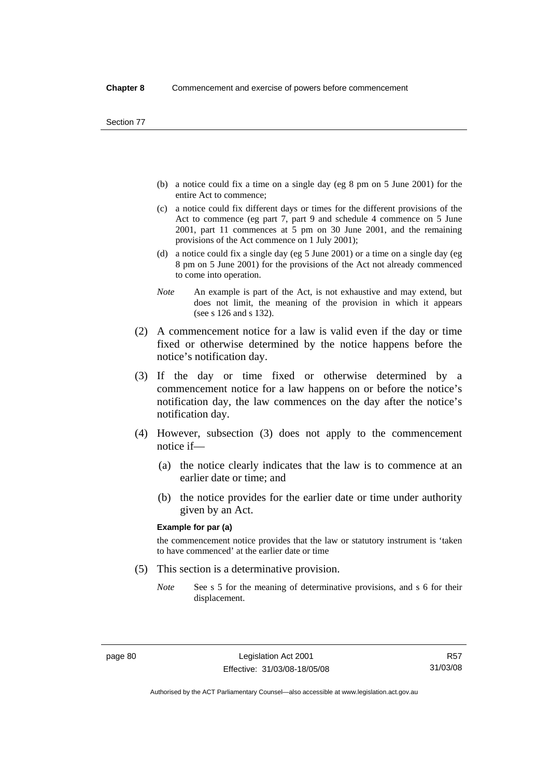- (b) a notice could fix a time on a single day (eg 8 pm on 5 June 2001) for the entire Act to commence;
- (c) a notice could fix different days or times for the different provisions of the Act to commence (eg part 7, part 9 and schedule 4 commence on 5 June 2001, part 11 commences at 5 pm on 30 June 2001, and the remaining provisions of the Act commence on 1 July 2001);
- (d) a notice could fix a single day (eg 5 June 2001) or a time on a single day (eg 8 pm on 5 June 2001) for the provisions of the Act not already commenced to come into operation.
- *Note* An example is part of the Act, is not exhaustive and may extend, but does not limit, the meaning of the provision in which it appears (see s 126 and s 132).
- (2) A commencement notice for a law is valid even if the day or time fixed or otherwise determined by the notice happens before the notice's notification day.
- (3) If the day or time fixed or otherwise determined by a commencement notice for a law happens on or before the notice's notification day, the law commences on the day after the notice's notification day.
- (4) However, subsection (3) does not apply to the commencement notice if—
	- (a) the notice clearly indicates that the law is to commence at an earlier date or time; and
	- (b) the notice provides for the earlier date or time under authority given by an Act.

#### **Example for par (a)**

the commencement notice provides that the law or statutory instrument is 'taken to have commenced' at the earlier date or time

- (5) This section is a determinative provision.
	- *Note* See s 5 for the meaning of determinative provisions, and s 6 for their displacement.

R57 31/03/08

Authorised by the ACT Parliamentary Counsel—also accessible at www.legislation.act.gov.au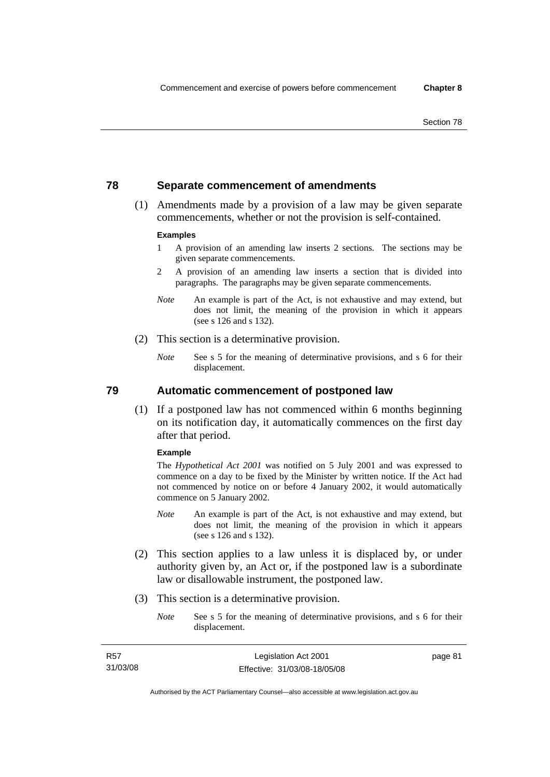# **78 Separate commencement of amendments**

 (1) Amendments made by a provision of a law may be given separate commencements, whether or not the provision is self-contained.

#### **Examples**

- 1 A provision of an amending law inserts 2 sections. The sections may be given separate commencements.
- 2 A provision of an amending law inserts a section that is divided into paragraphs. The paragraphs may be given separate commencements.
- *Note* An example is part of the Act, is not exhaustive and may extend, but does not limit, the meaning of the provision in which it appears (see s 126 and s 132).
- (2) This section is a determinative provision.
	- *Note* See s 5 for the meaning of determinative provisions, and s 6 for their displacement.

**79 Automatic commencement of postponed law** 

 (1) If a postponed law has not commenced within 6 months beginning on its notification day, it automatically commences on the first day after that period.

#### **Example**

The *Hypothetical Act 2001* was notified on 5 July 2001 and was expressed to commence on a day to be fixed by the Minister by written notice. If the Act had not commenced by notice on or before 4 January 2002, it would automatically commence on 5 January 2002.

- *Note* An example is part of the Act, is not exhaustive and may extend, but does not limit, the meaning of the provision in which it appears (see s 126 and s 132).
- (2) This section applies to a law unless it is displaced by, or under authority given by, an Act or, if the postponed law is a subordinate law or disallowable instrument, the postponed law.
- (3) This section is a determinative provision.
	- *Note* See s 5 for the meaning of determinative provisions, and s 6 for their displacement.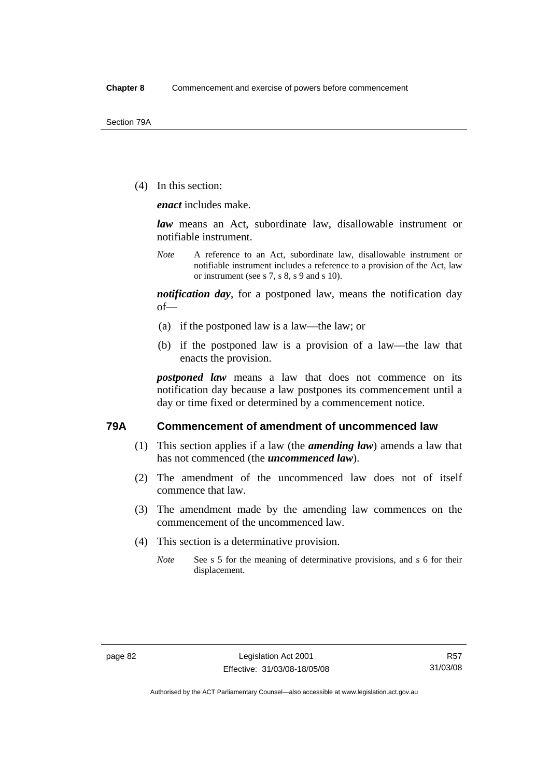(4) In this section:

*enact* includes make.

*law* means an Act, subordinate law, disallowable instrument or notifiable instrument.

*Note* A reference to an Act, subordinate law, disallowable instrument or notifiable instrument includes a reference to a provision of the Act, law or instrument (see s 7, s 8, s 9 and s 10).

*notification day*, for a postponed law, means the notification day of—

- (a) if the postponed law is a law—the law; or
- (b) if the postponed law is a provision of a law—the law that enacts the provision.

*postponed law* means a law that does not commence on its notification day because a law postpones its commencement until a day or time fixed or determined by a commencement notice.

## **79A Commencement of amendment of uncommenced law**

- (1) This section applies if a law (the *amending law*) amends a law that has not commenced (the *uncommenced law*).
- (2) The amendment of the uncommenced law does not of itself commence that law.
- (3) The amendment made by the amending law commences on the commencement of the uncommenced law.
- (4) This section is a determinative provision.
	- *Note* See s 5 for the meaning of determinative provisions, and s 6 for their displacement.

Authorised by the ACT Parliamentary Counsel—also accessible at www.legislation.act.gov.au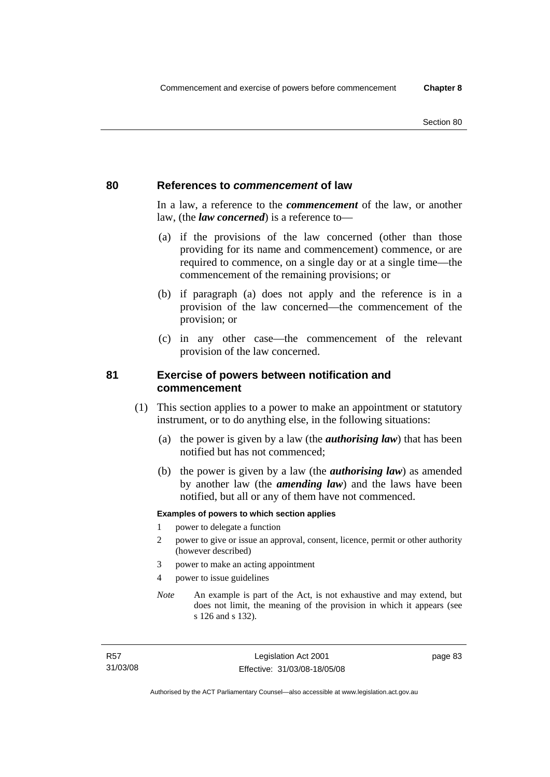## **80 References to** *commencement* **of law**

In a law, a reference to the *commencement* of the law, or another law, (the *law concerned*) is a reference to—

- (a) if the provisions of the law concerned (other than those providing for its name and commencement) commence, or are required to commence, on a single day or at a single time—the commencement of the remaining provisions; or
- (b) if paragraph (a) does not apply and the reference is in a provision of the law concerned—the commencement of the provision; or
- (c) in any other case—the commencement of the relevant provision of the law concerned.

# **81 Exercise of powers between notification and commencement**

- (1) This section applies to a power to make an appointment or statutory instrument, or to do anything else, in the following situations:
	- (a) the power is given by a law (the *authorising law*) that has been notified but has not commenced;
	- (b) the power is given by a law (the *authorising law*) as amended by another law (the *amending law*) and the laws have been notified, but all or any of them have not commenced.

#### **Examples of powers to which section applies**

- 1 power to delegate a function
- 2 power to give or issue an approval, consent, licence, permit or other authority (however described)
- 3 power to make an acting appointment
- 4 power to issue guidelines
- *Note* An example is part of the Act, is not exhaustive and may extend, but does not limit, the meaning of the provision in which it appears (see s 126 and s 132).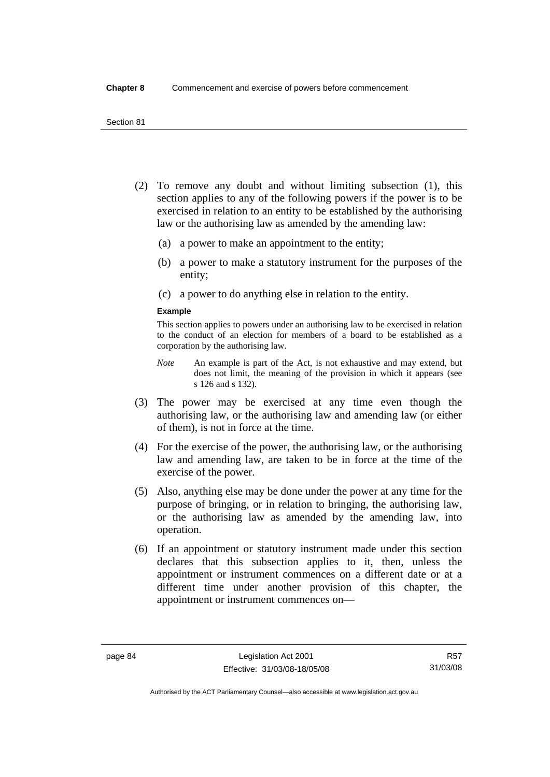- (2) To remove any doubt and without limiting subsection (1), this section applies to any of the following powers if the power is to be exercised in relation to an entity to be established by the authorising law or the authorising law as amended by the amending law:
	- (a) a power to make an appointment to the entity;
	- (b) a power to make a statutory instrument for the purposes of the entity;
	- (c) a power to do anything else in relation to the entity.

#### **Example**

This section applies to powers under an authorising law to be exercised in relation to the conduct of an election for members of a board to be established as a corporation by the authorising law.

- *Note* An example is part of the Act, is not exhaustive and may extend, but does not limit, the meaning of the provision in which it appears (see s 126 and s 132).
- (3) The power may be exercised at any time even though the authorising law, or the authorising law and amending law (or either of them), is not in force at the time.
- (4) For the exercise of the power, the authorising law, or the authorising law and amending law, are taken to be in force at the time of the exercise of the power.
- (5) Also, anything else may be done under the power at any time for the purpose of bringing, or in relation to bringing, the authorising law, or the authorising law as amended by the amending law, into operation.
- (6) If an appointment or statutory instrument made under this section declares that this subsection applies to it, then, unless the appointment or instrument commences on a different date or at a different time under another provision of this chapter, the appointment or instrument commences on—

R57 31/03/08

Authorised by the ACT Parliamentary Counsel—also accessible at www.legislation.act.gov.au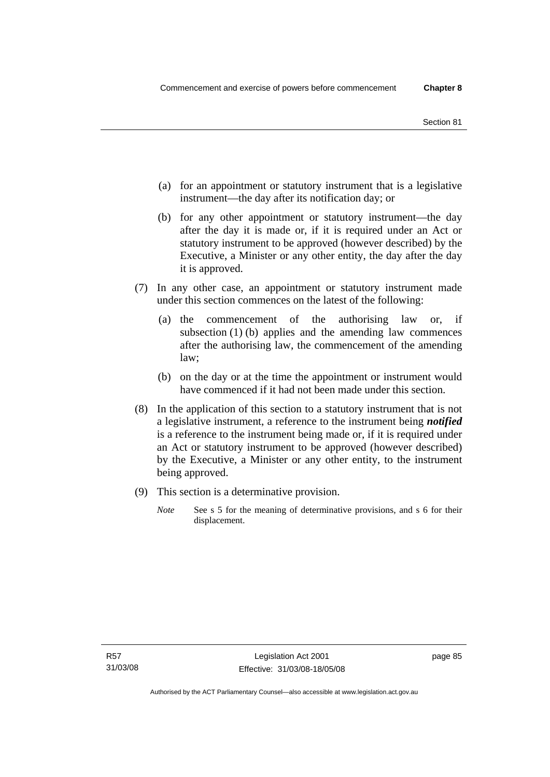- (a) for an appointment or statutory instrument that is a legislative instrument—the day after its notification day; or
- (b) for any other appointment or statutory instrument—the day after the day it is made or, if it is required under an Act or statutory instrument to be approved (however described) by the Executive, a Minister or any other entity, the day after the day it is approved.
- (7) In any other case, an appointment or statutory instrument made under this section commences on the latest of the following:
	- (a) the commencement of the authorising law or, if subsection (1) (b) applies and the amending law commences after the authorising law, the commencement of the amending law;
	- (b) on the day or at the time the appointment or instrument would have commenced if it had not been made under this section.
- (8) In the application of this section to a statutory instrument that is not a legislative instrument, a reference to the instrument being *notified*  is a reference to the instrument being made or, if it is required under an Act or statutory instrument to be approved (however described) by the Executive, a Minister or any other entity, to the instrument being approved.
- (9) This section is a determinative provision.
	- *Note* See s 5 for the meaning of determinative provisions, and s 6 for their displacement.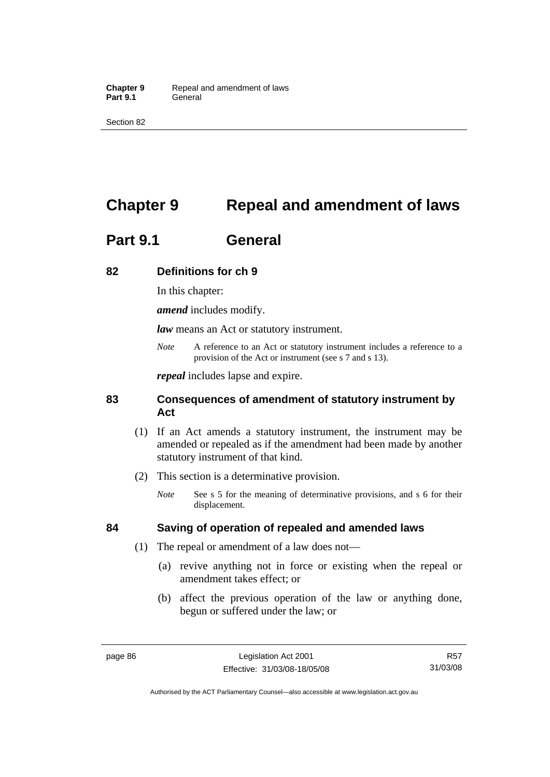Section 82

# **Chapter 9 Repeal and amendment of laws**

# **Part 9.1 General**

# **82 Definitions for ch 9**

In this chapter:

*amend* includes modify.

*law* means an Act or statutory instrument.

*Note* A reference to an Act or statutory instrument includes a reference to a provision of the Act or instrument (see s 7 and s 13).

*repeal* includes lapse and expire.

# **83 Consequences of amendment of statutory instrument by Act**

- (1) If an Act amends a statutory instrument, the instrument may be amended or repealed as if the amendment had been made by another statutory instrument of that kind.
- (2) This section is a determinative provision.
	- *Note* See s 5 for the meaning of determinative provisions, and s 6 for their displacement.

# **84 Saving of operation of repealed and amended laws**

- (1) The repeal or amendment of a law does not—
	- (a) revive anything not in force or existing when the repeal or amendment takes effect; or
	- (b) affect the previous operation of the law or anything done, begun or suffered under the law; or

R57 31/03/08

Authorised by the ACT Parliamentary Counsel—also accessible at www.legislation.act.gov.au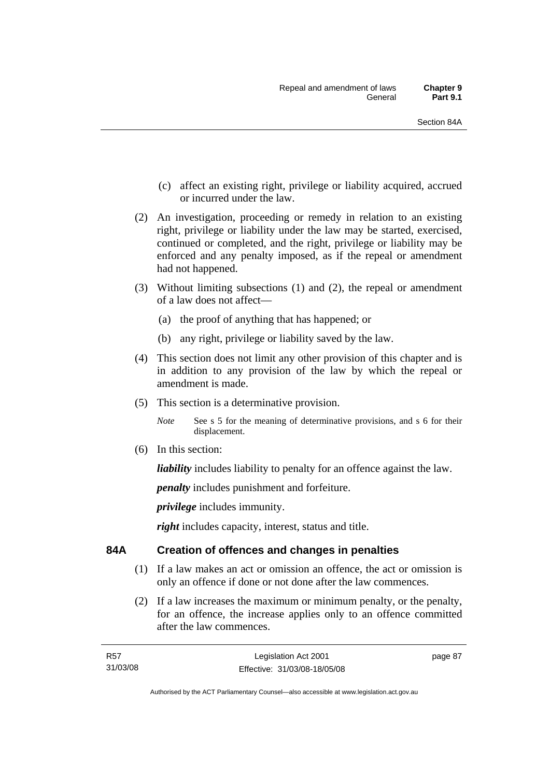- (c) affect an existing right, privilege or liability acquired, accrued or incurred under the law.
- (2) An investigation, proceeding or remedy in relation to an existing right, privilege or liability under the law may be started, exercised, continued or completed, and the right, privilege or liability may be enforced and any penalty imposed, as if the repeal or amendment had not happened.
- (3) Without limiting subsections (1) and (2), the repeal or amendment of a law does not affect—
	- (a) the proof of anything that has happened; or
	- (b) any right, privilege or liability saved by the law.
- (4) This section does not limit any other provision of this chapter and is in addition to any provision of the law by which the repeal or amendment is made.
- (5) This section is a determinative provision.

*Note* See s 5 for the meaning of determinative provisions, and s 6 for their displacement.

(6) In this section:

*liability* includes liability to penalty for an offence against the law.

*penalty* includes punishment and forfeiture.

*privilege* includes immunity.

*right* includes capacity, interest, status and title.

# **84A Creation of offences and changes in penalties**

- (1) If a law makes an act or omission an offence, the act or omission is only an offence if done or not done after the law commences.
- (2) If a law increases the maximum or minimum penalty, or the penalty, for an offence, the increase applies only to an offence committed after the law commences.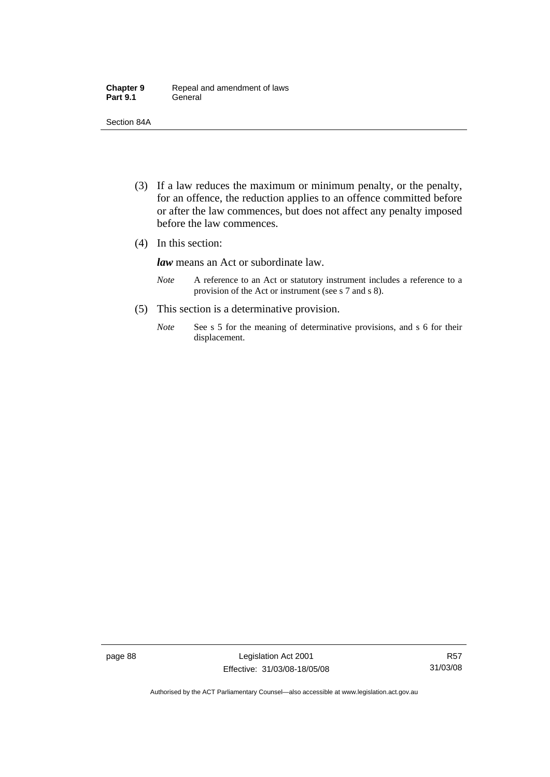| <b>Chapter 9</b> | Repeal and amendment of laws |
|------------------|------------------------------|
| <b>Part 9.1</b>  | General                      |

Section 84A

- (3) If a law reduces the maximum or minimum penalty, or the penalty, for an offence, the reduction applies to an offence committed before or after the law commences, but does not affect any penalty imposed before the law commences.
- (4) In this section:

*law* means an Act or subordinate law.

- *Note* A reference to an Act or statutory instrument includes a reference to a provision of the Act or instrument (see s 7 and s 8).
- (5) This section is a determinative provision.
	- *Note* See s 5 for the meaning of determinative provisions, and s 6 for their displacement.

page 88 Legislation Act 2001 Effective: 31/03/08-18/05/08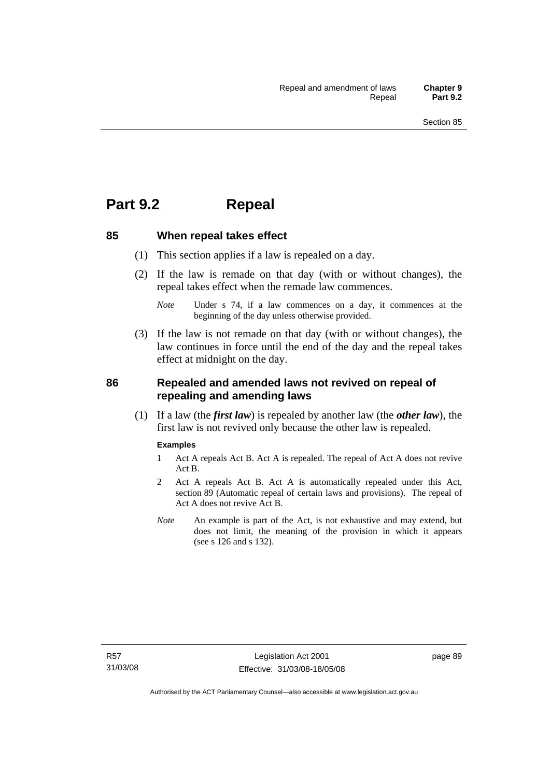# **Part 9.2 Repeal**

## **85 When repeal takes effect**

- (1) This section applies if a law is repealed on a day.
- (2) If the law is remade on that day (with or without changes), the repeal takes effect when the remade law commences.

 (3) If the law is not remade on that day (with or without changes), the law continues in force until the end of the day and the repeal takes effect at midnight on the day.

# **86 Repealed and amended laws not revived on repeal of repealing and amending laws**

 (1) If a law (the *first law*) is repealed by another law (the *other law*), the first law is not revived only because the other law is repealed.

#### **Examples**

- 1 Act A repeals Act B. Act A is repealed. The repeal of Act A does not revive Act B.
- 2 Act A repeals Act B. Act A is automatically repealed under this Act, section 89 (Automatic repeal of certain laws and provisions). The repeal of Act A does not revive Act B.
- *Note* An example is part of the Act, is not exhaustive and may extend, but does not limit, the meaning of the provision in which it appears (see s 126 and s 132).

*Note* Under s 74, if a law commences on a day, it commences at the beginning of the day unless otherwise provided.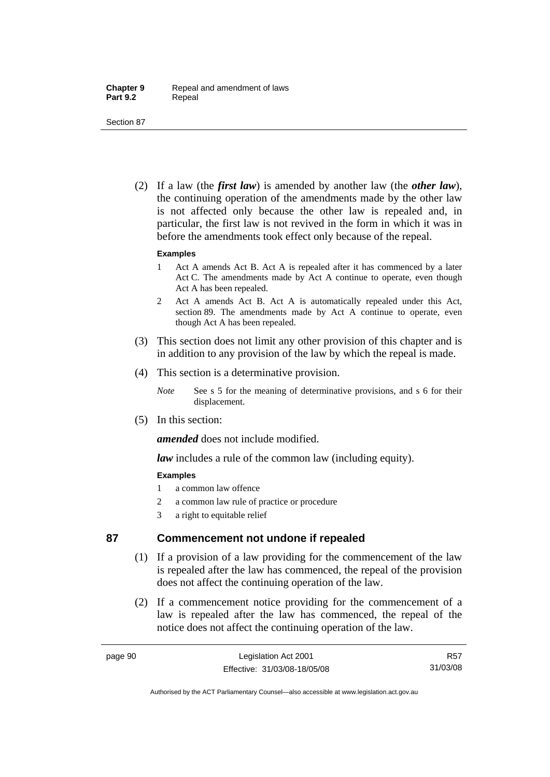Section 87

 (2) If a law (the *first law*) is amended by another law (the *other law*), the continuing operation of the amendments made by the other law is not affected only because the other law is repealed and, in particular, the first law is not revived in the form in which it was in before the amendments took effect only because of the repeal.

#### **Examples**

- 1 Act A amends Act B. Act A is repealed after it has commenced by a later Act C. The amendments made by Act A continue to operate, even though Act A has been repealed.
- 2 Act A amends Act B. Act A is automatically repealed under this Act, section 89. The amendments made by Act A continue to operate, even though Act A has been repealed.
- (3) This section does not limit any other provision of this chapter and is in addition to any provision of the law by which the repeal is made.
- (4) This section is a determinative provision.
	- *Note* See s 5 for the meaning of determinative provisions, and s 6 for their displacement.
- (5) In this section:

*amended* does not include modified.

*law* includes a rule of the common law (including equity).

## **Examples**

- 1 a common law offence
- 2 a common law rule of practice or procedure
- 3 a right to equitable relief

# **87 Commencement not undone if repealed**

- (1) If a provision of a law providing for the commencement of the law is repealed after the law has commenced, the repeal of the provision does not affect the continuing operation of the law.
- (2) If a commencement notice providing for the commencement of a law is repealed after the law has commenced, the repeal of the notice does not affect the continuing operation of the law.

R57 31/03/08

Authorised by the ACT Parliamentary Counsel—also accessible at www.legislation.act.gov.au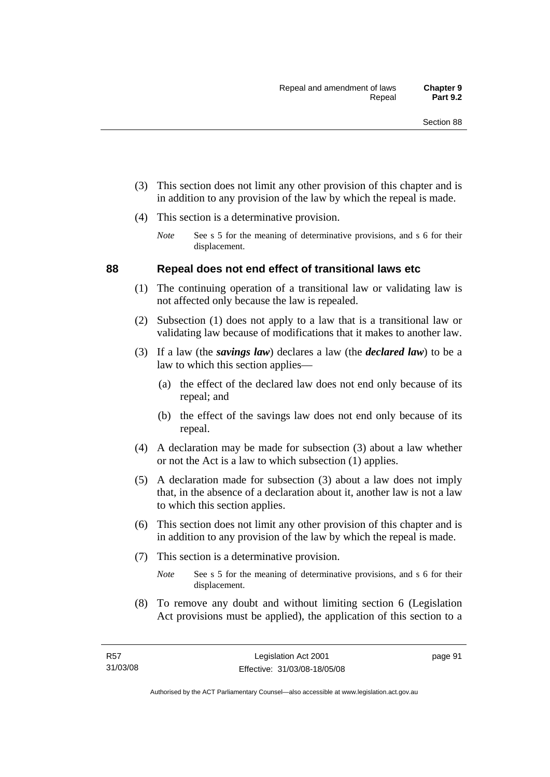- (3) This section does not limit any other provision of this chapter and is in addition to any provision of the law by which the repeal is made.
- (4) This section is a determinative provision.
	- *Note* See s 5 for the meaning of determinative provisions, and s 6 for their displacement.

## **88 Repeal does not end effect of transitional laws etc**

- (1) The continuing operation of a transitional law or validating law is not affected only because the law is repealed.
- (2) Subsection (1) does not apply to a law that is a transitional law or validating law because of modifications that it makes to another law.
- (3) If a law (the *savings law*) declares a law (the *declared law*) to be a law to which this section applies—
	- (a) the effect of the declared law does not end only because of its repeal; and
	- (b) the effect of the savings law does not end only because of its repeal.
- (4) A declaration may be made for subsection (3) about a law whether or not the Act is a law to which subsection (1) applies.
- (5) A declaration made for subsection (3) about a law does not imply that, in the absence of a declaration about it, another law is not a law to which this section applies.
- (6) This section does not limit any other provision of this chapter and is in addition to any provision of the law by which the repeal is made.
- (7) This section is a determinative provision.
	- *Note* See s 5 for the meaning of determinative provisions, and s 6 for their displacement.
- (8) To remove any doubt and without limiting section 6 (Legislation Act provisions must be applied), the application of this section to a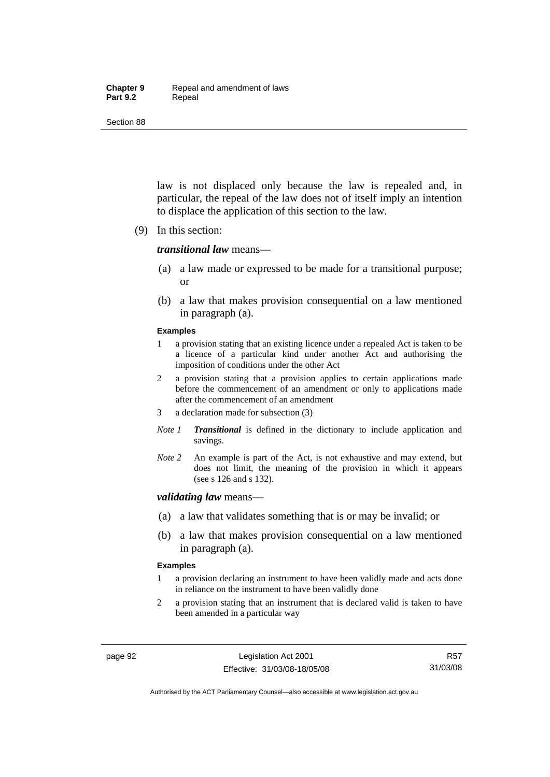#### **Chapter 9** Repeal and amendment of laws Part 9.2 **Repeal**

Section 88

law is not displaced only because the law is repealed and, in particular, the repeal of the law does not of itself imply an intention to displace the application of this section to the law.

(9) In this section:

#### *transitional law* means—

- (a) a law made or expressed to be made for a transitional purpose; or
- (b) a law that makes provision consequential on a law mentioned in paragraph (a).

#### **Examples**

- 1 a provision stating that an existing licence under a repealed Act is taken to be a licence of a particular kind under another Act and authorising the imposition of conditions under the other Act
- 2 a provision stating that a provision applies to certain applications made before the commencement of an amendment or only to applications made after the commencement of an amendment
- 3 a declaration made for subsection (3)
- *Note 1 Transitional* is defined in the dictionary to include application and savings.
- *Note 2* An example is part of the Act, is not exhaustive and may extend, but does not limit, the meaning of the provision in which it appears (see s 126 and s 132).

#### *validating law* means—

- (a) a law that validates something that is or may be invalid; or
- (b) a law that makes provision consequential on a law mentioned in paragraph (a).

#### **Examples**

- 1 a provision declaring an instrument to have been validly made and acts done in reliance on the instrument to have been validly done
- 2 a provision stating that an instrument that is declared valid is taken to have been amended in a particular way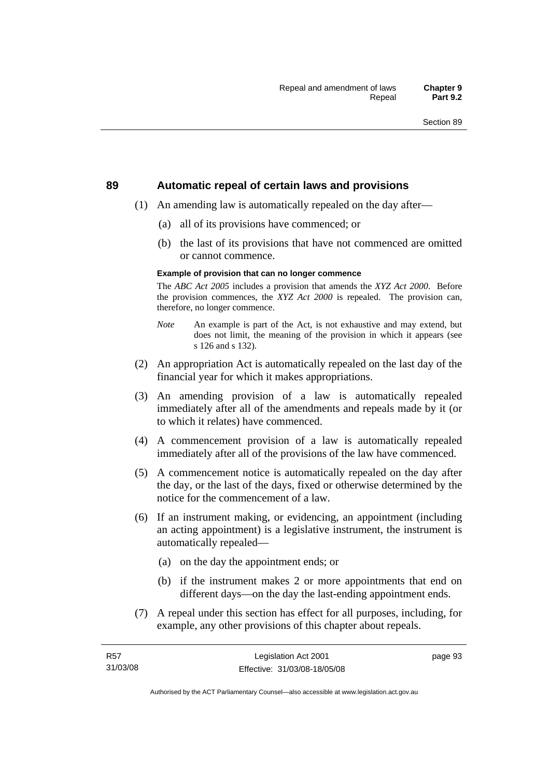#### **89 Automatic repeal of certain laws and provisions**

- (1) An amending law is automatically repealed on the day after—
	- (a) all of its provisions have commenced; or
	- (b) the last of its provisions that have not commenced are omitted or cannot commence.

#### **Example of provision that can no longer commence**

The *ABC Act 2005* includes a provision that amends the *XYZ Act 2000*. Before the provision commences, the *XYZ Act 2000* is repealed. The provision can, therefore, no longer commence.

- *Note* An example is part of the Act, is not exhaustive and may extend, but does not limit, the meaning of the provision in which it appears (see s 126 and s 132).
- (2) An appropriation Act is automatically repealed on the last day of the financial year for which it makes appropriations.
- (3) An amending provision of a law is automatically repealed immediately after all of the amendments and repeals made by it (or to which it relates) have commenced.
- (4) A commencement provision of a law is automatically repealed immediately after all of the provisions of the law have commenced.
- (5) A commencement notice is automatically repealed on the day after the day, or the last of the days, fixed or otherwise determined by the notice for the commencement of a law.
- (6) If an instrument making, or evidencing, an appointment (including an acting appointment) is a legislative instrument, the instrument is automatically repealed—
	- (a) on the day the appointment ends; or
	- (b) if the instrument makes 2 or more appointments that end on different days—on the day the last-ending appointment ends.
- (7) A repeal under this section has effect for all purposes, including, for example, any other provisions of this chapter about repeals.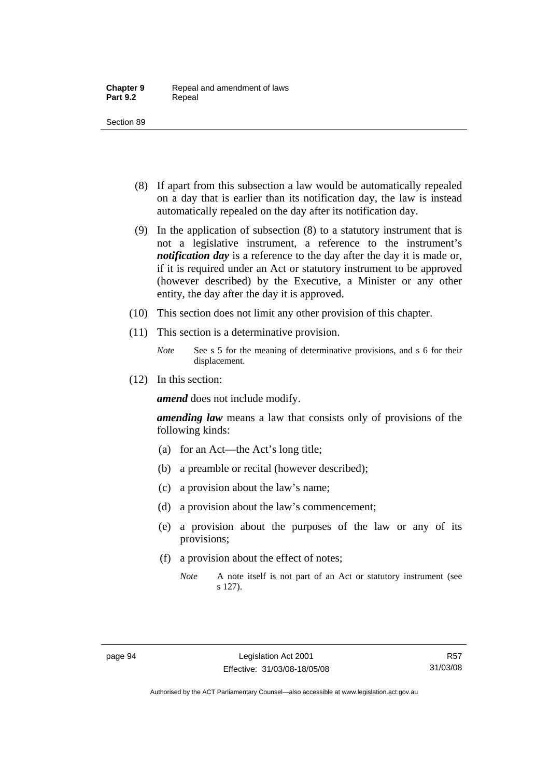- (8) If apart from this subsection a law would be automatically repealed on a day that is earlier than its notification day, the law is instead automatically repealed on the day after its notification day.
- (9) In the application of subsection (8) to a statutory instrument that is not a legislative instrument, a reference to the instrument's *notification day* is a reference to the day after the day it is made or, if it is required under an Act or statutory instrument to be approved (however described) by the Executive, a Minister or any other entity, the day after the day it is approved.
- (10) This section does not limit any other provision of this chapter.
- (11) This section is a determinative provision.
	- *Note* See s 5 for the meaning of determinative provisions, and s 6 for their displacement.
- (12) In this section:

*amend* does not include modify.

*amending law* means a law that consists only of provisions of the following kinds:

- (a) for an Act—the Act's long title;
- (b) a preamble or recital (however described);
- (c) a provision about the law's name;
- (d) a provision about the law's commencement;
- (e) a provision about the purposes of the law or any of its provisions;
- (f) a provision about the effect of notes;
	- *Note* A note itself is not part of an Act or statutory instrument (see s 127).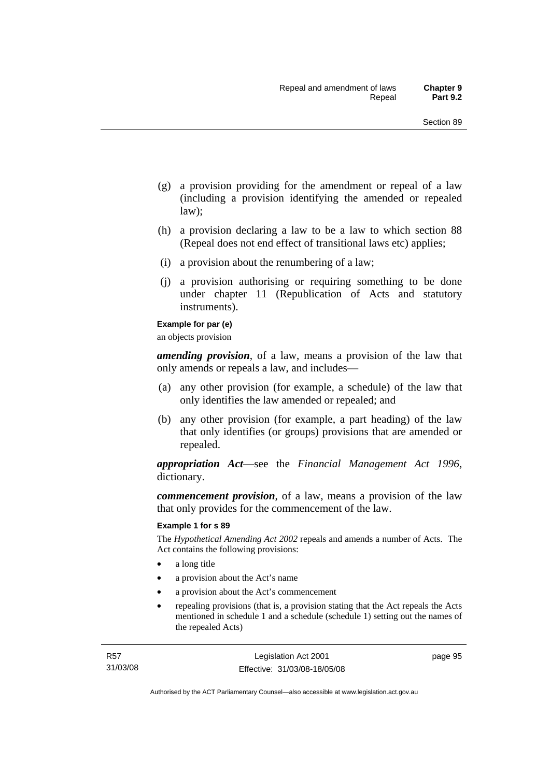- (g) a provision providing for the amendment or repeal of a law (including a provision identifying the amended or repealed law);
- (h) a provision declaring a law to be a law to which section 88 (Repeal does not end effect of transitional laws etc) applies;
- (i) a provision about the renumbering of a law;
- (j) a provision authorising or requiring something to be done under chapter 11 (Republication of Acts and statutory instruments).

#### **Example for par (e)**

an objects provision

*amending provision*, of a law, means a provision of the law that only amends or repeals a law, and includes—

- (a) any other provision (for example, a schedule) of the law that only identifies the law amended or repealed; and
- (b) any other provision (for example, a part heading) of the law that only identifies (or groups) provisions that are amended or repealed.

*appropriation Act*—see the *Financial Management Act 1996*, dictionary.

*commencement provision*, of a law, means a provision of the law that only provides for the commencement of the law.

#### **Example 1 for s 89**

The *Hypothetical Amending Act 2002* repeals and amends a number of Acts. The Act contains the following provisions:

- a long title
- a provision about the Act's name
- a provision about the Act's commencement
- repealing provisions (that is, a provision stating that the Act repeals the Acts mentioned in schedule 1 and a schedule (schedule 1) setting out the names of the repealed Acts)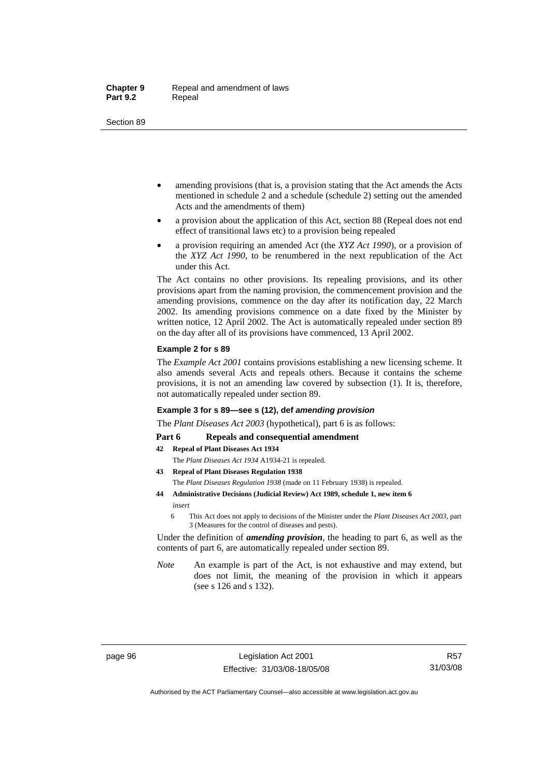- amending provisions (that is, a provision stating that the Act amends the Acts mentioned in schedule 2 and a schedule (schedule 2) setting out the amended Acts and the amendments of them)
- a provision about the application of this Act, section 88 (Repeal does not end effect of transitional laws etc) to a provision being repealed
- a provision requiring an amended Act (the *XYZ Act 1990*), or a provision of the *XYZ Act 1990*, to be renumbered in the next republication of the Act under this Act.

The Act contains no other provisions. Its repealing provisions, and its other provisions apart from the naming provision, the commencement provision and the amending provisions, commence on the day after its notification day, 22 March 2002. Its amending provisions commence on a date fixed by the Minister by written notice, 12 April 2002. The Act is automatically repealed under section 89 on the day after all of its provisions have commenced, 13 April 2002.

#### **Example 2 for s 89**

The *Example Act 2001* contains provisions establishing a new licensing scheme. It also amends several Acts and repeals others. Because it contains the scheme provisions, it is not an amending law covered by subsection (1). It is, therefore, not automatically repealed under section 89.

#### **Example 3 for s 89—see s (12), def** *amending provision*

The *Plant Diseases Act 2003* (hypothetical), part 6 is as follows:

#### Part 6 Repeals and consequential amendment

- **42 Repeal of Plant Diseases Act 1934**
	- The *Plant Diseases Act 1934* A1934-21 is repealed.
- **43 Repeal of Plant Diseases Regulation 1938** The *Plant Diseases Regulation 1938* (made on 11 February 1938) is repealed.
- **44 Administrative Decisions (Judicial Review) Act 1989, schedule 1, new item 6**  *insert* 
	- 6 This Act does not apply to decisions of the Minister under the *Plant Diseases Act 2003*, part 3 (Measures for the control of diseases and pests).

Under the definition of *amending provision*, the heading to part 6, as well as the contents of part 6, are automatically repealed under section 89.

*Note* An example is part of the Act, is not exhaustive and may extend, but does not limit, the meaning of the provision in which it appears (see s 126 and s 132).

Authorised by the ACT Parliamentary Counsel—also accessible at www.legislation.act.gov.au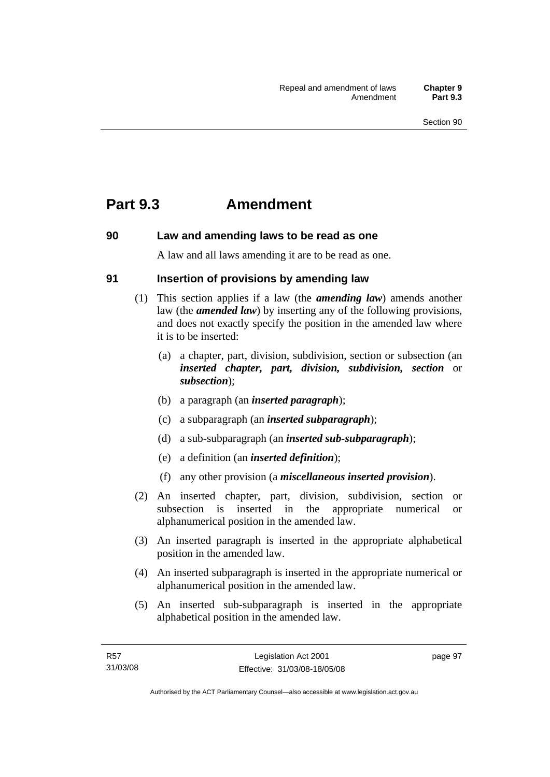## **Part 9.3 Amendment**

## **90 Law and amending laws to be read as one**

A law and all laws amending it are to be read as one.

## **91 Insertion of provisions by amending law**

- (1) This section applies if a law (the *amending law*) amends another law (the *amended law*) by inserting any of the following provisions, and does not exactly specify the position in the amended law where it is to be inserted:
	- (a) a chapter, part, division, subdivision, section or subsection (an *inserted chapter, part, division, subdivision, section* or *subsection*);
	- (b) a paragraph (an *inserted paragraph*);
	- (c) a subparagraph (an *inserted subparagraph*);
	- (d) a sub-subparagraph (an *inserted sub-subparagraph*);
	- (e) a definition (an *inserted definition*);
	- (f) any other provision (a *miscellaneous inserted provision*).
- (2) An inserted chapter, part, division, subdivision, section or subsection is inserted in the appropriate numerical or alphanumerical position in the amended law.
- (3) An inserted paragraph is inserted in the appropriate alphabetical position in the amended law.
- (4) An inserted subparagraph is inserted in the appropriate numerical or alphanumerical position in the amended law.
- (5) An inserted sub-subparagraph is inserted in the appropriate alphabetical position in the amended law.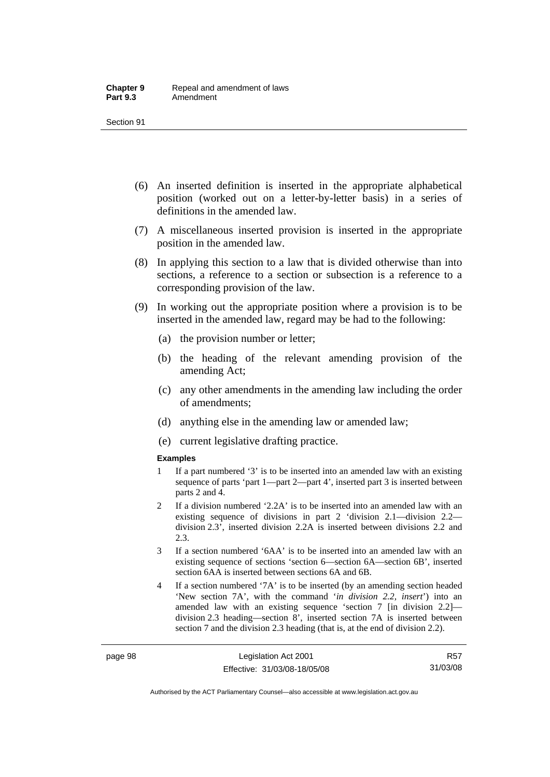- (6) An inserted definition is inserted in the appropriate alphabetical position (worked out on a letter-by-letter basis) in a series of definitions in the amended law.
- (7) A miscellaneous inserted provision is inserted in the appropriate position in the amended law.
- (8) In applying this section to a law that is divided otherwise than into sections, a reference to a section or subsection is a reference to a corresponding provision of the law.
- (9) In working out the appropriate position where a provision is to be inserted in the amended law, regard may be had to the following:
	- (a) the provision number or letter;
	- (b) the heading of the relevant amending provision of the amending Act;
	- (c) any other amendments in the amending law including the order of amendments;
	- (d) anything else in the amending law or amended law;
	- (e) current legislative drafting practice.

#### **Examples**

- 1 If a part numbered '3' is to be inserted into an amended law with an existing sequence of parts 'part 1—part 2—part 4', inserted part 3 is inserted between parts 2 and 4.
- 2 If a division numbered '2.2A' is to be inserted into an amended law with an existing sequence of divisions in part 2 'division 2.1—division 2.2 division 2.3', inserted division 2.2A is inserted between divisions 2.2 and 2.3.
- 3 If a section numbered '6AA' is to be inserted into an amended law with an existing sequence of sections 'section 6—section 6A—section 6B', inserted section 6AA is inserted between sections 6A and 6B.
- 4 If a section numbered '7A' is to be inserted (by an amending section headed 'New section 7A', with the command '*in division 2.2, insert*') into an amended law with an existing sequence 'section 7 [in division 2.2] division 2.3 heading—section 8', inserted section 7A is inserted between section 7 and the division 2.3 heading (that is, at the end of division 2.2).

R57 31/03/08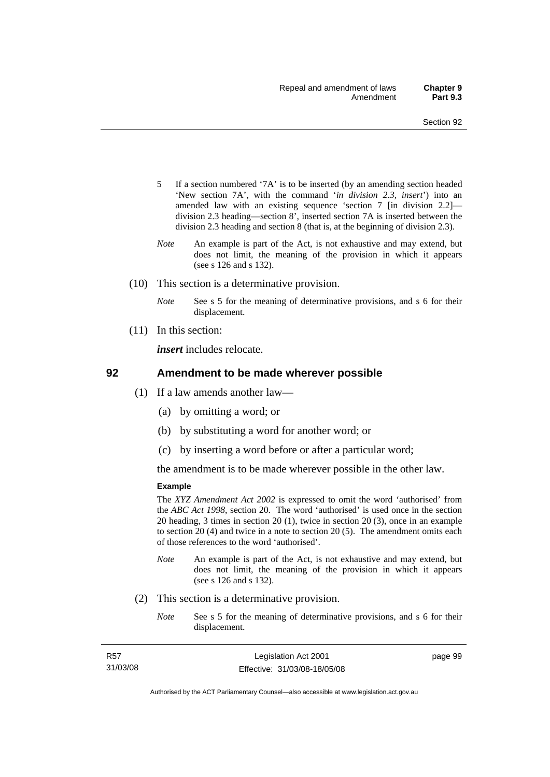- 5 If a section numbered '7A' is to be inserted (by an amending section headed 'New section 7A', with the command '*in division 2.3, insert*') into an amended law with an existing sequence 'section 7 [in division 2.2] division 2.3 heading—section 8', inserted section 7A is inserted between the division 2.3 heading and section 8 (that is, at the beginning of division 2.3).
- *Note* An example is part of the Act, is not exhaustive and may extend, but does not limit, the meaning of the provision in which it appears (see s 126 and s 132).
- (10) This section is a determinative provision.
	- *Note* See s 5 for the meaning of determinative provisions, and s 6 for their displacement.
- (11) In this section:

*insert* includes relocate.

#### **92 Amendment to be made wherever possible**

- (1) If a law amends another law—
	- (a) by omitting a word; or
	- (b) by substituting a word for another word; or
	- (c) by inserting a word before or after a particular word;

the amendment is to be made wherever possible in the other law.

#### **Example**

The *XYZ Amendment Act 2002* is expressed to omit the word 'authorised' from the *ABC Act 1998*, section 20. The word 'authorised' is used once in the section 20 heading, 3 times in section 20 (1), twice in section 20 (3), once in an example to section 20 (4) and twice in a note to section 20 (5). The amendment omits each of those references to the word 'authorised'.

- *Note* An example is part of the Act, is not exhaustive and may extend, but does not limit, the meaning of the provision in which it appears (see s 126 and s 132).
- (2) This section is a determinative provision.
	- *Note* See s 5 for the meaning of determinative provisions, and s 6 for their displacement.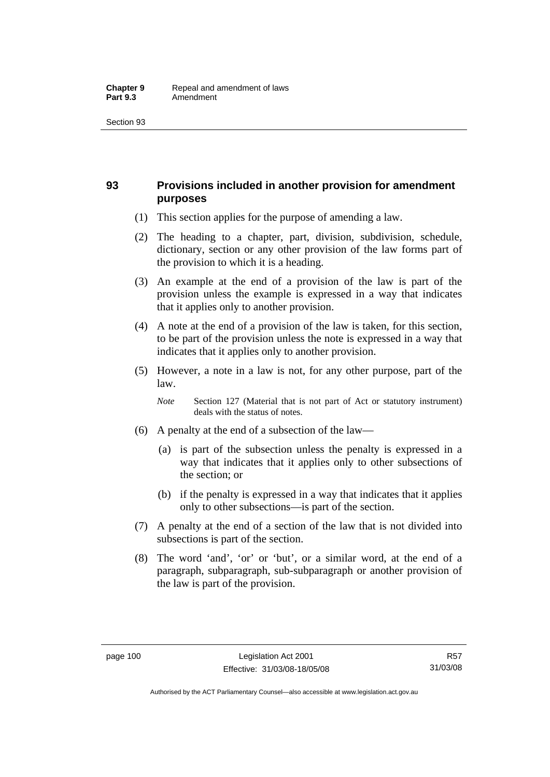## **93 Provisions included in another provision for amendment purposes**

- (1) This section applies for the purpose of amending a law.
- (2) The heading to a chapter, part, division, subdivision, schedule, dictionary, section or any other provision of the law forms part of the provision to which it is a heading.
- (3) An example at the end of a provision of the law is part of the provision unless the example is expressed in a way that indicates that it applies only to another provision.
- (4) A note at the end of a provision of the law is taken, for this section, to be part of the provision unless the note is expressed in a way that indicates that it applies only to another provision.
- (5) However, a note in a law is not, for any other purpose, part of the law.

*Note* Section 127 (Material that is not part of Act or statutory instrument) deals with the status of notes.

- (6) A penalty at the end of a subsection of the law—
	- (a) is part of the subsection unless the penalty is expressed in a way that indicates that it applies only to other subsections of the section; or
	- (b) if the penalty is expressed in a way that indicates that it applies only to other subsections—is part of the section.
- (7) A penalty at the end of a section of the law that is not divided into subsections is part of the section.
- (8) The word 'and', 'or' or 'but', or a similar word, at the end of a paragraph, subparagraph, sub-subparagraph or another provision of the law is part of the provision.

Authorised by the ACT Parliamentary Counsel—also accessible at www.legislation.act.gov.au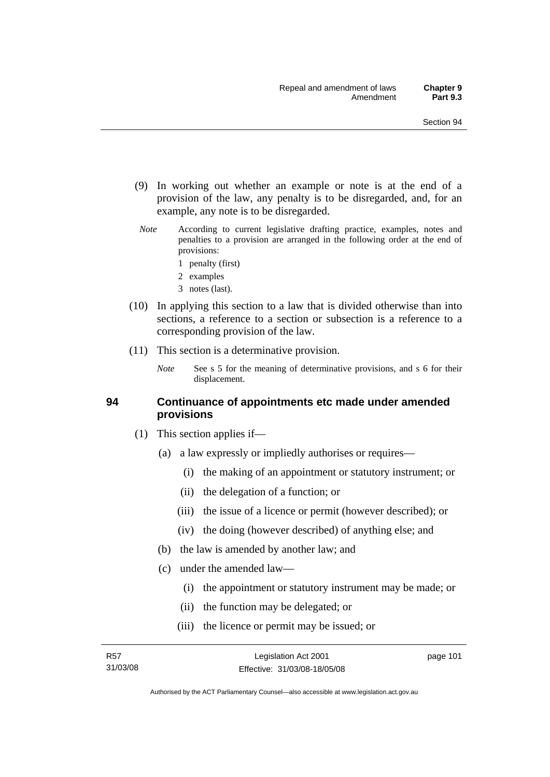- (9) In working out whether an example or note is at the end of a provision of the law, any penalty is to be disregarded, and, for an example, any note is to be disregarded.
- *Note* According to current legislative drafting practice, examples, notes and penalties to a provision are arranged in the following order at the end of provisions:
	- 1 penalty (first)
	- 2 examples
	- 3 notes (last).
- (10) In applying this section to a law that is divided otherwise than into sections, a reference to a section or subsection is a reference to a corresponding provision of the law.
- (11) This section is a determinative provision.
	- *Note* See s 5 for the meaning of determinative provisions, and s 6 for their displacement.

#### **94 Continuance of appointments etc made under amended provisions**

- (1) This section applies if—
	- (a) a law expressly or impliedly authorises or requires—
		- (i) the making of an appointment or statutory instrument; or
		- (ii) the delegation of a function; or
		- (iii) the issue of a licence or permit (however described); or
		- (iv) the doing (however described) of anything else; and
	- (b) the law is amended by another law; and
	- (c) under the amended law—
		- (i) the appointment or statutory instrument may be made; or
		- (ii) the function may be delegated; or
		- (iii) the licence or permit may be issued; or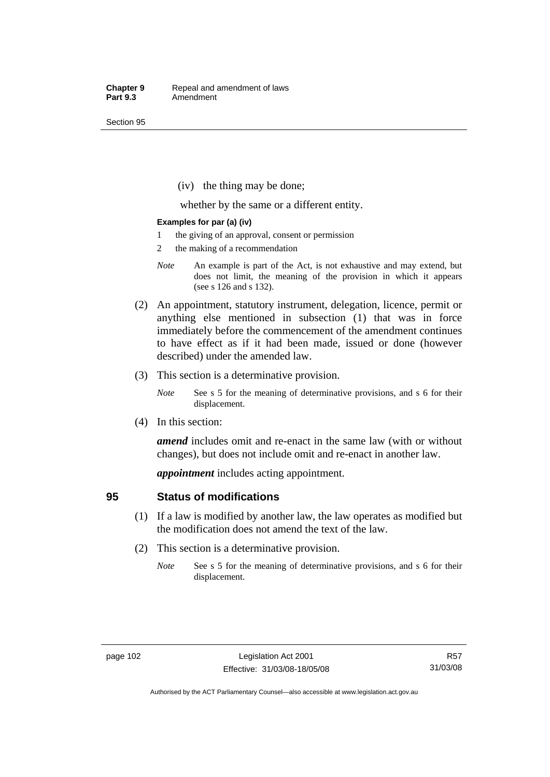(iv) the thing may be done;

whether by the same or a different entity.

#### **Examples for par (a) (iv)**

- 1 the giving of an approval, consent or permission
- 2 the making of a recommendation
- *Note* An example is part of the Act, is not exhaustive and may extend, but does not limit, the meaning of the provision in which it appears (see s 126 and s 132).
- (2) An appointment, statutory instrument, delegation, licence, permit or anything else mentioned in subsection (1) that was in force immediately before the commencement of the amendment continues to have effect as if it had been made, issued or done (however described) under the amended law.
- (3) This section is a determinative provision.
	- *Note* See s 5 for the meaning of determinative provisions, and s 6 for their displacement.
- (4) In this section:

*amend* includes omit and re-enact in the same law (with or without changes), but does not include omit and re-enact in another law.

*appointment* includes acting appointment.

#### **95 Status of modifications**

- (1) If a law is modified by another law, the law operates as modified but the modification does not amend the text of the law.
- (2) This section is a determinative provision.
	- *Note* See s 5 for the meaning of determinative provisions, and s 6 for their displacement.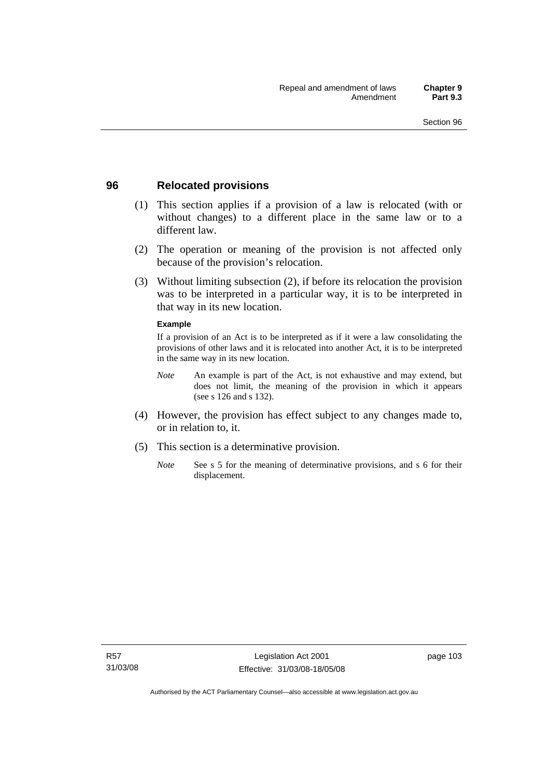### **96 Relocated provisions**

- (1) This section applies if a provision of a law is relocated (with or without changes) to a different place in the same law or to a different law.
- (2) The operation or meaning of the provision is not affected only because of the provision's relocation.
- (3) Without limiting subsection (2), if before its relocation the provision was to be interpreted in a particular way, it is to be interpreted in that way in its new location.

#### **Example**

If a provision of an Act is to be interpreted as if it were a law consolidating the provisions of other laws and it is relocated into another Act, it is to be interpreted in the same way in its new location.

- *Note* An example is part of the Act, is not exhaustive and may extend, but does not limit, the meaning of the provision in which it appears (see s 126 and s 132).
- (4) However, the provision has effect subject to any changes made to, or in relation to, it.
- (5) This section is a determinative provision.
	- *Note* See s 5 for the meaning of determinative provisions, and s 6 for their displacement.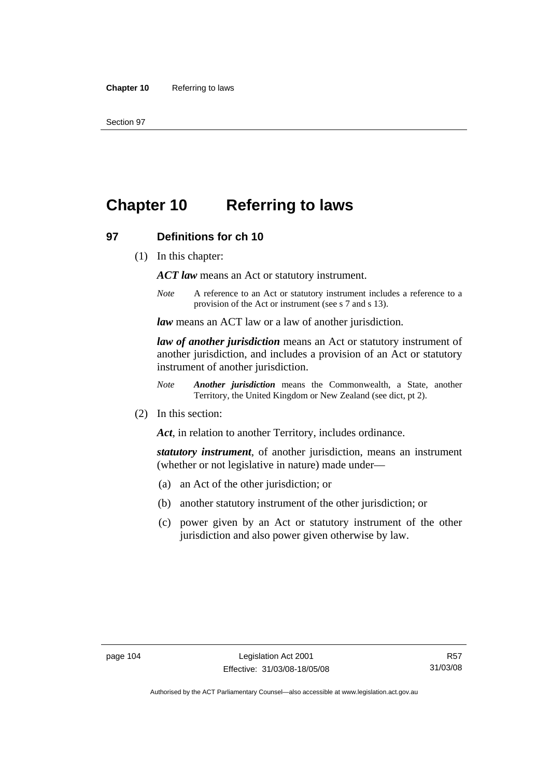# **Chapter 10 Referring to laws**

#### **97 Definitions for ch 10**

(1) In this chapter:

*ACT law* means an Act or statutory instrument.

*Note* A reference to an Act or statutory instrument includes a reference to a provision of the Act or instrument (see s 7 and s 13).

*law* means an ACT law or a law of another jurisdiction.

*law of another jurisdiction* means an Act or statutory instrument of another jurisdiction, and includes a provision of an Act or statutory instrument of another jurisdiction.

- *Note Another jurisdiction* means the Commonwealth, a State, another Territory, the United Kingdom or New Zealand (see dict, pt 2).
- (2) In this section:

*Act*, in relation to another Territory, includes ordinance.

*statutory instrument*, of another jurisdiction, means an instrument (whether or not legislative in nature) made under—

- (a) an Act of the other jurisdiction; or
- (b) another statutory instrument of the other jurisdiction; or
- (c) power given by an Act or statutory instrument of the other jurisdiction and also power given otherwise by law.

R57 31/03/08

Authorised by the ACT Parliamentary Counsel—also accessible at www.legislation.act.gov.au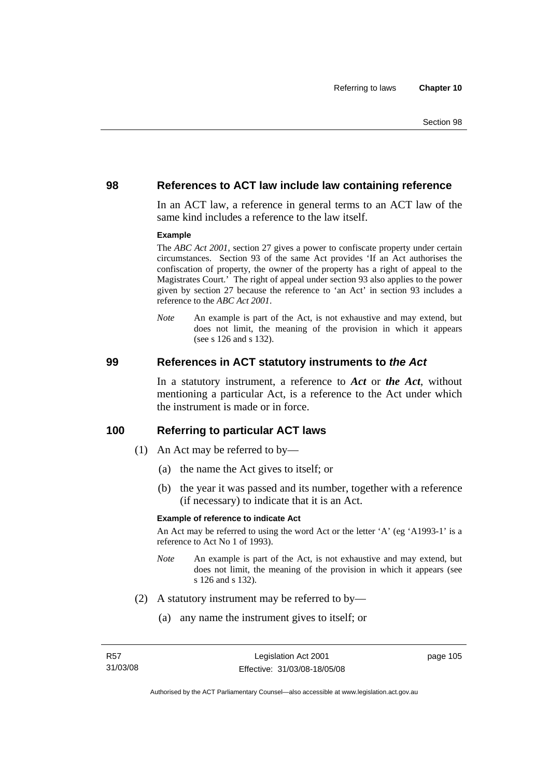#### **98 References to ACT law include law containing reference**

In an ACT law, a reference in general terms to an ACT law of the same kind includes a reference to the law itself.

#### **Example**

The *ABC Act 2001*, section 27 gives a power to confiscate property under certain circumstances. Section 93 of the same Act provides 'If an Act authorises the confiscation of property, the owner of the property has a right of appeal to the Magistrates Court.' The right of appeal under section 93 also applies to the power given by section 27 because the reference to 'an Act' in section 93 includes a reference to the *ABC Act 2001*.

*Note* An example is part of the Act, is not exhaustive and may extend, but does not limit, the meaning of the provision in which it appears (see s 126 and s 132).

#### **99 References in ACT statutory instruments to** *the Act*

In a statutory instrument, a reference to *Act* or *the Act*, without mentioning a particular Act, is a reference to the Act under which the instrument is made or in force.

#### **100 Referring to particular ACT laws**

- (1) An Act may be referred to by—
	- (a) the name the Act gives to itself; or
	- (b) the year it was passed and its number, together with a reference (if necessary) to indicate that it is an Act.

#### **Example of reference to indicate Act**

An Act may be referred to using the word Act or the letter 'A' (eg 'A1993-1' is a reference to Act No 1 of 1993).

- *Note* An example is part of the Act, is not exhaustive and may extend, but does not limit, the meaning of the provision in which it appears (see s 126 and s 132).
- (2) A statutory instrument may be referred to by—
	- (a) any name the instrument gives to itself; or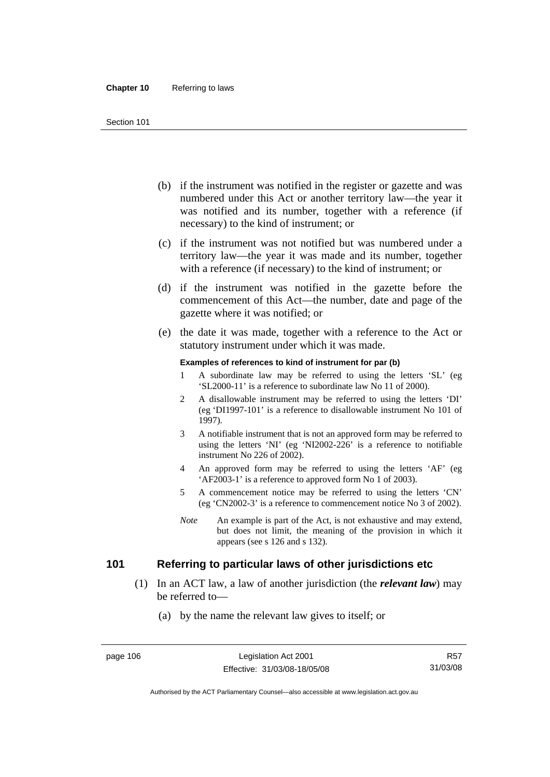- (b) if the instrument was notified in the register or gazette and was numbered under this Act or another territory law—the year it was notified and its number, together with a reference (if necessary) to the kind of instrument; or
- (c) if the instrument was not notified but was numbered under a territory law—the year it was made and its number, together with a reference (if necessary) to the kind of instrument; or
- (d) if the instrument was notified in the gazette before the commencement of this Act—the number, date and page of the gazette where it was notified; or
- (e) the date it was made, together with a reference to the Act or statutory instrument under which it was made.

#### **Examples of references to kind of instrument for par (b)**

- 1 A subordinate law may be referred to using the letters 'SL' (eg 'SL2000-11' is a reference to subordinate law No 11 of 2000).
- 2 A disallowable instrument may be referred to using the letters 'DI' (eg 'DI1997-101' is a reference to disallowable instrument No 101 of 1997).
- 3 A notifiable instrument that is not an approved form may be referred to using the letters 'NI' (eg 'NI2002-226' is a reference to notifiable instrument No 226 of 2002).
- 4 An approved form may be referred to using the letters 'AF' (eg 'AF2003-1' is a reference to approved form No 1 of 2003).
- 5 A commencement notice may be referred to using the letters 'CN' (eg 'CN2002-3' is a reference to commencement notice No 3 of 2002).
- *Note* An example is part of the Act, is not exhaustive and may extend, but does not limit, the meaning of the provision in which it appears (see s 126 and s 132).

## **101 Referring to particular laws of other jurisdictions etc**

- (1) In an ACT law, a law of another jurisdiction (the *relevant law*) may be referred to—
	- (a) by the name the relevant law gives to itself; or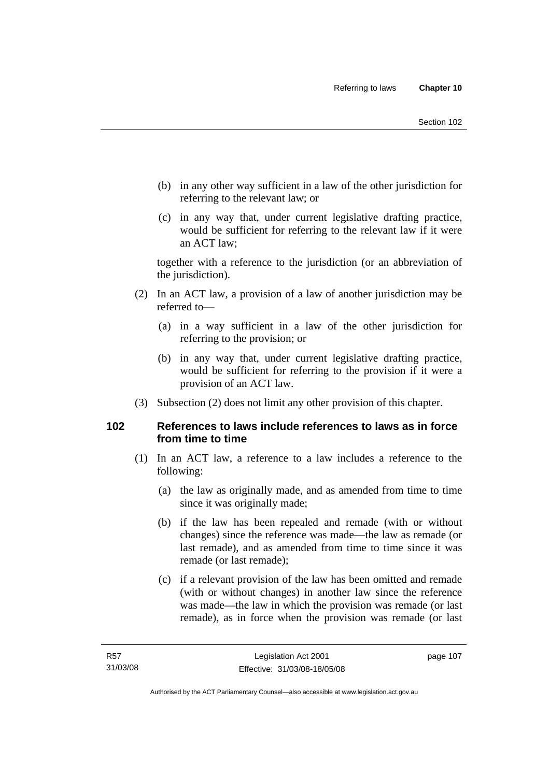- (b) in any other way sufficient in a law of the other jurisdiction for referring to the relevant law; or
- (c) in any way that, under current legislative drafting practice, would be sufficient for referring to the relevant law if it were an ACT law;

together with a reference to the jurisdiction (or an abbreviation of the jurisdiction).

- (2) In an ACT law, a provision of a law of another jurisdiction may be referred to—
	- (a) in a way sufficient in a law of the other jurisdiction for referring to the provision; or
	- (b) in any way that, under current legislative drafting practice, would be sufficient for referring to the provision if it were a provision of an ACT law.
- (3) Subsection (2) does not limit any other provision of this chapter.

## **102 References to laws include references to laws as in force from time to time**

- (1) In an ACT law, a reference to a law includes a reference to the following:
	- (a) the law as originally made, and as amended from time to time since it was originally made;
	- (b) if the law has been repealed and remade (with or without changes) since the reference was made—the law as remade (or last remade), and as amended from time to time since it was remade (or last remade);
	- (c) if a relevant provision of the law has been omitted and remade (with or without changes) in another law since the reference was made—the law in which the provision was remade (or last remade), as in force when the provision was remade (or last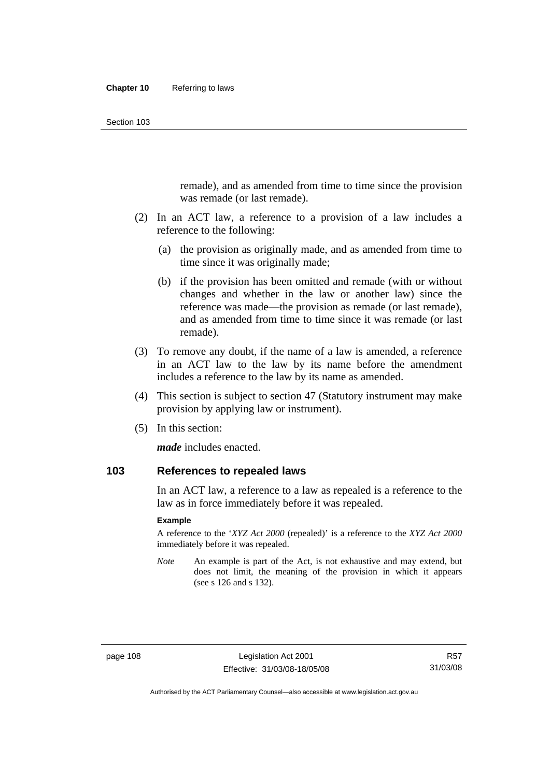remade), and as amended from time to time since the provision was remade (or last remade).

- (2) In an ACT law, a reference to a provision of a law includes a reference to the following:
	- (a) the provision as originally made, and as amended from time to time since it was originally made;
	- (b) if the provision has been omitted and remade (with or without changes and whether in the law or another law) since the reference was made—the provision as remade (or last remade), and as amended from time to time since it was remade (or last remade).
- (3) To remove any doubt, if the name of a law is amended, a reference in an ACT law to the law by its name before the amendment includes a reference to the law by its name as amended.
- (4) This section is subject to section 47 (Statutory instrument may make provision by applying law or instrument).
- (5) In this section:

*made* includes enacted.

## **103 References to repealed laws**

In an ACT law, a reference to a law as repealed is a reference to the law as in force immediately before it was repealed.

#### **Example**

A reference to the '*XYZ Act 2000* (repealed)' is a reference to the *XYZ Act 2000* immediately before it was repealed.

*Note* An example is part of the Act, is not exhaustive and may extend, but does not limit, the meaning of the provision in which it appears (see s 126 and s 132).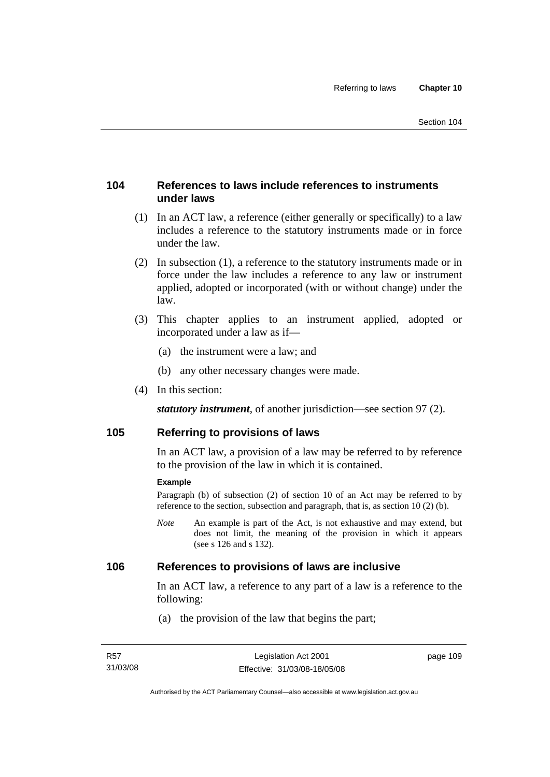## **104 References to laws include references to instruments under laws**

- (1) In an ACT law, a reference (either generally or specifically) to a law includes a reference to the statutory instruments made or in force under the law.
- (2) In subsection (1), a reference to the statutory instruments made or in force under the law includes a reference to any law or instrument applied, adopted or incorporated (with or without change) under the law.
- (3) This chapter applies to an instrument applied, adopted or incorporated under a law as if—
	- (a) the instrument were a law; and
	- (b) any other necessary changes were made.
- (4) In this section:

*statutory instrument*, of another jurisdiction—see section 97 (2).

## **105 Referring to provisions of laws**

In an ACT law, a provision of a law may be referred to by reference to the provision of the law in which it is contained.

#### **Example**

Paragraph (b) of subsection (2) of section 10 of an Act may be referred to by reference to the section, subsection and paragraph, that is, as section 10 (2) (b).

*Note* An example is part of the Act, is not exhaustive and may extend, but does not limit, the meaning of the provision in which it appears (see s 126 and s 132).

#### **106 References to provisions of laws are inclusive**

In an ACT law, a reference to any part of a law is a reference to the following:

(a) the provision of the law that begins the part;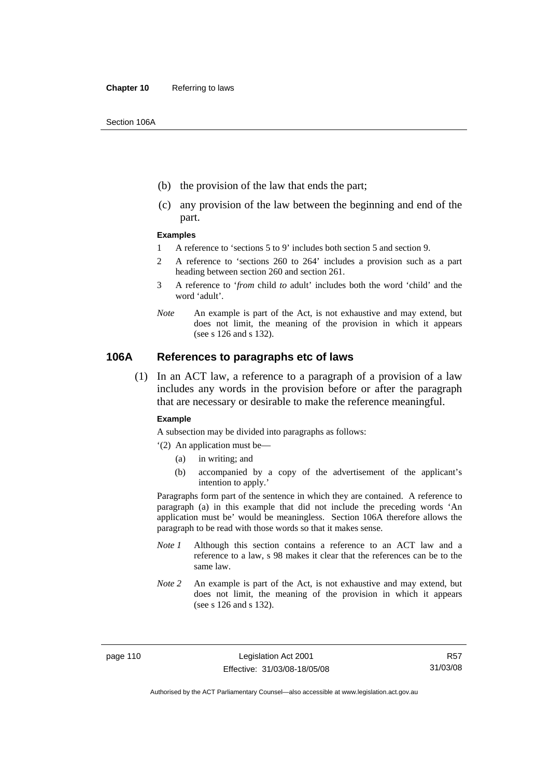- (b) the provision of the law that ends the part;
- (c) any provision of the law between the beginning and end of the part.

#### **Examples**

- 1 A reference to 'sections 5 to 9' includes both section 5 and section 9.
- 2 A reference to 'sections 260 to 264' includes a provision such as a part heading between section 260 and section 261.
- 3 A reference to '*from* child *to* adult' includes both the word 'child' and the word 'adult'.
- *Note* An example is part of the Act, is not exhaustive and may extend, but does not limit, the meaning of the provision in which it appears (see s 126 and s 132).

#### **106A References to paragraphs etc of laws**

 (1) In an ACT law, a reference to a paragraph of a provision of a law includes any words in the provision before or after the paragraph that are necessary or desirable to make the reference meaningful.

#### **Example**

A subsection may be divided into paragraphs as follows:

- '(2) An application must be—
	- (a) in writing; and
	- (b) accompanied by a copy of the advertisement of the applicant's intention to apply.'

Paragraphs form part of the sentence in which they are contained. A reference to paragraph (a) in this example that did not include the preceding words 'An application must be' would be meaningless. Section 106A therefore allows the paragraph to be read with those words so that it makes sense.

- *Note 1* Although this section contains a reference to an ACT law and a reference to a law, s 98 makes it clear that the references can be to the same law.
- *Note 2* An example is part of the Act, is not exhaustive and may extend, but does not limit, the meaning of the provision in which it appears (see s 126 and s 132).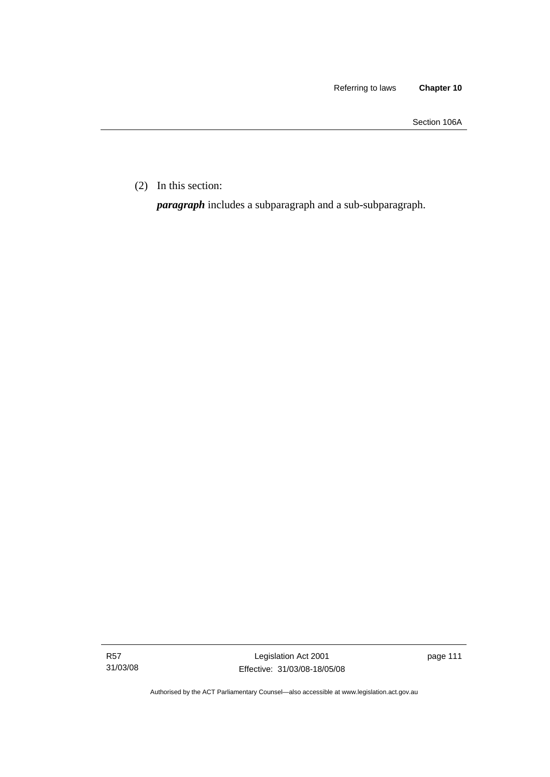Section 106A

(2) In this section:

*paragraph* includes a subparagraph and a sub-subparagraph.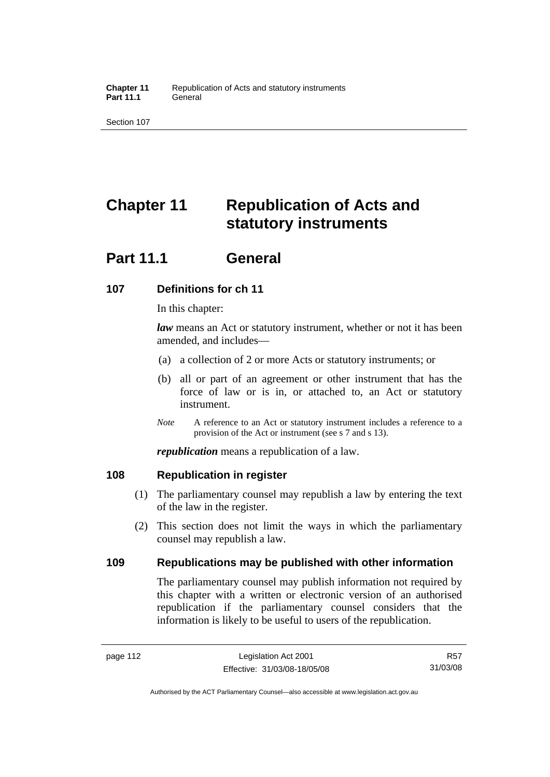# **Chapter 11 Republication of Acts and statutory instruments**

## **Part 11.1 General**

## **107 Definitions for ch 11**

In this chapter:

*law* means an Act or statutory instrument, whether or not it has been amended, and includes—

- (a) a collection of 2 or more Acts or statutory instruments; or
- (b) all or part of an agreement or other instrument that has the force of law or is in, or attached to, an Act or statutory instrument.
- *Note* A reference to an Act or statutory instrument includes a reference to a provision of the Act or instrument (see s 7 and s 13).

*republication* means a republication of a law.

## **108 Republication in register**

- (1) The parliamentary counsel may republish a law by entering the text of the law in the register.
- (2) This section does not limit the ways in which the parliamentary counsel may republish a law.

## **109 Republications may be published with other information**

The parliamentary counsel may publish information not required by this chapter with a written or electronic version of an authorised republication if the parliamentary counsel considers that the information is likely to be useful to users of the republication.

R57 31/03/08

Authorised by the ACT Parliamentary Counsel—also accessible at www.legislation.act.gov.au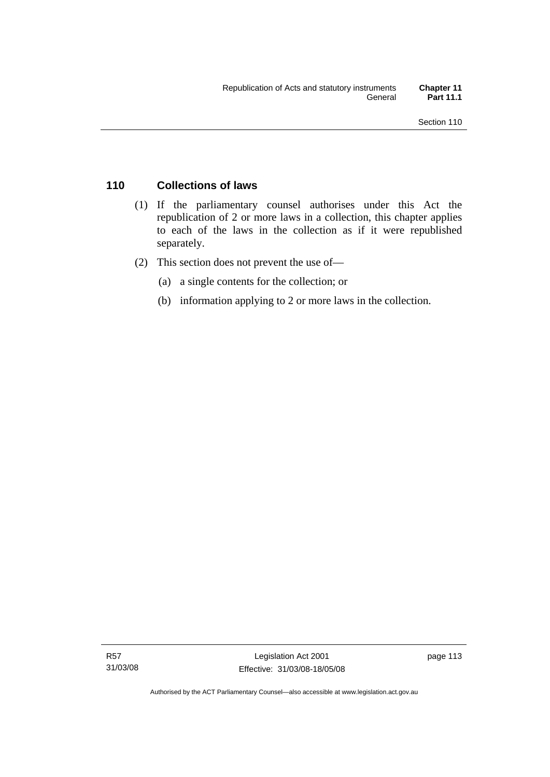## **110 Collections of laws**

- (1) If the parliamentary counsel authorises under this Act the republication of 2 or more laws in a collection, this chapter applies to each of the laws in the collection as if it were republished separately.
- (2) This section does not prevent the use of—
	- (a) a single contents for the collection; or
	- (b) information applying to 2 or more laws in the collection.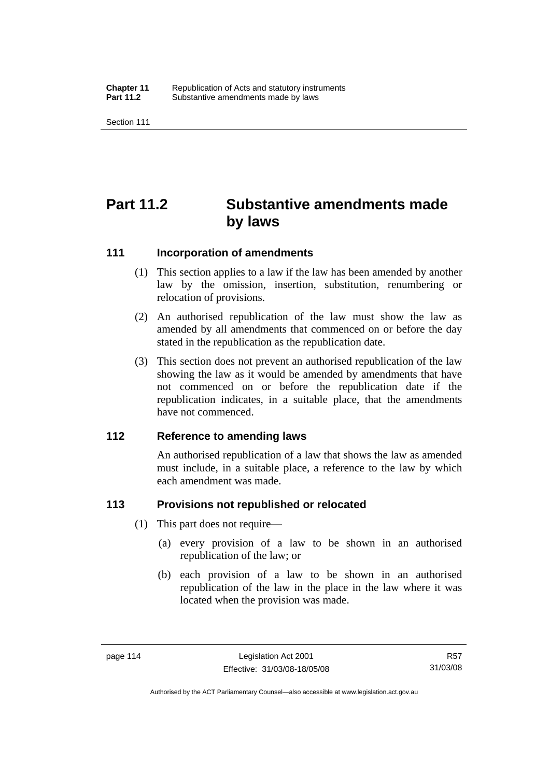# **Part 11.2 Substantive amendments made by laws**

#### **111 Incorporation of amendments**

- (1) This section applies to a law if the law has been amended by another law by the omission, insertion, substitution, renumbering or relocation of provisions.
- (2) An authorised republication of the law must show the law as amended by all amendments that commenced on or before the day stated in the republication as the republication date.
- (3) This section does not prevent an authorised republication of the law showing the law as it would be amended by amendments that have not commenced on or before the republication date if the republication indicates, in a suitable place, that the amendments have not commenced.

#### **112 Reference to amending laws**

An authorised republication of a law that shows the law as amended must include, in a suitable place, a reference to the law by which each amendment was made.

## **113 Provisions not republished or relocated**

- (1) This part does not require—
	- (a) every provision of a law to be shown in an authorised republication of the law; or
	- (b) each provision of a law to be shown in an authorised republication of the law in the place in the law where it was located when the provision was made.

R57 31/03/08

Authorised by the ACT Parliamentary Counsel—also accessible at www.legislation.act.gov.au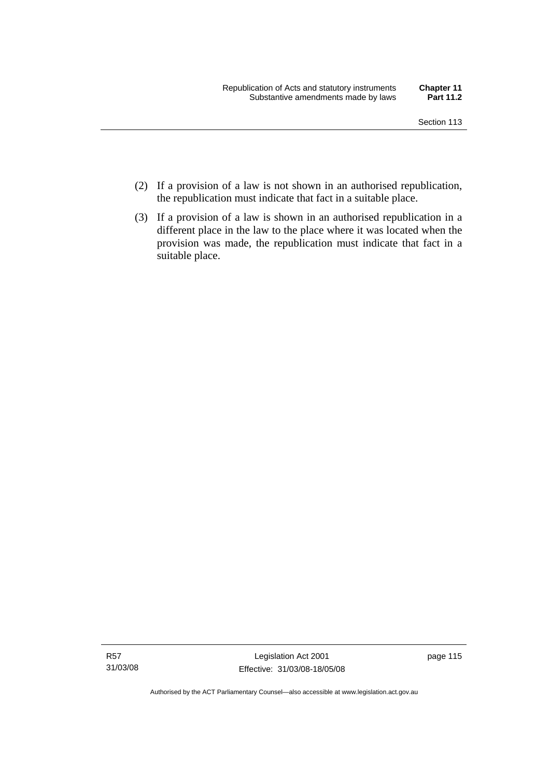- (2) If a provision of a law is not shown in an authorised republication, the republication must indicate that fact in a suitable place.
- (3) If a provision of a law is shown in an authorised republication in a different place in the law to the place where it was located when the provision was made, the republication must indicate that fact in a suitable place.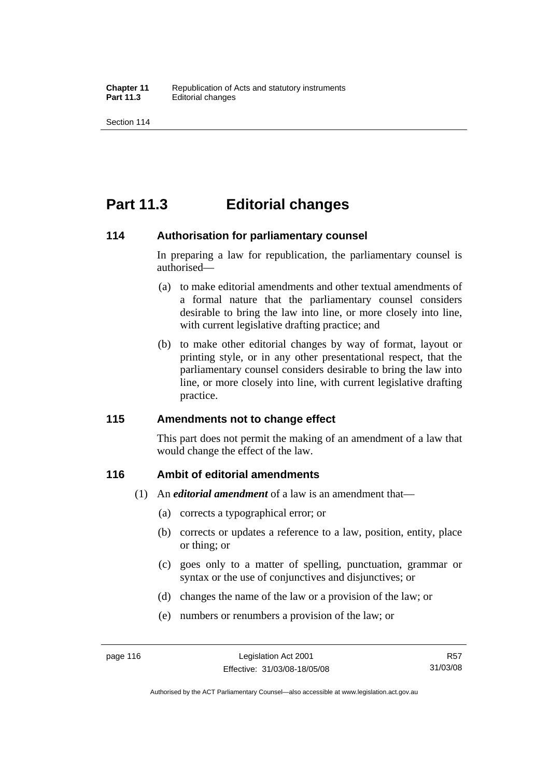## **Part 11.3 Editorial changes**

#### **114 Authorisation for parliamentary counsel**

In preparing a law for republication, the parliamentary counsel is authorised—

- (a) to make editorial amendments and other textual amendments of a formal nature that the parliamentary counsel considers desirable to bring the law into line, or more closely into line, with current legislative drafting practice; and
- (b) to make other editorial changes by way of format, layout or printing style, or in any other presentational respect, that the parliamentary counsel considers desirable to bring the law into line, or more closely into line, with current legislative drafting practice.

## **115 Amendments not to change effect**

This part does not permit the making of an amendment of a law that would change the effect of the law.

## **116 Ambit of editorial amendments**

- (1) An *editorial amendment* of a law is an amendment that—
	- (a) corrects a typographical error; or
	- (b) corrects or updates a reference to a law, position, entity, place or thing; or
	- (c) goes only to a matter of spelling, punctuation, grammar or syntax or the use of conjunctives and disjunctives; or
	- (d) changes the name of the law or a provision of the law; or
	- (e) numbers or renumbers a provision of the law; or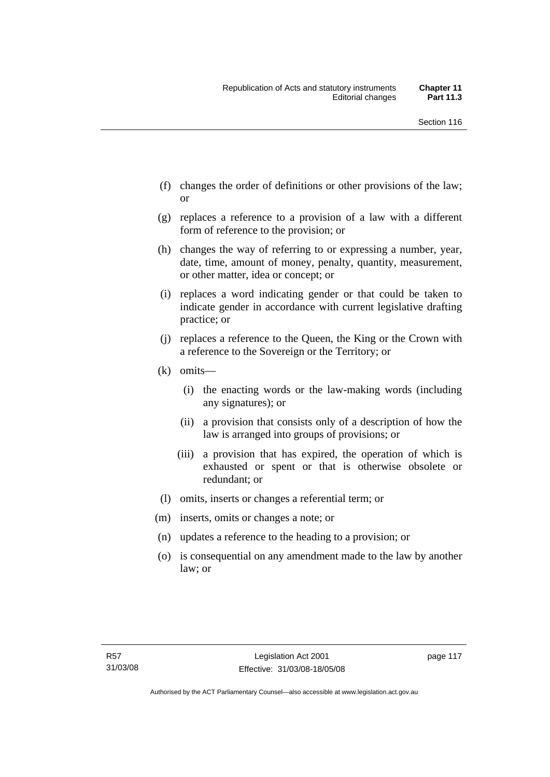- (f) changes the order of definitions or other provisions of the law; or
- (g) replaces a reference to a provision of a law with a different form of reference to the provision; or
- (h) changes the way of referring to or expressing a number, year, date, time, amount of money, penalty, quantity, measurement, or other matter, idea or concept; or
- (i) replaces a word indicating gender or that could be taken to indicate gender in accordance with current legislative drafting practice; or
- (j) replaces a reference to the Queen, the King or the Crown with a reference to the Sovereign or the Territory; or
- (k) omits—
	- (i) the enacting words or the law-making words (including any signatures); or
	- (ii) a provision that consists only of a description of how the law is arranged into groups of provisions; or
	- (iii) a provision that has expired, the operation of which is exhausted or spent or that is otherwise obsolete or redundant; or
- (l) omits, inserts or changes a referential term; or
- (m) inserts, omits or changes a note; or
- (n) updates a reference to the heading to a provision; or
- (o) is consequential on any amendment made to the law by another law; or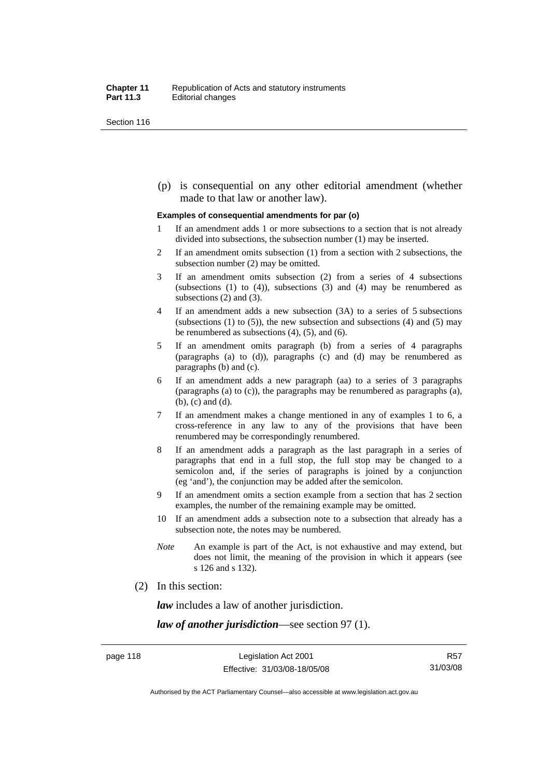(p) is consequential on any other editorial amendment (whether made to that law or another law).

#### **Examples of consequential amendments for par (o)**

- 1 If an amendment adds 1 or more subsections to a section that is not already divided into subsections, the subsection number (1) may be inserted.
- 2 If an amendment omits subsection (1) from a section with 2 subsections, the subsection number (2) may be omitted.
- 3 If an amendment omits subsection (2) from a series of 4 subsections (subsections  $(1)$  to  $(4)$ ), subsections  $(3)$  and  $(4)$  may be renumbered as subsections (2) and (3).
- 4 If an amendment adds a new subsection (3A) to a series of 5 subsections (subsections  $(1)$  to  $(5)$ ), the new subsection and subsections  $(4)$  and  $(5)$  may be renumbered as subsections (4), (5), and (6).
- 5 If an amendment omits paragraph (b) from a series of 4 paragraphs (paragraphs (a) to (d)), paragraphs (c) and (d) may be renumbered as paragraphs (b) and (c).
- 6 If an amendment adds a new paragraph (aa) to a series of 3 paragraphs (paragraphs (a) to (c)), the paragraphs may be renumbered as paragraphs (a), (b), (c) and (d).
- 7 If an amendment makes a change mentioned in any of examples 1 to 6, a cross-reference in any law to any of the provisions that have been renumbered may be correspondingly renumbered.
- 8 If an amendment adds a paragraph as the last paragraph in a series of paragraphs that end in a full stop, the full stop may be changed to a semicolon and, if the series of paragraphs is joined by a conjunction (eg 'and'), the conjunction may be added after the semicolon.
- 9 If an amendment omits a section example from a section that has 2 section examples, the number of the remaining example may be omitted.
- 10 If an amendment adds a subsection note to a subsection that already has a subsection note, the notes may be numbered.
- *Note* An example is part of the Act, is not exhaustive and may extend, but does not limit, the meaning of the provision in which it appears (see s 126 and s 132).
- (2) In this section:

*law* includes a law of another jurisdiction.

*law of another jurisdiction*—see section 97 (1).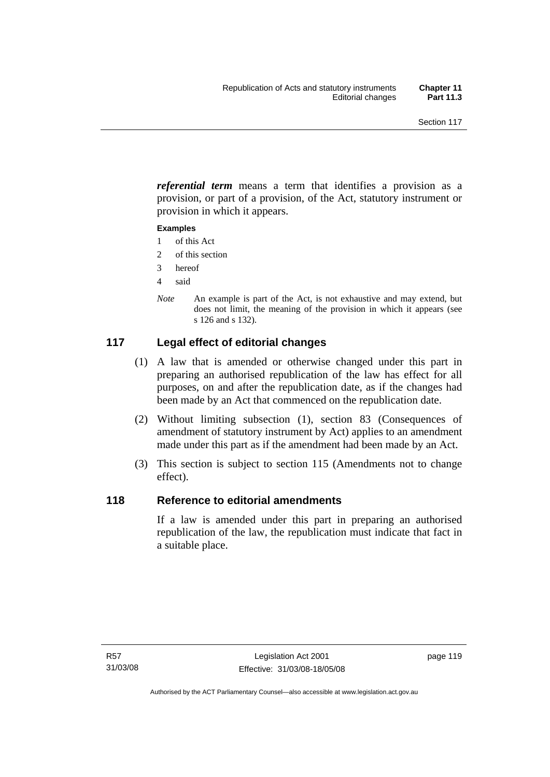*referential term* means a term that identifies a provision as a provision, or part of a provision, of the Act, statutory instrument or provision in which it appears.

#### **Examples**

- 1 of this Act
- 2 of this section
- 3 hereof
- 4 said
- *Note* An example is part of the Act, is not exhaustive and may extend, but does not limit, the meaning of the provision in which it appears (see s 126 and s 132).

## **117 Legal effect of editorial changes**

- (1) A law that is amended or otherwise changed under this part in preparing an authorised republication of the law has effect for all purposes, on and after the republication date, as if the changes had been made by an Act that commenced on the republication date.
- (2) Without limiting subsection (1), section 83 (Consequences of amendment of statutory instrument by Act) applies to an amendment made under this part as if the amendment had been made by an Act.
- (3) This section is subject to section 115 (Amendments not to change effect).

## **118 Reference to editorial amendments**

If a law is amended under this part in preparing an authorised republication of the law, the republication must indicate that fact in a suitable place.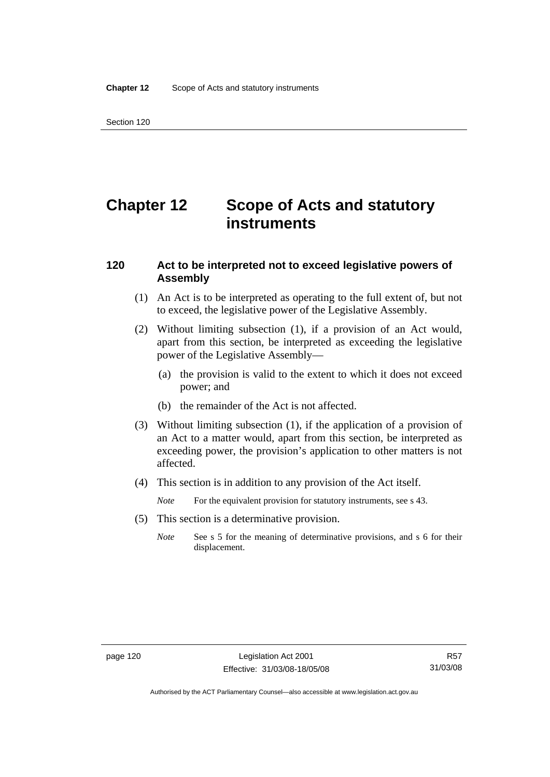# **Chapter 12 Scope of Acts and statutory instruments**

### **120 Act to be interpreted not to exceed legislative powers of Assembly**

- (1) An Act is to be interpreted as operating to the full extent of, but not to exceed, the legislative power of the Legislative Assembly.
- (2) Without limiting subsection (1), if a provision of an Act would, apart from this section, be interpreted as exceeding the legislative power of the Legislative Assembly—
	- (a) the provision is valid to the extent to which it does not exceed power; and
	- (b) the remainder of the Act is not affected.
- (3) Without limiting subsection (1), if the application of a provision of an Act to a matter would, apart from this section, be interpreted as exceeding power, the provision's application to other matters is not affected.
- (4) This section is in addition to any provision of the Act itself.
	- *Note* For the equivalent provision for statutory instruments, see s 43.
- (5) This section is a determinative provision.
	- *Note* See s 5 for the meaning of determinative provisions, and s 6 for their displacement.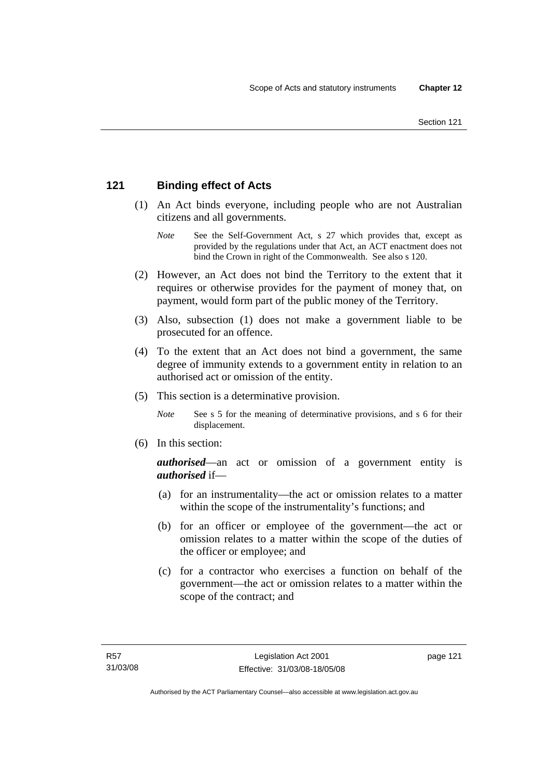## **121 Binding effect of Acts**

- (1) An Act binds everyone, including people who are not Australian citizens and all governments.
	- *Note* See the Self-Government Act, s 27 which provides that, except as provided by the regulations under that Act, an ACT enactment does not bind the Crown in right of the Commonwealth. See also s 120.
- (2) However, an Act does not bind the Territory to the extent that it requires or otherwise provides for the payment of money that, on payment, would form part of the public money of the Territory.
- (3) Also, subsection (1) does not make a government liable to be prosecuted for an offence.
- (4) To the extent that an Act does not bind a government, the same degree of immunity extends to a government entity in relation to an authorised act or omission of the entity.
- (5) This section is a determinative provision.
	- *Note* See s 5 for the meaning of determinative provisions, and s 6 for their displacement.
- (6) In this section:

*authorised*—an act or omission of a government entity is *authorised* if—

- (a) for an instrumentality—the act or omission relates to a matter within the scope of the instrumentality's functions; and
- (b) for an officer or employee of the government—the act or omission relates to a matter within the scope of the duties of the officer or employee; and
- (c) for a contractor who exercises a function on behalf of the government—the act or omission relates to a matter within the scope of the contract; and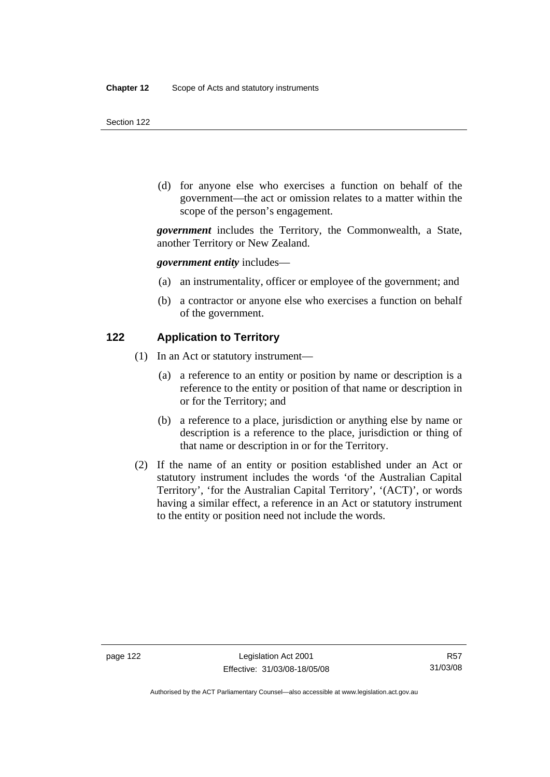(d) for anyone else who exercises a function on behalf of the government—the act or omission relates to a matter within the scope of the person's engagement.

*government* includes the Territory, the Commonwealth, a State, another Territory or New Zealand.

*government entity* includes—

- (a) an instrumentality, officer or employee of the government; and
- (b) a contractor or anyone else who exercises a function on behalf of the government.

#### **122 Application to Territory**

- (1) In an Act or statutory instrument—
	- (a) a reference to an entity or position by name or description is a reference to the entity or position of that name or description in or for the Territory; and
	- (b) a reference to a place, jurisdiction or anything else by name or description is a reference to the place, jurisdiction or thing of that name or description in or for the Territory.
- (2) If the name of an entity or position established under an Act or statutory instrument includes the words 'of the Australian Capital Territory', 'for the Australian Capital Territory', '(ACT)', or words having a similar effect, a reference in an Act or statutory instrument to the entity or position need not include the words.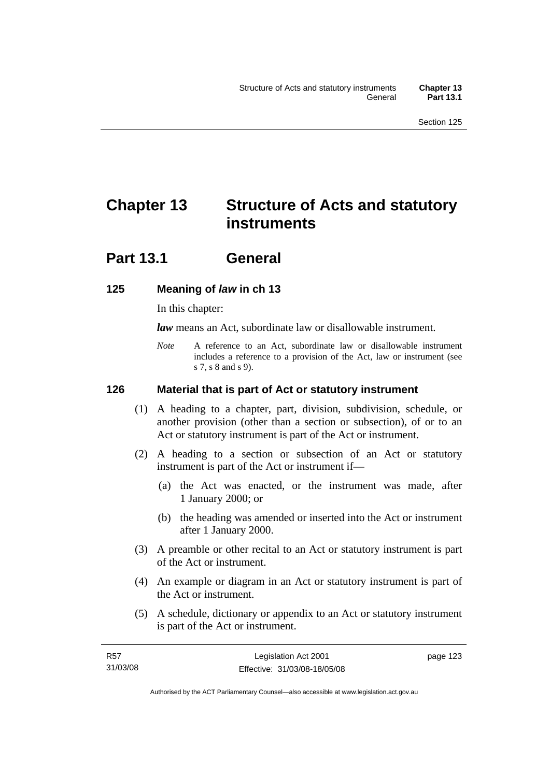# **Chapter 13 Structure of Acts and statutory instruments**

## **Part 13.1 General**

## **125 Meaning of** *law* **in ch 13**

In this chapter:

*law* means an Act, subordinate law or disallowable instrument.

*Note* A reference to an Act, subordinate law or disallowable instrument includes a reference to a provision of the Act, law or instrument (see s 7, s 8 and s 9).

## **126 Material that is part of Act or statutory instrument**

- (1) A heading to a chapter, part, division, subdivision, schedule, or another provision (other than a section or subsection), of or to an Act or statutory instrument is part of the Act or instrument.
- (2) A heading to a section or subsection of an Act or statutory instrument is part of the Act or instrument if—
	- (a) the Act was enacted, or the instrument was made, after 1 January 2000; or
	- (b) the heading was amended or inserted into the Act or instrument after 1 January 2000.
- (3) A preamble or other recital to an Act or statutory instrument is part of the Act or instrument.
- (4) An example or diagram in an Act or statutory instrument is part of the Act or instrument.
- (5) A schedule, dictionary or appendix to an Act or statutory instrument is part of the Act or instrument.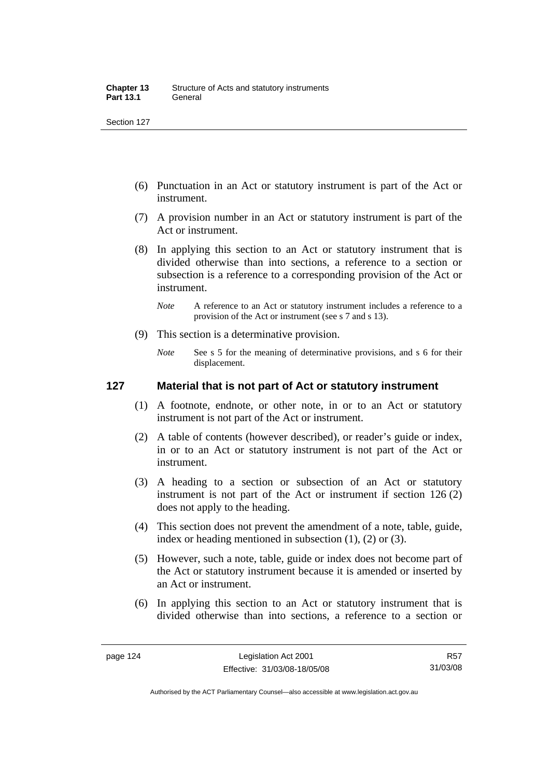- (6) Punctuation in an Act or statutory instrument is part of the Act or instrument.
- (7) A provision number in an Act or statutory instrument is part of the Act or instrument.
- (8) In applying this section to an Act or statutory instrument that is divided otherwise than into sections, a reference to a section or subsection is a reference to a corresponding provision of the Act or instrument.
	- *Note* A reference to an Act or statutory instrument includes a reference to a provision of the Act or instrument (see s 7 and s 13).
- (9) This section is a determinative provision.
	- *Note* See s 5 for the meaning of determinative provisions, and s 6 for their displacement.

### **127 Material that is not part of Act or statutory instrument**

- (1) A footnote, endnote, or other note, in or to an Act or statutory instrument is not part of the Act or instrument.
- (2) A table of contents (however described), or reader's guide or index, in or to an Act or statutory instrument is not part of the Act or instrument.
- (3) A heading to a section or subsection of an Act or statutory instrument is not part of the Act or instrument if section 126 (2) does not apply to the heading.
- (4) This section does not prevent the amendment of a note, table, guide, index or heading mentioned in subsection (1), (2) or (3).
- (5) However, such a note, table, guide or index does not become part of the Act or statutory instrument because it is amended or inserted by an Act or instrument.
- (6) In applying this section to an Act or statutory instrument that is divided otherwise than into sections, a reference to a section or

R57 31/03/08

Authorised by the ACT Parliamentary Counsel—also accessible at www.legislation.act.gov.au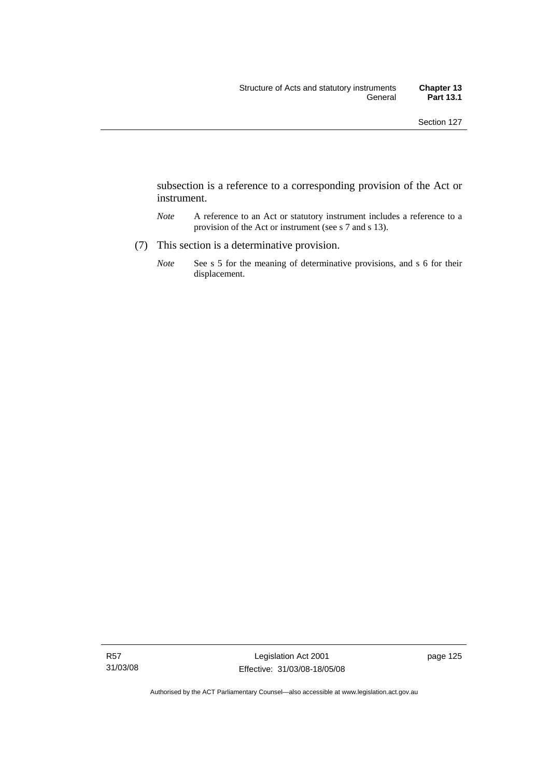subsection is a reference to a corresponding provision of the Act or instrument.

- *Note* A reference to an Act or statutory instrument includes a reference to a provision of the Act or instrument (see s 7 and s 13).
- (7) This section is a determinative provision.
	- *Note* See s 5 for the meaning of determinative provisions, and s 6 for their displacement.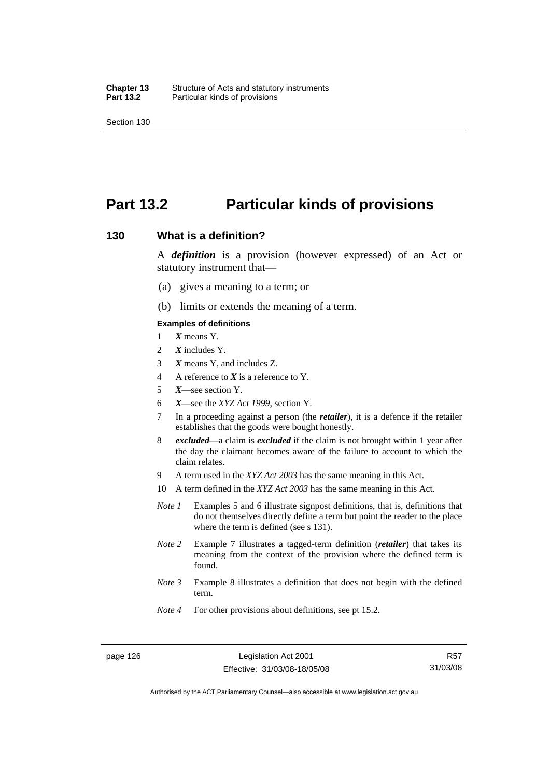## **Part 13.2 Particular kinds of provisions**

#### **130 What is a definition?**

A *definition* is a provision (however expressed) of an Act or statutory instrument that—

- (a) gives a meaning to a term; or
- (b) limits or extends the meaning of a term.

#### **Examples of definitions**

- 1 *X* means Y.
- 2 *X* includes Y.
- 3 *X* means Y, and includes Z.
- 4 A reference to *X* is a reference to Y.
- 5 *X*—see section Y.
- 6 *X*—see the *XYZ Act 1999*, section Y.
- 7 In a proceeding against a person (the *retailer*), it is a defence if the retailer establishes that the goods were bought honestly.
- 8 *excluded*—a claim is *excluded* if the claim is not brought within 1 year after the day the claimant becomes aware of the failure to account to which the claim relates.
- 9 A term used in the *XYZ Act 2003* has the same meaning in this Act.
- 10 A term defined in the *XYZ Act 2003* has the same meaning in this Act.
- *Note 1* Examples 5 and 6 illustrate signpost definitions, that is, definitions that do not themselves directly define a term but point the reader to the place where the term is defined (see s 131).
- *Note 2* Example 7 illustrates a tagged-term definition (*retailer*) that takes its meaning from the context of the provision where the defined term is found.
- *Note 3* Example 8 illustrates a definition that does not begin with the defined term.
- *Note 4* For other provisions about definitions, see pt 15.2.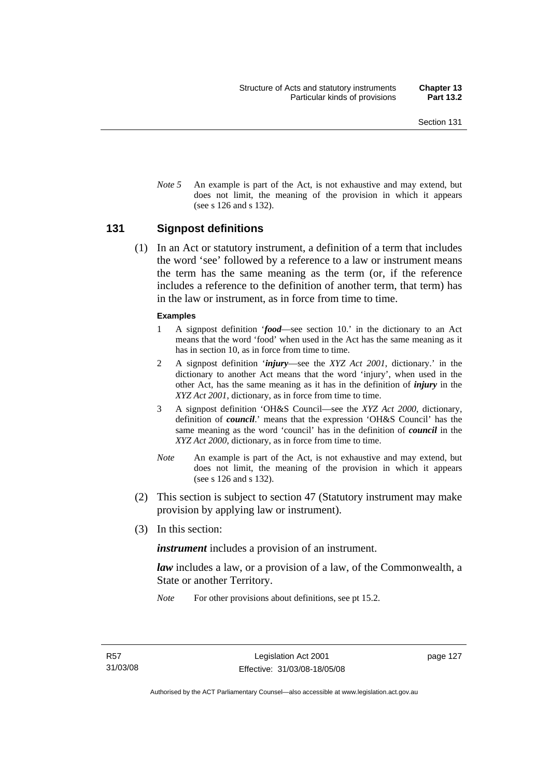*Note* 5 An example is part of the Act, is not exhaustive and may extend, but does not limit, the meaning of the provision in which it appears (see s 126 and s 132).

#### **131 Signpost definitions**

 (1) In an Act or statutory instrument, a definition of a term that includes the word 'see' followed by a reference to a law or instrument means the term has the same meaning as the term (or, if the reference includes a reference to the definition of another term, that term) has in the law or instrument, as in force from time to time.

#### **Examples**

- 1 A signpost definition '*food*—see section 10.' in the dictionary to an Act means that the word 'food' when used in the Act has the same meaning as it has in section 10, as in force from time to time.
- 2 A signpost definition '*injury*—see the *XYZ Act 2001*, dictionary.' in the dictionary to another Act means that the word 'injury', when used in the other Act, has the same meaning as it has in the definition of *injury* in the *XYZ Act 2001*, dictionary, as in force from time to time.
- 3 A signpost definition 'OH&S Council—see the *XYZ Act 2000*, dictionary, definition of *council*.' means that the expression 'OH&S Council' has the same meaning as the word 'council' has in the definition of *council* in the *XYZ Act 2000*, dictionary, as in force from time to time.
- *Note* An example is part of the Act, is not exhaustive and may extend, but does not limit, the meaning of the provision in which it appears (see s 126 and s 132).
- (2) This section is subject to section 47 (Statutory instrument may make provision by applying law or instrument).
- (3) In this section:

*instrument* includes a provision of an instrument.

*law* includes a law, or a provision of a law, of the Commonwealth, a State or another Territory.

*Note* For other provisions about definitions, see pt 15.2.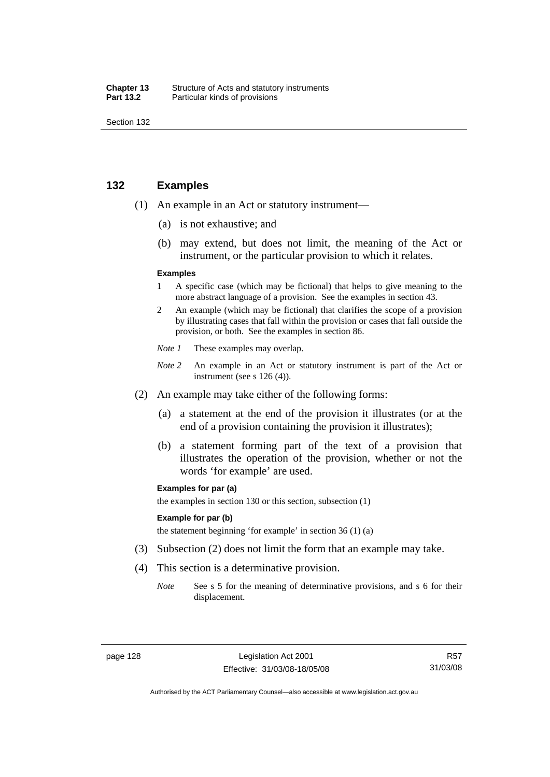| Chapter 13       | Structure of Acts and statutory instruments |
|------------------|---------------------------------------------|
| <b>Part 13.2</b> | Particular kinds of provisions              |

### **132 Examples**

- (1) An example in an Act or statutory instrument—
	- (a) is not exhaustive; and
	- (b) may extend, but does not limit, the meaning of the Act or instrument, or the particular provision to which it relates.

#### **Examples**

- 1 A specific case (which may be fictional) that helps to give meaning to the more abstract language of a provision. See the examples in section 43.
- 2 An example (which may be fictional) that clarifies the scope of a provision by illustrating cases that fall within the provision or cases that fall outside the provision, or both. See the examples in section 86.
- *Note 1* These examples may overlap.
- *Note* 2 An example in an Act or statutory instrument is part of the Act or instrument (see s 126 (4)).
- (2) An example may take either of the following forms:
	- (a) a statement at the end of the provision it illustrates (or at the end of a provision containing the provision it illustrates);
	- (b) a statement forming part of the text of a provision that illustrates the operation of the provision, whether or not the words 'for example' are used.

#### **Examples for par (a)**

the examples in section 130 or this section, subsection (1)

#### **Example for par (b)**

the statement beginning 'for example' in section 36 (1) (a)

- (3) Subsection (2) does not limit the form that an example may take.
- (4) This section is a determinative provision.
	- *Note* See s 5 for the meaning of determinative provisions, and s 6 for their displacement.

Authorised by the ACT Parliamentary Counsel—also accessible at www.legislation.act.gov.au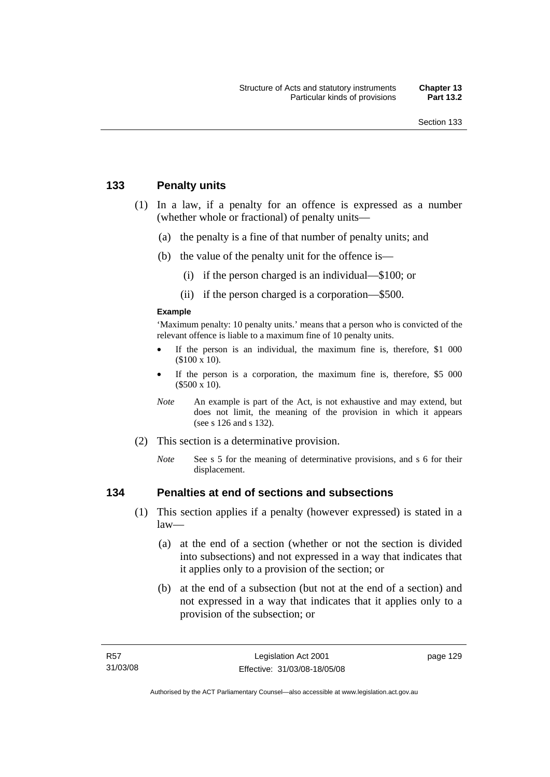## **133 Penalty units**

- (1) In a law, if a penalty for an offence is expressed as a number (whether whole or fractional) of penalty units—
	- (a) the penalty is a fine of that number of penalty units; and
	- (b) the value of the penalty unit for the offence is—
		- (i) if the person charged is an individual—\$100; or
		- (ii) if the person charged is a corporation—\$500.

#### **Example**

'Maximum penalty: 10 penalty units.' means that a person who is convicted of the relevant offence is liable to a maximum fine of 10 penalty units.

- If the person is an individual, the maximum fine is, therefore, \$1 000 (\$100 x 10).
- If the person is a corporation, the maximum fine is, therefore, \$5 000 (\$500 x 10).
- *Note* An example is part of the Act, is not exhaustive and may extend, but does not limit, the meaning of the provision in which it appears (see s 126 and s 132).
- (2) This section is a determinative provision.
	- *Note* See s 5 for the meaning of determinative provisions, and s 6 for their displacement.

## **134 Penalties at end of sections and subsections**

- (1) This section applies if a penalty (however expressed) is stated in a  $law$ —
	- (a) at the end of a section (whether or not the section is divided into subsections) and not expressed in a way that indicates that it applies only to a provision of the section; or
	- (b) at the end of a subsection (but not at the end of a section) and not expressed in a way that indicates that it applies only to a provision of the subsection; or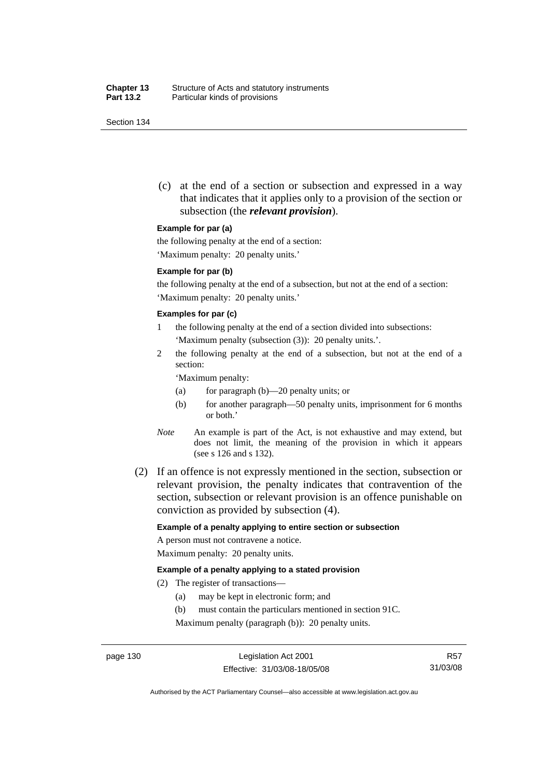(c) at the end of a section or subsection and expressed in a way that indicates that it applies only to a provision of the section or subsection (the *relevant provision*).

#### **Example for par (a)**

the following penalty at the end of a section:

'Maximum penalty: 20 penalty units.'

#### **Example for par (b)**

the following penalty at the end of a subsection, but not at the end of a section: 'Maximum penalty: 20 penalty units.'

#### **Examples for par (c)**

- 1 the following penalty at the end of a section divided into subsections: 'Maximum penalty (subsection (3)): 20 penalty units.'.
- 2 the following penalty at the end of a subsection, but not at the end of a section:

'Maximum penalty:

- (a) for paragraph (b)—20 penalty units; or
- (b) for another paragraph—50 penalty units, imprisonment for 6 months or both.'
- *Note* An example is part of the Act, is not exhaustive and may extend, but does not limit, the meaning of the provision in which it appears (see s 126 and s 132).
- (2) If an offence is not expressly mentioned in the section, subsection or relevant provision, the penalty indicates that contravention of the section, subsection or relevant provision is an offence punishable on conviction as provided by subsection (4).

#### **Example of a penalty applying to entire section or subsection**

A person must not contravene a notice. Maximum penalty: 20 penalty units.

#### **Example of a penalty applying to a stated provision**

- (2) The register of transactions—
	- (a) may be kept in electronic form; and
	- (b) must contain the particulars mentioned in section 91C.

Maximum penalty (paragraph (b)): 20 penalty units.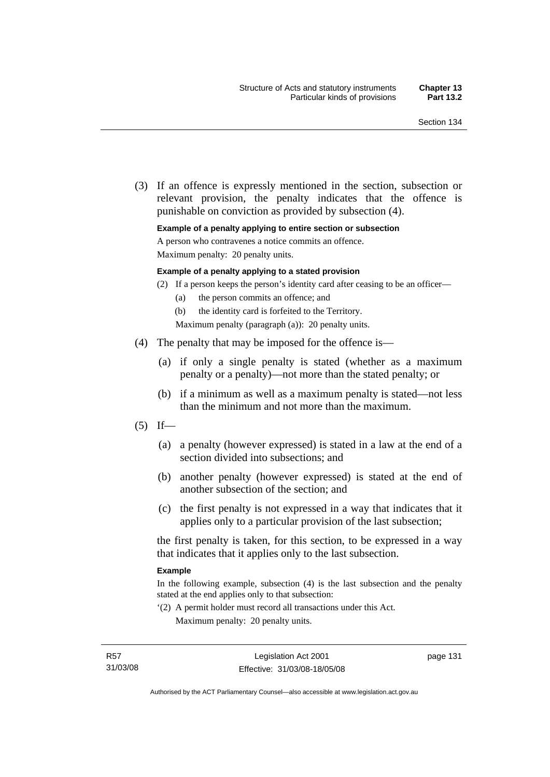(3) If an offence is expressly mentioned in the section, subsection or relevant provision, the penalty indicates that the offence is punishable on conviction as provided by subsection (4).

#### **Example of a penalty applying to entire section or subsection**

A person who contravenes a notice commits an offence.

Maximum penalty: 20 penalty units.

#### **Example of a penalty applying to a stated provision**

- (2) If a person keeps the person's identity card after ceasing to be an officer—
	- (a) the person commits an offence; and
	- (b) the identity card is forfeited to the Territory.

Maximum penalty (paragraph (a)): 20 penalty units.

- (4) The penalty that may be imposed for the offence is—
	- (a) if only a single penalty is stated (whether as a maximum penalty or a penalty)—not more than the stated penalty; or
	- (b) if a minimum as well as a maximum penalty is stated—not less than the minimum and not more than the maximum.
- $(5)$  If—
	- (a) a penalty (however expressed) is stated in a law at the end of a section divided into subsections; and
	- (b) another penalty (however expressed) is stated at the end of another subsection of the section; and
	- (c) the first penalty is not expressed in a way that indicates that it applies only to a particular provision of the last subsection;

the first penalty is taken, for this section, to be expressed in a way that indicates that it applies only to the last subsection.

#### **Example**

In the following example, subsection (4) is the last subsection and the penalty stated at the end applies only to that subsection:

'(2) A permit holder must record all transactions under this Act. Maximum penalty: 20 penalty units.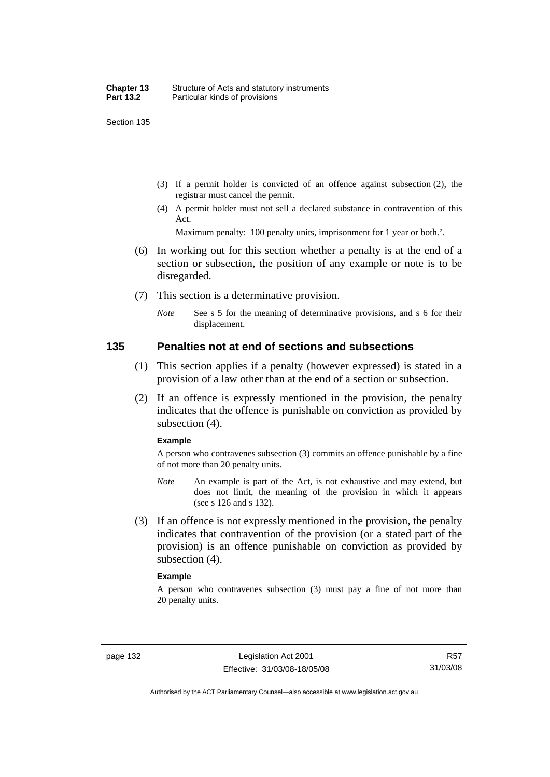- (3) If a permit holder is convicted of an offence against subsection (2), the registrar must cancel the permit.
- (4) A permit holder must not sell a declared substance in contravention of this Act.

Maximum penalty: 100 penalty units, imprisonment for 1 year or both.'.

- (6) In working out for this section whether a penalty is at the end of a section or subsection, the position of any example or note is to be disregarded.
- (7) This section is a determinative provision.
	- *Note* See s 5 for the meaning of determinative provisions, and s 6 for their displacement.

#### **135 Penalties not at end of sections and subsections**

- (1) This section applies if a penalty (however expressed) is stated in a provision of a law other than at the end of a section or subsection.
- (2) If an offence is expressly mentioned in the provision, the penalty indicates that the offence is punishable on conviction as provided by subsection (4).

#### **Example**

A person who contravenes subsection (3) commits an offence punishable by a fine of not more than 20 penalty units.

- *Note* An example is part of the Act, is not exhaustive and may extend, but does not limit, the meaning of the provision in which it appears (see s 126 and s 132).
- (3) If an offence is not expressly mentioned in the provision, the penalty indicates that contravention of the provision (or a stated part of the provision) is an offence punishable on conviction as provided by subsection (4).

#### **Example**

A person who contravenes subsection (3) must pay a fine of not more than 20 penalty units.

Authorised by the ACT Parliamentary Counsel—also accessible at www.legislation.act.gov.au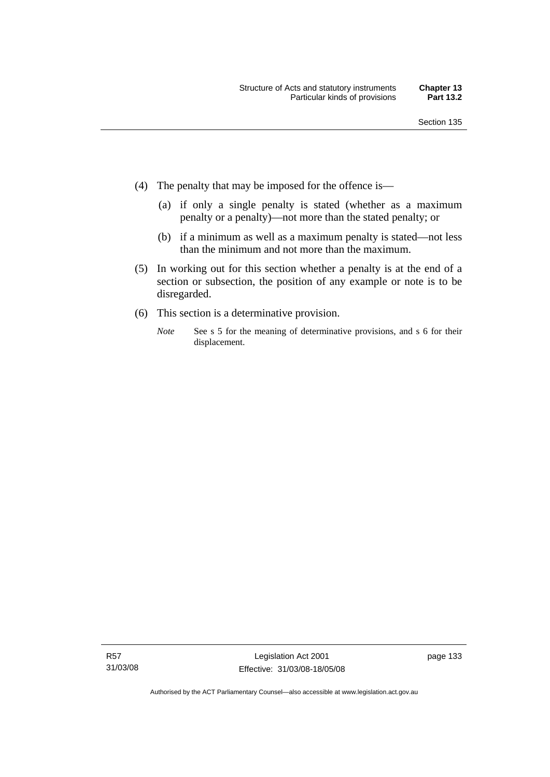- (4) The penalty that may be imposed for the offence is—
	- (a) if only a single penalty is stated (whether as a maximum penalty or a penalty)—not more than the stated penalty; or
	- (b) if a minimum as well as a maximum penalty is stated—not less than the minimum and not more than the maximum.
- (5) In working out for this section whether a penalty is at the end of a section or subsection, the position of any example or note is to be disregarded.
- (6) This section is a determinative provision.
	- *Note* See s 5 for the meaning of determinative provisions, and s 6 for their displacement.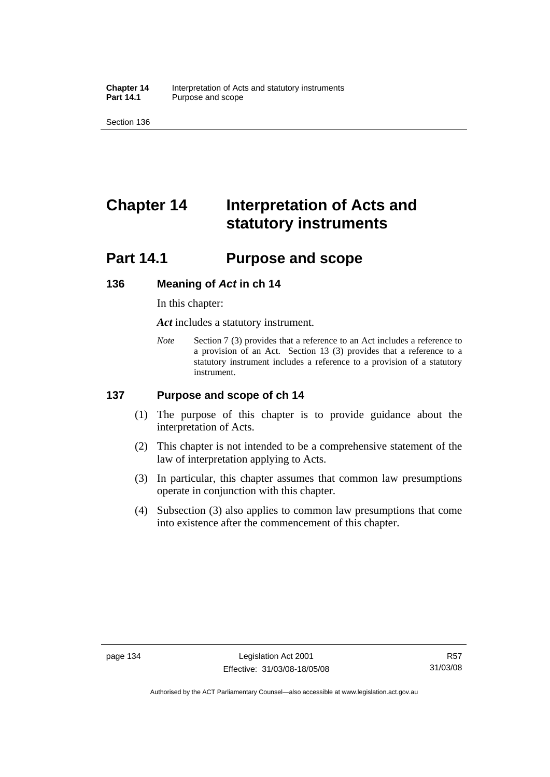**Chapter 14** Interpretation of Acts and statutory instruments<br>**Part 14.1** Purpose and scope Purpose and scope

Section 136

# **Chapter 14 Interpretation of Acts and statutory instruments**

## **Part 14.1 Purpose and scope**

#### **136 Meaning of** *Act* **in ch 14**

In this chapter:

*Act* includes a statutory instrument.

*Note* Section 7 (3) provides that a reference to an Act includes a reference to a provision of an Act. Section 13 (3) provides that a reference to a statutory instrument includes a reference to a provision of a statutory instrument.

## **137 Purpose and scope of ch 14**

- (1) The purpose of this chapter is to provide guidance about the interpretation of Acts.
- (2) This chapter is not intended to be a comprehensive statement of the law of interpretation applying to Acts.
- (3) In particular, this chapter assumes that common law presumptions operate in conjunction with this chapter.
- (4) Subsection (3) also applies to common law presumptions that come into existence after the commencement of this chapter.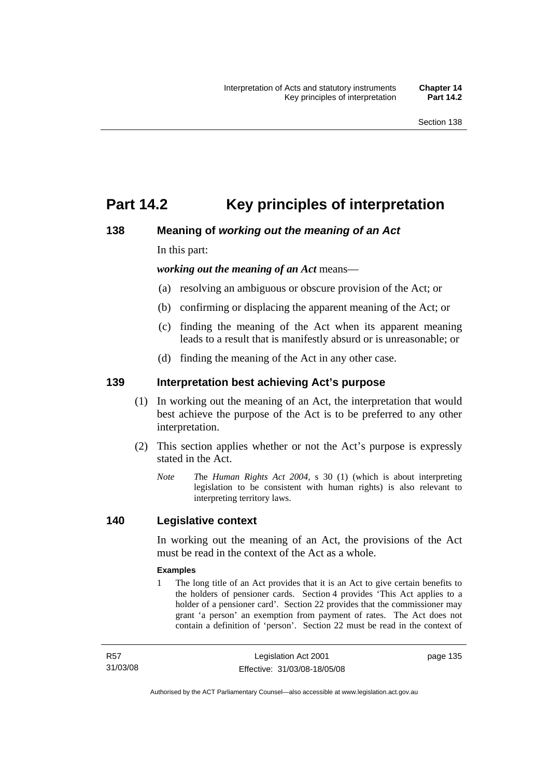## **Part 14.2 Key principles of interpretation**

## **138 Meaning of** *working out the meaning of an Act*

In this part:

*working out the meaning of an Act* means—

- (a) resolving an ambiguous or obscure provision of the Act; or
- (b) confirming or displacing the apparent meaning of the Act; or
- (c) finding the meaning of the Act when its apparent meaning leads to a result that is manifestly absurd or is unreasonable; or
- (d) finding the meaning of the Act in any other case.

## **139 Interpretation best achieving Act's purpose**

- (1) In working out the meaning of an Act, the interpretation that would best achieve the purpose of the Act is to be preferred to any other interpretation.
- (2) This section applies whether or not the Act's purpose is expressly stated in the Act.
	- *Note T*he *Human Rights Act 2004*, s 30 (1) (which is about interpreting legislation to be consistent with human rights) is also relevant to interpreting territory laws.

## **140 Legislative context**

In working out the meaning of an Act, the provisions of the Act must be read in the context of the Act as a whole.

#### **Examples**

1 The long title of an Act provides that it is an Act to give certain benefits to the holders of pensioner cards. Section 4 provides 'This Act applies to a holder of a pensioner card'. Section 22 provides that the commissioner may grant 'a person' an exemption from payment of rates. The Act does not contain a definition of 'person'. Section 22 must be read in the context of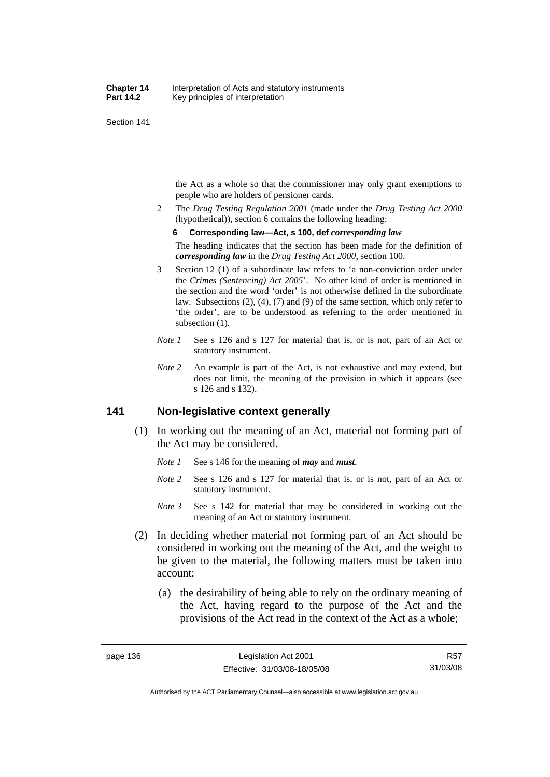the Act as a whole so that the commissioner may only grant exemptions to people who are holders of pensioner cards.

2 The *Drug Testing Regulation 2001* (made under the *Drug Testing Act 2000* (hypothetical)), section 6 contains the following heading:

#### **6 Corresponding law—Act, s 100, def** *corresponding law*

The heading indicates that the section has been made for the definition of *corresponding law* in the *Drug Testing Act 2000*, section 100.

- 3 Section 12 (1) of a subordinate law refers to 'a non-conviction order under the *Crimes (Sentencing) Act 2005*'. No other kind of order is mentioned in the section and the word 'order' is not otherwise defined in the subordinate law. Subsections (2), (4), (7) and (9) of the same section, which only refer to 'the order', are to be understood as referring to the order mentioned in subsection  $(1)$ .
- *Note 1* See s 126 and s 127 for material that is, or is not, part of an Act or statutory instrument.
- *Note 2* An example is part of the Act, is not exhaustive and may extend, but does not limit, the meaning of the provision in which it appears (see s 126 and s 132).

## **141 Non-legislative context generally**

- (1) In working out the meaning of an Act, material not forming part of the Act may be considered.
	- *Note 1* See s 146 for the meaning of *may* and *must*.
	- *Note* 2 See s 126 and s 127 for material that is, or is not, part of an Act or statutory instrument.
	- *Note 3* See s 142 for material that may be considered in working out the meaning of an Act or statutory instrument.
- (2) In deciding whether material not forming part of an Act should be considered in working out the meaning of the Act, and the weight to be given to the material, the following matters must be taken into account:
	- (a) the desirability of being able to rely on the ordinary meaning of the Act, having regard to the purpose of the Act and the provisions of the Act read in the context of the Act as a whole;

R57 31/03/08

Authorised by the ACT Parliamentary Counsel—also accessible at www.legislation.act.gov.au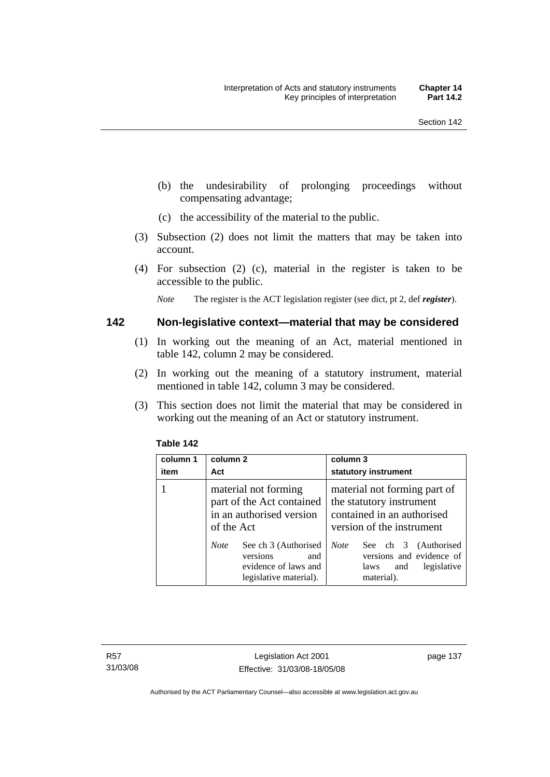- (b) the undesirability of prolonging proceedings without compensating advantage;
- (c) the accessibility of the material to the public.
- (3) Subsection (2) does not limit the matters that may be taken into account.
- (4) For subsection (2) (c), material in the register is taken to be accessible to the public.

*Note* The register is the ACT legislation register (see dict, pt 2, def *register*).

#### **142 Non-legislative context—material that may be considered**

- (1) In working out the meaning of an Act, material mentioned in table 142, column 2 may be considered.
- (2) In working out the meaning of a statutory instrument, material mentioned in table 142, column 3 may be considered.
- (3) This section does not limit the material that may be considered in working out the meaning of an Act or statutory instrument.

| column 1<br>item | column 2<br>Act                                                                                          | column 3<br>statutory instrument                                                                                    |
|------------------|----------------------------------------------------------------------------------------------------------|---------------------------------------------------------------------------------------------------------------------|
|                  | material not forming<br>part of the Act contained<br>in an authorised version<br>of the Act              | material not forming part of<br>the statutory instrument<br>contained in an authorised<br>version of the instrument |
|                  | See ch 3 (Authorised<br><b>Note</b><br>versions<br>and<br>evidence of laws and<br>legislative material). | <b>Note</b><br>See ch 3 (Authorised<br>versions and evidence of<br>legislative<br>laws<br>and<br>material).         |

#### **Table 142**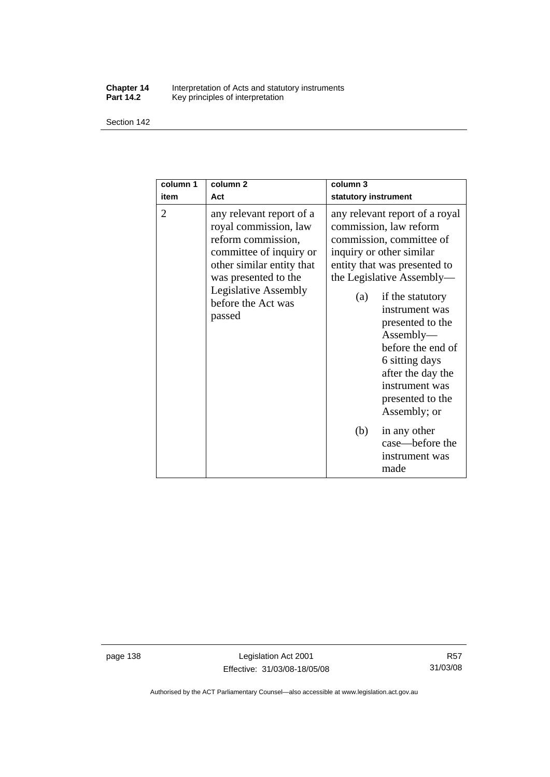#### **Chapter 14** Interpretation of Acts and statutory instruments **Part 14.2** Key principles of interpretation

Section 142

| column 1<br>item | column <sub>2</sub><br>Act                                                                                                                                                                                             | column <sub>3</sub><br>statutory instrument                                                                                                                                                                                                                                                                                                                                   |
|------------------|------------------------------------------------------------------------------------------------------------------------------------------------------------------------------------------------------------------------|-------------------------------------------------------------------------------------------------------------------------------------------------------------------------------------------------------------------------------------------------------------------------------------------------------------------------------------------------------------------------------|
| 2                | any relevant report of a<br>royal commission, law<br>reform commission,<br>committee of inquiry or<br>other similar entity that<br>was presented to the<br><b>Legislative Assembly</b><br>before the Act was<br>passed | any relevant report of a royal<br>commission, law reform<br>commission, committee of<br>inquiry or other similar<br>entity that was presented to<br>the Legislative Assembly—<br>if the statutory<br>(a)<br>instrument was<br>presented to the<br>Assently—<br>before the end of<br>6 sitting days<br>after the day the<br>instrument was<br>presented to the<br>Assembly; or |
|                  |                                                                                                                                                                                                                        | (b)<br>in any other<br>case—before the<br>instrument was<br>made                                                                                                                                                                                                                                                                                                              |

page 138 Legislation Act 2001 Effective: 31/03/08-18/05/08

Authorised by the ACT Parliamentary Counsel—also accessible at www.legislation.act.gov.au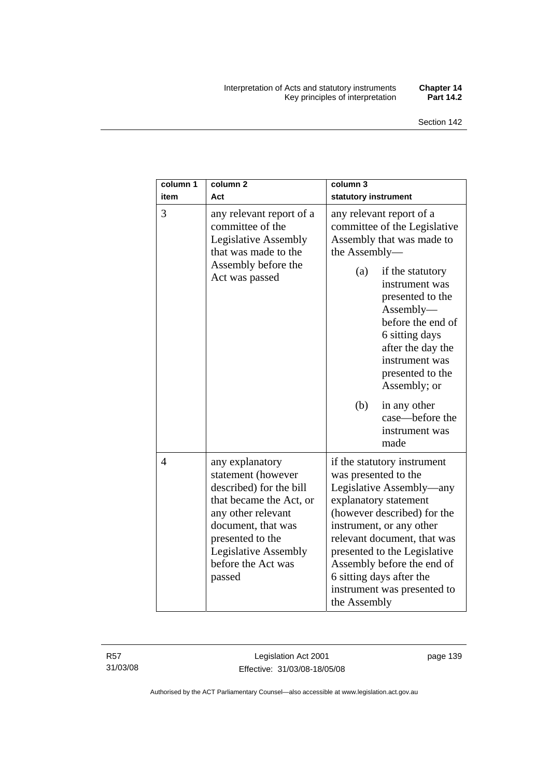#### Interpretation of Acts and statutory instruments **Chapter 14**  Key principles of interpretation **Part 14.2**

| column 1<br>item | column <sub>2</sub><br>Act                                                                                                                                                                                                 | column 3<br>statutory instrument                                                                                                                                                                                                                                                                                                            |
|------------------|----------------------------------------------------------------------------------------------------------------------------------------------------------------------------------------------------------------------------|---------------------------------------------------------------------------------------------------------------------------------------------------------------------------------------------------------------------------------------------------------------------------------------------------------------------------------------------|
| 3                | any relevant report of a<br>committee of the<br><b>Legislative Assembly</b><br>that was made to the<br>Assembly before the<br>Act was passed                                                                               | any relevant report of a<br>committee of the Legislative<br>Assembly that was made to<br>the Assembly-                                                                                                                                                                                                                                      |
|                  |                                                                                                                                                                                                                            | (a)<br>if the statutory<br>instrument was<br>presented to the<br>$\text{Assembly}\text{---}$<br>before the end of<br>6 sitting days<br>after the day the<br>instrument was<br>presented to the<br>Assembly; or                                                                                                                              |
|                  |                                                                                                                                                                                                                            | (b)<br>in any other<br>case—before the<br>instrument was<br>made                                                                                                                                                                                                                                                                            |
| $\overline{4}$   | any explanatory<br>statement (however<br>described) for the bill<br>that became the Act, or<br>any other relevant<br>document, that was<br>presented to the<br><b>Legislative Assembly</b><br>before the Act was<br>passed | if the statutory instrument<br>was presented to the<br>Legislative Assembly—any<br>explanatory statement<br>(however described) for the<br>instrument, or any other<br>relevant document, that was<br>presented to the Legislative<br>Assembly before the end of<br>6 sitting days after the<br>instrument was presented to<br>the Assembly |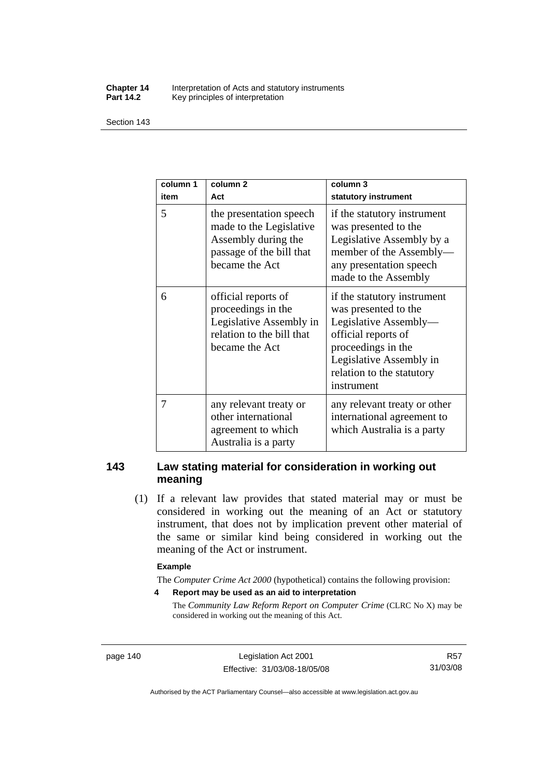#### **Chapter 14** Interpretation of Acts and statutory instruments<br>**Part 14.2** Key principles of interpretation Key principles of interpretation

Section 143

| column 1<br>item | column <sub>2</sub><br>Act                                                                                              | column 3<br>statutory instrument                                                                                                                                                                |
|------------------|-------------------------------------------------------------------------------------------------------------------------|-------------------------------------------------------------------------------------------------------------------------------------------------------------------------------------------------|
| 5                | the presentation speech<br>made to the Legislative<br>Assembly during the<br>passage of the bill that<br>became the Act | if the statutory instrument<br>was presented to the<br>Legislative Assembly by a<br>member of the Assembly-<br>any presentation speech<br>made to the Assembly                                  |
| 6                | official reports of<br>proceedings in the<br>Legislative Assembly in<br>relation to the bill that<br>became the Act     | if the statutory instrument<br>was presented to the<br>Legislative Assembly-<br>official reports of<br>proceedings in the<br>Legislative Assembly in<br>relation to the statutory<br>instrument |
| 7                | any relevant treaty or<br>other international<br>agreement to which<br>Australia is a party                             | any relevant treaty or other<br>international agreement to<br>which Australia is a party                                                                                                        |

## **143 Law stating material for consideration in working out meaning**

 (1) If a relevant law provides that stated material may or must be considered in working out the meaning of an Act or statutory instrument, that does not by implication prevent other material of the same or similar kind being considered in working out the meaning of the Act or instrument.

#### **Example**

The *Computer Crime Act 2000* (hypothetical) contains the following provision:

**4 Report may be used as an aid to interpretation** 

The *Community Law Reform Report on Computer Crime* (CLRC No X) may be considered in working out the meaning of this Act.

page 140 Legislation Act 2001 Effective: 31/03/08-18/05/08

R57 31/03/08

Authorised by the ACT Parliamentary Counsel—also accessible at www.legislation.act.gov.au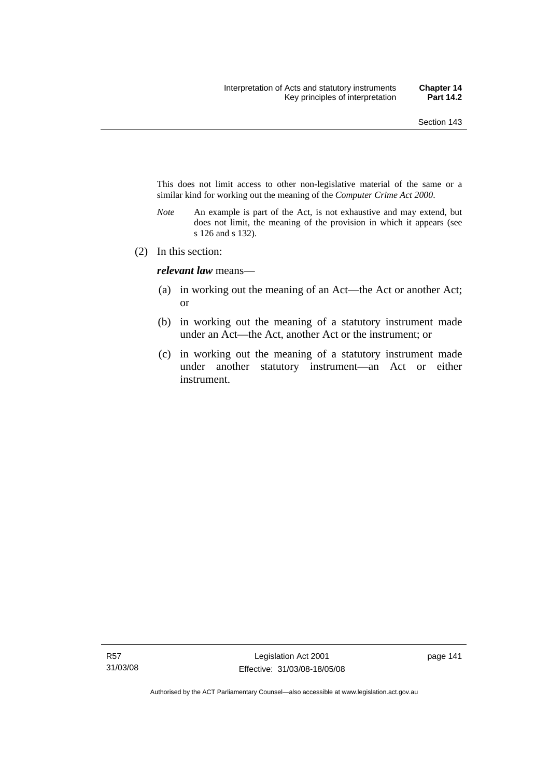This does not limit access to other non-legislative material of the same or a similar kind for working out the meaning of the *Computer Crime Act 2000*.

- *Note* An example is part of the Act, is not exhaustive and may extend, but does not limit, the meaning of the provision in which it appears (see s 126 and s 132).
- (2) In this section:

*relevant law* means—

- (a) in working out the meaning of an Act—the Act or another Act; or
- (b) in working out the meaning of a statutory instrument made under an Act—the Act, another Act or the instrument; or
- (c) in working out the meaning of a statutory instrument made under another statutory instrument—an Act or either instrument.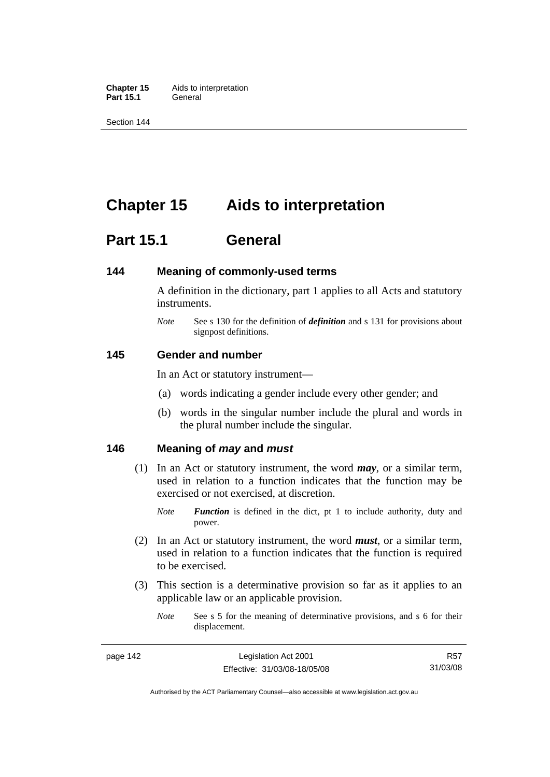**Chapter 15** Aids to interpretation **Part 15.1** General

Section 144

## **Chapter 15 Aids to interpretation**

## **Part 15.1 General**

#### **144 Meaning of commonly-used terms**

A definition in the dictionary, part 1 applies to all Acts and statutory instruments.

*Note* See s 130 for the definition of *definition* and s 131 for provisions about signpost definitions.

#### **145 Gender and number**

In an Act or statutory instrument—

- (a) words indicating a gender include every other gender; and
- (b) words in the singular number include the plural and words in the plural number include the singular.

#### **146 Meaning of** *may* **and** *must*

- (1) In an Act or statutory instrument, the word *may*, or a similar term, used in relation to a function indicates that the function may be exercised or not exercised, at discretion.
	- *Note Function* is defined in the dict, pt 1 to include authority, duty and power.
- (2) In an Act or statutory instrument, the word *must*, or a similar term, used in relation to a function indicates that the function is required to be exercised.
- (3) This section is a determinative provision so far as it applies to an applicable law or an applicable provision.
	- *Note* See s 5 for the meaning of determinative provisions, and s 6 for their displacement.

Authorised by the ACT Parliamentary Counsel—also accessible at www.legislation.act.gov.au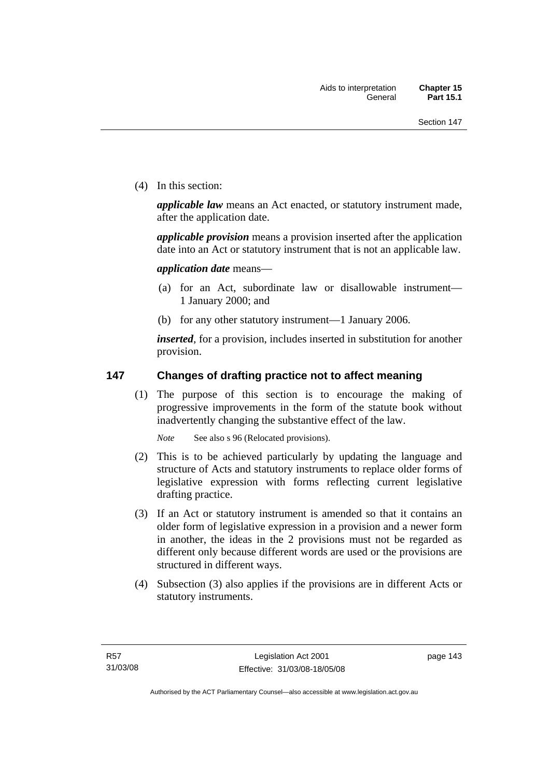(4) In this section:

*applicable law* means an Act enacted, or statutory instrument made, after the application date.

*applicable provision* means a provision inserted after the application date into an Act or statutory instrument that is not an applicable law.

*application date* means—

- (a) for an Act, subordinate law or disallowable instrument— 1 January 2000; and
- (b) for any other statutory instrument—1 January 2006.

*inserted*, for a provision, includes inserted in substitution for another provision.

## **147 Changes of drafting practice not to affect meaning**

 (1) The purpose of this section is to encourage the making of progressive improvements in the form of the statute book without inadvertently changing the substantive effect of the law.

*Note* See also s 96 (Relocated provisions).

- (2) This is to be achieved particularly by updating the language and structure of Acts and statutory instruments to replace older forms of legislative expression with forms reflecting current legislative drafting practice.
- (3) If an Act or statutory instrument is amended so that it contains an older form of legislative expression in a provision and a newer form in another, the ideas in the 2 provisions must not be regarded as different only because different words are used or the provisions are structured in different ways.
- (4) Subsection (3) also applies if the provisions are in different Acts or statutory instruments.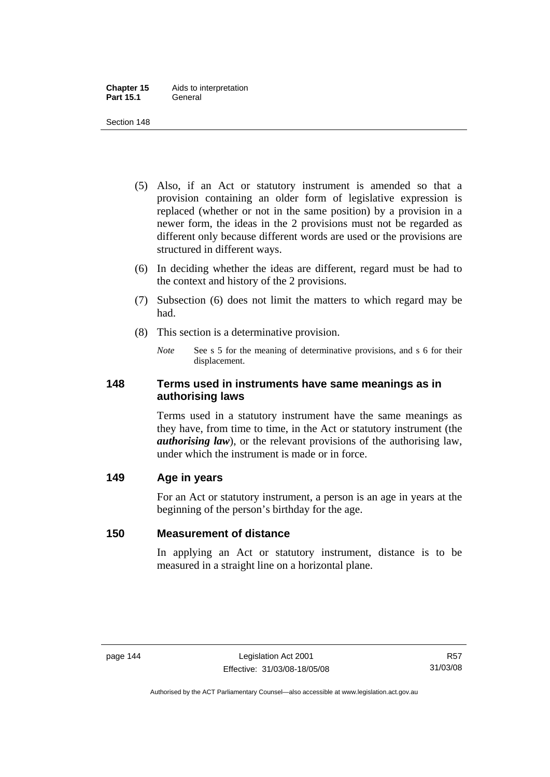- (5) Also, if an Act or statutory instrument is amended so that a provision containing an older form of legislative expression is replaced (whether or not in the same position) by a provision in a newer form, the ideas in the 2 provisions must not be regarded as different only because different words are used or the provisions are structured in different ways.
- (6) In deciding whether the ideas are different, regard must be had to the context and history of the 2 provisions.
- (7) Subsection (6) does not limit the matters to which regard may be had.
- (8) This section is a determinative provision.
	- *Note* See s 5 for the meaning of determinative provisions, and s 6 for their displacement.

## **148 Terms used in instruments have same meanings as in authorising laws**

Terms used in a statutory instrument have the same meanings as they have, from time to time, in the Act or statutory instrument (the *authorising law*), or the relevant provisions of the authorising law, under which the instrument is made or in force.

## **149 Age in years**

For an Act or statutory instrument, a person is an age in years at the beginning of the person's birthday for the age.

## **150 Measurement of distance**

In applying an Act or statutory instrument, distance is to be measured in a straight line on a horizontal plane.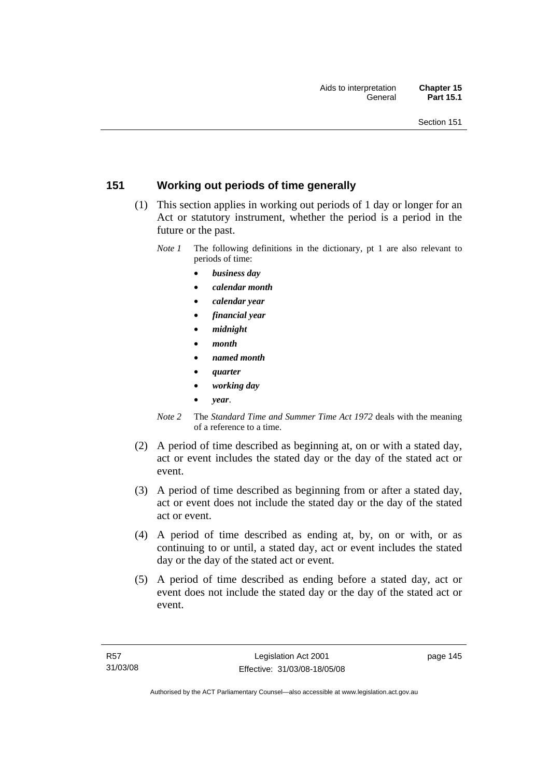## **151 Working out periods of time generally**

- (1) This section applies in working out periods of 1 day or longer for an Act or statutory instrument, whether the period is a period in the future or the past.
	- *Note 1* The following definitions in the dictionary, pt 1 are also relevant to periods of time:
		- *business day*
		- *calendar month*
		- *calendar year*
		- *financial year*
		- *midnight*
		- *month*
		- *named month*
		- *quarter*
		- *working day*
		- *year*.
	- *Note 2* The *Standard Time and Summer Time Act 1972* deals with the meaning of a reference to a time.
- (2) A period of time described as beginning at, on or with a stated day, act or event includes the stated day or the day of the stated act or event.
- (3) A period of time described as beginning from or after a stated day, act or event does not include the stated day or the day of the stated act or event.
- (4) A period of time described as ending at, by, on or with, or as continuing to or until, a stated day, act or event includes the stated day or the day of the stated act or event.
- (5) A period of time described as ending before a stated day, act or event does not include the stated day or the day of the stated act or event.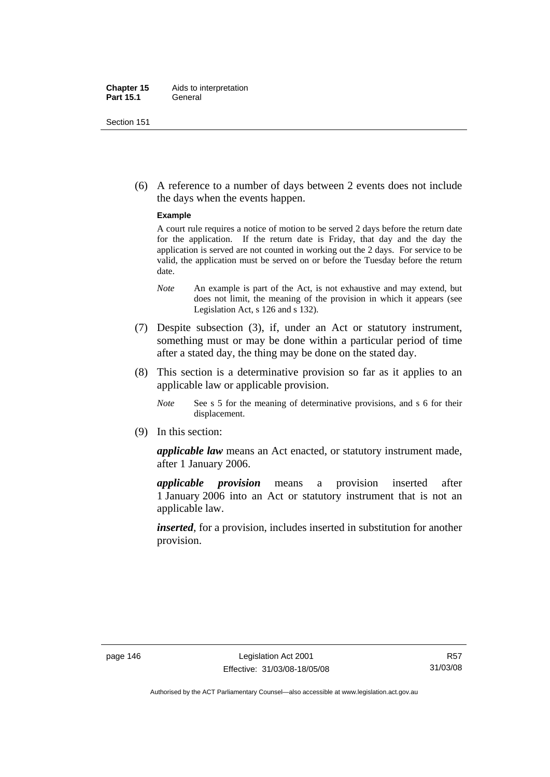#### **Chapter 15** Aids to interpretation **Part 15.1** General

Section 151

 (6) A reference to a number of days between 2 events does not include the days when the events happen.

#### **Example**

A court rule requires a notice of motion to be served 2 days before the return date for the application. If the return date is Friday, that day and the day the application is served are not counted in working out the 2 days. For service to be valid, the application must be served on or before the Tuesday before the return date.

- *Note* An example is part of the Act, is not exhaustive and may extend, but does not limit, the meaning of the provision in which it appears (see Legislation Act, s 126 and s 132).
- (7) Despite subsection (3), if, under an Act or statutory instrument, something must or may be done within a particular period of time after a stated day, the thing may be done on the stated day.
- (8) This section is a determinative provision so far as it applies to an applicable law or applicable provision.
	- *Note* See s 5 for the meaning of determinative provisions, and s 6 for their displacement.
- (9) In this section:

*applicable law* means an Act enacted, or statutory instrument made, after 1 January 2006.

*applicable provision* means a provision inserted after 1 January 2006 into an Act or statutory instrument that is not an applicable law.

*inserted*, for a provision, includes inserted in substitution for another provision.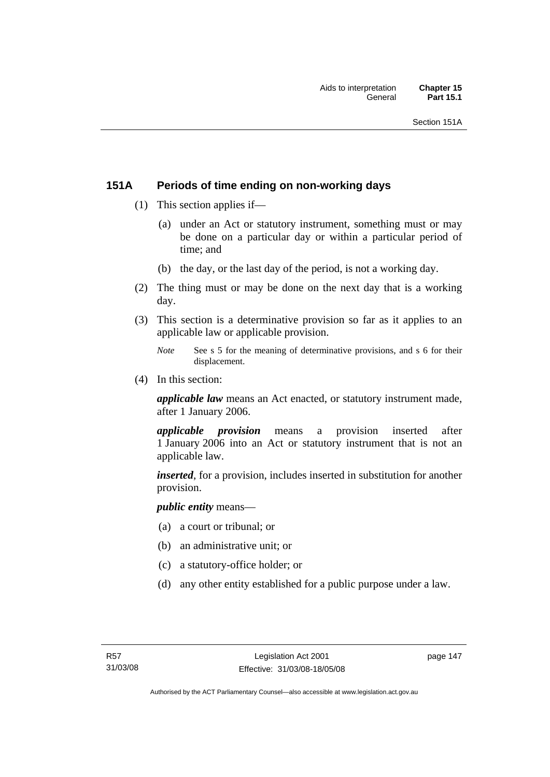## **151A Periods of time ending on non-working days**

- (1) This section applies if—
	- (a) under an Act or statutory instrument, something must or may be done on a particular day or within a particular period of time; and
	- (b) the day, or the last day of the period, is not a working day.
- (2) The thing must or may be done on the next day that is a working day.
- (3) This section is a determinative provision so far as it applies to an applicable law or applicable provision.
	- *Note* See s 5 for the meaning of determinative provisions, and s 6 for their displacement.
- (4) In this section:

*applicable law* means an Act enacted, or statutory instrument made, after 1 January 2006.

*applicable provision* means a provision inserted after 1 January 2006 into an Act or statutory instrument that is not an applicable law.

*inserted*, for a provision, includes inserted in substitution for another provision.

*public entity* means—

- (a) a court or tribunal; or
- (b) an administrative unit; or
- (c) a statutory-office holder; or
- (d) any other entity established for a public purpose under a law.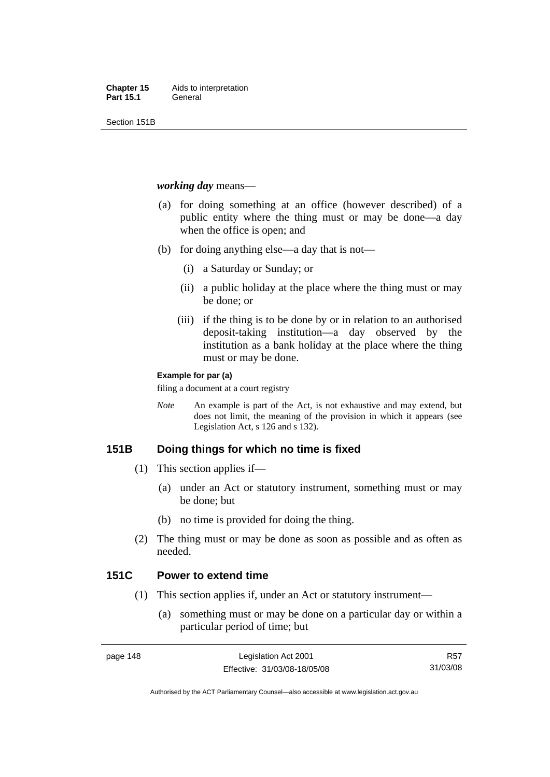Section 151B

#### *working day* means—

- (a) for doing something at an office (however described) of a public entity where the thing must or may be done—a day when the office is open; and
- (b) for doing anything else—a day that is not—
	- (i) a Saturday or Sunday; or
	- (ii) a public holiday at the place where the thing must or may be done; or
	- (iii) if the thing is to be done by or in relation to an authorised deposit-taking institution—a day observed by the institution as a bank holiday at the place where the thing must or may be done.

#### **Example for par (a)**

filing a document at a court registry

*Note* An example is part of the Act, is not exhaustive and may extend, but does not limit, the meaning of the provision in which it appears (see Legislation Act, s 126 and s 132).

## **151B Doing things for which no time is fixed**

- (1) This section applies if—
	- (a) under an Act or statutory instrument, something must or may be done; but
	- (b) no time is provided for doing the thing.
- (2) The thing must or may be done as soon as possible and as often as needed.

## **151C Power to extend time**

- (1) This section applies if, under an Act or statutory instrument—
	- (a) something must or may be done on a particular day or within a particular period of time; but

R57 31/03/08

Authorised by the ACT Parliamentary Counsel—also accessible at www.legislation.act.gov.au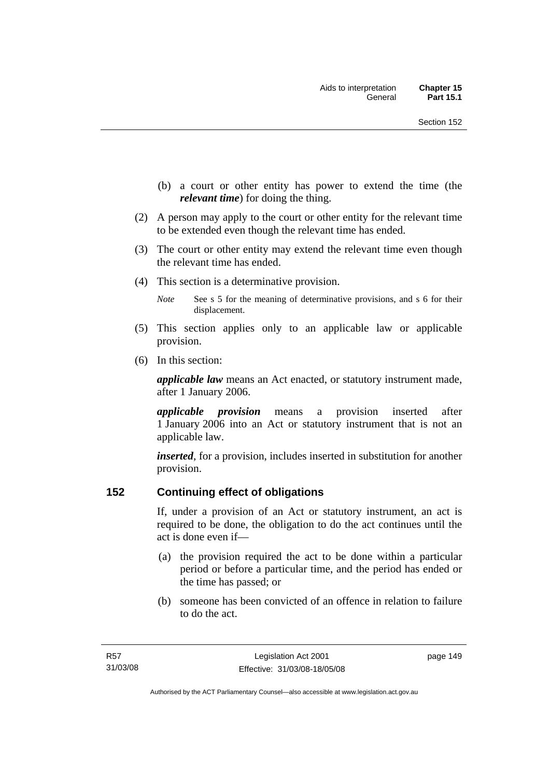- (b) a court or other entity has power to extend the time (the *relevant time*) for doing the thing.
- (2) A person may apply to the court or other entity for the relevant time to be extended even though the relevant time has ended.
- (3) The court or other entity may extend the relevant time even though the relevant time has ended.
- (4) This section is a determinative provision.
	- *Note* See s 5 for the meaning of determinative provisions, and s 6 for their displacement.
- (5) This section applies only to an applicable law or applicable provision.
- (6) In this section:

*applicable law* means an Act enacted, or statutory instrument made, after 1 January 2006.

*applicable provision* means a provision inserted after 1 January 2006 into an Act or statutory instrument that is not an applicable law.

*inserted*, for a provision, includes inserted in substitution for another provision.

## **152 Continuing effect of obligations**

If, under a provision of an Act or statutory instrument, an act is required to be done, the obligation to do the act continues until the act is done even if—

- (a) the provision required the act to be done within a particular period or before a particular time, and the period has ended or the time has passed; or
- (b) someone has been convicted of an offence in relation to failure to do the act.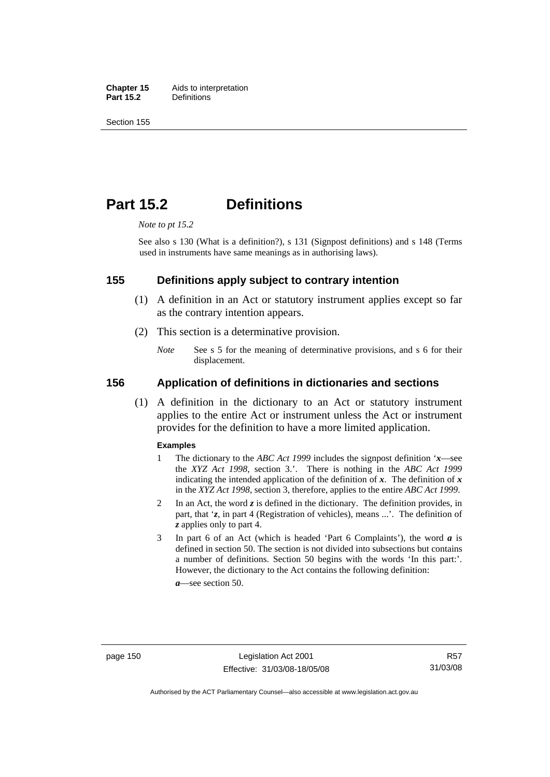**Chapter 15** Aids to interpretation<br>**Part 15.2** Definitions **Definitions** 

Section 155

## **Part 15.2 Definitions**

*Note to pt 15.2* 

See also s 130 (What is a definition?), s 131 (Signpost definitions) and s 148 (Terms used in instruments have same meanings as in authorising laws).

#### **155 Definitions apply subject to contrary intention**

- (1) A definition in an Act or statutory instrument applies except so far as the contrary intention appears.
- (2) This section is a determinative provision.
	- *Note* See s 5 for the meaning of determinative provisions, and s 6 for their displacement.

#### **156 Application of definitions in dictionaries and sections**

 (1) A definition in the dictionary to an Act or statutory instrument applies to the entire Act or instrument unless the Act or instrument provides for the definition to have a more limited application.

#### **Examples**

- 1 The dictionary to the *ABC Act 1999* includes the signpost definition '*x*—see the *XYZ Act 1998*, section 3.'. There is nothing in the *ABC Act 1999* indicating the intended application of the definition of  $x$ . The definition of  $x$ in the *XYZ Act 1998*, section 3, therefore, applies to the entire *ABC Act 1999*.
- 2 In an Act, the word *z* is defined in the dictionary. The definition provides, in part, that '*z*, in part 4 (Registration of vehicles), means ...'. The definition of *z* applies only to part 4.
- 3 In part 6 of an Act (which is headed 'Part 6 Complaints'), the word *a* is defined in section 50. The section is not divided into subsections but contains a number of definitions. Section 50 begins with the words 'In this part:'. However, the dictionary to the Act contains the following definition:

*a*—see section 50.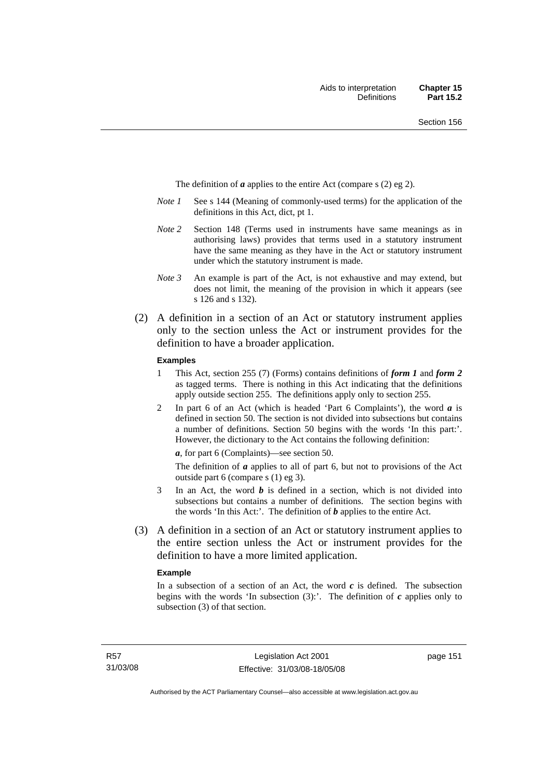The definition of *a* applies to the entire Act (compare s (2) eg 2).

- *Note 1* See s 144 (Meaning of commonly-used terms) for the application of the definitions in this Act, dict, pt 1.
- *Note 2* Section 148 (Terms used in instruments have same meanings as in authorising laws) provides that terms used in a statutory instrument have the same meaning as they have in the Act or statutory instrument under which the statutory instrument is made.
- *Note 3* An example is part of the Act, is not exhaustive and may extend, but does not limit, the meaning of the provision in which it appears (see s 126 and s 132).
- (2) A definition in a section of an Act or statutory instrument applies only to the section unless the Act or instrument provides for the definition to have a broader application.

#### **Examples**

- 1 This Act, section 255 (7) (Forms) contains definitions of *form 1* and *form 2* as tagged terms. There is nothing in this Act indicating that the definitions apply outside section 255. The definitions apply only to section 255.
- 2 In part 6 of an Act (which is headed 'Part 6 Complaints'), the word *a* is defined in section 50. The section is not divided into subsections but contains a number of definitions. Section 50 begins with the words 'In this part:'. However, the dictionary to the Act contains the following definition:

*a*, for part 6 (Complaints)—see section 50.

The definition of *a* applies to all of part 6, but not to provisions of the Act outside part 6 (compare s (1) eg 3).

- 3 In an Act, the word *b* is defined in a section, which is not divided into subsections but contains a number of definitions. The section begins with the words 'In this Act:'. The definition of *b* applies to the entire Act.
- (3) A definition in a section of an Act or statutory instrument applies to the entire section unless the Act or instrument provides for the definition to have a more limited application.

#### **Example**

In a subsection of a section of an Act, the word  $c$  is defined. The subsection begins with the words 'In subsection  $(3)$ :'. The definition of  $c$  applies only to subsection (3) of that section.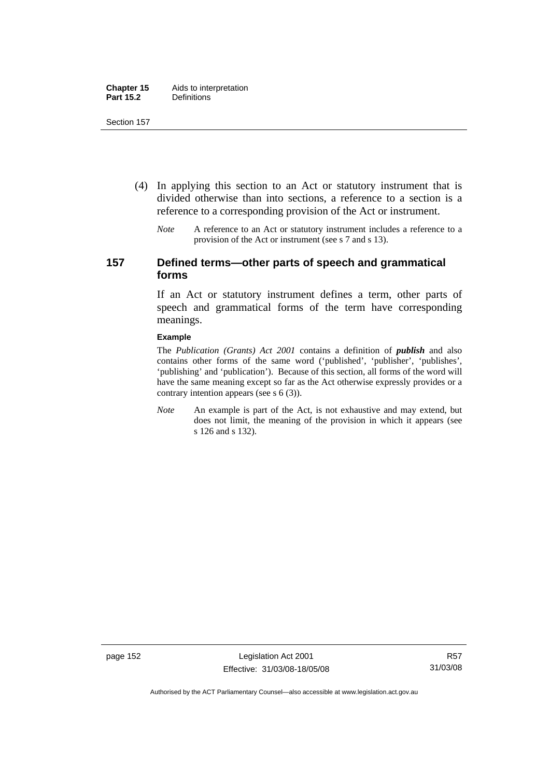- (4) In applying this section to an Act or statutory instrument that is divided otherwise than into sections, a reference to a section is a reference to a corresponding provision of the Act or instrument.
	- *Note* A reference to an Act or statutory instrument includes a reference to a provision of the Act or instrument (see s 7 and s 13).

## **157 Defined terms—other parts of speech and grammatical forms**

If an Act or statutory instrument defines a term, other parts of speech and grammatical forms of the term have corresponding meanings.

#### **Example**

The *Publication (Grants) Act 2001* contains a definition of *publish* and also contains other forms of the same word ('published', 'publisher', 'publishes', 'publishing' and 'publication'). Because of this section, all forms of the word will have the same meaning except so far as the Act otherwise expressly provides or a contrary intention appears (see s 6 (3)).

*Note* An example is part of the Act, is not exhaustive and may extend, but does not limit, the meaning of the provision in which it appears (see s 126 and s 132).

page 152 Legislation Act 2001 Effective: 31/03/08-18/05/08

Authorised by the ACT Parliamentary Counsel—also accessible at www.legislation.act.gov.au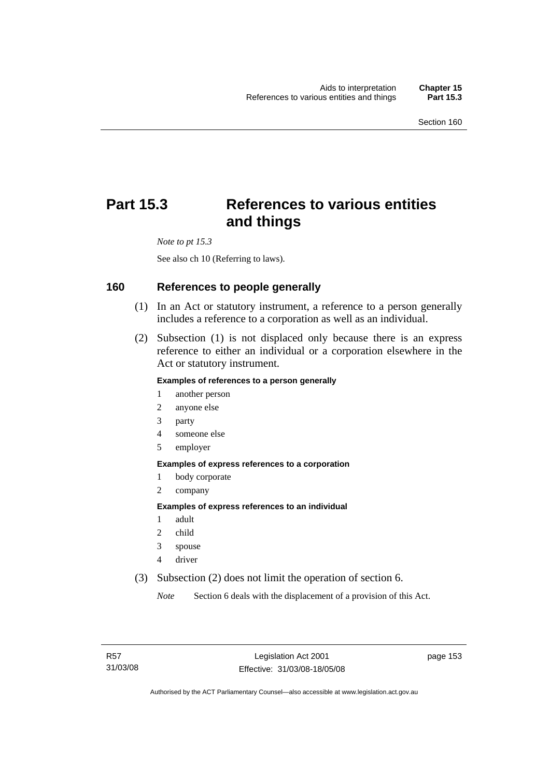# **Part 15.3 References to various entities and things**

*Note to pt 15.3* 

See also ch 10 (Referring to laws).

#### **160 References to people generally**

- (1) In an Act or statutory instrument, a reference to a person generally includes a reference to a corporation as well as an individual.
- (2) Subsection (1) is not displaced only because there is an express reference to either an individual or a corporation elsewhere in the Act or statutory instrument.

#### **Examples of references to a person generally**

- 1 another person
- 2 anyone else
- 3 party
- 4 someone else
- 5 employer

#### **Examples of express references to a corporation**

- 1 body corporate
- 2 company

#### **Examples of express references to an individual**

- 1 adult
- 2 child
- 3 spouse
- 4 driver
- (3) Subsection (2) does not limit the operation of section 6.

*Note* Section 6 deals with the displacement of a provision of this Act.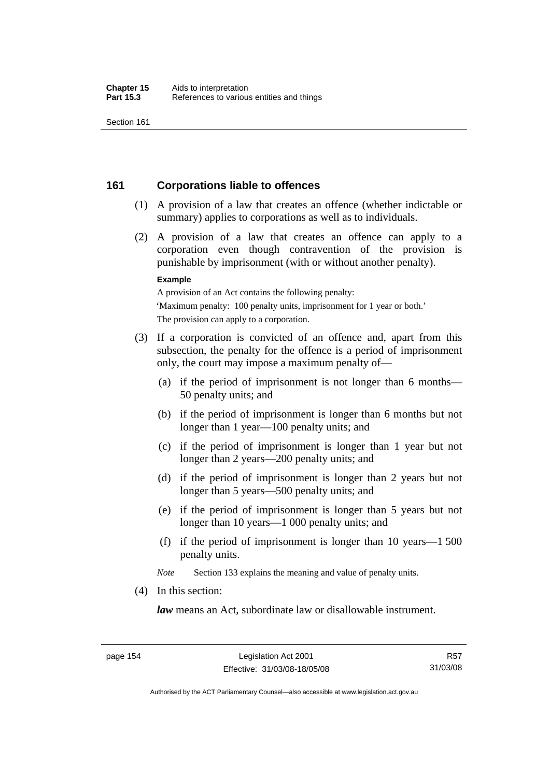## **161 Corporations liable to offences**

- (1) A provision of a law that creates an offence (whether indictable or summary) applies to corporations as well as to individuals.
- (2) A provision of a law that creates an offence can apply to a corporation even though contravention of the provision is punishable by imprisonment (with or without another penalty).

#### **Example**

A provision of an Act contains the following penalty: 'Maximum penalty: 100 penalty units, imprisonment for 1 year or both.' The provision can apply to a corporation.

- (3) If a corporation is convicted of an offence and, apart from this subsection, the penalty for the offence is a period of imprisonment only, the court may impose a maximum penalty of—
	- (a) if the period of imprisonment is not longer than 6 months— 50 penalty units; and
	- (b) if the period of imprisonment is longer than 6 months but not longer than 1 year—100 penalty units; and
	- (c) if the period of imprisonment is longer than 1 year but not longer than 2 years—200 penalty units; and
	- (d) if the period of imprisonment is longer than 2 years but not longer than 5 years—500 penalty units; and
	- (e) if the period of imprisonment is longer than 5 years but not longer than 10 years—1 000 penalty units; and
	- (f) if the period of imprisonment is longer than 10 years—1 500 penalty units.

*Note* Section 133 explains the meaning and value of penalty units.

(4) In this section:

*law* means an Act, subordinate law or disallowable instrument.

Authorised by the ACT Parliamentary Counsel—also accessible at www.legislation.act.gov.au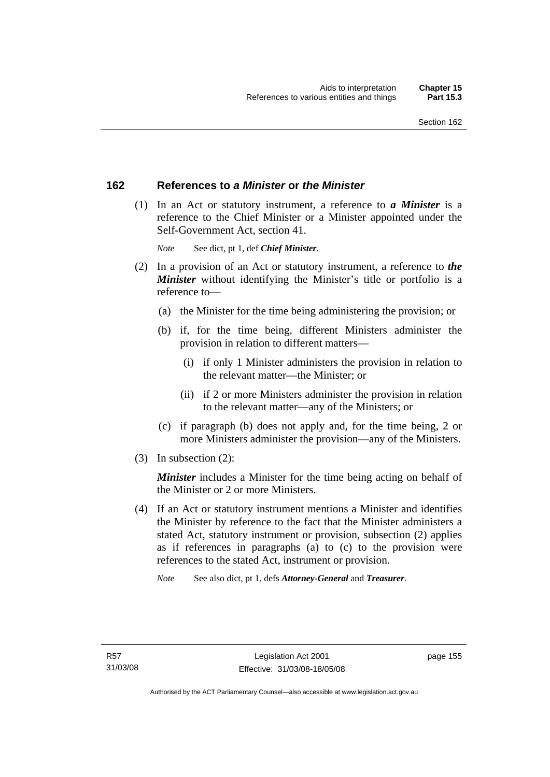## **162 References to** *a Minister* **or** *the Minister*

 (1) In an Act or statutory instrument, a reference to *a Minister* is a reference to the Chief Minister or a Minister appointed under the Self-Government Act, section 41.

*Note* See dict, pt 1, def *Chief Minister*.

- (2) In a provision of an Act or statutory instrument, a reference to *the Minister* without identifying the Minister's title or portfolio is a reference to—
	- (a) the Minister for the time being administering the provision; or
	- (b) if, for the time being, different Ministers administer the provision in relation to different matters—
		- (i) if only 1 Minister administers the provision in relation to the relevant matter—the Minister; or
		- (ii) if 2 or more Ministers administer the provision in relation to the relevant matter—any of the Ministers; or
	- (c) if paragraph (b) does not apply and, for the time being, 2 or more Ministers administer the provision—any of the Ministers.
- (3) In subsection (2):

*Minister* includes a Minister for the time being acting on behalf of the Minister or 2 or more Ministers.

 (4) If an Act or statutory instrument mentions a Minister and identifies the Minister by reference to the fact that the Minister administers a stated Act, statutory instrument or provision, subsection (2) applies as if references in paragraphs (a) to (c) to the provision were references to the stated Act, instrument or provision.

*Note* See also dict, pt 1, defs *Attorney-General* and *Treasurer*.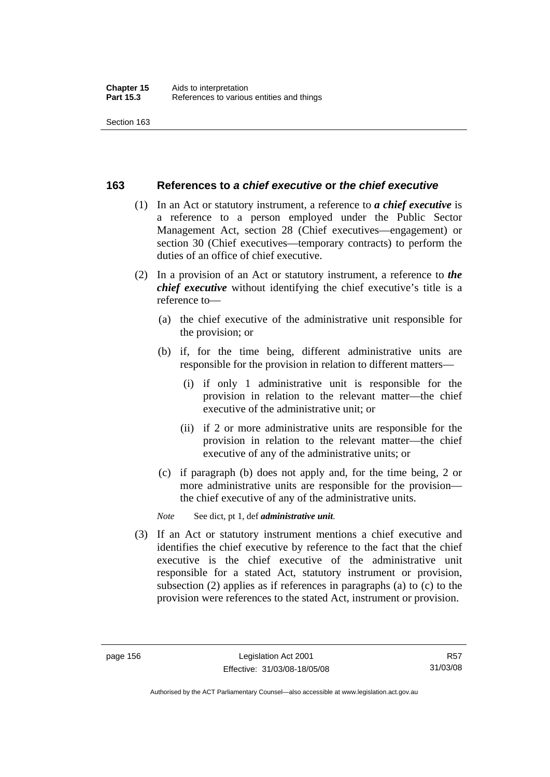#### **163 References to** *a chief executive* **or** *the chief executive*

- (1) In an Act or statutory instrument, a reference to *a chief executive* is a reference to a person employed under the Public Sector Management Act, section 28 (Chief executives—engagement) or section 30 (Chief executives—temporary contracts) to perform the duties of an office of chief executive.
- (2) In a provision of an Act or statutory instrument, a reference to *the chief executive* without identifying the chief executive's title is a reference to—
	- (a) the chief executive of the administrative unit responsible for the provision; or
	- (b) if, for the time being, different administrative units are responsible for the provision in relation to different matters—
		- (i) if only 1 administrative unit is responsible for the provision in relation to the relevant matter—the chief executive of the administrative unit; or
		- (ii) if 2 or more administrative units are responsible for the provision in relation to the relevant matter—the chief executive of any of the administrative units; or
	- (c) if paragraph (b) does not apply and, for the time being, 2 or more administrative units are responsible for the provision the chief executive of any of the administrative units.

*Note* See dict, pt 1, def *administrative unit*.

 (3) If an Act or statutory instrument mentions a chief executive and identifies the chief executive by reference to the fact that the chief executive is the chief executive of the administrative unit responsible for a stated Act, statutory instrument or provision, subsection (2) applies as if references in paragraphs (a) to (c) to the provision were references to the stated Act, instrument or provision.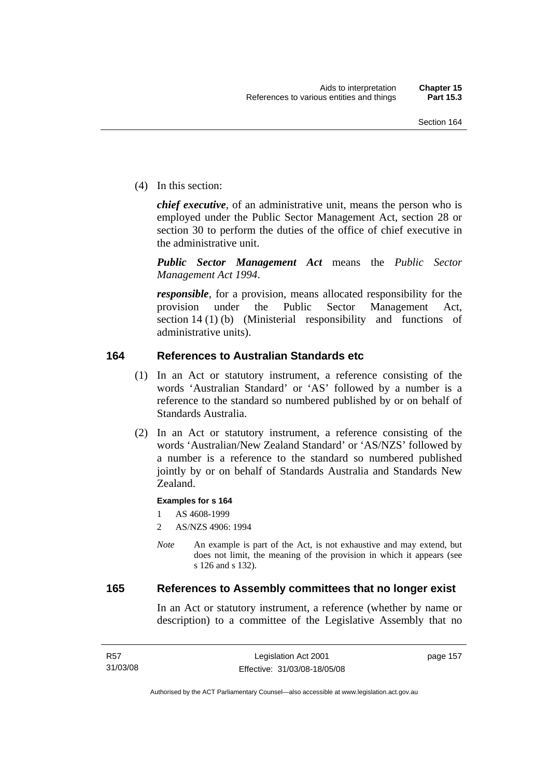(4) In this section:

*chief executive*, of an administrative unit, means the person who is employed under the Public Sector Management Act, section 28 or section 30 to perform the duties of the office of chief executive in the administrative unit.

*Public Sector Management Act* means the *Public Sector Management Act 1994*.

*responsible*, for a provision, means allocated responsibility for the provision under the Public Sector Management Act, section 14 (1) (b) (Ministerial responsibility and functions of administrative units).

## **164 References to Australian Standards etc**

- (1) In an Act or statutory instrument, a reference consisting of the words 'Australian Standard' or 'AS' followed by a number is a reference to the standard so numbered published by or on behalf of Standards Australia.
- (2) In an Act or statutory instrument, a reference consisting of the words 'Australian/New Zealand Standard' or 'AS/NZS' followed by a number is a reference to the standard so numbered published jointly by or on behalf of Standards Australia and Standards New Zealand.

#### **Examples for s 164**

1 AS 4608-1999

- 2 AS/NZS 4906: 1994
- *Note* An example is part of the Act, is not exhaustive and may extend, but does not limit, the meaning of the provision in which it appears (see s 126 and s 132).

## **165 References to Assembly committees that no longer exist**

In an Act or statutory instrument, a reference (whether by name or description) to a committee of the Legislative Assembly that no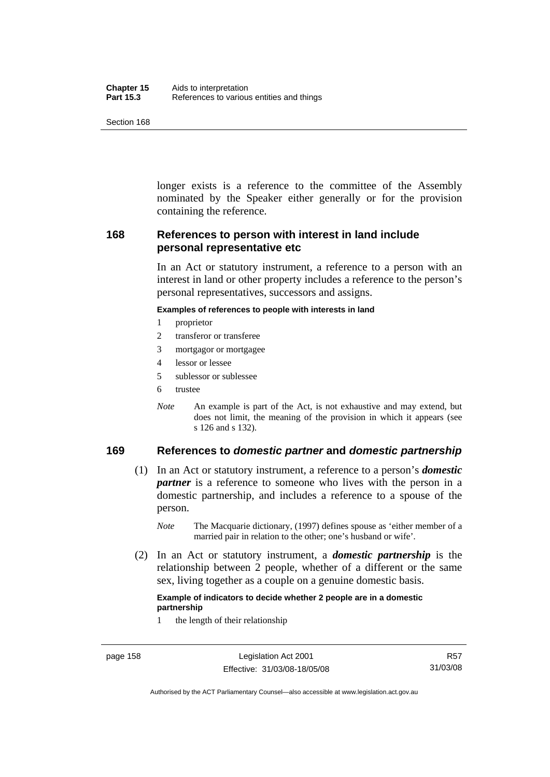| Chapter 15       | Aids to interpretation                    |
|------------------|-------------------------------------------|
| <b>Part 15.3</b> | References to various entities and things |

longer exists is a reference to the committee of the Assembly nominated by the Speaker either generally or for the provision containing the reference.

## **168 References to person with interest in land include personal representative etc**

In an Act or statutory instrument, a reference to a person with an interest in land or other property includes a reference to the person's personal representatives, successors and assigns.

#### **Examples of references to people with interests in land**

- 1 proprietor
- 2 transferor or transferee
- 3 mortgagor or mortgagee
- 4 lessor or lessee
- 5 sublessor or sublessee
- 6 trustee
- *Note* An example is part of the Act, is not exhaustive and may extend, but does not limit, the meaning of the provision in which it appears (see s 126 and s 132).

## **169 References to** *domestic partner* **and** *domestic partnership*

- (1) In an Act or statutory instrument, a reference to a person's *domestic partner* is a reference to someone who lives with the person in a domestic partnership, and includes a reference to a spouse of the person.
	- *Note* The Macquarie dictionary, (1997) defines spouse as 'either member of a married pair in relation to the other; one's husband or wife'.
- (2) In an Act or statutory instrument, a *domestic partnership* is the relationship between 2 people, whether of a different or the same sex, living together as a couple on a genuine domestic basis.

#### **Example of indicators to decide whether 2 people are in a domestic partnership**

1 the length of their relationship

Authorised by the ACT Parliamentary Counsel—also accessible at www.legislation.act.gov.au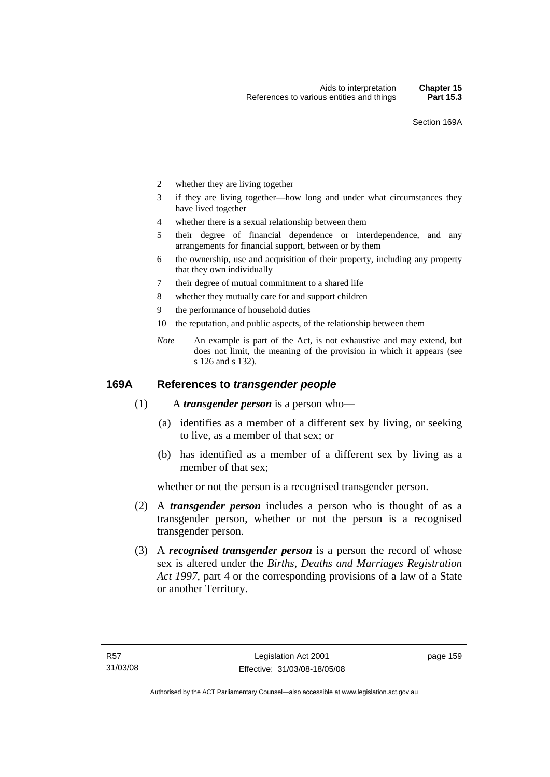- 2 whether they are living together
- 3 if they are living together—how long and under what circumstances they have lived together
- 4 whether there is a sexual relationship between them
- 5 their degree of financial dependence or interdependence, and any arrangements for financial support, between or by them
- 6 the ownership, use and acquisition of their property, including any property that they own individually
- 7 their degree of mutual commitment to a shared life
- 8 whether they mutually care for and support children
- 9 the performance of household duties
- 10 the reputation, and public aspects, of the relationship between them
- *Note* An example is part of the Act, is not exhaustive and may extend, but does not limit, the meaning of the provision in which it appears (see s 126 and s 132).

#### **169A References to** *transgender people*

- (1) A *transgender person* is a person who—
	- (a) identifies as a member of a different sex by living, or seeking to live, as a member of that sex; or
	- (b) has identified as a member of a different sex by living as a member of that sex;

whether or not the person is a recognised transgender person.

- (2) A *transgender person* includes a person who is thought of as a transgender person, whether or not the person is a recognised transgender person.
- (3) A *recognised transgender person* is a person the record of whose sex is altered under the *Births, Deaths and Marriages Registration Act 1997*, part 4 or the corresponding provisions of a law of a State or another Territory.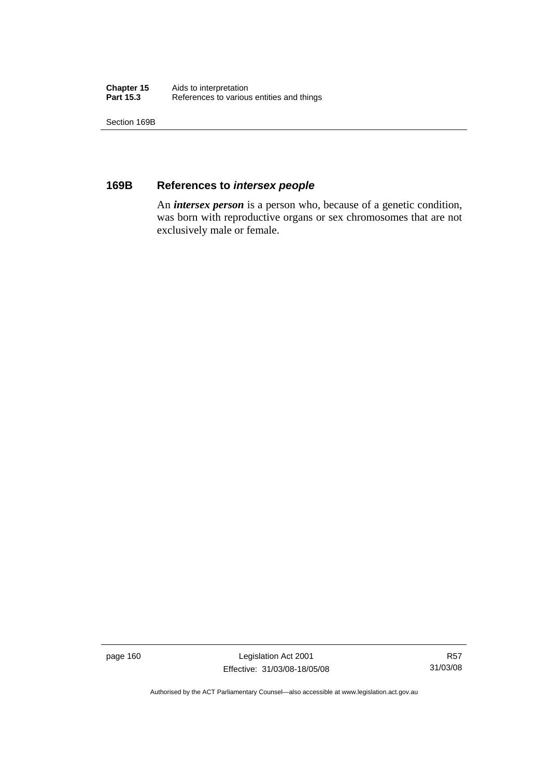| Chapter 15       | Aids to interpretation                    |
|------------------|-------------------------------------------|
| <b>Part 15.3</b> | References to various entities and things |

Section 169B

## **169B References to** *intersex people*

 An *intersex person* is a person who, because of a genetic condition, was born with reproductive organs or sex chromosomes that are not exclusively male or female.

page 160 Legislation Act 2001 Effective: 31/03/08-18/05/08

R57 31/03/08

Authorised by the ACT Parliamentary Counsel—also accessible at www.legislation.act.gov.au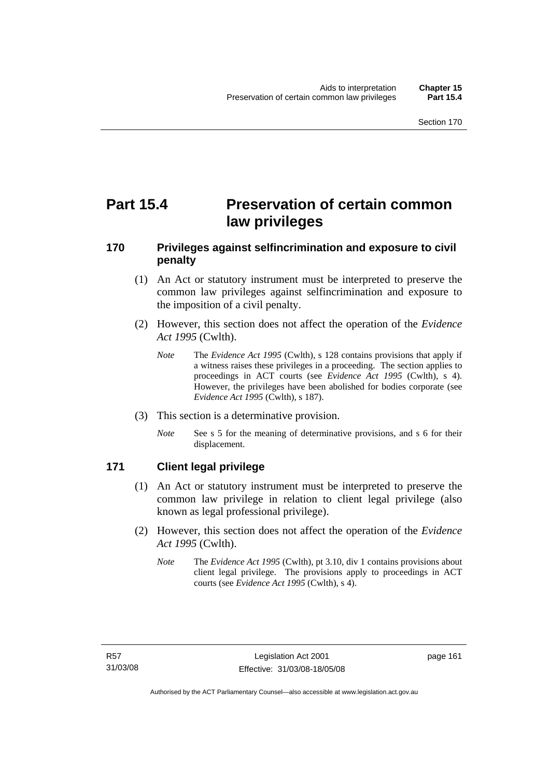# **Part 15.4 Preservation of certain common law privileges**

## **170 Privileges against selfincrimination and exposure to civil penalty**

- (1) An Act or statutory instrument must be interpreted to preserve the common law privileges against selfincrimination and exposure to the imposition of a civil penalty.
- (2) However, this section does not affect the operation of the *Evidence Act 1995* (Cwlth).
	- *Note* The *Evidence Act 1995* (Cwlth), s 128 contains provisions that apply if a witness raises these privileges in a proceeding. The section applies to proceedings in ACT courts (see *Evidence Act 1995* (Cwlth), s 4). However, the privileges have been abolished for bodies corporate (see *Evidence Act 1995* (Cwlth), s 187).
- (3) This section is a determinative provision.
	- *Note* See s 5 for the meaning of determinative provisions, and s 6 for their displacement.

## **171 Client legal privilege**

- (1) An Act or statutory instrument must be interpreted to preserve the common law privilege in relation to client legal privilege (also known as legal professional privilege).
- (2) However, this section does not affect the operation of the *Evidence Act 1995* (Cwlth).
	- *Note* The *Evidence Act 1995* (Cwlth), pt 3.10, div 1 contains provisions about client legal privilege. The provisions apply to proceedings in ACT courts (see *Evidence Act 1995* (Cwlth), s 4).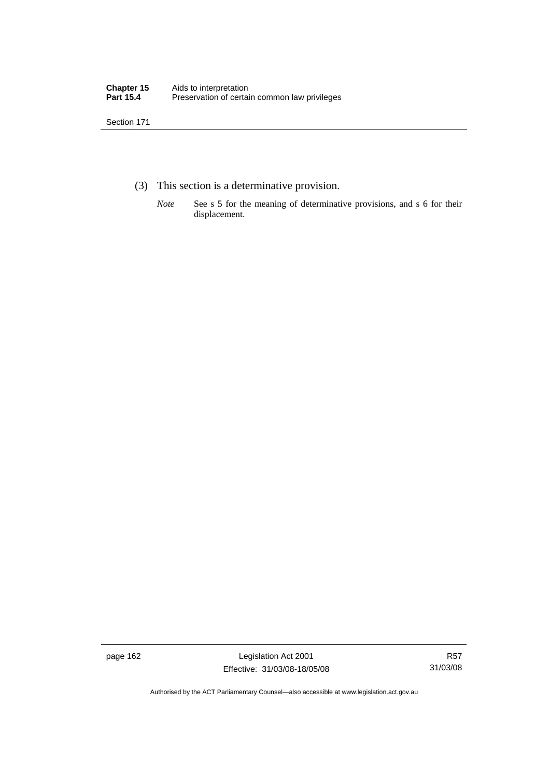- (3) This section is a determinative provision.
	- *Note* See s 5 for the meaning of determinative provisions, and s 6 for their displacement.

page 162 Legislation Act 2001 Effective: 31/03/08-18/05/08

R57 31/03/08

Authorised by the ACT Parliamentary Counsel—also accessible at www.legislation.act.gov.au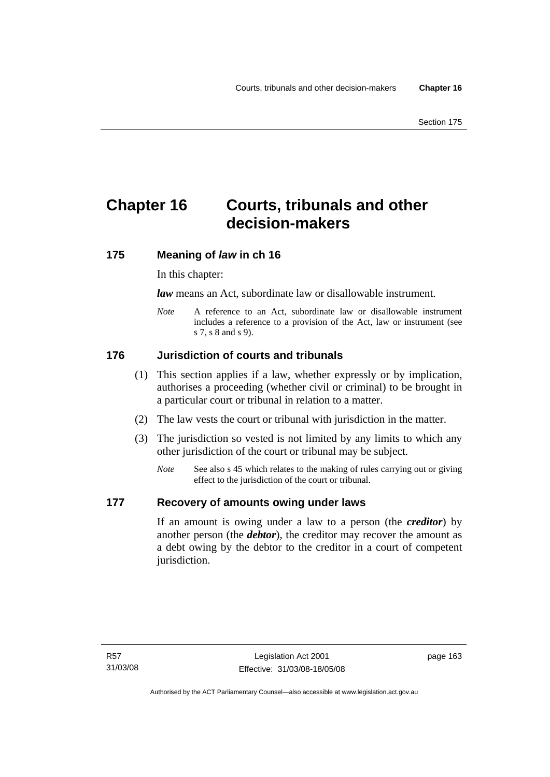# **Chapter 16 Courts, tribunals and other decision-makers**

## **175 Meaning of** *law* **in ch 16**

In this chapter:

*law* means an Act, subordinate law or disallowable instrument.

*Note* A reference to an Act, subordinate law or disallowable instrument includes a reference to a provision of the Act, law or instrument (see s 7, s 8 and s 9).

## **176 Jurisdiction of courts and tribunals**

- (1) This section applies if a law, whether expressly or by implication, authorises a proceeding (whether civil or criminal) to be brought in a particular court or tribunal in relation to a matter.
- (2) The law vests the court or tribunal with jurisdiction in the matter.
- (3) The jurisdiction so vested is not limited by any limits to which any other jurisdiction of the court or tribunal may be subject.
	- *Note* See also s 45 which relates to the making of rules carrying out or giving effect to the jurisdiction of the court or tribunal.

## **177 Recovery of amounts owing under laws**

If an amount is owing under a law to a person (the *creditor*) by another person (the *debtor*), the creditor may recover the amount as a debt owing by the debtor to the creditor in a court of competent jurisdiction.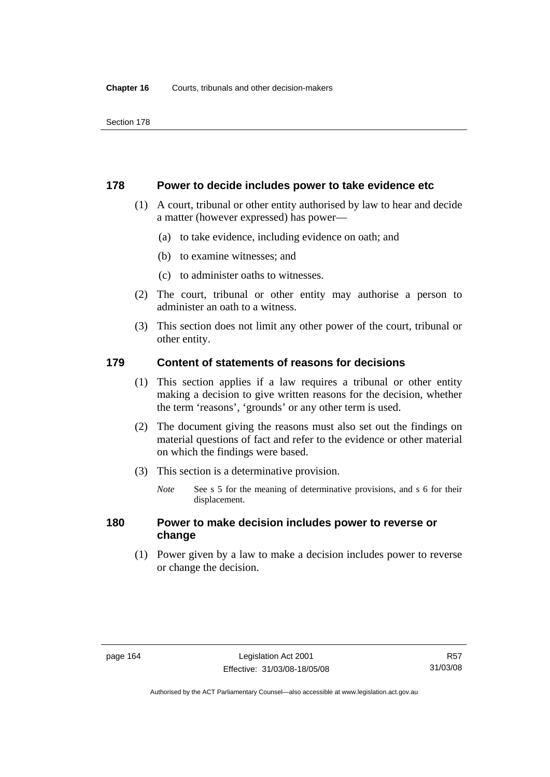#### **178 Power to decide includes power to take evidence etc**

- (1) A court, tribunal or other entity authorised by law to hear and decide a matter (however expressed) has power—
	- (a) to take evidence, including evidence on oath; and
	- (b) to examine witnesses; and
	- (c) to administer oaths to witnesses.
- (2) The court, tribunal or other entity may authorise a person to administer an oath to a witness.
- (3) This section does not limit any other power of the court, tribunal or other entity.

## **179 Content of statements of reasons for decisions**

- (1) This section applies if a law requires a tribunal or other entity making a decision to give written reasons for the decision, whether the term 'reasons', 'grounds' or any other term is used.
- (2) The document giving the reasons must also set out the findings on material questions of fact and refer to the evidence or other material on which the findings were based.
- (3) This section is a determinative provision.
	- *Note* See s 5 for the meaning of determinative provisions, and s 6 for their displacement.

## **180 Power to make decision includes power to reverse or change**

 (1) Power given by a law to make a decision includes power to reverse or change the decision.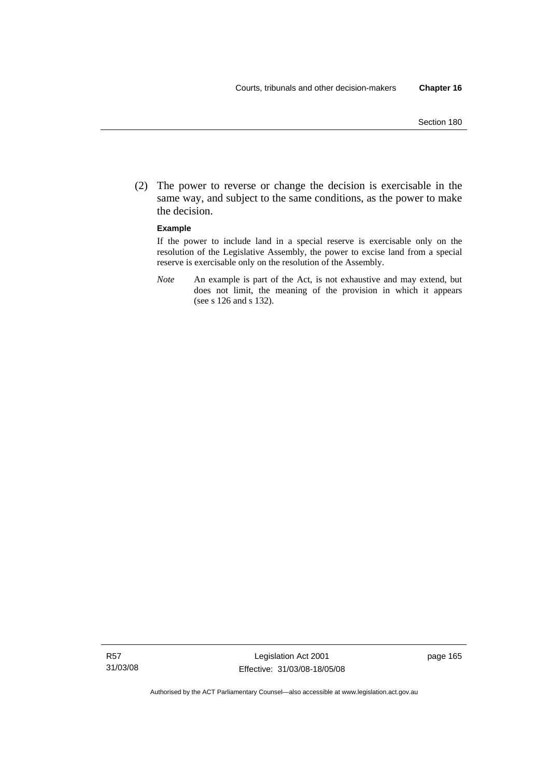(2) The power to reverse or change the decision is exercisable in the same way, and subject to the same conditions, as the power to make the decision.

#### **Example**

If the power to include land in a special reserve is exercisable only on the resolution of the Legislative Assembly, the power to excise land from a special reserve is exercisable only on the resolution of the Assembly.

*Note* An example is part of the Act, is not exhaustive and may extend, but does not limit, the meaning of the provision in which it appears (see s 126 and s 132).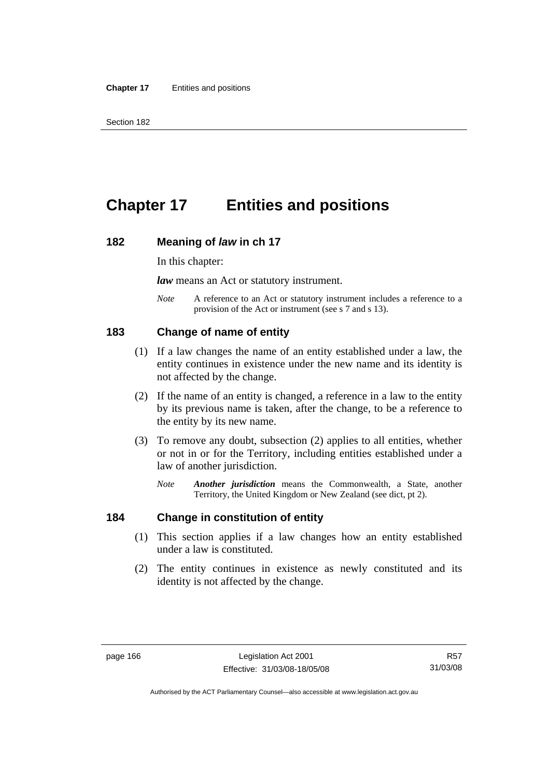# **Chapter 17 Entities and positions**

#### **182 Meaning of** *law* **in ch 17**

In this chapter:

*law* means an Act or statutory instrument.

*Note* A reference to an Act or statutory instrument includes a reference to a provision of the Act or instrument (see s 7 and s 13).

### **183 Change of name of entity**

- (1) If a law changes the name of an entity established under a law, the entity continues in existence under the new name and its identity is not affected by the change.
- (2) If the name of an entity is changed, a reference in a law to the entity by its previous name is taken, after the change, to be a reference to the entity by its new name.
- (3) To remove any doubt, subsection (2) applies to all entities, whether or not in or for the Territory, including entities established under a law of another jurisdiction.
	- *Note Another jurisdiction* means the Commonwealth, a State, another Territory, the United Kingdom or New Zealand (see dict, pt 2).

#### **184 Change in constitution of entity**

- (1) This section applies if a law changes how an entity established under a law is constituted.
- (2) The entity continues in existence as newly constituted and its identity is not affected by the change.

R57 31/03/08

Authorised by the ACT Parliamentary Counsel—also accessible at www.legislation.act.gov.au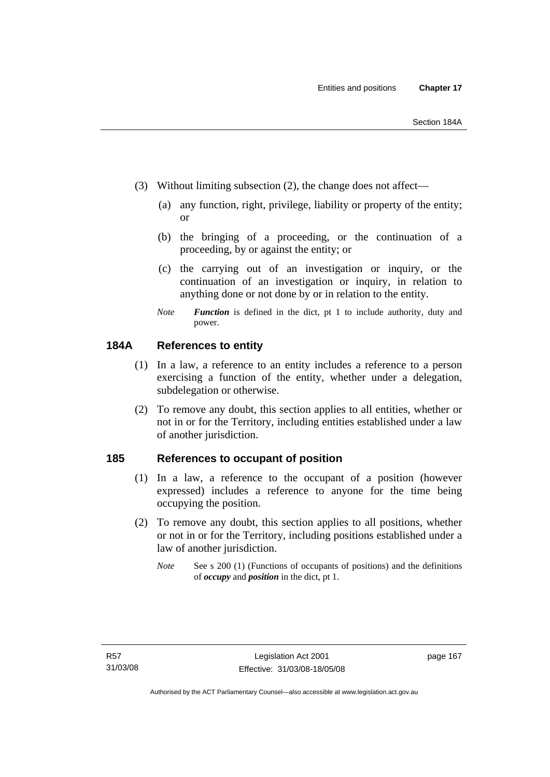- (3) Without limiting subsection (2), the change does not affect—
	- (a) any function, right, privilege, liability or property of the entity; or
	- (b) the bringing of a proceeding, or the continuation of a proceeding, by or against the entity; or
	- (c) the carrying out of an investigation or inquiry, or the continuation of an investigation or inquiry, in relation to anything done or not done by or in relation to the entity.
	- *Note Function* is defined in the dict, pt 1 to include authority, duty and power.

## **184A References to entity**

- (1) In a law, a reference to an entity includes a reference to a person exercising a function of the entity, whether under a delegation, subdelegation or otherwise.
- (2) To remove any doubt, this section applies to all entities, whether or not in or for the Territory, including entities established under a law of another jurisdiction.

### **185 References to occupant of position**

- (1) In a law, a reference to the occupant of a position (however expressed) includes a reference to anyone for the time being occupying the position.
- (2) To remove any doubt, this section applies to all positions, whether or not in or for the Territory, including positions established under a law of another jurisdiction.
	- *Note* See s 200 (1) (Functions of occupants of positions) and the definitions of *occupy* and *position* in the dict, pt 1.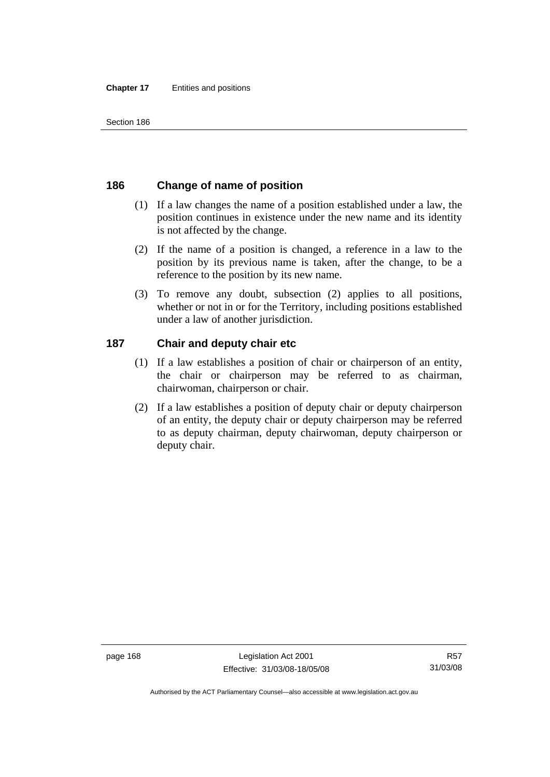# **186 Change of name of position**

- (1) If a law changes the name of a position established under a law, the position continues in existence under the new name and its identity is not affected by the change.
- (2) If the name of a position is changed, a reference in a law to the position by its previous name is taken, after the change, to be a reference to the position by its new name.
- (3) To remove any doubt, subsection (2) applies to all positions, whether or not in or for the Territory, including positions established under a law of another jurisdiction.

# **187 Chair and deputy chair etc**

- (1) If a law establishes a position of chair or chairperson of an entity, the chair or chairperson may be referred to as chairman, chairwoman, chairperson or chair.
- (2) If a law establishes a position of deputy chair or deputy chairperson of an entity, the deputy chair or deputy chairperson may be referred to as deputy chairman, deputy chairwoman, deputy chairperson or deputy chair.

Authorised by the ACT Parliamentary Counsel—also accessible at www.legislation.act.gov.au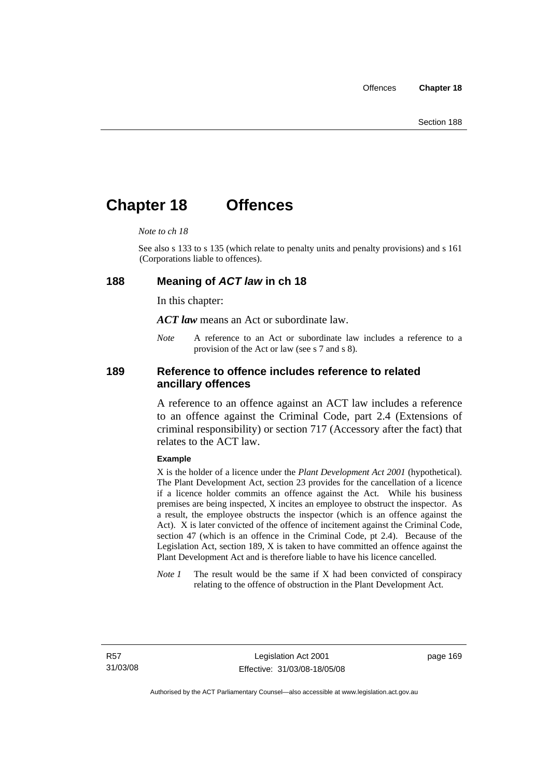# **Chapter 18 Offences**

#### *Note to ch 18*

See also s 133 to s 135 (which relate to penalty units and penalty provisions) and s 161 (Corporations liable to offences).

#### **188 Meaning of** *ACT law* **in ch 18**

In this chapter:

*ACT law* means an Act or subordinate law.

*Note* A reference to an Act or subordinate law includes a reference to a provision of the Act or law (see s 7 and s 8).

### **189 Reference to offence includes reference to related ancillary offences**

A reference to an offence against an ACT law includes a reference to an offence against the Criminal Code, part 2.4 (Extensions of criminal responsibility) or section 717 (Accessory after the fact) that relates to the ACT law.

#### **Example**

X is the holder of a licence under the *Plant Development Act 2001* (hypothetical). The Plant Development Act, section 23 provides for the cancellation of a licence if a licence holder commits an offence against the Act. While his business premises are being inspected, X incites an employee to obstruct the inspector. As a result, the employee obstructs the inspector (which is an offence against the Act). X is later convicted of the offence of incitement against the Criminal Code, section 47 (which is an offence in the Criminal Code, pt 2.4). Because of the Legislation Act, section 189, X is taken to have committed an offence against the Plant Development Act and is therefore liable to have his licence cancelled.

*Note 1* The result would be the same if X had been convicted of conspiracy relating to the offence of obstruction in the Plant Development Act.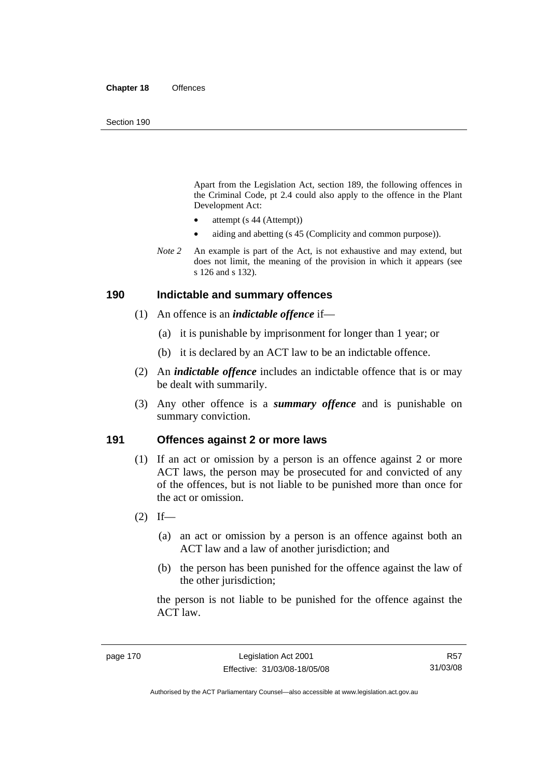Apart from the Legislation Act, section 189, the following offences in the Criminal Code*,* pt 2.4 could also apply to the offence in the Plant Development Act:

- attempt (s 44 (Attempt))
- aiding and abetting (s 45 (Complicity and common purpose)).
- *Note* 2 An example is part of the Act, is not exhaustive and may extend, but does not limit, the meaning of the provision in which it appears (see s 126 and s 132).

#### **190 Indictable and summary offences**

- (1) An offence is an *indictable offence* if—
	- (a) it is punishable by imprisonment for longer than 1 year; or
	- (b) it is declared by an ACT law to be an indictable offence.
- (2) An *indictable offence* includes an indictable offence that is or may be dealt with summarily.
- (3) Any other offence is a *summary offence* and is punishable on summary conviction.

### **191 Offences against 2 or more laws**

- (1) If an act or omission by a person is an offence against 2 or more ACT laws, the person may be prosecuted for and convicted of any of the offences, but is not liable to be punished more than once for the act or omission.
- $(2)$  If—
	- (a) an act or omission by a person is an offence against both an ACT law and a law of another jurisdiction; and
	- (b) the person has been punished for the offence against the law of the other jurisdiction:

the person is not liable to be punished for the offence against the ACT law.

Authorised by the ACT Parliamentary Counsel—also accessible at www.legislation.act.gov.au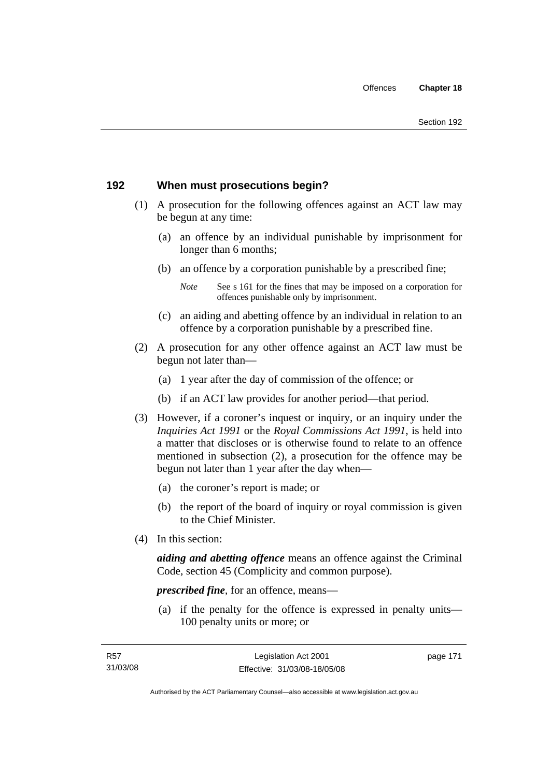# **192 When must prosecutions begin?**

- (1) A prosecution for the following offences against an ACT law may be begun at any time:
	- (a) an offence by an individual punishable by imprisonment for longer than 6 months;
	- (b) an offence by a corporation punishable by a prescribed fine;
		- *Note* See s 161 for the fines that may be imposed on a corporation for offences punishable only by imprisonment.
	- (c) an aiding and abetting offence by an individual in relation to an offence by a corporation punishable by a prescribed fine.
- (2) A prosecution for any other offence against an ACT law must be begun not later than—
	- (a) 1 year after the day of commission of the offence; or
	- (b) if an ACT law provides for another period—that period.
- (3) However, if a coroner's inquest or inquiry, or an inquiry under the *Inquiries Act 1991* or the *Royal Commissions Act 1991*, is held into a matter that discloses or is otherwise found to relate to an offence mentioned in subsection (2), a prosecution for the offence may be begun not later than 1 year after the day when—
	- (a) the coroner's report is made; or
	- (b) the report of the board of inquiry or royal commission is given to the Chief Minister.
- (4) In this section:

*aiding and abetting offence* means an offence against the Criminal Code, section 45 (Complicity and common purpose).

*prescribed fine*, for an offence, means—

 (a) if the penalty for the offence is expressed in penalty units— 100 penalty units or more; or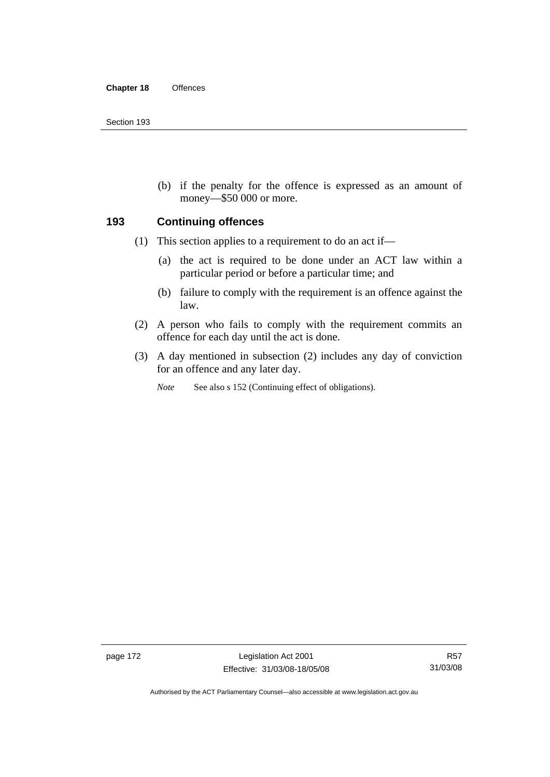(b) if the penalty for the offence is expressed as an amount of money—\$50 000 or more.

### **193 Continuing offences**

- (1) This section applies to a requirement to do an act if—
	- (a) the act is required to be done under an ACT law within a particular period or before a particular time; and
	- (b) failure to comply with the requirement is an offence against the law.
- (2) A person who fails to comply with the requirement commits an offence for each day until the act is done.
- (3) A day mentioned in subsection (2) includes any day of conviction for an offence and any later day.

*Note* See also s 152 (Continuing effect of obligations).

page 172 Legislation Act 2001 Effective: 31/03/08-18/05/08

Authorised by the ACT Parliamentary Counsel—also accessible at www.legislation.act.gov.au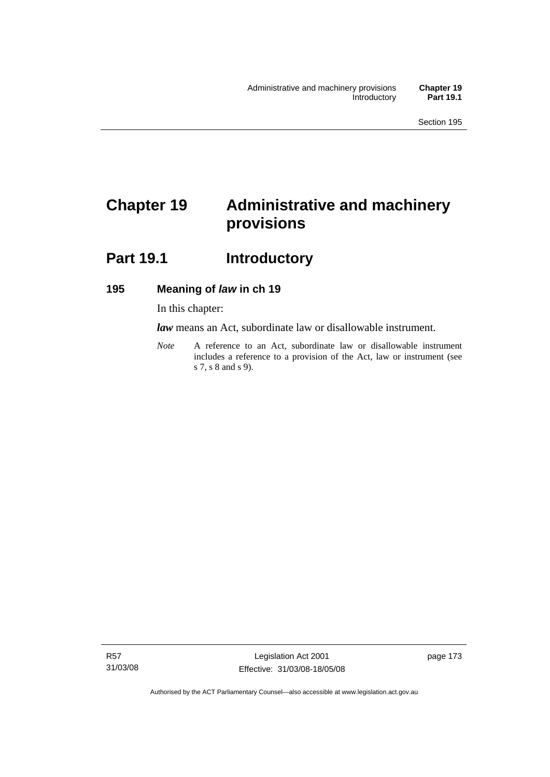# **Chapter 19 Administrative and machinery provisions**

# Part 19.1 **Introductory**

## **195 Meaning of** *law* **in ch 19**

In this chapter:

*law* means an Act, subordinate law or disallowable instrument.

*Note* A reference to an Act, subordinate law or disallowable instrument includes a reference to a provision of the Act, law or instrument (see s 7, s 8 and s 9).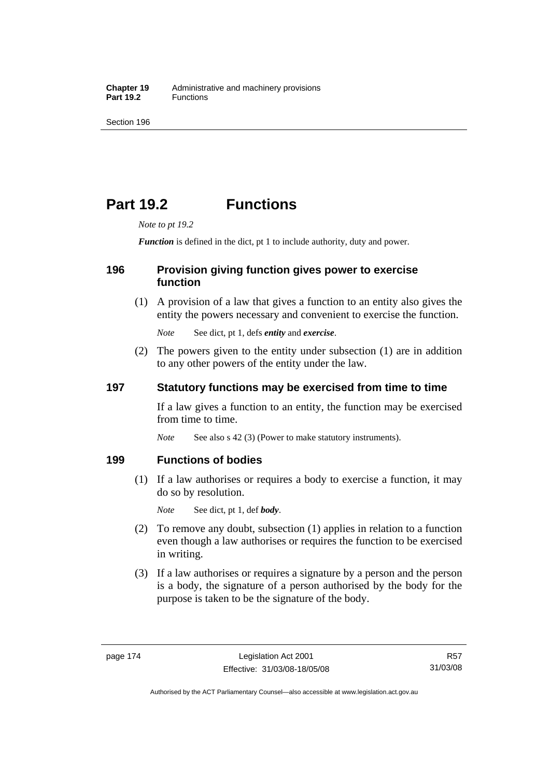# **Part 19.2 Functions**

*Note to pt 19.2* 

*Function* is defined in the dict, pt 1 to include authority, duty and power.

## **196 Provision giving function gives power to exercise function**

 (1) A provision of a law that gives a function to an entity also gives the entity the powers necessary and convenient to exercise the function.

*Note* See dict, pt 1, defs *entity* and *exercise*.

 (2) The powers given to the entity under subsection (1) are in addition to any other powers of the entity under the law.

## **197 Statutory functions may be exercised from time to time**

If a law gives a function to an entity, the function may be exercised from time to time.

*Note* See also s 42 (3) (Power to make statutory instruments).

## **199 Functions of bodies**

 (1) If a law authorises or requires a body to exercise a function, it may do so by resolution.

*Note* See dict, pt 1, def *body*.

- (2) To remove any doubt, subsection (1) applies in relation to a function even though a law authorises or requires the function to be exercised in writing.
- (3) If a law authorises or requires a signature by a person and the person is a body, the signature of a person authorised by the body for the purpose is taken to be the signature of the body.

R57 31/03/08

Authorised by the ACT Parliamentary Counsel—also accessible at www.legislation.act.gov.au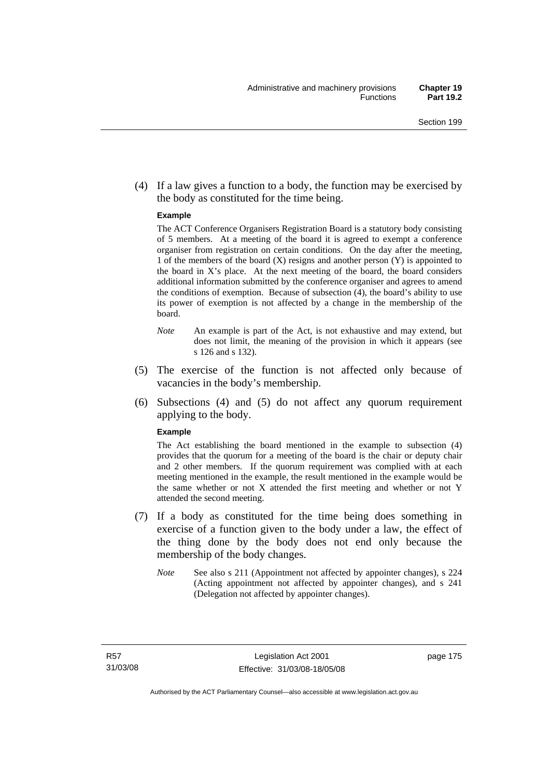(4) If a law gives a function to a body, the function may be exercised by the body as constituted for the time being.

#### **Example**

The ACT Conference Organisers Registration Board is a statutory body consisting of 5 members. At a meeting of the board it is agreed to exempt a conference organiser from registration on certain conditions. On the day after the meeting, 1 of the members of the board (X) resigns and another person (Y) is appointed to the board in  $X$ 's place. At the next meeting of the board, the board considers additional information submitted by the conference organiser and agrees to amend the conditions of exemption. Because of subsection (4), the board's ability to use its power of exemption is not affected by a change in the membership of the board.

- *Note* An example is part of the Act, is not exhaustive and may extend, but does not limit, the meaning of the provision in which it appears (see s 126 and s 132).
- (5) The exercise of the function is not affected only because of vacancies in the body's membership.
- (6) Subsections (4) and (5) do not affect any quorum requirement applying to the body.

#### **Example**

The Act establishing the board mentioned in the example to subsection (4) provides that the quorum for a meeting of the board is the chair or deputy chair and 2 other members. If the quorum requirement was complied with at each meeting mentioned in the example, the result mentioned in the example would be the same whether or not X attended the first meeting and whether or not Y attended the second meeting.

- (7) If a body as constituted for the time being does something in exercise of a function given to the body under a law, the effect of the thing done by the body does not end only because the membership of the body changes.
	- *Note* See also s 211 (Appointment not affected by appointer changes), s 224 (Acting appointment not affected by appointer changes), and s 241 (Delegation not affected by appointer changes).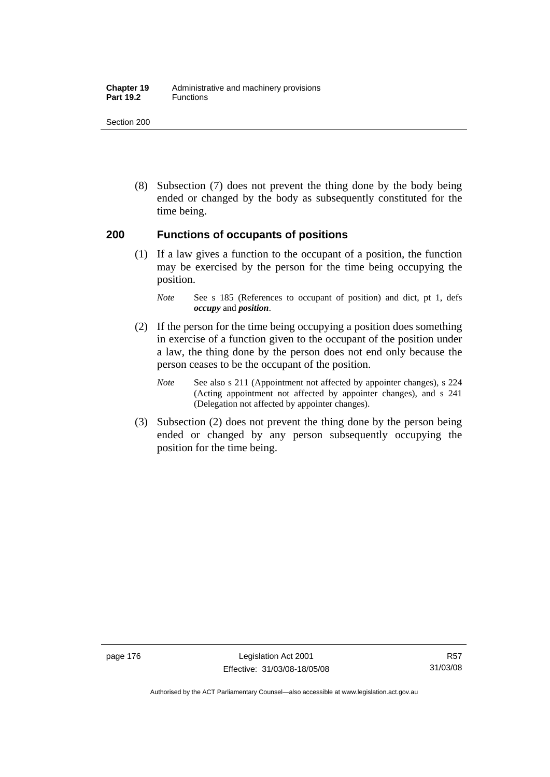#### **Chapter 19** Administrative and machinery provisions Part 19.2 **Functions**

Section 200

 (8) Subsection (7) does not prevent the thing done by the body being ended or changed by the body as subsequently constituted for the time being.

### **200 Functions of occupants of positions**

 (1) If a law gives a function to the occupant of a position, the function may be exercised by the person for the time being occupying the position.

- (2) If the person for the time being occupying a position does something in exercise of a function given to the occupant of the position under a law, the thing done by the person does not end only because the person ceases to be the occupant of the position.
	- *Note* See also s 211 (Appointment not affected by appointer changes), s 224 (Acting appointment not affected by appointer changes), and s 241 (Delegation not affected by appointer changes).
- (3) Subsection (2) does not prevent the thing done by the person being ended or changed by any person subsequently occupying the position for the time being.

*Note* See s 185 (References to occupant of position) and dict, pt 1, defs *occupy* and *position*.

Authorised by the ACT Parliamentary Counsel—also accessible at www.legislation.act.gov.au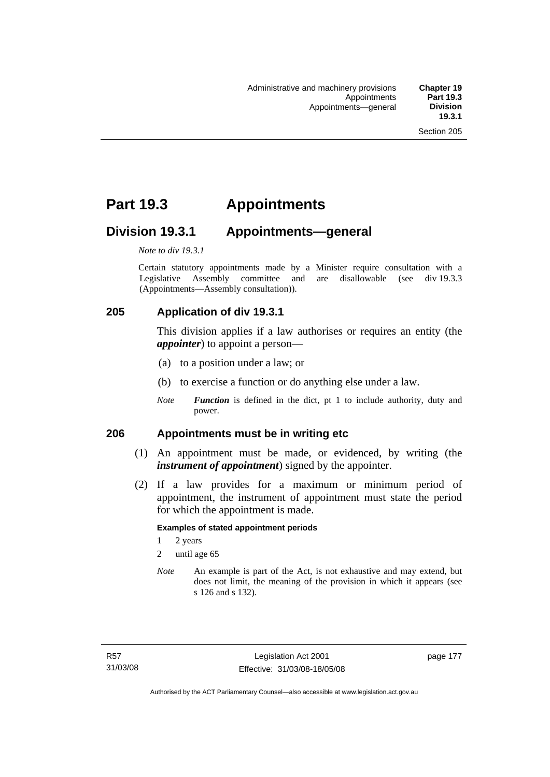# **Part 19.3 Appointments**

# **Division 19.3.1 Appointments—general**

*Note to div 19.3.1* 

Certain statutory appointments made by a Minister require consultation with a Legislative Assembly committee and are disallowable (see div 19.3.3) (Appointments—Assembly consultation)).

# **205 Application of div 19.3.1**

This division applies if a law authorises or requires an entity (the *appointer*) to appoint a person—

- (a) to a position under a law; or
- (b) to exercise a function or do anything else under a law.
- *Note Function* is defined in the dict, pt 1 to include authority, duty and power.

### **206 Appointments must be in writing etc**

- (1) An appointment must be made, or evidenced, by writing (the *instrument of appointment*) signed by the appointer.
- (2) If a law provides for a maximum or minimum period of appointment, the instrument of appointment must state the period for which the appointment is made.

#### **Examples of stated appointment periods**

- 1 2 years
- 2 until age 65
- *Note* An example is part of the Act, is not exhaustive and may extend, but does not limit, the meaning of the provision in which it appears (see s 126 and s 132).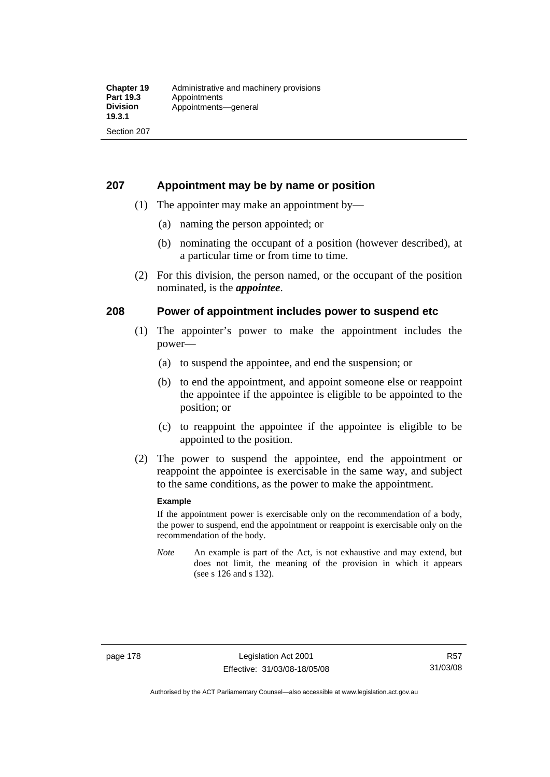## **207 Appointment may be by name or position**

- (1) The appointer may make an appointment by—
	- (a) naming the person appointed; or
	- (b) nominating the occupant of a position (however described), at a particular time or from time to time.
- (2) For this division, the person named, or the occupant of the position nominated, is the *appointee*.

## **208 Power of appointment includes power to suspend etc**

- (1) The appointer's power to make the appointment includes the power—
	- (a) to suspend the appointee, and end the suspension; or
	- (b) to end the appointment, and appoint someone else or reappoint the appointee if the appointee is eligible to be appointed to the position; or
	- (c) to reappoint the appointee if the appointee is eligible to be appointed to the position.
- (2) The power to suspend the appointee, end the appointment or reappoint the appointee is exercisable in the same way, and subject to the same conditions, as the power to make the appointment.

#### **Example**

If the appointment power is exercisable only on the recommendation of a body, the power to suspend, end the appointment or reappoint is exercisable only on the recommendation of the body.

*Note* An example is part of the Act, is not exhaustive and may extend, but does not limit, the meaning of the provision in which it appears (see s 126 and s 132).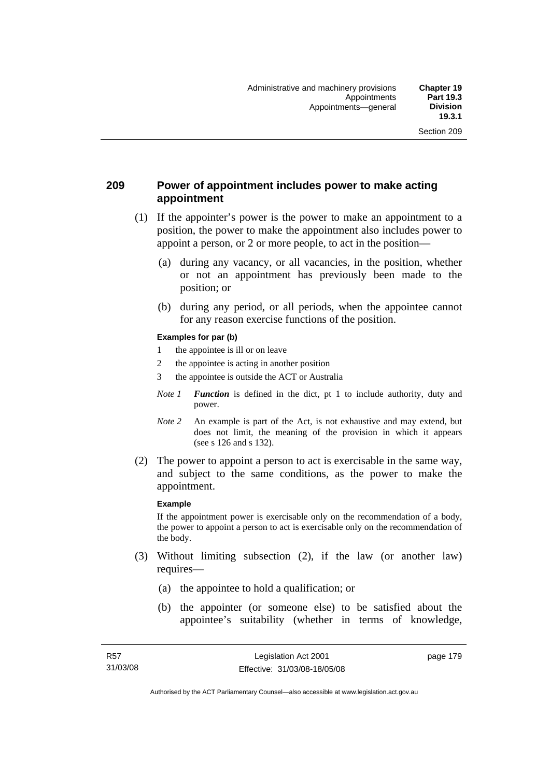## **209 Power of appointment includes power to make acting appointment**

- (1) If the appointer's power is the power to make an appointment to a position, the power to make the appointment also includes power to appoint a person, or 2 or more people, to act in the position—
	- (a) during any vacancy, or all vacancies, in the position, whether or not an appointment has previously been made to the position; or
	- (b) during any period, or all periods, when the appointee cannot for any reason exercise functions of the position.

#### **Examples for par (b)**

- 1 the appointee is ill or on leave
- 2 the appointee is acting in another position
- 3 the appointee is outside the ACT or Australia
- *Note 1 Function* is defined in the dict, pt 1 to include authority, duty and power.
- *Note* 2 An example is part of the Act, is not exhaustive and may extend, but does not limit, the meaning of the provision in which it appears (see s 126 and s 132).
- (2) The power to appoint a person to act is exercisable in the same way, and subject to the same conditions, as the power to make the appointment.

#### **Example**

If the appointment power is exercisable only on the recommendation of a body, the power to appoint a person to act is exercisable only on the recommendation of the body.

- (3) Without limiting subsection (2), if the law (or another law) requires—
	- (a) the appointee to hold a qualification; or
	- (b) the appointer (or someone else) to be satisfied about the appointee's suitability (whether in terms of knowledge,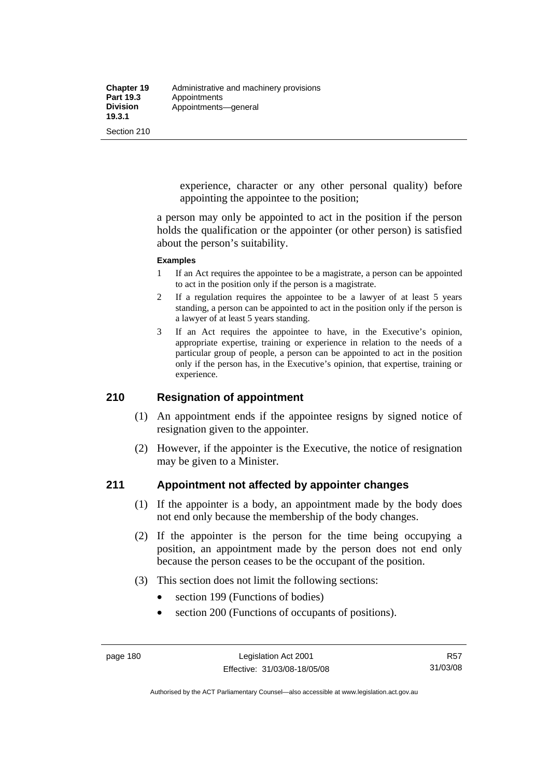experience, character or any other personal quality) before appointing the appointee to the position;

a person may only be appointed to act in the position if the person holds the qualification or the appointer (or other person) is satisfied about the person's suitability.

#### **Examples**

- 1 If an Act requires the appointee to be a magistrate, a person can be appointed to act in the position only if the person is a magistrate.
- 2 If a regulation requires the appointee to be a lawyer of at least 5 years standing, a person can be appointed to act in the position only if the person is a lawyer of at least 5 years standing.
- 3 If an Act requires the appointee to have, in the Executive's opinion, appropriate expertise, training or experience in relation to the needs of a particular group of people, a person can be appointed to act in the position only if the person has, in the Executive's opinion, that expertise, training or experience.

# **210 Resignation of appointment**

- (1) An appointment ends if the appointee resigns by signed notice of resignation given to the appointer.
- (2) However, if the appointer is the Executive, the notice of resignation may be given to a Minister.

### **211 Appointment not affected by appointer changes**

- (1) If the appointer is a body, an appointment made by the body does not end only because the membership of the body changes.
- (2) If the appointer is the person for the time being occupying a position, an appointment made by the person does not end only because the person ceases to be the occupant of the position.
- (3) This section does not limit the following sections:
	- section 199 (Functions of bodies)
	- section 200 (Functions of occupants of positions).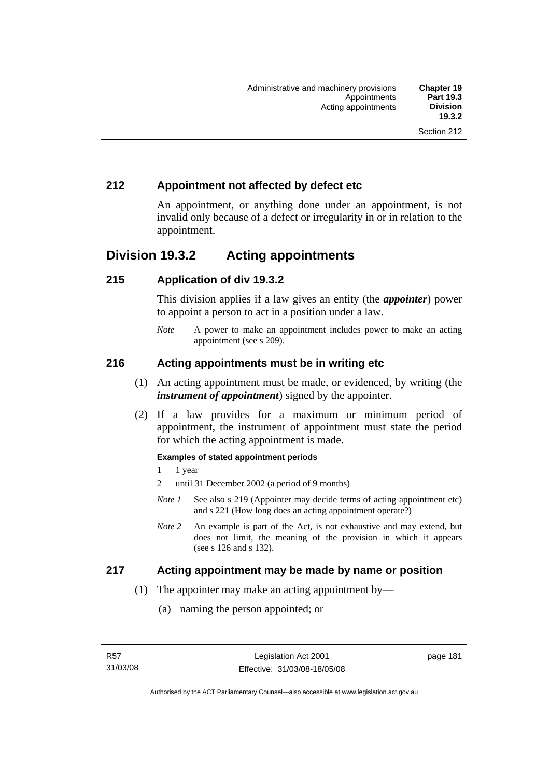# **212 Appointment not affected by defect etc**

An appointment, or anything done under an appointment, is not invalid only because of a defect or irregularity in or in relation to the appointment.

# **Division 19.3.2 Acting appointments**

## **215 Application of div 19.3.2**

This division applies if a law gives an entity (the *appointer*) power to appoint a person to act in a position under a law.

*Note* A power to make an appointment includes power to make an acting appointment (see s 209).

## **216 Acting appointments must be in writing etc**

- (1) An acting appointment must be made, or evidenced, by writing (the *instrument of appointment*) signed by the appointer.
- (2) If a law provides for a maximum or minimum period of appointment, the instrument of appointment must state the period for which the acting appointment is made.

#### **Examples of stated appointment periods**

- 1 1 year
- 2 until 31 December 2002 (a period of 9 months)
- *Note 1* See also s 219 (Appointer may decide terms of acting appointment etc) and s 221 (How long does an acting appointment operate?)
- *Note 2* An example is part of the Act, is not exhaustive and may extend, but does not limit, the meaning of the provision in which it appears (see s 126 and s 132).

### **217 Acting appointment may be made by name or position**

- (1) The appointer may make an acting appointment by—
	- (a) naming the person appointed; or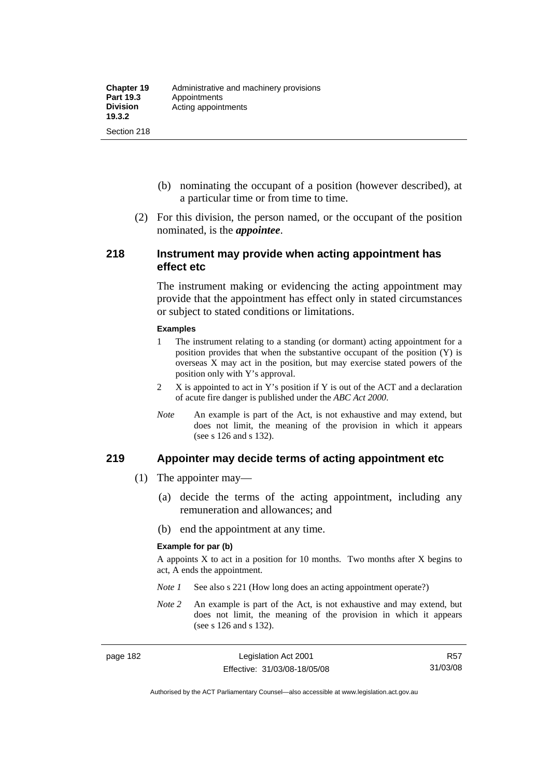- (b) nominating the occupant of a position (however described), at a particular time or from time to time.
- (2) For this division, the person named, or the occupant of the position nominated, is the *appointee*.

#### **218 Instrument may provide when acting appointment has effect etc**

The instrument making or evidencing the acting appointment may provide that the appointment has effect only in stated circumstances or subject to stated conditions or limitations.

#### **Examples**

- 1 The instrument relating to a standing (or dormant) acting appointment for a position provides that when the substantive occupant of the position (Y) is overseas X may act in the position, but may exercise stated powers of the position only with Y's approval.
- 2 X is appointed to act in Y's position if Y is out of the ACT and a declaration of acute fire danger is published under the *ABC Act 2000*.
- *Note* An example is part of the Act, is not exhaustive and may extend, but does not limit, the meaning of the provision in which it appears (see s 126 and s 132).

#### **219 Appointer may decide terms of acting appointment etc**

- (1) The appointer may—
	- (a) decide the terms of the acting appointment, including any remuneration and allowances; and
	- (b) end the appointment at any time.

#### **Example for par (b)**

A appoints  $X$  to act in a position for 10 months. Two months after  $X$  begins to act, A ends the appointment.

- *Note 1* See also s 221 (How long does an acting appointment operate?)
- *Note 2* An example is part of the Act, is not exhaustive and may extend, but does not limit, the meaning of the provision in which it appears (see s 126 and s 132).

Authorised by the ACT Parliamentary Counsel—also accessible at www.legislation.act.gov.au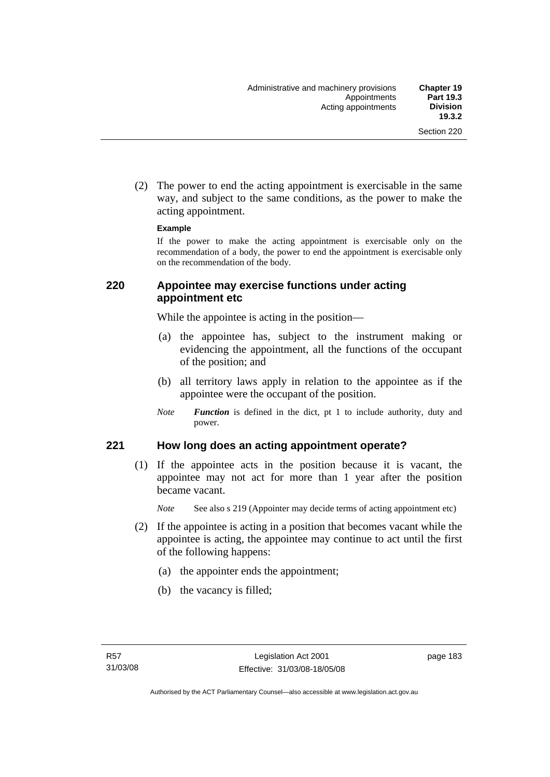(2) The power to end the acting appointment is exercisable in the same way, and subject to the same conditions, as the power to make the acting appointment.

#### **Example**

If the power to make the acting appointment is exercisable only on the recommendation of a body, the power to end the appointment is exercisable only on the recommendation of the body.

## **220 Appointee may exercise functions under acting appointment etc**

While the appointee is acting in the position—

- (a) the appointee has, subject to the instrument making or evidencing the appointment, all the functions of the occupant of the position; and
- (b) all territory laws apply in relation to the appointee as if the appointee were the occupant of the position.
- *Note Function* is defined in the dict, pt 1 to include authority, duty and power.

### **221 How long does an acting appointment operate?**

 (1) If the appointee acts in the position because it is vacant, the appointee may not act for more than 1 year after the position became vacant.

*Note* See also s 219 (Appointer may decide terms of acting appointment etc)

- (2) If the appointee is acting in a position that becomes vacant while the appointee is acting, the appointee may continue to act until the first of the following happens:
	- (a) the appointer ends the appointment;
	- (b) the vacancy is filled;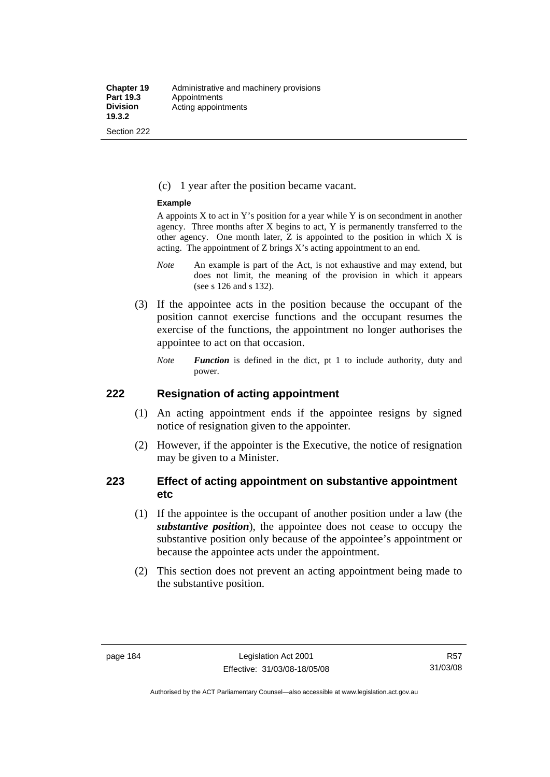#### (c) 1 year after the position became vacant.

#### **Example**

A appoints  $X$  to act in Y's position for a year while Y is on secondment in another agency. Three months after X begins to act, Y is permanently transferred to the other agency. One month later, Z is appointed to the position in which X is acting. The appointment of Z brings X's acting appointment to an end.

- *Note* An example is part of the Act, is not exhaustive and may extend, but does not limit, the meaning of the provision in which it appears (see s 126 and s 132).
- (3) If the appointee acts in the position because the occupant of the position cannot exercise functions and the occupant resumes the exercise of the functions, the appointment no longer authorises the appointee to act on that occasion.
	- *Note Function* is defined in the dict, pt 1 to include authority, duty and power.

#### **222 Resignation of acting appointment**

- (1) An acting appointment ends if the appointee resigns by signed notice of resignation given to the appointer.
- (2) However, if the appointer is the Executive, the notice of resignation may be given to a Minister.

## **223 Effect of acting appointment on substantive appointment etc**

- (1) If the appointee is the occupant of another position under a law (the *substantive position*), the appointee does not cease to occupy the substantive position only because of the appointee's appointment or because the appointee acts under the appointment.
- (2) This section does not prevent an acting appointment being made to the substantive position.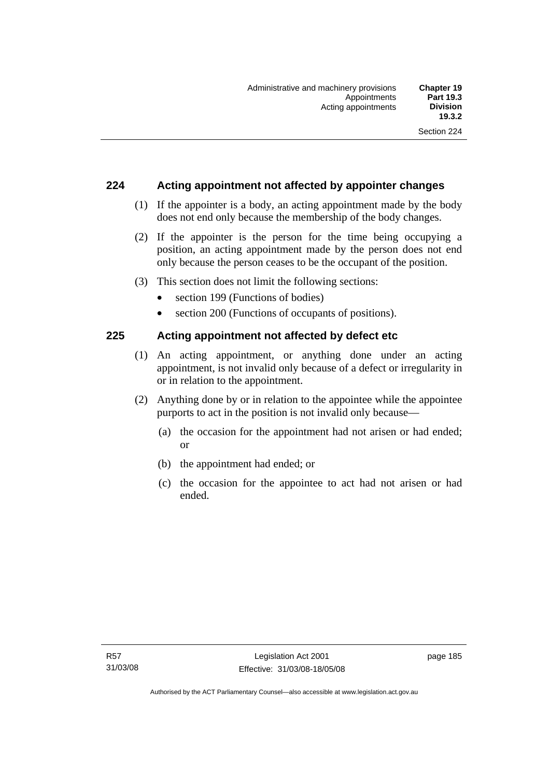## **224 Acting appointment not affected by appointer changes**

- (1) If the appointer is a body, an acting appointment made by the body does not end only because the membership of the body changes.
- (2) If the appointer is the person for the time being occupying a position, an acting appointment made by the person does not end only because the person ceases to be the occupant of the position.
- (3) This section does not limit the following sections:
	- section 199 (Functions of bodies)
	- section 200 (Functions of occupants of positions).

### **225 Acting appointment not affected by defect etc**

- (1) An acting appointment, or anything done under an acting appointment, is not invalid only because of a defect or irregularity in or in relation to the appointment.
- (2) Anything done by or in relation to the appointee while the appointee purports to act in the position is not invalid only because—
	- (a) the occasion for the appointment had not arisen or had ended; or
	- (b) the appointment had ended; or
	- (c) the occasion for the appointee to act had not arisen or had ended.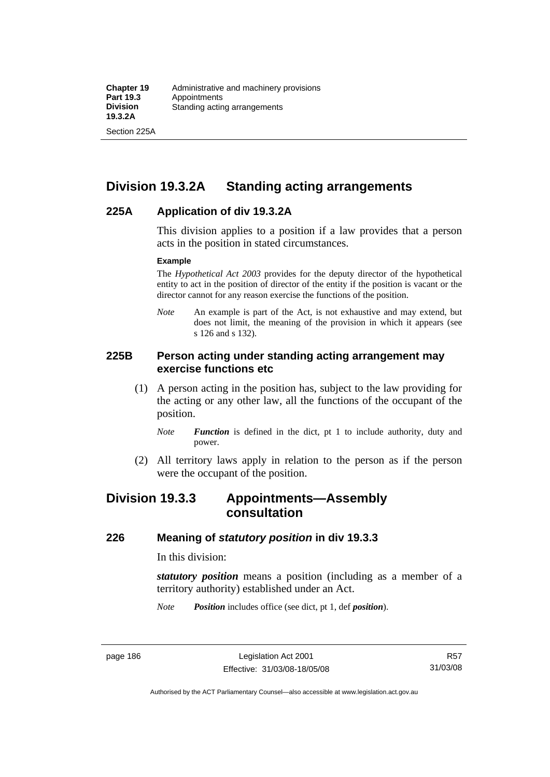Section 225A

# **Division 19.3.2A Standing acting arrangements**

### **225A Application of div 19.3.2A**

This division applies to a position if a law provides that a person acts in the position in stated circumstances.

#### **Example**

The *Hypothetical Act 2003* provides for the deputy director of the hypothetical entity to act in the position of director of the entity if the position is vacant or the director cannot for any reason exercise the functions of the position.

*Note* An example is part of the Act, is not exhaustive and may extend, but does not limit, the meaning of the provision in which it appears (see s 126 and s 132).

### **225B Person acting under standing acting arrangement may exercise functions etc**

- (1) A person acting in the position has, subject to the law providing for the acting or any other law, all the functions of the occupant of the position.
	- *Note Function* is defined in the dict, pt 1 to include authority, duty and power.
- (2) All territory laws apply in relation to the person as if the person were the occupant of the position.

# **Division 19.3.3 Appointments—Assembly consultation**

#### **226 Meaning of** *statutory position* **in div 19.3.3**

In this division:

*statutory position* means a position (including as a member of a territory authority) established under an Act.

*Note Position* includes office (see dict, pt 1, def *position*).

R57 31/03/08

Authorised by the ACT Parliamentary Counsel—also accessible at www.legislation.act.gov.au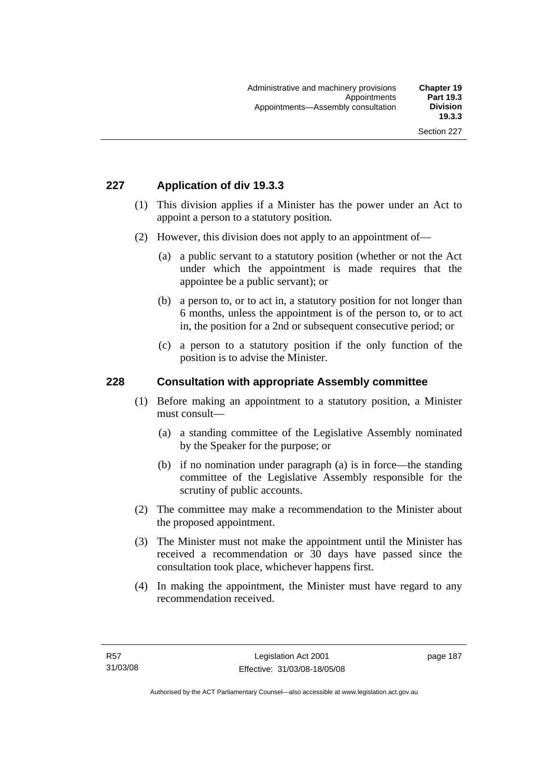# **227 Application of div 19.3.3**

- (1) This division applies if a Minister has the power under an Act to appoint a person to a statutory position.
- (2) However, this division does not apply to an appointment of—
	- (a) a public servant to a statutory position (whether or not the Act under which the appointment is made requires that the appointee be a public servant); or
	- (b) a person to, or to act in, a statutory position for not longer than 6 months, unless the appointment is of the person to, or to act in, the position for a 2nd or subsequent consecutive period; or
	- (c) a person to a statutory position if the only function of the position is to advise the Minister.

### **228 Consultation with appropriate Assembly committee**

- (1) Before making an appointment to a statutory position, a Minister must consult—
	- (a) a standing committee of the Legislative Assembly nominated by the Speaker for the purpose; or
	- (b) if no nomination under paragraph (a) is in force—the standing committee of the Legislative Assembly responsible for the scrutiny of public accounts.
- (2) The committee may make a recommendation to the Minister about the proposed appointment.
- (3) The Minister must not make the appointment until the Minister has received a recommendation or 30 days have passed since the consultation took place, whichever happens first.
- (4) In making the appointment, the Minister must have regard to any recommendation received.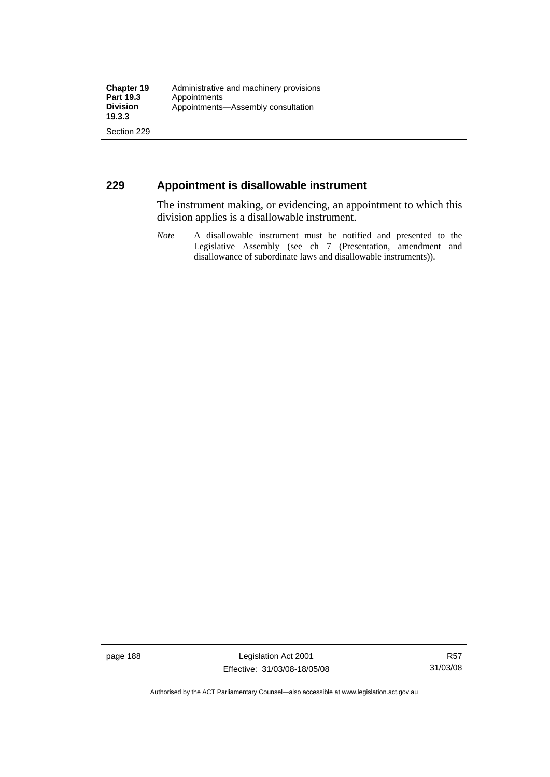## **229 Appointment is disallowable instrument**

The instrument making, or evidencing, an appointment to which this division applies is a disallowable instrument.

*Note* A disallowable instrument must be notified and presented to the Legislative Assembly (see ch 7 (Presentation, amendment and disallowance of subordinate laws and disallowable instruments)).

page 188 Legislation Act 2001 Effective: 31/03/08-18/05/08

Authorised by the ACT Parliamentary Counsel—also accessible at www.legislation.act.gov.au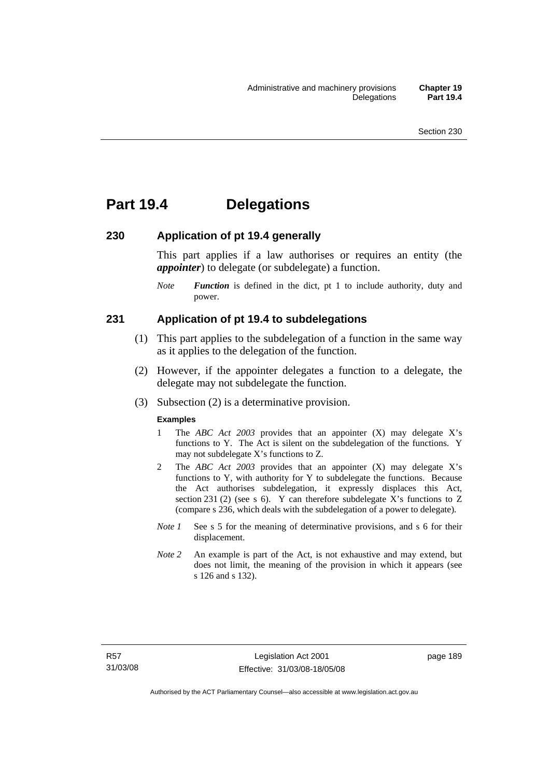# **Part 19.4 Delegations**

#### **230 Application of pt 19.4 generally**

This part applies if a law authorises or requires an entity (the *appointer*) to delegate (or subdelegate) a function.

*Note Function* is defined in the dict, pt 1 to include authority, duty and power.

#### **231 Application of pt 19.4 to subdelegations**

- (1) This part applies to the subdelegation of a function in the same way as it applies to the delegation of the function.
- (2) However, if the appointer delegates a function to a delegate, the delegate may not subdelegate the function.
- (3) Subsection (2) is a determinative provision.

#### **Examples**

- 1 The *ABC Act 2003* provides that an appointer (X) may delegate X's functions to Y. The Act is silent on the subdelegation of the functions. Y may not subdelegate X's functions to Z.
- 2 The *ABC Act 2003* provides that an appointer (X) may delegate X's functions to Y, with authority for Y to subdelegate the functions. Because the Act authorises subdelegation, it expressly displaces this Act, section 231 (2) (see s 6). Y can therefore subdelegate X's functions to  $Z$ (compare s 236, which deals with the subdelegation of a power to delegate)*.*
- *Note 1* See s 5 for the meaning of determinative provisions, and s 6 for their displacement.
- *Note* 2 An example is part of the Act, is not exhaustive and may extend, but does not limit, the meaning of the provision in which it appears (see s 126 and s 132).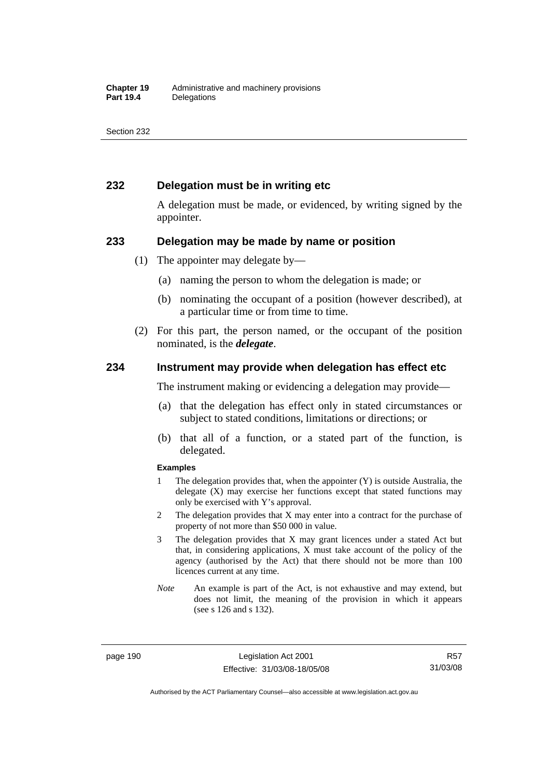## **232 Delegation must be in writing etc**

A delegation must be made, or evidenced, by writing signed by the appointer.

#### **233 Delegation may be made by name or position**

- (1) The appointer may delegate by—
	- (a) naming the person to whom the delegation is made; or
	- (b) nominating the occupant of a position (however described), at a particular time or from time to time.
- (2) For this part, the person named, or the occupant of the position nominated, is the *delegate*.

#### **234 Instrument may provide when delegation has effect etc**

The instrument making or evidencing a delegation may provide—

- (a) that the delegation has effect only in stated circumstances or subject to stated conditions, limitations or directions; or
- (b) that all of a function, or a stated part of the function, is delegated.

#### **Examples**

- 1 The delegation provides that, when the appointer (Y) is outside Australia, the delegate (X) may exercise her functions except that stated functions may only be exercised with Y's approval.
- 2 The delegation provides that X may enter into a contract for the purchase of property of not more than \$50 000 in value.
- 3 The delegation provides that X may grant licences under a stated Act but that, in considering applications, X must take account of the policy of the agency (authorised by the Act) that there should not be more than 100 licences current at any time.
- *Note* An example is part of the Act, is not exhaustive and may extend, but does not limit, the meaning of the provision in which it appears (see s 126 and s 132).

page 190 Legislation Act 2001 Effective: 31/03/08-18/05/08

R57 31/03/08

Authorised by the ACT Parliamentary Counsel—also accessible at www.legislation.act.gov.au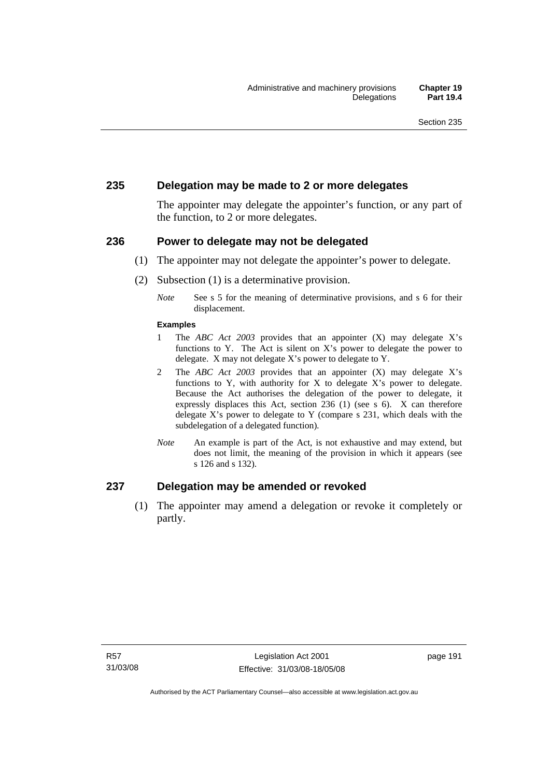### **235 Delegation may be made to 2 or more delegates**

The appointer may delegate the appointer's function, or any part of the function, to 2 or more delegates.

#### **236 Power to delegate may not be delegated**

- (1) The appointer may not delegate the appointer's power to delegate.
- (2) Subsection (1) is a determinative provision.
	- *Note* See s 5 for the meaning of determinative provisions, and s 6 for their displacement.

#### **Examples**

- 1 The *ABC Act 2003* provides that an appointer (X) may delegate X's functions to Y. The Act is silent on X's power to delegate the power to delegate. X may not delegate X's power to delegate to Y.
- 2 The *ABC Act 2003* provides that an appointer (X) may delegate X's functions to Y, with authority for X to delegate X's power to delegate. Because the Act authorises the delegation of the power to delegate, it expressly displaces this Act, section 236 (1) (see s 6). X can therefore delegate X's power to delegate to Y (compare s 231, which deals with the subdelegation of a delegated function)*.*
- *Note* An example is part of the Act, is not exhaustive and may extend, but does not limit, the meaning of the provision in which it appears (see s 126 and s 132).

### **237 Delegation may be amended or revoked**

 (1) The appointer may amend a delegation or revoke it completely or partly.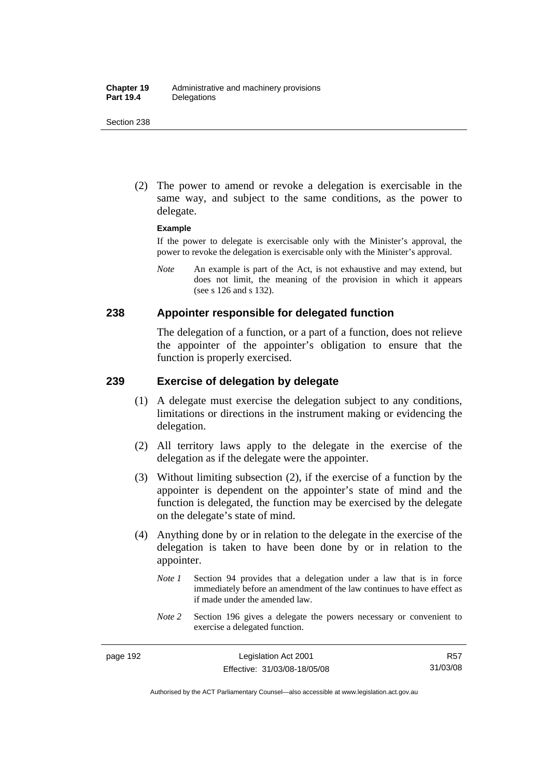(2) The power to amend or revoke a delegation is exercisable in the same way, and subject to the same conditions, as the power to delegate.

#### **Example**

If the power to delegate is exercisable only with the Minister's approval, the power to revoke the delegation is exercisable only with the Minister's approval.

*Note* An example is part of the Act, is not exhaustive and may extend, but does not limit, the meaning of the provision in which it appears (see s 126 and s 132).

#### **238 Appointer responsible for delegated function**

The delegation of a function, or a part of a function, does not relieve the appointer of the appointer's obligation to ensure that the function is properly exercised.

## **239 Exercise of delegation by delegate**

- (1) A delegate must exercise the delegation subject to any conditions, limitations or directions in the instrument making or evidencing the delegation.
- (2) All territory laws apply to the delegate in the exercise of the delegation as if the delegate were the appointer.
- (3) Without limiting subsection (2), if the exercise of a function by the appointer is dependent on the appointer's state of mind and the function is delegated, the function may be exercised by the delegate on the delegate's state of mind.
- (4) Anything done by or in relation to the delegate in the exercise of the delegation is taken to have been done by or in relation to the appointer.
	- *Note 1* Section 94 provides that a delegation under a law that is in force immediately before an amendment of the law continues to have effect as if made under the amended law.
	- *Note* 2 Section 196 gives a delegate the powers necessary or convenient to exercise a delegated function.

R57 31/03/08

Authorised by the ACT Parliamentary Counsel—also accessible at www.legislation.act.gov.au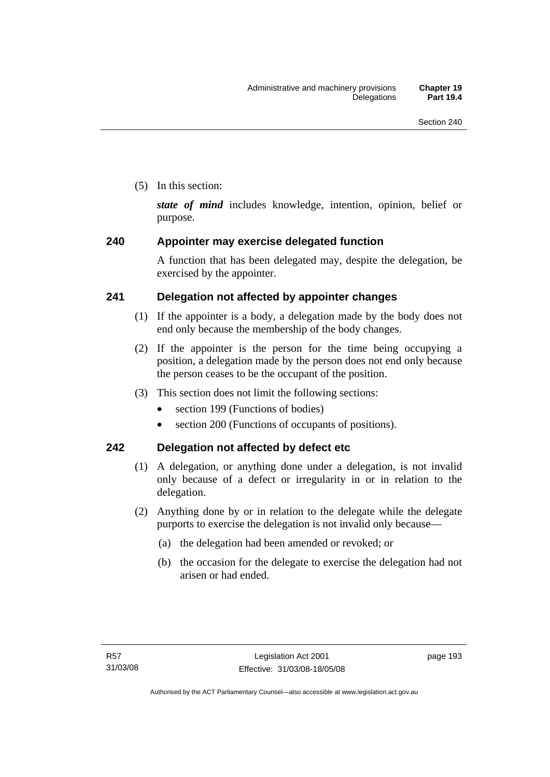(5) In this section:

*state of mind* includes knowledge, intention, opinion, belief or purpose.

# **240 Appointer may exercise delegated function**

A function that has been delegated may, despite the delegation, be exercised by the appointer.

# **241 Delegation not affected by appointer changes**

- (1) If the appointer is a body, a delegation made by the body does not end only because the membership of the body changes.
- (2) If the appointer is the person for the time being occupying a position, a delegation made by the person does not end only because the person ceases to be the occupant of the position.
- (3) This section does not limit the following sections:
	- section 199 (Functions of bodies)
	- section 200 (Functions of occupants of positions).

# **242 Delegation not affected by defect etc**

- (1) A delegation, or anything done under a delegation, is not invalid only because of a defect or irregularity in or in relation to the delegation.
- (2) Anything done by or in relation to the delegate while the delegate purports to exercise the delegation is not invalid only because—
	- (a) the delegation had been amended or revoked; or
	- (b) the occasion for the delegate to exercise the delegation had not arisen or had ended.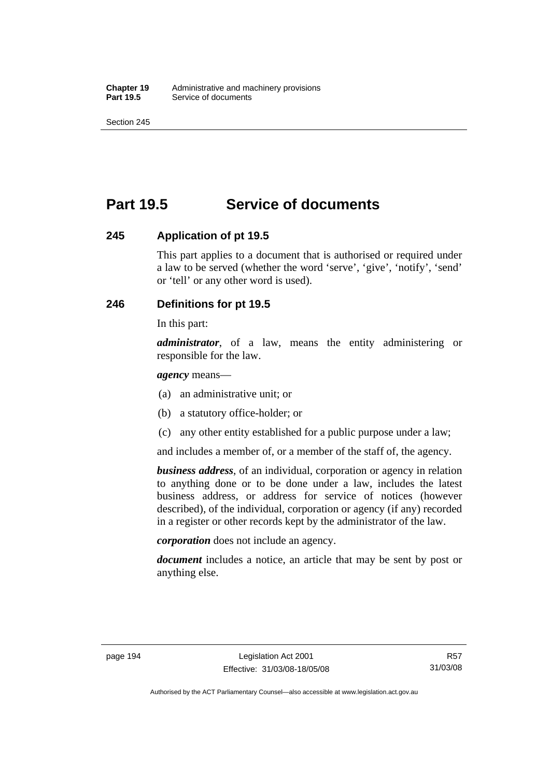# **Part 19.5 Service of documents**

### **245 Application of pt 19.5**

This part applies to a document that is authorised or required under a law to be served (whether the word 'serve', 'give', 'notify', 'send' or 'tell' or any other word is used).

# **246 Definitions for pt 19.5**

In this part:

*administrator*, of a law, means the entity administering or responsible for the law.

*agency* means—

- (a) an administrative unit; or
- (b) a statutory office-holder; or
- (c) any other entity established for a public purpose under a law;

and includes a member of, or a member of the staff of, the agency.

*business address*, of an individual, corporation or agency in relation to anything done or to be done under a law, includes the latest business address, or address for service of notices (however described), of the individual, corporation or agency (if any) recorded in a register or other records kept by the administrator of the law.

*corporation* does not include an agency.

*document* includes a notice, an article that may be sent by post or anything else.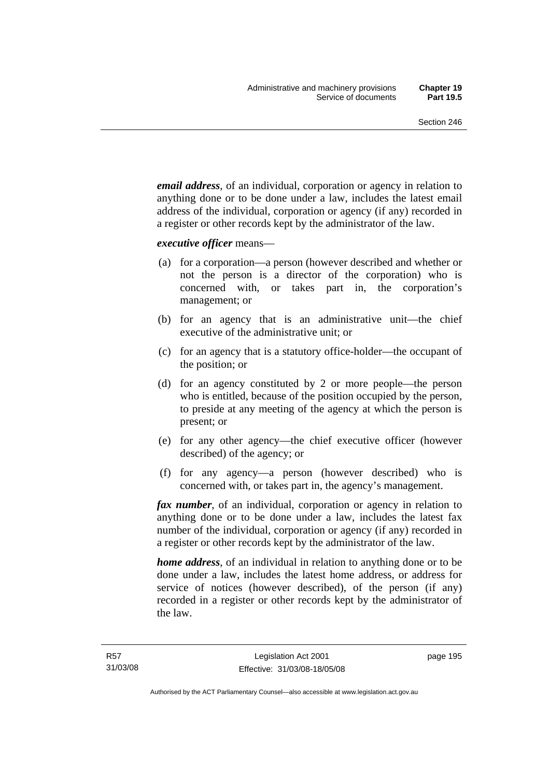*email address*, of an individual, corporation or agency in relation to anything done or to be done under a law, includes the latest email address of the individual, corporation or agency (if any) recorded in a register or other records kept by the administrator of the law.

*executive officer* means—

- (a) for a corporation—a person (however described and whether or not the person is a director of the corporation) who is concerned with, or takes part in, the corporation's management; or
- (b) for an agency that is an administrative unit—the chief executive of the administrative unit; or
- (c) for an agency that is a statutory office-holder—the occupant of the position; or
- (d) for an agency constituted by 2 or more people—the person who is entitled, because of the position occupied by the person, to preside at any meeting of the agency at which the person is present; or
- (e) for any other agency—the chief executive officer (however described) of the agency; or
- (f) for any agency—a person (however described) who is concerned with, or takes part in, the agency's management.

*fax number*, of an individual, corporation or agency in relation to anything done or to be done under a law, includes the latest fax number of the individual, corporation or agency (if any) recorded in a register or other records kept by the administrator of the law.

*home address*, of an individual in relation to anything done or to be done under a law, includes the latest home address, or address for service of notices (however described), of the person (if any) recorded in a register or other records kept by the administrator of the law.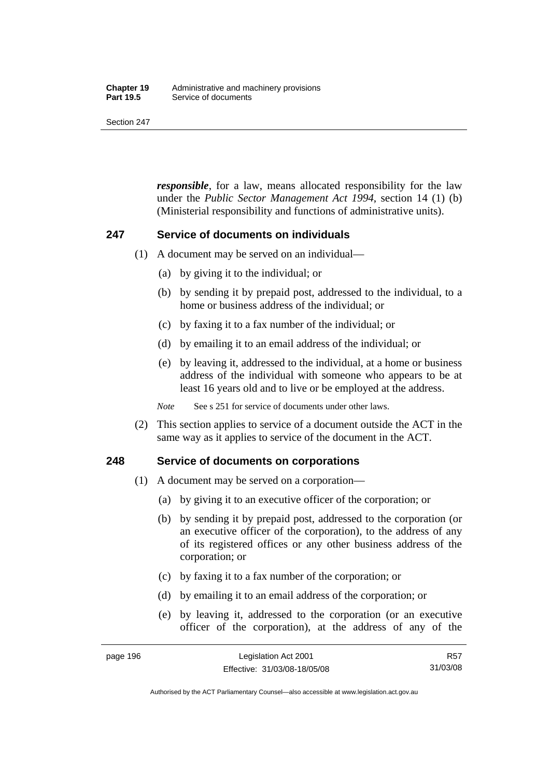#### **Chapter 19** Administrative and machinery provisions<br>**Part 19.5** Service of documents **Service of documents**

Section 247

*responsible*, for a law, means allocated responsibility for the law under the *Public Sector Management Act 1994*, section 14 (1) (b) (Ministerial responsibility and functions of administrative units).

### **247 Service of documents on individuals**

- (1) A document may be served on an individual—
	- (a) by giving it to the individual; or
	- (b) by sending it by prepaid post, addressed to the individual, to a home or business address of the individual; or
	- (c) by faxing it to a fax number of the individual; or
	- (d) by emailing it to an email address of the individual; or
	- (e) by leaving it, addressed to the individual, at a home or business address of the individual with someone who appears to be at least 16 years old and to live or be employed at the address.

*Note* See s 251 for service of documents under other laws.

 (2) This section applies to service of a document outside the ACT in the same way as it applies to service of the document in the ACT.

### **248 Service of documents on corporations**

- (1) A document may be served on a corporation—
	- (a) by giving it to an executive officer of the corporation; or
	- (b) by sending it by prepaid post, addressed to the corporation (or an executive officer of the corporation), to the address of any of its registered offices or any other business address of the corporation; or
	- (c) by faxing it to a fax number of the corporation; or
	- (d) by emailing it to an email address of the corporation; or
	- (e) by leaving it, addressed to the corporation (or an executive officer of the corporation), at the address of any of the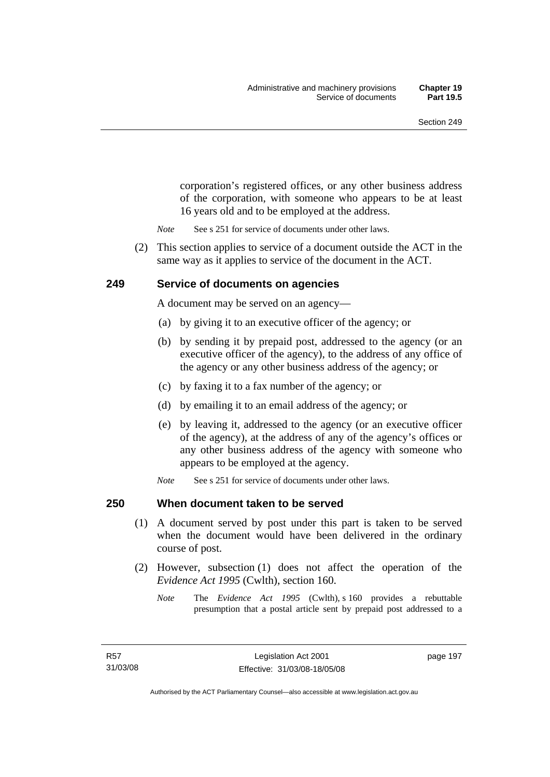corporation's registered offices, or any other business address of the corporation, with someone who appears to be at least 16 years old and to be employed at the address.

- *Note* See s 251 for service of documents under other laws.
- (2) This section applies to service of a document outside the ACT in the same way as it applies to service of the document in the ACT.

### **249 Service of documents on agencies**

A document may be served on an agency—

- (a) by giving it to an executive officer of the agency; or
- (b) by sending it by prepaid post, addressed to the agency (or an executive officer of the agency), to the address of any office of the agency or any other business address of the agency; or
- (c) by faxing it to a fax number of the agency; or
- (d) by emailing it to an email address of the agency; or
- (e) by leaving it, addressed to the agency (or an executive officer of the agency), at the address of any of the agency's offices or any other business address of the agency with someone who appears to be employed at the agency.
- *Note* See s 251 for service of documents under other laws.

#### **250 When document taken to be served**

- (1) A document served by post under this part is taken to be served when the document would have been delivered in the ordinary course of post.
- (2) However, subsection (1) does not affect the operation of the *Evidence Act 1995* (Cwlth), section 160.
	- *Note* The *Evidence Act 1995* (Cwlth), s 160 provides a rebuttable presumption that a postal article sent by prepaid post addressed to a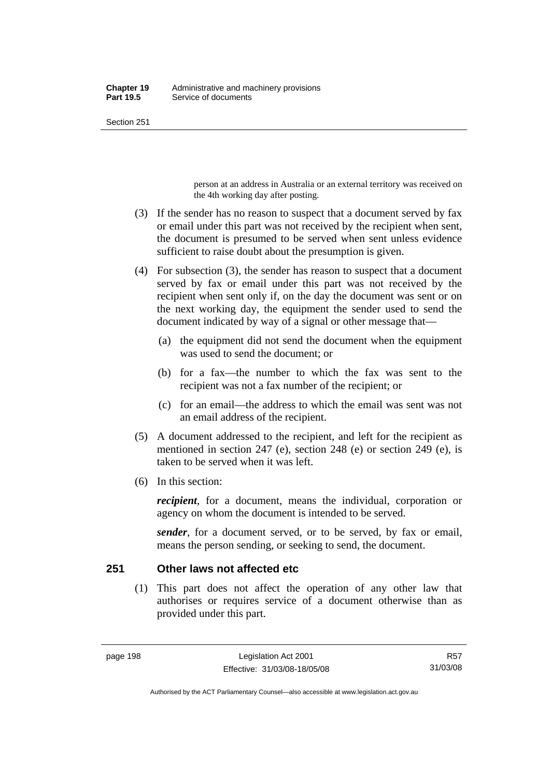person at an address in Australia or an external territory was received on the 4th working day after posting.

- (3) If the sender has no reason to suspect that a document served by fax or email under this part was not received by the recipient when sent, the document is presumed to be served when sent unless evidence sufficient to raise doubt about the presumption is given.
- (4) For subsection (3), the sender has reason to suspect that a document served by fax or email under this part was not received by the recipient when sent only if, on the day the document was sent or on the next working day, the equipment the sender used to send the document indicated by way of a signal or other message that—
	- (a) the equipment did not send the document when the equipment was used to send the document; or
	- (b) for a fax—the number to which the fax was sent to the recipient was not a fax number of the recipient; or
	- (c) for an email—the address to which the email was sent was not an email address of the recipient.
- (5) A document addressed to the recipient, and left for the recipient as mentioned in section 247 (e), section 248 (e) or section 249 (e), is taken to be served when it was left.
- (6) In this section:

*recipient*, for a document, means the individual, corporation or agency on whom the document is intended to be served.

*sender*, for a document served, or to be served, by fax or email, means the person sending, or seeking to send, the document.

### **251 Other laws not affected etc**

 (1) This part does not affect the operation of any other law that authorises or requires service of a document otherwise than as provided under this part.

Authorised by the ACT Parliamentary Counsel—also accessible at www.legislation.act.gov.au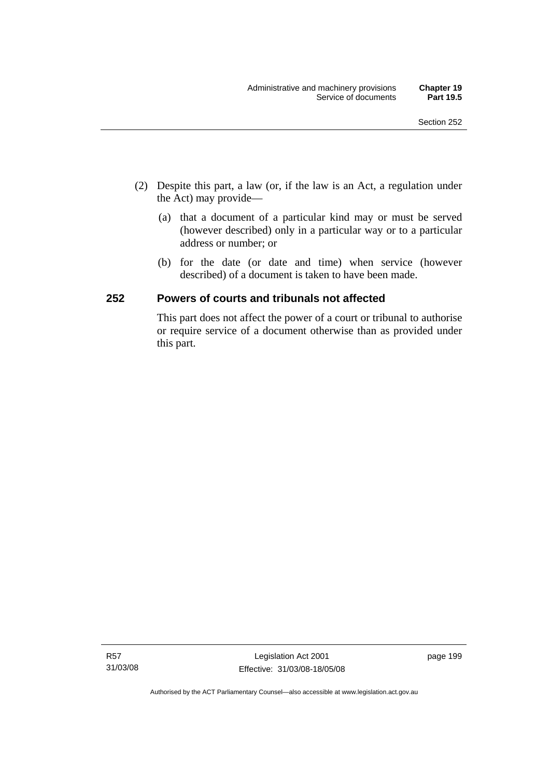- (2) Despite this part, a law (or, if the law is an Act, a regulation under the Act) may provide—
	- (a) that a document of a particular kind may or must be served (however described) only in a particular way or to a particular address or number; or
	- (b) for the date (or date and time) when service (however described) of a document is taken to have been made.

# **252 Powers of courts and tribunals not affected**

This part does not affect the power of a court or tribunal to authorise or require service of a document otherwise than as provided under this part.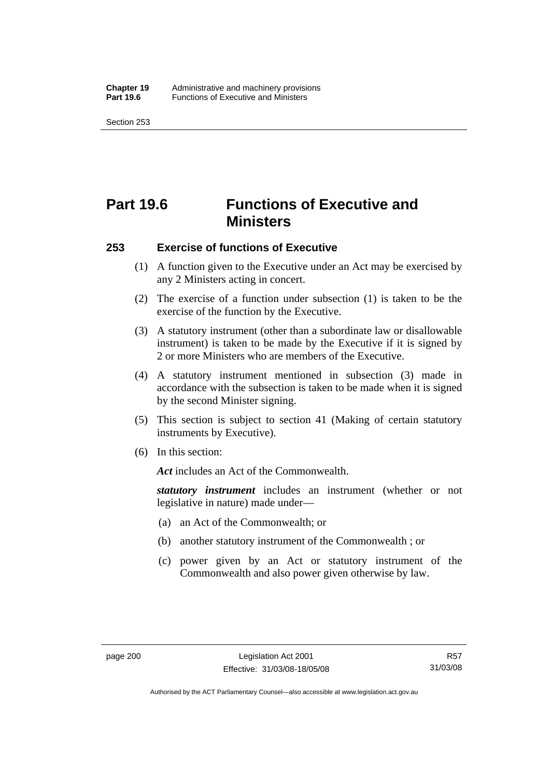# **Part 19.6 Functions of Executive and Ministers**

#### **253 Exercise of functions of Executive**

- (1) A function given to the Executive under an Act may be exercised by any 2 Ministers acting in concert.
- (2) The exercise of a function under subsection (1) is taken to be the exercise of the function by the Executive.
- (3) A statutory instrument (other than a subordinate law or disallowable instrument) is taken to be made by the Executive if it is signed by 2 or more Ministers who are members of the Executive.
- (4) A statutory instrument mentioned in subsection (3) made in accordance with the subsection is taken to be made when it is signed by the second Minister signing.
- (5) This section is subject to section 41 (Making of certain statutory instruments by Executive).
- (6) In this section:

*Act* includes an Act of the Commonwealth.

*statutory instrument* includes an instrument (whether or not legislative in nature) made under—

- (a) an Act of the Commonwealth; or
- (b) another statutory instrument of the Commonwealth ; or
- (c) power given by an Act or statutory instrument of the Commonwealth and also power given otherwise by law.

Authorised by the ACT Parliamentary Counsel—also accessible at www.legislation.act.gov.au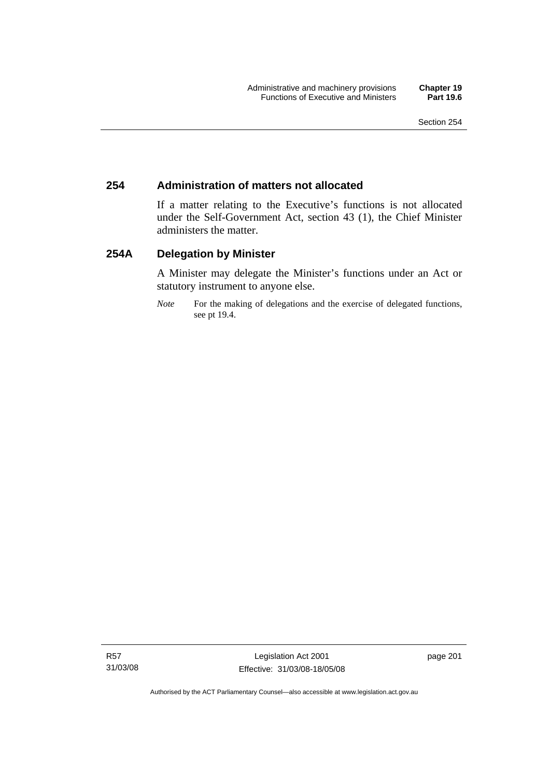## **254 Administration of matters not allocated**

If a matter relating to the Executive's functions is not allocated under the Self-Government Act, section 43 (1), the Chief Minister administers the matter.

## **254A Delegation by Minister**

A Minister may delegate the Minister's functions under an Act or statutory instrument to anyone else.

*Note* For the making of delegations and the exercise of delegated functions, see pt 19.4.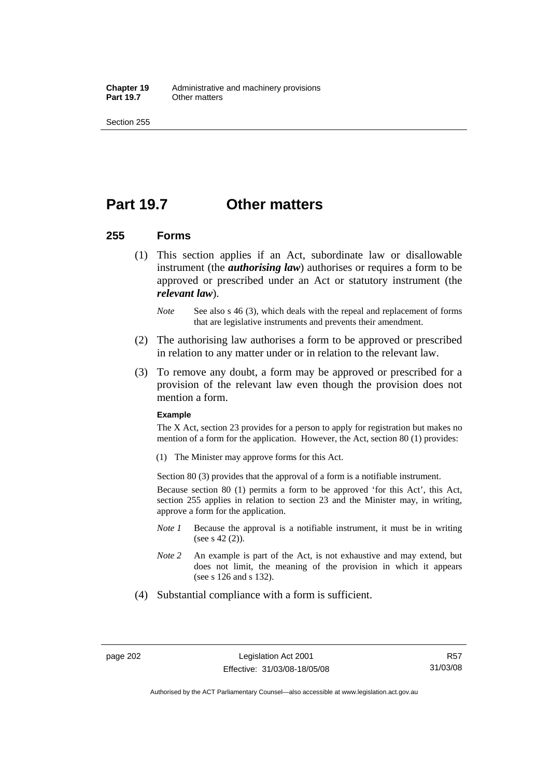**Chapter 19** Administrative and machinery provisions<br>**Part 19.7** Other matters **Other matters** 

Section 255

## **Part 19.7 Other matters**

### **255 Forms**

- (1) This section applies if an Act, subordinate law or disallowable instrument (the *authorising law*) authorises or requires a form to be approved or prescribed under an Act or statutory instrument (the *relevant law*).
	- *Note* See also s 46 (3), which deals with the repeal and replacement of forms that are legislative instruments and prevents their amendment.
- (2) The authorising law authorises a form to be approved or prescribed in relation to any matter under or in relation to the relevant law.
- (3) To remove any doubt, a form may be approved or prescribed for a provision of the relevant law even though the provision does not mention a form.

#### **Example**

The X Act, section 23 provides for a person to apply for registration but makes no mention of a form for the application. However, the Act, section 80 (1) provides:

(1) The Minister may approve forms for this Act.

Section 80 (3) provides that the approval of a form is a notifiable instrument.

Because section 80 (1) permits a form to be approved 'for this Act', this Act, section 255 applies in relation to section 23 and the Minister may, in writing, approve a form for the application.

- *Note 1* Because the approval is a notifiable instrument, it must be in writing (see s 42 (2)).
- *Note 2* An example is part of the Act, is not exhaustive and may extend, but does not limit, the meaning of the provision in which it appears (see s 126 and s 132).
- (4) Substantial compliance with a form is sufficient.

Authorised by the ACT Parliamentary Counsel—also accessible at www.legislation.act.gov.au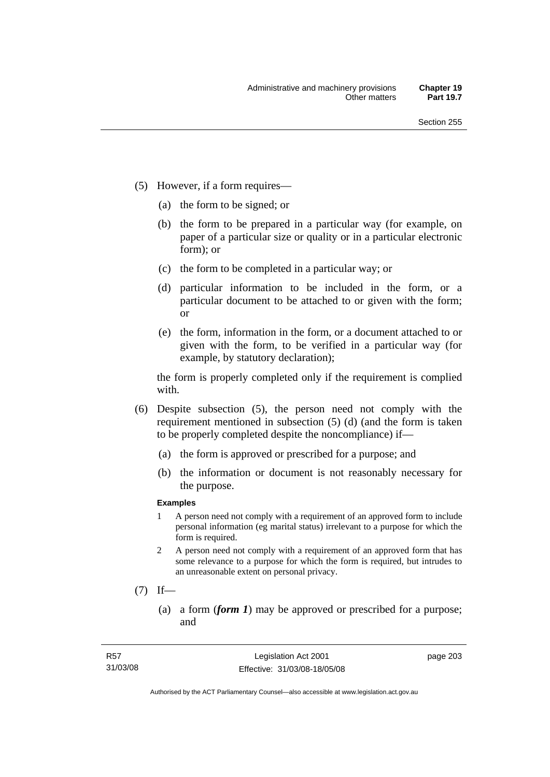- (5) However, if a form requires—
	- (a) the form to be signed; or
	- (b) the form to be prepared in a particular way (for example, on paper of a particular size or quality or in a particular electronic form); or
	- (c) the form to be completed in a particular way; or
	- (d) particular information to be included in the form, or a particular document to be attached to or given with the form; or
	- (e) the form, information in the form, or a document attached to or given with the form, to be verified in a particular way (for example, by statutory declaration);

the form is properly completed only if the requirement is complied with.

- (6) Despite subsection (5), the person need not comply with the requirement mentioned in subsection (5) (d) (and the form is taken to be properly completed despite the noncompliance) if—
	- (a) the form is approved or prescribed for a purpose; and
	- (b) the information or document is not reasonably necessary for the purpose.

### **Examples**

- 1 A person need not comply with a requirement of an approved form to include personal information (eg marital status) irrelevant to a purpose for which the form is required.
- 2 A person need not comply with a requirement of an approved form that has some relevance to a purpose for which the form is required, but intrudes to an unreasonable extent on personal privacy.
- $(7)$  If—
	- (a) a form (*form 1*) may be approved or prescribed for a purpose; and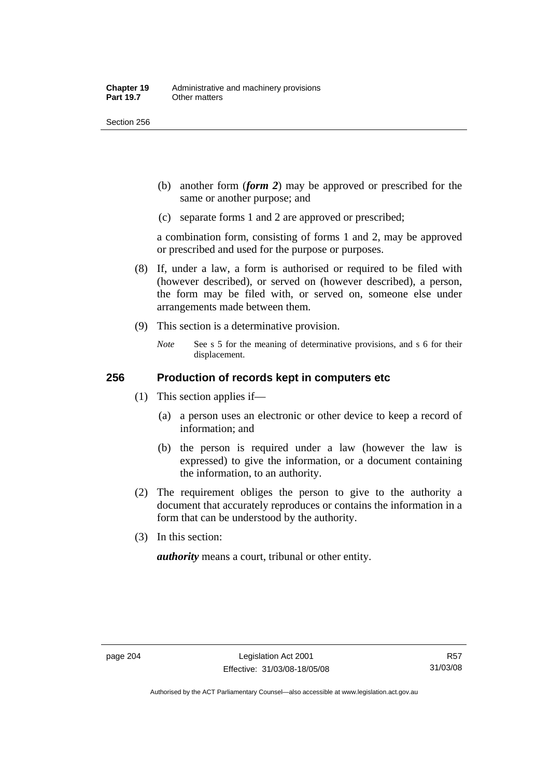Section 256

- (b) another form (*form 2*) may be approved or prescribed for the same or another purpose; and
- (c) separate forms 1 and 2 are approved or prescribed;

a combination form, consisting of forms 1 and 2, may be approved or prescribed and used for the purpose or purposes.

- (8) If, under a law, a form is authorised or required to be filed with (however described), or served on (however described), a person, the form may be filed with, or served on, someone else under arrangements made between them.
- (9) This section is a determinative provision.
	- *Note* See s 5 for the meaning of determinative provisions, and s 6 for their displacement.

## **256 Production of records kept in computers etc**

- (1) This section applies if—
	- (a) a person uses an electronic or other device to keep a record of information; and
	- (b) the person is required under a law (however the law is expressed) to give the information, or a document containing the information, to an authority.
- (2) The requirement obliges the person to give to the authority a document that accurately reproduces or contains the information in a form that can be understood by the authority.
- (3) In this section:

*authority* means a court, tribunal or other entity.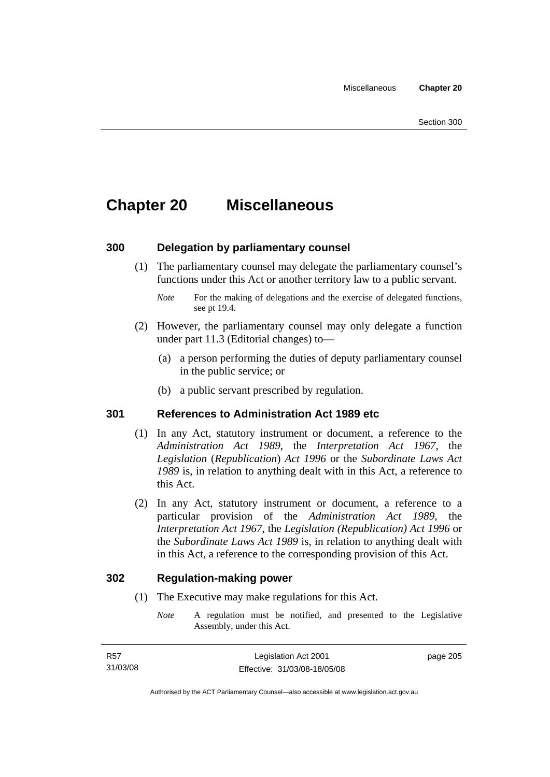## **Chapter 20 Miscellaneous**

## **300 Delegation by parliamentary counsel**

 (1) The parliamentary counsel may delegate the parliamentary counsel's functions under this Act or another territory law to a public servant.

- (2) However, the parliamentary counsel may only delegate a function under part 11.3 (Editorial changes) to—
	- (a) a person performing the duties of deputy parliamentary counsel in the public service; or
	- (b) a public servant prescribed by regulation.

## **301 References to Administration Act 1989 etc**

- (1) In any Act, statutory instrument or document, a reference to the *Administration Act 1989*, the *Interpretation Act 1967*, the *Legislation* (*Republication*) *Act 1996* or the *Subordinate Laws Act 1989* is, in relation to anything dealt with in this Act, a reference to this Act.
- (2) In any Act, statutory instrument or document, a reference to a particular provision of the *Administration Act 1989*, the *Interpretation Act 1967*, the *Legislation (Republication) Act 1996* or the *Subordinate Laws Act 1989* is, in relation to anything dealt with in this Act, a reference to the corresponding provision of this Act.

### **302 Regulation-making power**

- (1) The Executive may make regulations for this Act.
	- *Note* A regulation must be notified, and presented to the Legislative Assembly, under this Act.

*Note* For the making of delegations and the exercise of delegated functions, see pt 19.4.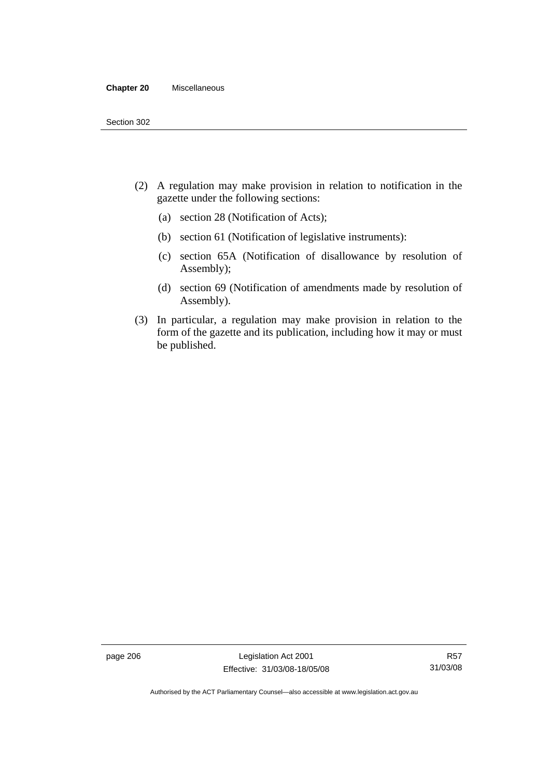#### **Chapter 20** Miscellaneous

- (2) A regulation may make provision in relation to notification in the gazette under the following sections:
	- (a) section 28 (Notification of Acts);
	- (b) section 61 (Notification of legislative instruments):
	- (c) section 65A (Notification of disallowance by resolution of Assembly);
	- (d) section 69 (Notification of amendments made by resolution of Assembly).
- (3) In particular, a regulation may make provision in relation to the form of the gazette and its publication, including how it may or must be published.

page 206 Legislation Act 2001 Effective: 31/03/08-18/05/08

Authorised by the ACT Parliamentary Counsel—also accessible at www.legislation.act.gov.au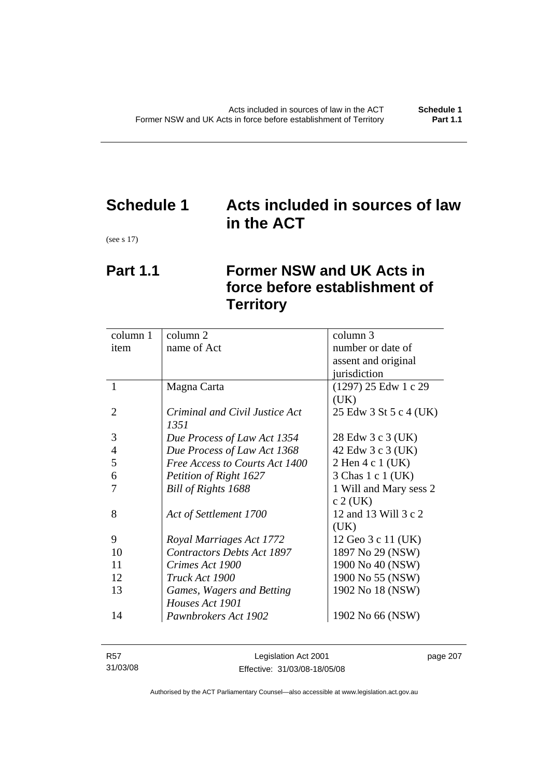# **Schedule 1 Acts included in sources of law in the ACT**

(see s 17)

## **Part 1.1 Former NSW and UK Acts in force before establishment of Territory**

| name of Act<br>number or date of<br>item<br>assent and original<br>jurisdiction<br>(1297) 25 Edw 1 c 29<br>1<br>Magna Carta<br>(UK)<br>2<br>Criminal and Civil Justice Act<br>1351<br>3<br>28 Edw 3 c 3 (UK)<br>Due Process of Law Act 1354<br>$\overline{4}$<br>Due Process of Law Act 1368<br>42 Edw 3 c 3 (UK)<br>5<br>Free Access to Courts Act 1400<br>2 Hen 4 c 1 (UK) | column 1 | column 2 | column 3               |
|------------------------------------------------------------------------------------------------------------------------------------------------------------------------------------------------------------------------------------------------------------------------------------------------------------------------------------------------------------------------------|----------|----------|------------------------|
|                                                                                                                                                                                                                                                                                                                                                                              |          |          |                        |
|                                                                                                                                                                                                                                                                                                                                                                              |          |          |                        |
|                                                                                                                                                                                                                                                                                                                                                                              |          |          |                        |
|                                                                                                                                                                                                                                                                                                                                                                              |          |          |                        |
|                                                                                                                                                                                                                                                                                                                                                                              |          |          |                        |
|                                                                                                                                                                                                                                                                                                                                                                              |          |          | 25 Edw 3 St 5 c 4 (UK) |
|                                                                                                                                                                                                                                                                                                                                                                              |          |          |                        |
|                                                                                                                                                                                                                                                                                                                                                                              |          |          |                        |
|                                                                                                                                                                                                                                                                                                                                                                              |          |          |                        |
|                                                                                                                                                                                                                                                                                                                                                                              |          |          |                        |
| 6<br>3 Chas 1 c 1 (UK)<br>Petition of Right 1627                                                                                                                                                                                                                                                                                                                             |          |          |                        |
| Bill of Rights 1688<br>1 Will and Mary sess 2<br>7                                                                                                                                                                                                                                                                                                                           |          |          |                        |
| $c$ 2 (UK)                                                                                                                                                                                                                                                                                                                                                                   |          |          |                        |
| 12 and 13 Will 3 c 2<br>8<br>Act of Settlement 1700                                                                                                                                                                                                                                                                                                                          |          |          |                        |
| (UK)                                                                                                                                                                                                                                                                                                                                                                         |          |          |                        |
| 9<br>Royal Marriages Act 1772<br>12 Geo 3 c 11 (UK)                                                                                                                                                                                                                                                                                                                          |          |          |                        |
| 10<br><b>Contractors Debts Act 1897</b><br>1897 No 29 (NSW)                                                                                                                                                                                                                                                                                                                  |          |          |                        |
| 1900 No 40 (NSW)<br>11<br>Crimes Act 1900                                                                                                                                                                                                                                                                                                                                    |          |          |                        |
| 12<br>1900 No 55 (NSW)<br>Truck Act 1900                                                                                                                                                                                                                                                                                                                                     |          |          |                        |
| 13<br>1902 No 18 (NSW)<br>Games, Wagers and Betting                                                                                                                                                                                                                                                                                                                          |          |          |                        |
| Houses Act 1901                                                                                                                                                                                                                                                                                                                                                              |          |          |                        |
| 14<br>Pawnbrokers Act 1902<br>1902 No 66 (NSW)                                                                                                                                                                                                                                                                                                                               |          |          |                        |

| R57      | Legislation Act 2001         | page 207 |
|----------|------------------------------|----------|
| 31/03/08 | Effective: 31/03/08-18/05/08 |          |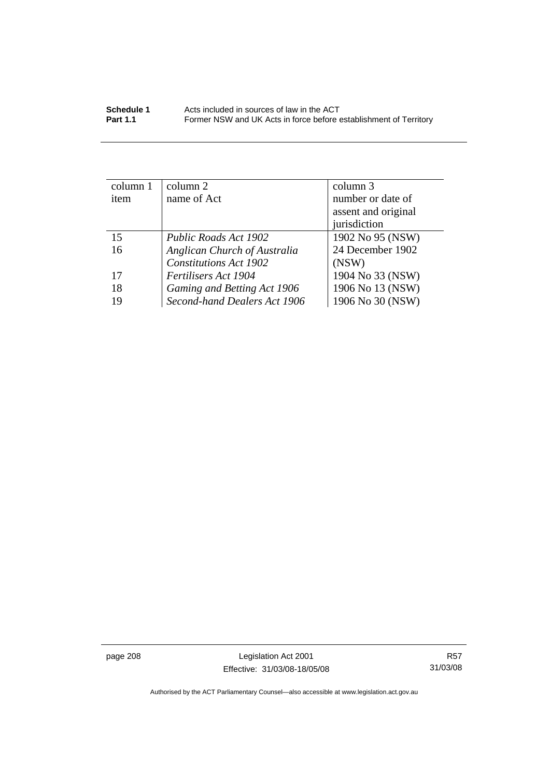| column 1 | $\text{column } 2$            | column 3            |
|----------|-------------------------------|---------------------|
| item     | name of Act                   | number or date of   |
|          |                               | assent and original |
|          |                               | jurisdiction        |
| 15       | Public Roads Act 1902         | 1902 No 95 (NSW)    |
| 16       | Anglican Church of Australia  | 24 December 1902    |
|          | <b>Constitutions Act 1902</b> | (NSW)               |
| 17       | Fertilisers Act 1904          | 1904 No 33 (NSW)    |
| 18       | Gaming and Betting Act 1906   | 1906 No 13 (NSW)    |
| 19       | Second-hand Dealers Act 1906  | 1906 No 30 (NSW)    |

page 208 Legislation Act 2001 Effective: 31/03/08-18/05/08

R57 31/03/08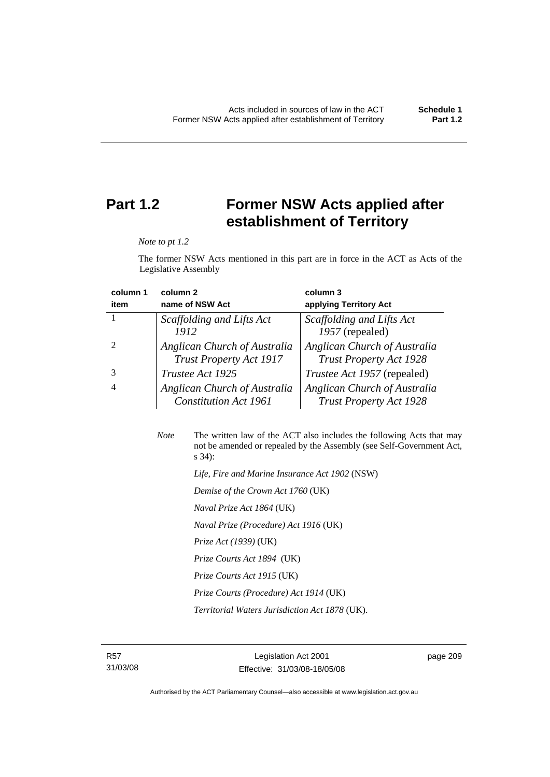## **Part 1.2 Former NSW Acts applied after establishment of Territory**

*Note to pt 1.2* 

The former NSW Acts mentioned in this part are in force in the ACT as Acts of the Legislative Assembly

| column 1 | column <sub>2</sub>                                            | column 3                                                       |
|----------|----------------------------------------------------------------|----------------------------------------------------------------|
| item     | name of NSW Act                                                | applying Territory Act                                         |
|          | Scaffolding and Lifts Act                                      | Scaffolding and Lifts Act                                      |
|          | 1912                                                           | 1957 (repealed)                                                |
|          | Anglican Church of Australia<br><b>Trust Property Act 1917</b> | Anglican Church of Australia<br><b>Trust Property Act 1928</b> |
|          | Trustee Act 1925                                               | <i>Trustee Act 1957</i> (repealed)                             |
| 4        | Anglican Church of Australia<br><b>Constitution Act 1961</b>   | Anglican Church of Australia<br><b>Trust Property Act 1928</b> |

| <b>Note</b> | The written law of the ACT also includes the following Acts that may<br>not be amended or repealed by the Assembly (see Self-Government Act,<br>$s\,34$ : |
|-------------|-----------------------------------------------------------------------------------------------------------------------------------------------------------|
|             | Life, Fire and Marine Insurance Act 1902 (NSW)                                                                                                            |
|             | Demise of the Crown Act 1760 (UK)                                                                                                                         |
|             | <i>Naval Prize Act 1864</i> (UK)                                                                                                                          |
|             | Naval Prize (Procedure) Act 1916 (UK)                                                                                                                     |
|             | <i>Prize Act (1939)</i> (UK)                                                                                                                              |

 *Prize Courts Act 1894* (UK)

- *Prize Courts Act 1915* (UK)
- *Prize Courts (Procedure) Act 1914* (UK)

 *Territorial Waters Jurisdiction Act 1878* (UK).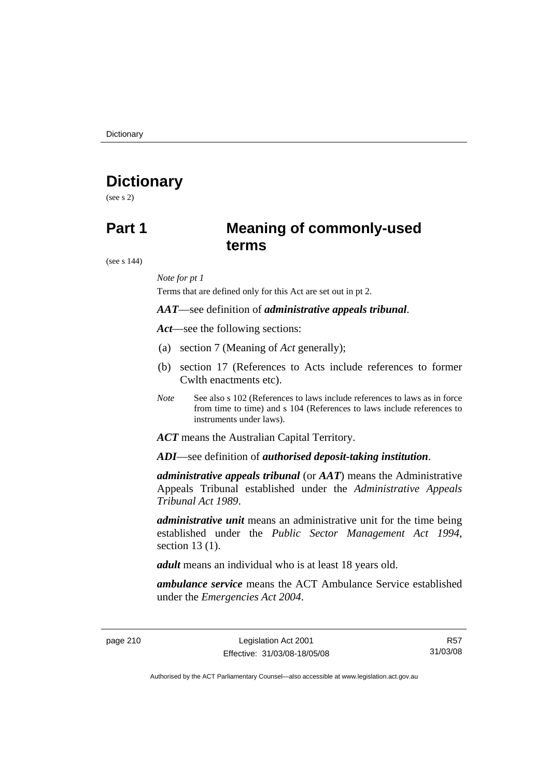**Dictionary** 

## **Dictionary**

(see s 2)

## **Part 1 Meaning of commonly-used terms**

(see s 144)

### *Note for pt 1*

Terms that are defined only for this Act are set out in pt 2.

### *AAT*—see definition of *administrative appeals tribunal*.

*Act*—see the following sections:

- (a) section 7 (Meaning of *Act* generally);
- (b) section 17 (References to Acts include references to former Cwlth enactments etc).
- *Note* See also s 102 (References to laws include references to laws as in force from time to time) and s 104 (References to laws include references to instruments under laws).

*ACT* means the Australian Capital Territory.

*ADI*—see definition of *authorised deposit-taking institution*.

*administrative appeals tribunal* (or *AAT*) means the Administrative Appeals Tribunal established under the *Administrative Appeals Tribunal Act 1989*.

*administrative unit* means an administrative unit for the time being established under the *Public Sector Management Act 1994*, section 13 (1).

*adult* means an individual who is at least 18 years old.

*ambulance service* means the ACT Ambulance Service established under the *Emergencies Act 2004*.

page 210 Legislation Act 2001 Effective: 31/03/08-18/05/08

R57 31/03/08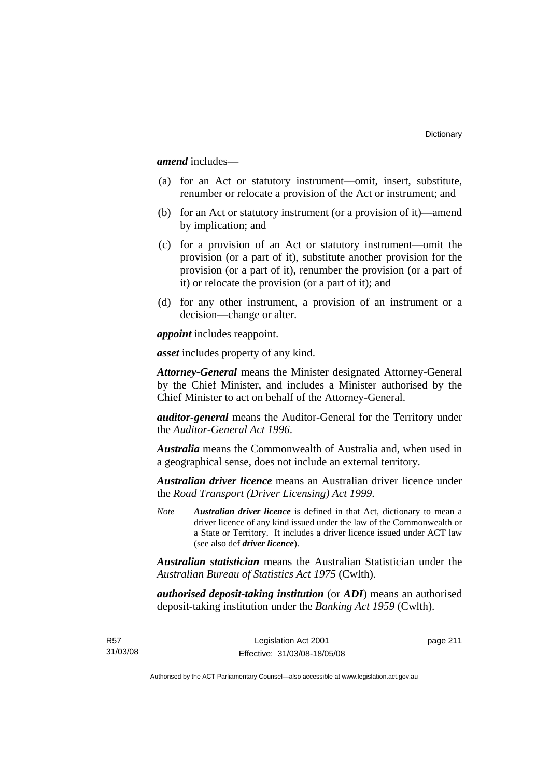*amend* includes—

- (a) for an Act or statutory instrument—omit, insert, substitute, renumber or relocate a provision of the Act or instrument; and
- (b) for an Act or statutory instrument (or a provision of it)—amend by implication; and
- (c) for a provision of an Act or statutory instrument—omit the provision (or a part of it), substitute another provision for the provision (or a part of it), renumber the provision (or a part of it) or relocate the provision (or a part of it); and
- (d) for any other instrument, a provision of an instrument or a decision—change or alter.

*appoint* includes reappoint.

*asset* includes property of any kind.

*Attorney-General* means the Minister designated Attorney-General by the Chief Minister, and includes a Minister authorised by the Chief Minister to act on behalf of the Attorney-General.

*auditor-general* means the Auditor-General for the Territory under the *Auditor-General Act 1996*.

*Australia* means the Commonwealth of Australia and, when used in a geographical sense, does not include an external territory.

*Australian driver licence* means an Australian driver licence under the *Road Transport (Driver Licensing) Act 1999*.

*Note Australian driver licence* is defined in that Act, dictionary to mean a driver licence of any kind issued under the law of the Commonwealth or a State or Territory. It includes a driver licence issued under ACT law (see also def *driver licence*).

*Australian statistician* means the Australian Statistician under the *Australian Bureau of Statistics Act 1975* (Cwlth).

*authorised deposit-taking institution* (or *ADI*) means an authorised deposit-taking institution under the *Banking Act 1959* (Cwlth).

R57 31/03/08 page 211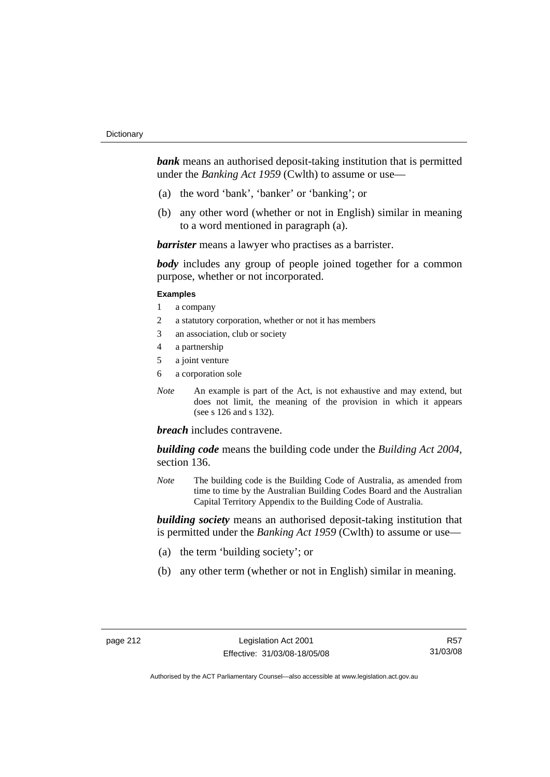*bank* means an authorised deposit-taking institution that is permitted under the *Banking Act 1959* (Cwlth) to assume or use—

- (a) the word 'bank', 'banker' or 'banking'; or
- (b) any other word (whether or not in English) similar in meaning to a word mentioned in paragraph (a).

*barrister* means a lawyer who practises as a barrister.

*body* includes any group of people joined together for a common purpose, whether or not incorporated.

#### **Examples**

- 1 a company
- 2 a statutory corporation, whether or not it has members
- 3 an association, club or society
- 4 a partnership
- 5 a joint venture
- 6 a corporation sole
- *Note* An example is part of the Act, is not exhaustive and may extend, but does not limit, the meaning of the provision in which it appears (see s 126 and s 132).

### *breach* includes contravene.

*building code* means the building code under the *Building Act 2004*, section 136.

*Note* The building code is the Building Code of Australia, as amended from time to time by the Australian Building Codes Board and the Australian Capital Territory Appendix to the Building Code of Australia.

*building society* means an authorised deposit-taking institution that is permitted under the *Banking Act 1959* (Cwlth) to assume or use—

- (a) the term 'building society'; or
- (b) any other term (whether or not in English) similar in meaning.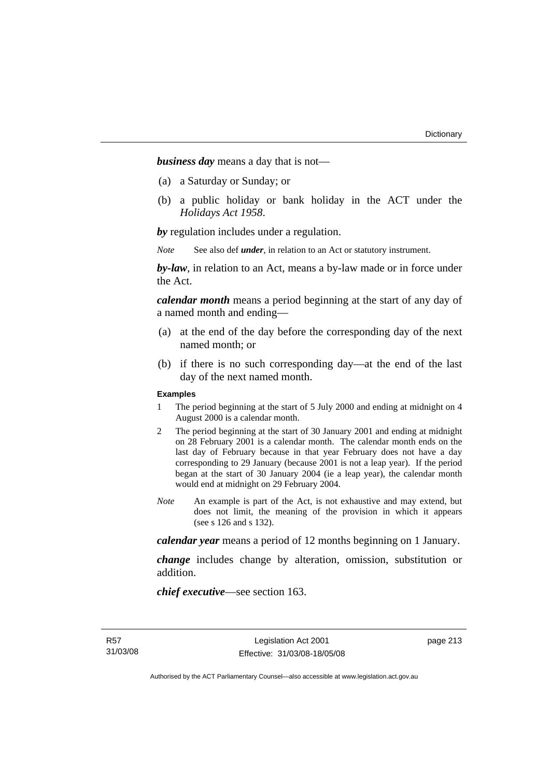*business day* means a day that is not—

- (a) a Saturday or Sunday; or
- (b) a public holiday or bank holiday in the ACT under the *Holidays Act 1958*.

*by* regulation includes under a regulation.

*Note* See also def *under*, in relation to an Act or statutory instrument.

*by-law*, in relation to an Act, means a by-law made or in force under the Act.

*calendar month* means a period beginning at the start of any day of a named month and ending—

- (a) at the end of the day before the corresponding day of the next named month; or
- (b) if there is no such corresponding day—at the end of the last day of the next named month.

#### **Examples**

- 1 The period beginning at the start of 5 July 2000 and ending at midnight on 4 August 2000 is a calendar month.
- 2 The period beginning at the start of 30 January 2001 and ending at midnight on 28 February 2001 is a calendar month. The calendar month ends on the last day of February because in that year February does not have a day corresponding to 29 January (because 2001 is not a leap year). If the period began at the start of 30 January 2004 (ie a leap year), the calendar month would end at midnight on 29 February 2004.
- *Note* An example is part of the Act, is not exhaustive and may extend, but does not limit, the meaning of the provision in which it appears (see s 126 and s 132).

*calendar year* means a period of 12 months beginning on 1 January.

*change* includes change by alteration, omission, substitution or addition.

*chief executive*—see section 163.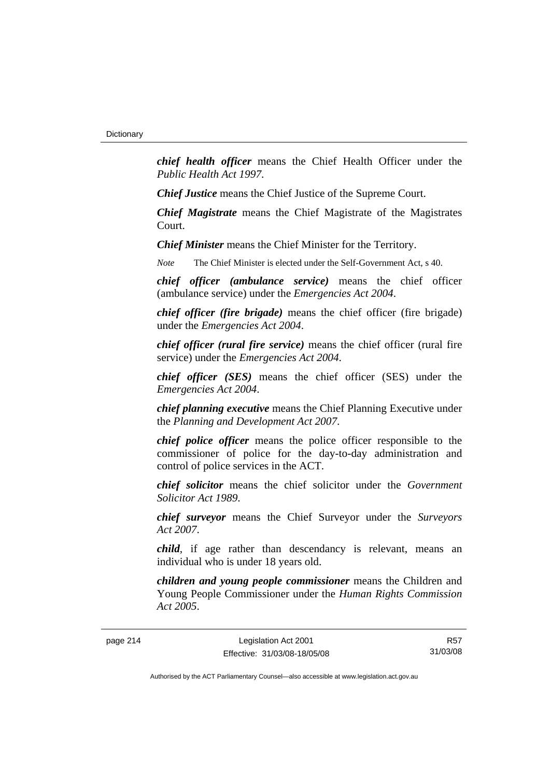*chief health officer* means the Chief Health Officer under the *Public Health Act 1997*.

*Chief Justice* means the Chief Justice of the Supreme Court.

*Chief Magistrate* means the Chief Magistrate of the Magistrates Court.

*Chief Minister* means the Chief Minister for the Territory.

*Note* The Chief Minister is elected under the Self-Government Act, s 40.

*chief officer (ambulance service)* means the chief officer (ambulance service) under the *Emergencies Act 2004*.

*chief officer (fire brigade)* means the chief officer (fire brigade) under the *Emergencies Act 2004*.

*chief officer (rural fire service)* means the chief officer (rural fire service) under the *Emergencies Act 2004*.

*chief officer (SES)* means the chief officer (SES) under the *Emergencies Act 2004*.

*chief planning executive* means the Chief Planning Executive under the *Planning and Development Act 2007*.

*chief police officer* means the police officer responsible to the commissioner of police for the day-to-day administration and control of police services in the ACT.

*chief solicitor* means the chief solicitor under the *Government Solicitor Act 1989*.

*chief surveyor* means the Chief Surveyor under the *Surveyors Act 2007*.

*child*, if age rather than descendancy is relevant, means an individual who is under 18 years old.

*children and young people commissioner* means the Children and Young People Commissioner under the *Human Rights Commission Act 2005*.

page 214 Legislation Act 2001 Effective: 31/03/08-18/05/08

R57 31/03/08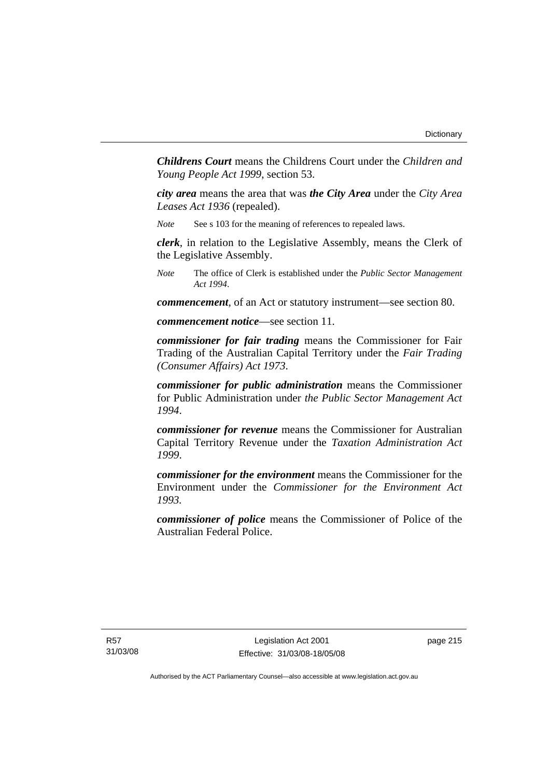*Childrens Court* means the Childrens Court under the *Children and Young People Act 1999*, section 53.

*city area* means the area that was *the City Area* under the *City Area Leases Act 1936* (repealed).

*Note* See s 103 for the meaning of references to repealed laws.

*clerk*, in relation to the Legislative Assembly, means the Clerk of the Legislative Assembly.

*Note* The office of Clerk is established under the *Public Sector Management Act 1994*.

*commencement*, of an Act or statutory instrument—see section 80.

*commencement notice*—see section 11.

*commissioner for fair trading* means the Commissioner for Fair Trading of the Australian Capital Territory under the *Fair Trading (Consumer Affairs) Act 1973*.

*commissioner for public administration* means the Commissioner for Public Administration under *the Public Sector Management Act 1994*.

*commissioner for revenue* means the Commissioner for Australian Capital Territory Revenue under the *Taxation Administration Act 1999*.

*commissioner for the environment* means the Commissioner for the Environment under the *Commissioner for the Environment Act 1993.* 

*commissioner of police* means the Commissioner of Police of the Australian Federal Police.

R57 31/03/08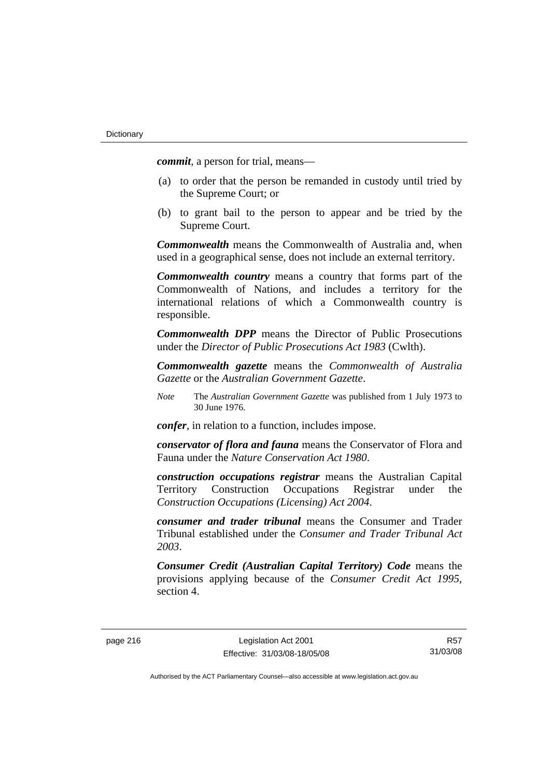*commit*, a person for trial, means—

- (a) to order that the person be remanded in custody until tried by the Supreme Court; or
- (b) to grant bail to the person to appear and be tried by the Supreme Court.

*Commonwealth* means the Commonwealth of Australia and, when used in a geographical sense, does not include an external territory.

*Commonwealth country* means a country that forms part of the Commonwealth of Nations, and includes a territory for the international relations of which a Commonwealth country is responsible.

*Commonwealth DPP* means the Director of Public Prosecutions under the *Director of Public Prosecutions Act 1983* (Cwlth).

*Commonwealth gazette* means the *Commonwealth of Australia Gazette* or the *Australian Government Gazette*.

*Note* The *Australian Government Gazette* was published from 1 July 1973 to 30 June 1976.

*confer*, in relation to a function, includes impose.

*conservator of flora and fauna* means the Conservator of Flora and Fauna under the *Nature Conservation Act 1980*.

*construction occupations registrar* means the Australian Capital Territory Construction Occupations Registrar under the *Construction Occupations (Licensing) Act 2004*.

*consumer and trader tribunal* means the Consumer and Trader Tribunal established under the *Consumer and Trader Tribunal Act 2003*.

*Consumer Credit (Australian Capital Territory) Code* means the provisions applying because of the *Consumer Credit Act 1995*, section 4.

R57 31/03/08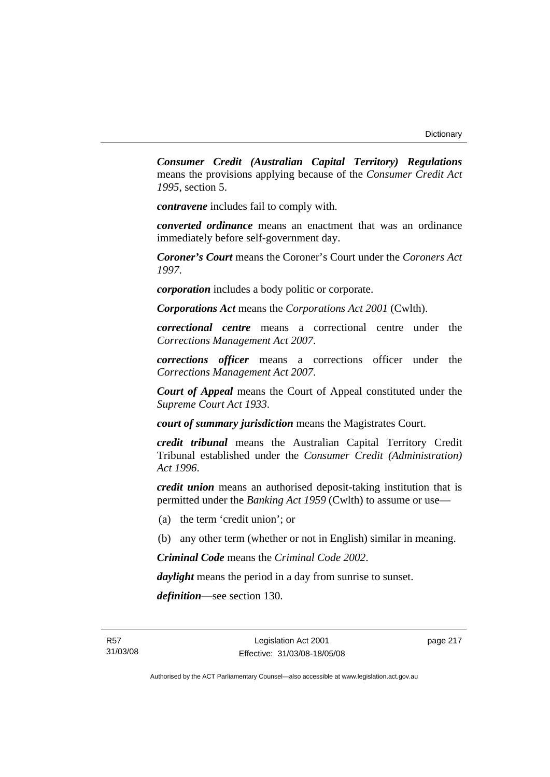*Consumer Credit (Australian Capital Territory) Regulations* means the provisions applying because of the *Consumer Credit Act 1995*, section 5.

*contravene* includes fail to comply with.

*converted ordinance* means an enactment that was an ordinance immediately before self-government day.

*Coroner's Court* means the Coroner's Court under the *Coroners Act 1997*.

*corporation* includes a body politic or corporate.

*Corporations Act* means the *Corporations Act 2001* (Cwlth).

*correctional centre* means a correctional centre under the *Corrections Management Act 2007*.

*corrections officer* means a corrections officer under the *Corrections Management Act 2007*.

*Court of Appeal* means the Court of Appeal constituted under the *Supreme Court Act 1933*.

*court of summary jurisdiction* means the Magistrates Court.

*credit tribunal* means the Australian Capital Territory Credit Tribunal established under the *Consumer Credit (Administration) Act 1996*.

*credit union* means an authorised deposit-taking institution that is permitted under the *Banking Act 1959* (Cwlth) to assume or use—

- (a) the term 'credit union'; or
- (b) any other term (whether or not in English) similar in meaning.

*Criminal Code* means the *Criminal Code 2002*.

*daylight* means the period in a day from sunrise to sunset.

*definition*—see section 130.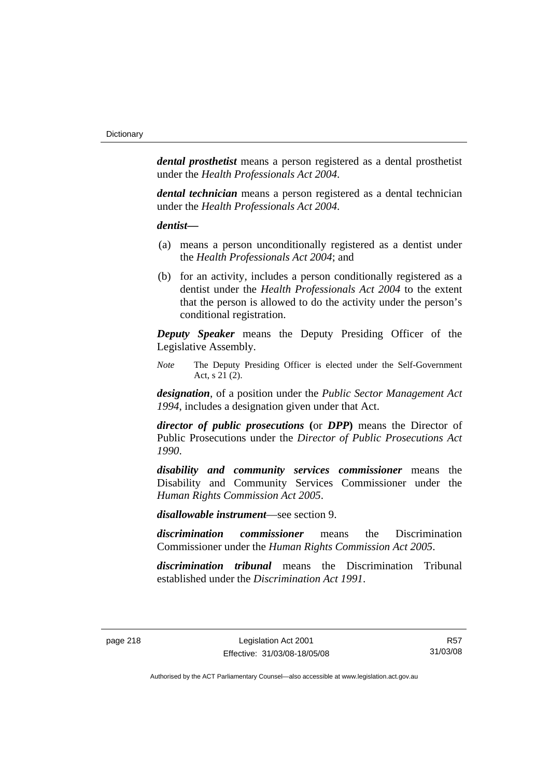*dental prosthetist* means a person registered as a dental prosthetist under the *Health Professionals Act 2004*.

*dental technician* means a person registered as a dental technician under the *Health Professionals Act 2004*.

### *dentist***—**

- (a) means a person unconditionally registered as a dentist under the *Health Professionals Act 2004*; and
- (b) for an activity, includes a person conditionally registered as a dentist under the *Health Professionals Act 2004* to the extent that the person is allowed to do the activity under the person's conditional registration.

*Deputy Speaker* means the Deputy Presiding Officer of the Legislative Assembly.

*Note* The Deputy Presiding Officer is elected under the Self-Government Act, s 21 (2).

*designation*, of a position under the *Public Sector Management Act 1994*, includes a designation given under that Act.

*director of public prosecutions* **(**or *DPP***)** means the Director of Public Prosecutions under the *Director of Public Prosecutions Act 1990*.

*disability and community services commissioner* means the Disability and Community Services Commissioner under the *Human Rights Commission Act 2005*.

*disallowable instrument*—see section 9.

*discrimination commissioner* means the Discrimination Commissioner under the *Human Rights Commission Act 2005*.

*discrimination tribunal* means the Discrimination Tribunal established under the *Discrimination Act 1991*.

R57 31/03/08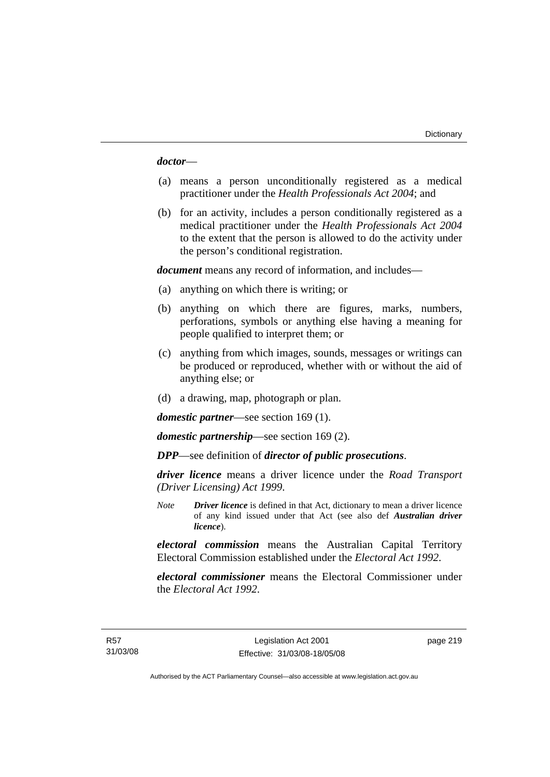*doctor*—

- (a) means a person unconditionally registered as a medical practitioner under the *Health Professionals Act 2004*; and
- (b) for an activity, includes a person conditionally registered as a medical practitioner under the *Health Professionals Act 2004*  to the extent that the person is allowed to do the activity under the person's conditional registration.

*document* means any record of information, and includes—

- (a) anything on which there is writing; or
- (b) anything on which there are figures, marks, numbers, perforations, symbols or anything else having a meaning for people qualified to interpret them; or
- (c) anything from which images, sounds, messages or writings can be produced or reproduced, whether with or without the aid of anything else; or
- (d) a drawing, map, photograph or plan.

*domestic partner*—see section 169 (1).

*domestic partnership*—see section 169 (2).

*DPP*—see definition of *director of public prosecutions*.

*driver licence* means a driver licence under the *Road Transport (Driver Licensing) Act 1999*.

*Note Driver licence* is defined in that Act, dictionary to mean a driver licence of any kind issued under that Act (see also def *Australian driver licence*).

*electoral commission* means the Australian Capital Territory Electoral Commission established under the *Electoral Act 1992*.

*electoral commissioner* means the Electoral Commissioner under the *Electoral Act 1992*.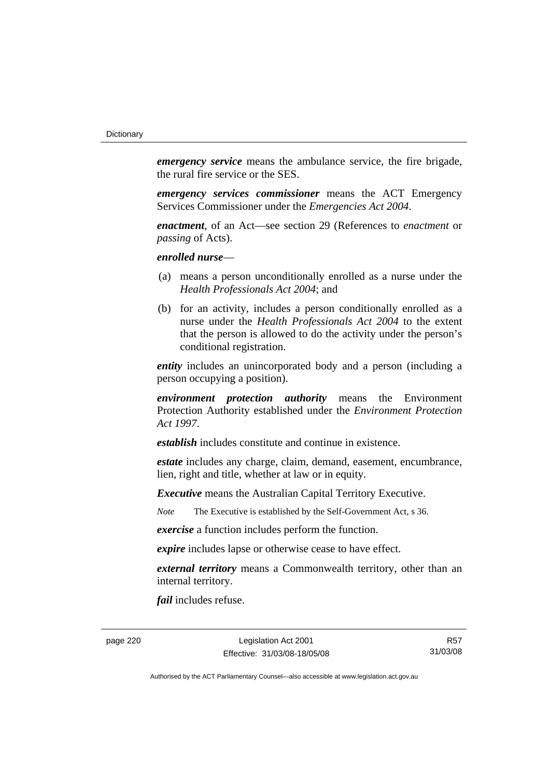*emergency service* means the ambulance service, the fire brigade, the rural fire service or the SES.

*emergency services commissioner* means the ACT Emergency Services Commissioner under the *Emergencies Act 2004*.

*enactment*, of an Act—see section 29 (References to *enactment* or *passing* of Acts).

*enrolled nurse*—

- (a) means a person unconditionally enrolled as a nurse under the *Health Professionals Act 2004*; and
- (b) for an activity, includes a person conditionally enrolled as a nurse under the *Health Professionals Act 2004* to the extent that the person is allowed to do the activity under the person's conditional registration.

*entity* includes an unincorporated body and a person (including a person occupying a position).

*environment protection authority* means the Environment Protection Authority established under the *Environment Protection Act 1997*.

*establish* includes constitute and continue in existence.

*estate* includes any charge, claim, demand, easement, encumbrance, lien, right and title, whether at law or in equity.

*Executive* means the Australian Capital Territory Executive.

*Note* The Executive is established by the Self-Government Act, s 36.

*exercise* a function includes perform the function.

*expire* includes lapse or otherwise cease to have effect.

*external territory* means a Commonwealth territory, other than an internal territory.

*fail* includes refuse.

page 220 Legislation Act 2001 Effective: 31/03/08-18/05/08

R57 31/03/08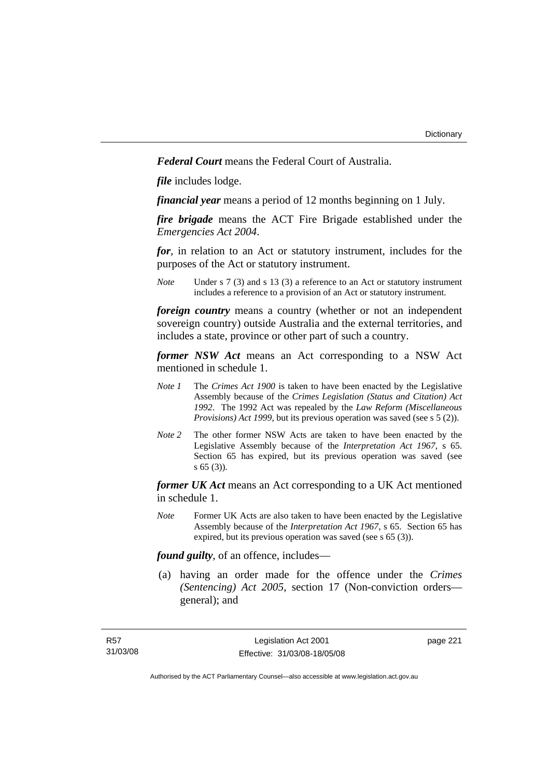*Federal Court* means the Federal Court of Australia.

*file* includes lodge.

*financial year* means a period of 12 months beginning on 1 July.

*fire brigade* means the ACT Fire Brigade established under the *Emergencies Act 2004*.

*for*, in relation to an Act or statutory instrument, includes for the purposes of the Act or statutory instrument.

*Note* Under s 7 (3) and s 13 (3) a reference to an Act or statutory instrument includes a reference to a provision of an Act or statutory instrument.

*foreign country* means a country (whether or not an independent sovereign country) outside Australia and the external territories, and includes a state, province or other part of such a country.

*former NSW Act* means an Act corresponding to a NSW Act mentioned in schedule 1.

- *Note 1* The *Crimes Act 1900* is taken to have been enacted by the Legislative Assembly because of the *Crimes Legislation (Status and Citation) Act 1992*. The 1992 Act was repealed by the *Law Reform (Miscellaneous Provisions) Act 1999*, but its previous operation was saved (see s 5 (2)).
- *Note 2* The other former NSW Acts are taken to have been enacted by the Legislative Assembly because of the *Interpretation Act 1967*, s 65. Section 65 has expired, but its previous operation was saved (see s 65 (3)).

*former UK Act* means an Act corresponding to a UK Act mentioned in schedule 1.

*Note* Former UK Acts are also taken to have been enacted by the Legislative Assembly because of the *Interpretation Act 1967*, s 65. Section 65 has expired, but its previous operation was saved (see s 65 (3)).

*found guilty*, of an offence, includes—

 (a) having an order made for the offence under the *Crimes (Sentencing) Act 2005*, section 17 (Non-conviction orders general); and

page 221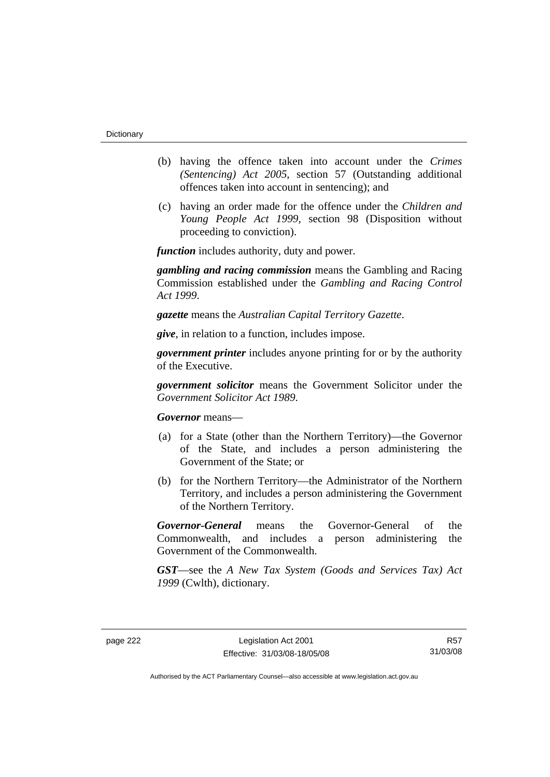- (b) having the offence taken into account under the *Crimes (Sentencing) Act 2005*, section 57 (Outstanding additional offences taken into account in sentencing); and
- (c) having an order made for the offence under the *Children and Young People Act 1999*, section 98 (Disposition without proceeding to conviction).

*function* includes authority, duty and power.

*gambling and racing commission* means the Gambling and Racing Commission established under the *Gambling and Racing Control Act 1999*.

*gazette* means the *Australian Capital Territory Gazette*.

*give*, in relation to a function, includes impose.

*government printer* includes anyone printing for or by the authority of the Executive.

*government solicitor* means the Government Solicitor under the *Government Solicitor Act 1989*.

*Governor* means—

- (a) for a State (other than the Northern Territory)—the Governor of the State, and includes a person administering the Government of the State; or
- (b) for the Northern Territory—the Administrator of the Northern Territory, and includes a person administering the Government of the Northern Territory.

*Governor-General* means the Governor-General of the Commonwealth, and includes a person administering the Government of the Commonwealth.

*GST*—see the *A New Tax System (Goods and Services Tax) Act 1999* (Cwlth), dictionary.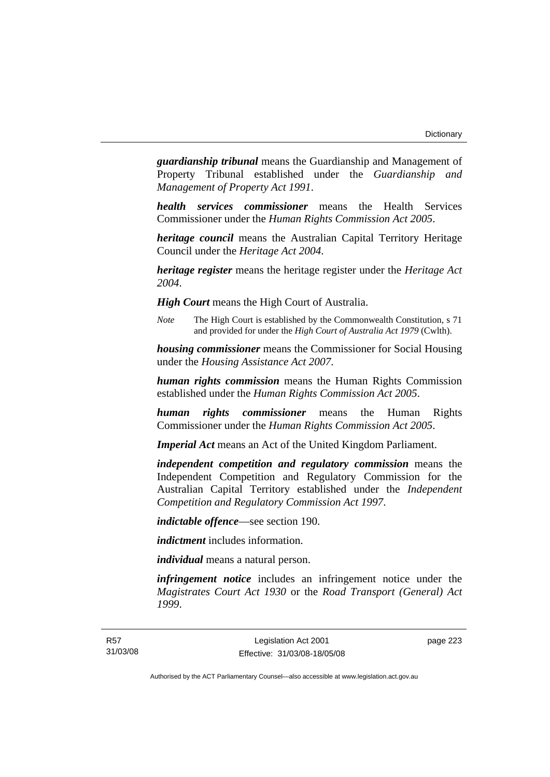*guardianship tribunal* means the Guardianship and Management of Property Tribunal established under the *Guardianship and Management of Property Act 1991*.

*health services commissioner* means the Health Services Commissioner under the *Human Rights Commission Act 2005*.

*heritage council* means the Australian Capital Territory Heritage Council under the *Heritage Act 2004*.

*heritage register* means the heritage register under the *Heritage Act 2004*.

*High Court* means the High Court of Australia.

*Note* The High Court is established by the Commonwealth Constitution, s 71 and provided for under the *High Court of Australia Act 1979* (Cwlth).

*housing commissioner* means the Commissioner for Social Housing under the *Housing Assistance Act 2007*.

*human rights commission* means the Human Rights Commission established under the *Human Rights Commission Act 2005*.

*human rights commissioner* means the Human Rights Commissioner under the *Human Rights Commission Act 2005*.

*Imperial Act* means an Act of the United Kingdom Parliament.

*independent competition and regulatory commission* means the Independent Competition and Regulatory Commission for the Australian Capital Territory established under the *Independent Competition and Regulatory Commission Act 1997*.

*indictable offence*—see section 190.

*indictment* includes information.

*individual* means a natural person.

*infringement notice* includes an infringement notice under the *Magistrates Court Act 1930* or the *Road Transport (General) Act 1999*.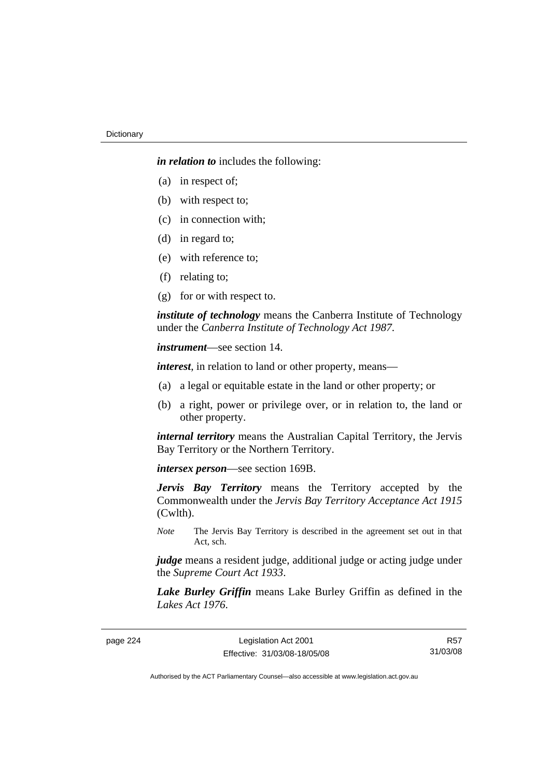*in relation to* includes the following:

- (a) in respect of;
- (b) with respect to;
- (c) in connection with;
- (d) in regard to;
- (e) with reference to;
- (f) relating to;
- (g) for or with respect to.

*institute of technology* means the Canberra Institute of Technology under the *Canberra Institute of Technology Act 1987*.

*instrument*—see section 14.

*interest*, in relation to land or other property, means—

- (a) a legal or equitable estate in the land or other property; or
- (b) a right, power or privilege over, or in relation to, the land or other property.

*internal territory* means the Australian Capital Territory, the Jervis Bay Territory or the Northern Territory.

*intersex person*—see section 169B.

*Jervis Bay Territory* means the Territory accepted by the Commonwealth under the *Jervis Bay Territory Acceptance Act 1915* (Cwlth).

*Note* The Jervis Bay Territory is described in the agreement set out in that Act, sch.

*judge* means a resident judge, additional judge or acting judge under the *Supreme Court Act 1933*.

*Lake Burley Griffin* means Lake Burley Griffin as defined in the *Lakes Act 1976*.

page 224 Legislation Act 2001 Effective: 31/03/08-18/05/08

R57 31/03/08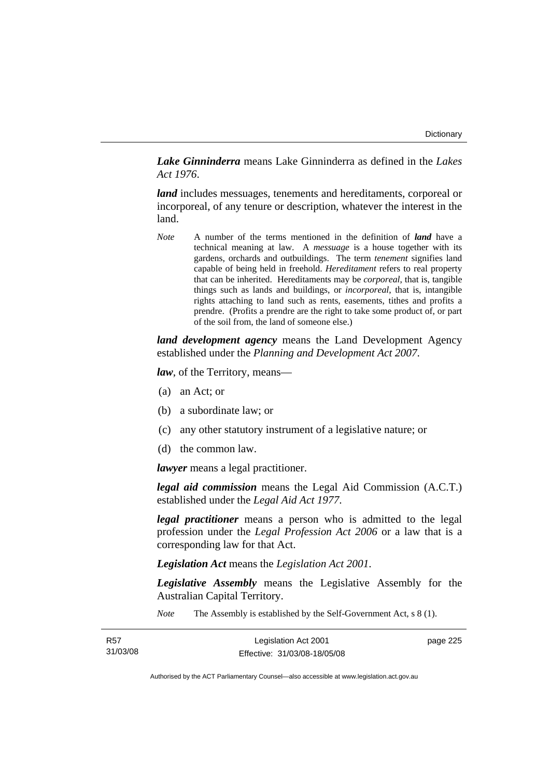*Lake Ginninderra* means Lake Ginninderra as defined in the *Lakes Act 1976*.

*land* includes messuages, tenements and hereditaments, corporeal or incorporeal, of any tenure or description, whatever the interest in the land.

*Note* A number of the terms mentioned in the definition of *land* have a technical meaning at law. A *messuage* is a house together with its gardens, orchards and outbuildings. The term *tenement* signifies land capable of being held in freehold. *Hereditament* refers to real property that can be inherited. Hereditaments may be *corporeal*, that is, tangible things such as lands and buildings, or *incorporeal*, that is, intangible rights attaching to land such as rents, easements, tithes and profits a prendre. (Profits a prendre are the right to take some product of, or part of the soil from, the land of someone else.)

*land development agency* means the Land Development Agency established under the *Planning and Development Act 2007*.

*law*, of the Territory, means—

- (a) an Act; or
- (b) a subordinate law; or
- (c) any other statutory instrument of a legislative nature; or
- (d) the common law.

*lawyer* means a legal practitioner.

*legal aid commission* means the Legal Aid Commission (A.C.T.) established under the *Legal Aid Act 1977*.

*legal practitioner* means a person who is admitted to the legal profession under the *Legal Profession Act 2006* or a law that is a corresponding law for that Act.

*Legislation Act* means the *Legislation Act 2001*.

*Legislative Assembly* means the Legislative Assembly for the Australian Capital Territory.

*Note* The Assembly is established by the Self-Government Act, s 8 (1).

| R57      | Legislation Act 2001         | page 225 |
|----------|------------------------------|----------|
| 31/03/08 | Effective: 31/03/08-18/05/08 |          |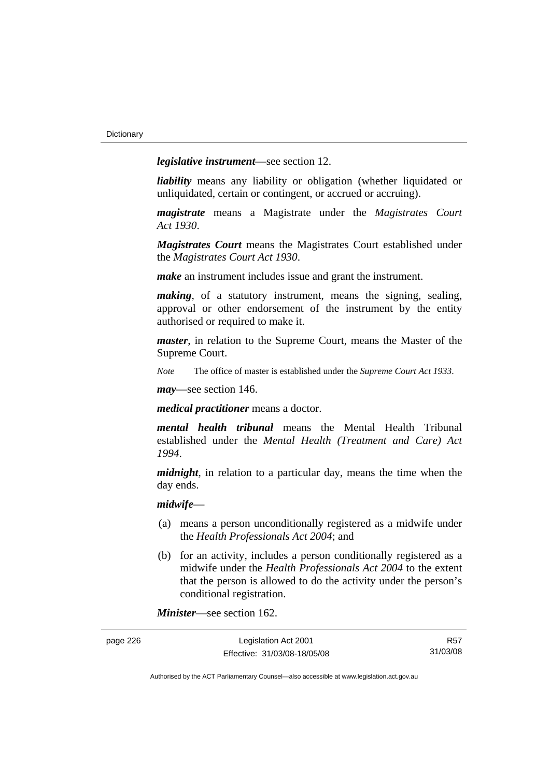*legislative instrument*—see section 12.

*liability* means any liability or obligation (whether liquidated or unliquidated, certain or contingent, or accrued or accruing).

*magistrate* means a Magistrate under the *Magistrates Court Act 1930*.

*Magistrates Court* means the Magistrates Court established under the *Magistrates Court Act 1930*.

*make* an instrument includes issue and grant the instrument.

*making*, of a statutory instrument, means the signing, sealing, approval or other endorsement of the instrument by the entity authorised or required to make it.

*master*, in relation to the Supreme Court, means the Master of the Supreme Court.

*Note* The office of master is established under the *Supreme Court Act 1933*.

*may*—see section 146.

*medical practitioner* means a doctor.

*mental health tribunal* means the Mental Health Tribunal established under the *Mental Health (Treatment and Care) Act 1994*.

*midnight*, in relation to a particular day, means the time when the day ends.

### *midwife*—

- (a) means a person unconditionally registered as a midwife under the *Health Professionals Act 2004*; and
- (b) for an activity, includes a person conditionally registered as a midwife under the *Health Professionals Act 2004* to the extent that the person is allowed to do the activity under the person's conditional registration.

*Minister*—see section 162.

| page 226 | Legislation Act 2001         | R57      |
|----------|------------------------------|----------|
|          | Effective: 31/03/08-18/05/08 | 31/03/08 |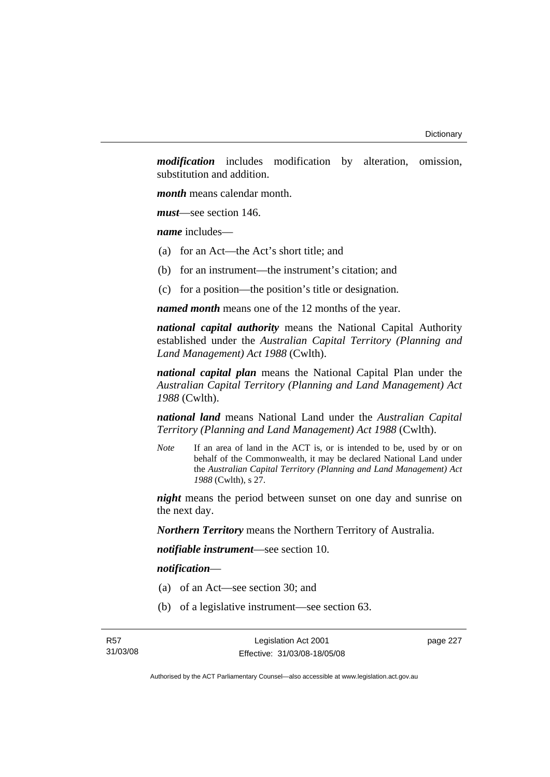*modification* includes modification by alteration, omission, substitution and addition.

*month* means calendar month.

*must*—see section 146.

*name* includes—

- (a) for an Act—the Act's short title; and
- (b) for an instrument—the instrument's citation; and
- (c) for a position—the position's title or designation.

*named month* means one of the 12 months of the year.

*national capital authority* means the National Capital Authority established under the *Australian Capital Territory (Planning and Land Management) Act 1988* (Cwlth).

*national capital plan* means the National Capital Plan under the *Australian Capital Territory (Planning and Land Management) Act 1988* (Cwlth).

*national land* means National Land under the *Australian Capital Territory (Planning and Land Management) Act 1988* (Cwlth).

*Note* If an area of land in the ACT is, or is intended to be, used by or on behalf of the Commonwealth, it may be declared National Land under the *Australian Capital Territory (Planning and Land Management) Act 1988* (Cwlth), s 27.

*night* means the period between sunset on one day and sunrise on the next day.

*Northern Territory* means the Northern Territory of Australia.

*notifiable instrument*—see section 10.

*notification*—

- (a) of an Act—see section 30; and
- (b) of a legislative instrument—see section 63.

Legislation Act 2001 Effective: 31/03/08-18/05/08 page 227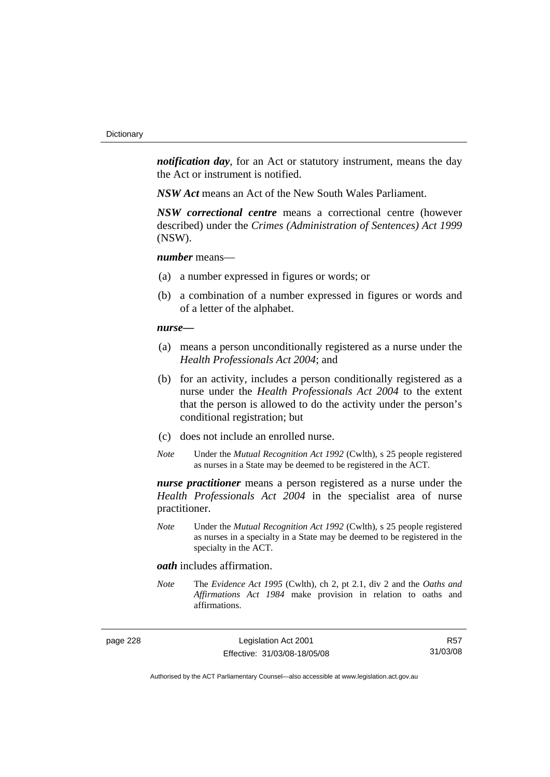*notification day*, for an Act or statutory instrument, means the day the Act or instrument is notified.

*NSW Act* means an Act of the New South Wales Parliament.

*NSW correctional centre* means a correctional centre (however described) under the *Crimes (Administration of Sentences) Act 1999* (NSW).

### *number* means—

- (a) a number expressed in figures or words; or
- (b) a combination of a number expressed in figures or words and of a letter of the alphabet.

### *nurse***—**

- (a) means a person unconditionally registered as a nurse under the *Health Professionals Act 2004*; and
- (b) for an activity, includes a person conditionally registered as a nurse under the *Health Professionals Act 2004* to the extent that the person is allowed to do the activity under the person's conditional registration; but
- (c) does not include an enrolled nurse.
- *Note* Under the *Mutual Recognition Act 1992* (Cwlth), s 25 people registered as nurses in a State may be deemed to be registered in the ACT.

*nurse practitioner* means a person registered as a nurse under the *Health Professionals Act 2004* in the specialist area of nurse practitioner.

*Note* Under the *Mutual Recognition Act 1992* (Cwlth), s 25 people registered as nurses in a specialty in a State may be deemed to be registered in the specialty in the ACT.

### *oath* includes affirmation.

*Note* The *Evidence Act 1995* (Cwlth), ch 2, pt 2.1, div 2 and the *Oaths and Affirmations Act 1984* make provision in relation to oaths and affirmations.

page 228 Legislation Act 2001 Effective: 31/03/08-18/05/08

R57 31/03/08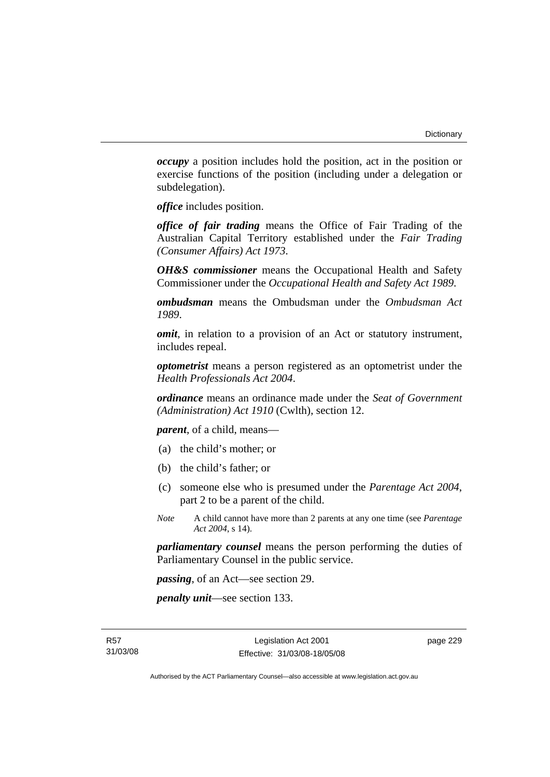*occupy* a position includes hold the position, act in the position or exercise functions of the position (including under a delegation or subdelegation).

*office* includes position.

*office of fair trading* means the Office of Fair Trading of the Australian Capital Territory established under the *Fair Trading (Consumer Affairs) Act 1973*.

*OH&S commissioner* means the Occupational Health and Safety Commissioner under the *Occupational Health and Safety Act 1989*.

*ombudsman* means the Ombudsman under the *Ombudsman Act 1989*.

*omit*, in relation to a provision of an Act or statutory instrument, includes repeal.

*optometrist* means a person registered as an optometrist under the *Health Professionals Act 2004*.

*ordinance* means an ordinance made under the *Seat of Government (Administration) Act 1910* (Cwlth), section 12.

*parent*, of a child, means—

- (a) the child's mother; or
- (b) the child's father; or
- (c) someone else who is presumed under the *Parentage Act 2004*, part 2 to be a parent of the child.
- *Note* A child cannot have more than 2 parents at any one time (see *Parentage Act 2004*, s 14).

*parliamentary counsel* means the person performing the duties of Parliamentary Counsel in the public service.

*passing*, of an Act—see section 29.

*penalty unit*—see section 133.

page 229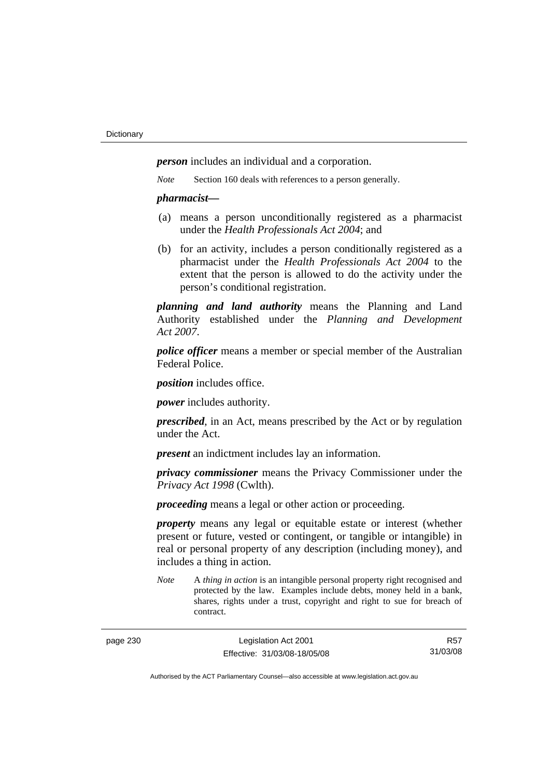*person* includes an individual and a corporation.

*Note* Section 160 deals with references to a person generally.

### *pharmacist***—**

- (a) means a person unconditionally registered as a pharmacist under the *Health Professionals Act 2004*; and
- (b) for an activity, includes a person conditionally registered as a pharmacist under the *Health Professionals Act 2004* to the extent that the person is allowed to do the activity under the person's conditional registration.

*planning and land authority* means the Planning and Land Authority established under the *Planning and Development Act 2007*.

*police officer* means a member or special member of the Australian Federal Police.

*position* includes office.

*power* includes authority.

*prescribed*, in an Act, means prescribed by the Act or by regulation under the Act.

*present* an indictment includes lay an information.

*privacy commissioner* means the Privacy Commissioner under the *Privacy Act 1998* (Cwlth).

*proceeding* means a legal or other action or proceeding.

*property* means any legal or equitable estate or interest (whether present or future, vested or contingent, or tangible or intangible) in real or personal property of any description (including money), and includes a thing in action.

*Note* A *thing in action* is an intangible personal property right recognised and protected by the law. Examples include debts, money held in a bank, shares, rights under a trust, copyright and right to sue for breach of contract.

page 230 Legislation Act 2001 Effective: 31/03/08-18/05/08

R57 31/03/08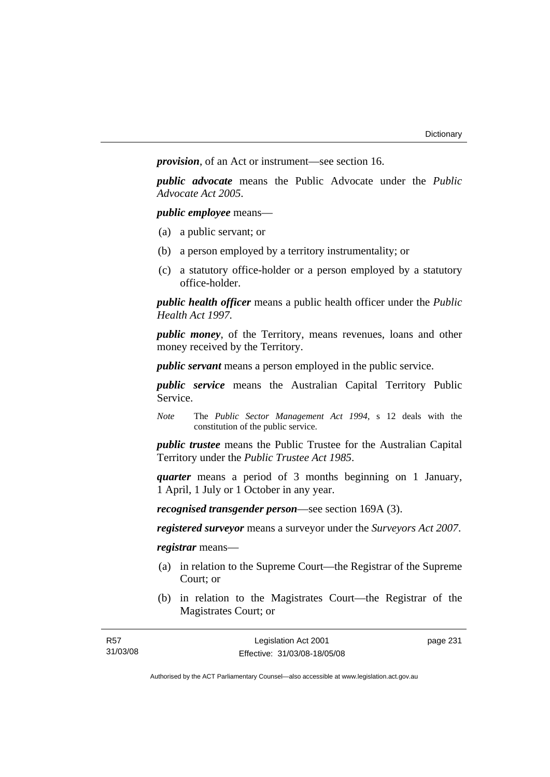*provision*, of an Act or instrument—see section 16.

*public advocate* means the Public Advocate under the *Public Advocate Act 2005*.

*public employee* means—

- (a) a public servant; or
- (b) a person employed by a territory instrumentality; or
- (c) a statutory office-holder or a person employed by a statutory office-holder.

*public health officer* means a public health officer under the *Public Health Act 1997.*

*public money*, of the Territory, means revenues, loans and other money received by the Territory.

*public servant* means a person employed in the public service.

*public service* means the Australian Capital Territory Public Service.

*Note* The *Public Sector Management Act 1994*, s 12 deals with the constitution of the public service.

*public trustee* means the Public Trustee for the Australian Capital Territory under the *Public Trustee Act 1985*.

*quarter* means a period of 3 months beginning on 1 January, 1 April, 1 July or 1 October in any year.

*recognised transgender person*—see section 169A (3).

*registered surveyor* means a surveyor under the *Surveyors Act 2007*.

*registrar* means—

- (a) in relation to the Supreme Court—the Registrar of the Supreme Court; or
- (b) in relation to the Magistrates Court—the Registrar of the Magistrates Court; or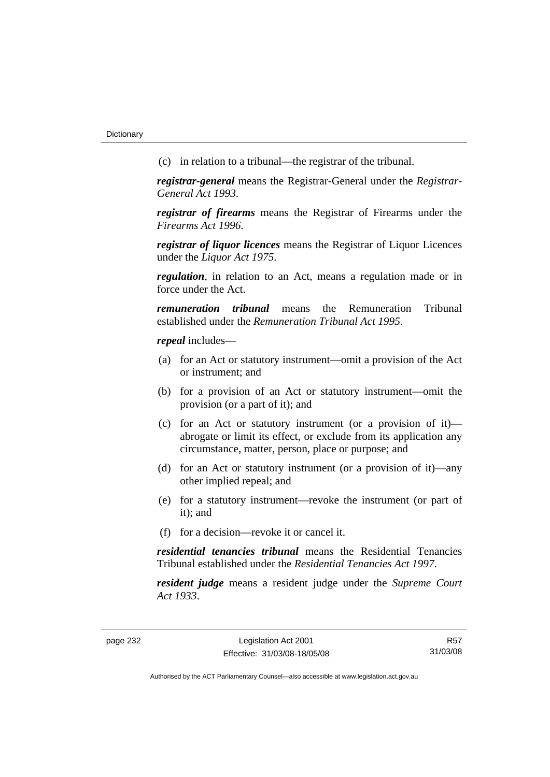(c) in relation to a tribunal—the registrar of the tribunal.

*registrar-general* means the Registrar-General under the *Registrar-General Act 1993*.

*registrar of firearms* means the Registrar of Firearms under the *Firearms Act 1996*.

*registrar of liquor licences* means the Registrar of Liquor Licences under the *Liquor Act 1975*.

*regulation*, in relation to an Act, means a regulation made or in force under the Act.

*remuneration tribunal* means the Remuneration Tribunal established under the *Remuneration Tribunal Act 1995*.

*repeal* includes—

- (a) for an Act or statutory instrument—omit a provision of the Act or instrument; and
- (b) for a provision of an Act or statutory instrument—omit the provision (or a part of it); and
- (c) for an Act or statutory instrument (or a provision of it) abrogate or limit its effect, or exclude from its application any circumstance, matter, person, place or purpose; and
- (d) for an Act or statutory instrument (or a provision of it)—any other implied repeal; and
- (e) for a statutory instrument—revoke the instrument (or part of it); and
- (f) for a decision—revoke it or cancel it.

*residential tenancies tribunal* means the Residential Tenancies Tribunal established under the *Residential Tenancies Act 1997*.

*resident judge* means a resident judge under the *Supreme Court Act 1933*.

page 232 Legislation Act 2001 Effective: 31/03/08-18/05/08

R57 31/03/08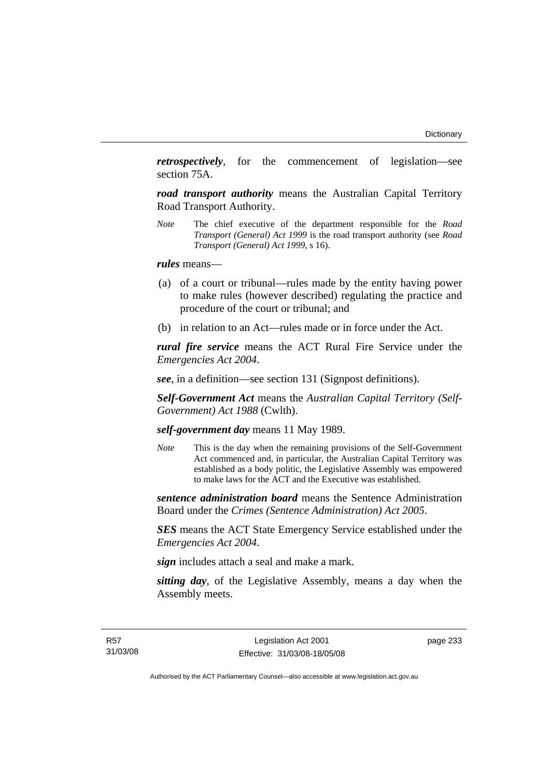*retrospectively*, for the commencement of legislation—see section 75A.

*road transport authority* means the Australian Capital Territory Road Transport Authority.

*Note* The chief executive of the department responsible for the *Road Transport (General) Act 1999* is the road transport authority (see *Road Transport (General) Act 1999*, s 16).

*rules* means—

- (a) of a court or tribunal—rules made by the entity having power to make rules (however described) regulating the practice and procedure of the court or tribunal; and
- (b) in relation to an Act—rules made or in force under the Act.

*rural fire service* means the ACT Rural Fire Service under the *Emergencies Act 2004*.

*see*, in a definition—see section 131 (Signpost definitions).

*Self-Government Act* means the *Australian Capital Territory (Self-Government) Act 1988* (Cwlth).

*self-government day* means 11 May 1989.

*Note* This is the day when the remaining provisions of the Self-Government Act commenced and, in particular, the Australian Capital Territory was established as a body politic, the Legislative Assembly was empowered to make laws for the ACT and the Executive was established.

*sentence administration board* means the Sentence Administration Board under the *Crimes (Sentence Administration) Act 2005*.

*SES* means the ACT State Emergency Service established under the *Emergencies Act 2004*.

*sign* includes attach a seal and make a mark.

*sitting day*, of the Legislative Assembly, means a day when the Assembly meets.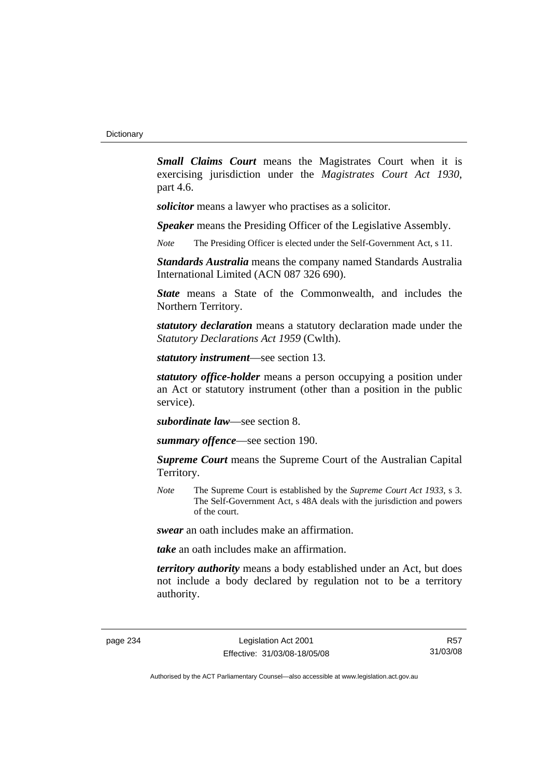*Small Claims Court* means the Magistrates Court when it is exercising jurisdiction under the *Magistrates Court Act 1930*, part 4.6.

*solicitor* means a lawyer who practises as a solicitor.

*Speaker* means the Presiding Officer of the Legislative Assembly.

*Note* The Presiding Officer is elected under the Self-Government Act, s 11.

*Standards Australia* means the company named Standards Australia International Limited (ACN 087 326 690).

*State* means a State of the Commonwealth, and includes the Northern Territory.

*statutory declaration* means a statutory declaration made under the *Statutory Declarations Act 1959* (Cwlth).

*statutory instrument*—see section 13.

*statutory office-holder* means a person occupying a position under an Act or statutory instrument (other than a position in the public service).

*subordinate law*—see section 8.

*summary offence*—see section 190.

*Supreme Court* means the Supreme Court of the Australian Capital Territory.

*Note* The Supreme Court is established by the *Supreme Court Act 1933*, s 3. The Self-Government Act, s 48A deals with the jurisdiction and powers of the court.

*swear* an oath includes make an affirmation.

*take* an oath includes make an affirmation.

*territory authority* means a body established under an Act, but does not include a body declared by regulation not to be a territory authority.

page 234 Legislation Act 2001 Effective: 31/03/08-18/05/08

R57 31/03/08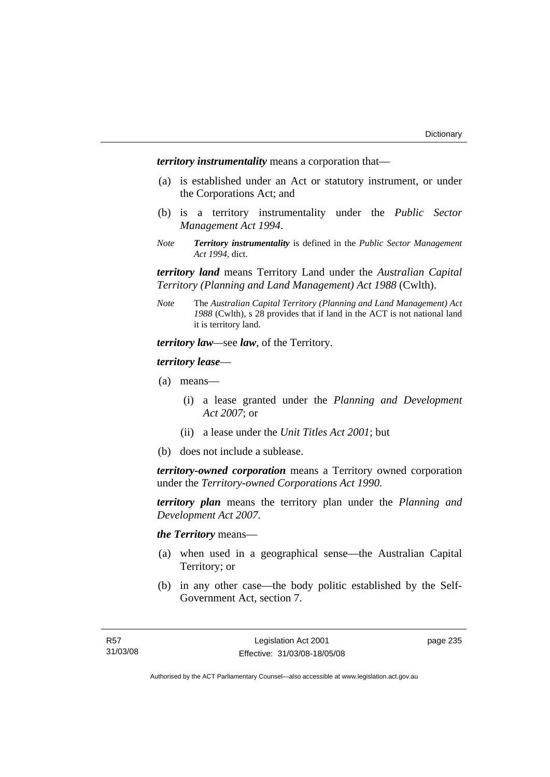*territory instrumentality* means a corporation that—

- (a) is established under an Act or statutory instrument, or under the Corporations Act; and
- (b) is a territory instrumentality under the *Public Sector Management Act 1994*.
- *Note Territory instrumentality* is defined in the *Public Sector Management Act 1994*, dict.

*territory land* means Territory Land under the *Australian Capital Territory (Planning and Land Management) Act 1988* (Cwlth).

*Note* The *Australian Capital Territory (Planning and Land Management) Act 1988* (Cwlth), s 28 provides that if land in the ACT is not national land it is territory land.

*territory law—*see *law*, of the Territory.

### *territory lease*—

- (a) means—
	- (i) a lease granted under the *Planning and Development Act 2007*; or
	- (ii) a lease under the *Unit Titles Act 2001*; but
- (b) does not include a sublease.

*territory-owned corporation* means a Territory owned corporation under the *Territory-owned Corporations Act 1990*.

*territory plan* means the territory plan under the *Planning and Development Act 2007*.

*the Territory* means—

- (a) when used in a geographical sense—the Australian Capital Territory; or
- (b) in any other case—the body politic established by the Self-Government Act, section 7.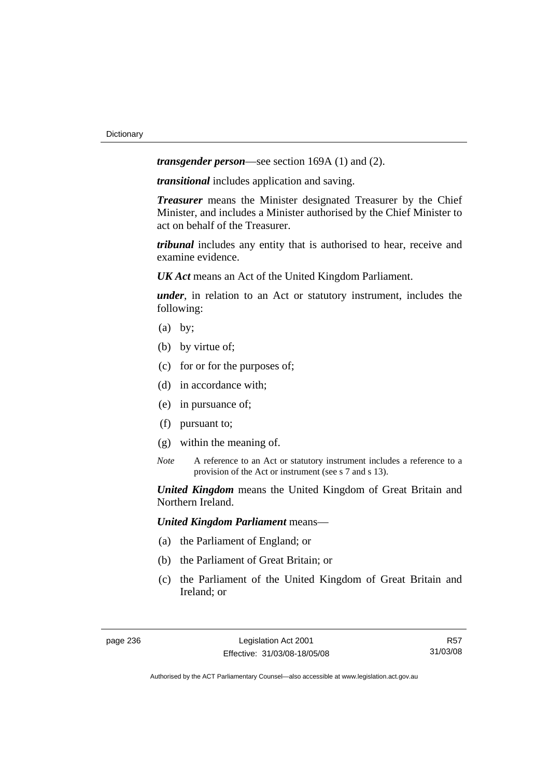*transgender person*—see section 169A (1) and (2).

*transitional* includes application and saving.

*Treasurer* means the Minister designated Treasurer by the Chief Minister, and includes a Minister authorised by the Chief Minister to act on behalf of the Treasurer.

*tribunal* includes any entity that is authorised to hear, receive and examine evidence.

*UK Act* means an Act of the United Kingdom Parliament.

*under*, in relation to an Act or statutory instrument, includes the following:

- (a) by;
- (b) by virtue of;
- (c) for or for the purposes of;
- (d) in accordance with;
- (e) in pursuance of;
- (f) pursuant to;
- (g) within the meaning of.
- *Note* A reference to an Act or statutory instrument includes a reference to a provision of the Act or instrument (see s 7 and s 13).

*United Kingdom* means the United Kingdom of Great Britain and Northern Ireland.

*United Kingdom Parliament* means—

- (a) the Parliament of England; or
- (b) the Parliament of Great Britain; or
- (c) the Parliament of the United Kingdom of Great Britain and Ireland; or

R57 31/03/08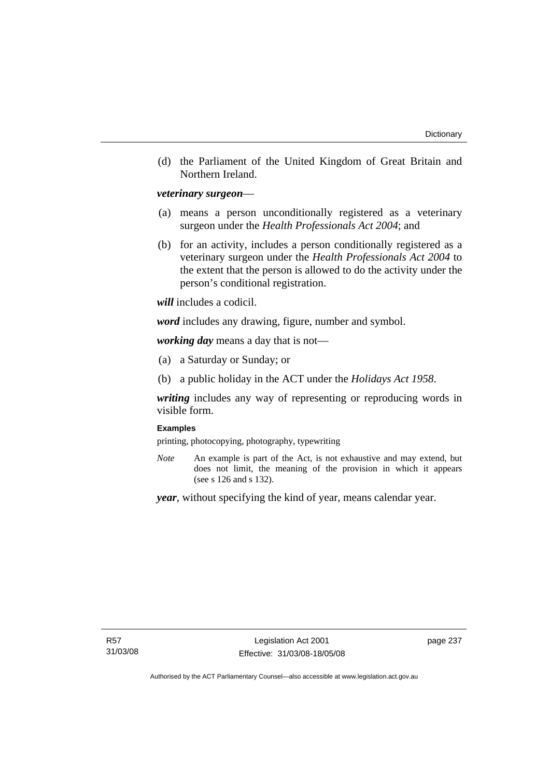(d) the Parliament of the United Kingdom of Great Britain and Northern Ireland.

## *veterinary surgeon*—

- (a) means a person unconditionally registered as a veterinary surgeon under the *Health Professionals Act 2004*; and
- (b) for an activity, includes a person conditionally registered as a veterinary surgeon under the *Health Professionals Act 2004* to the extent that the person is allowed to do the activity under the person's conditional registration.

*will* includes a codicil.

*word* includes any drawing, figure, number and symbol.

*working day* means a day that is not—

- (a) a Saturday or Sunday; or
- (b) a public holiday in the ACT under the *Holidays Act 1958*.

*writing* includes any way of representing or reproducing words in visible form.

## **Examples**

printing, photocopying, photography, typewriting

*Note* An example is part of the Act, is not exhaustive and may extend, but does not limit, the meaning of the provision in which it appears (see s 126 and s 132).

*year*, without specifying the kind of year, means calendar year.

page 237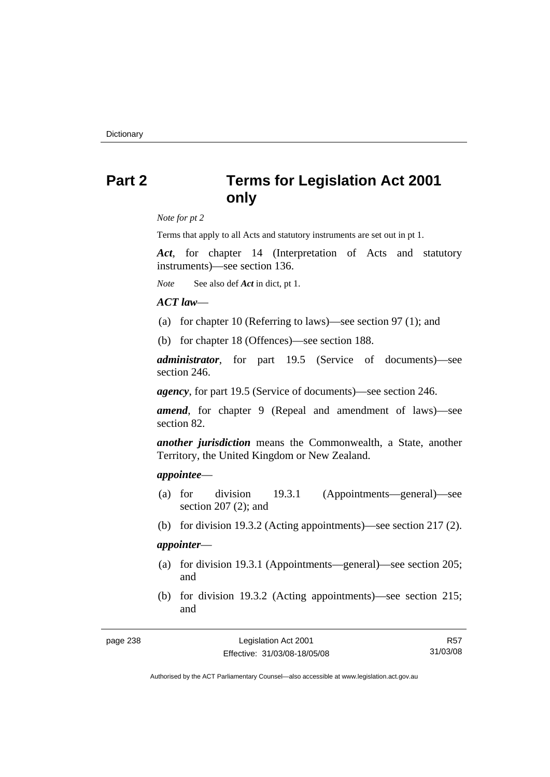# **Part 2 Terms for Legislation Act 2001 only**

*Note for pt 2* 

Terms that apply to all Acts and statutory instruments are set out in pt 1.

*Act*, for chapter 14 (Interpretation of Acts and statutory instruments)—see section 136.

*Note* See also def *Act* in dict, pt 1.

## *ACT law*—

- (a) for chapter 10 (Referring to laws)—see section 97 (1); and
- (b) for chapter 18 (Offences)—see section 188.

*administrator*, for part 19.5 (Service of documents)—see section 246.

*agency*, for part 19.5 (Service of documents)—see section 246.

*amend*, for chapter 9 (Repeal and amendment of laws)—see section 82.

*another jurisdiction* means the Commonwealth, a State, another Territory, the United Kingdom or New Zealand.

## *appointee*—

- (a) for division 19.3.1 (Appointments—general)—see section 207 (2); and
- (b) for division 19.3.2 (Acting appointments)—see section 217 (2).

# *appointer*—

- (a) for division 19.3.1 (Appointments—general)—see section 205; and
- (b) for division 19.3.2 (Acting appointments)—see section 215; and

| page 238 |  |
|----------|--|
|----------|--|

R57 31/03/08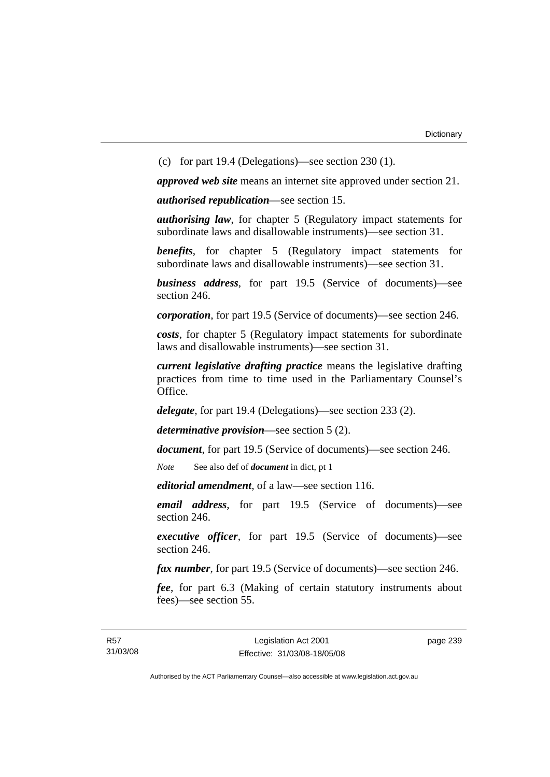(c) for part 19.4 (Delegations)—see section 230 (1).

*approved web site* means an internet site approved under section 21.

*authorised republication*—see section 15.

*authorising law*, for chapter 5 (Regulatory impact statements for subordinate laws and disallowable instruments)—see section 31.

*benefits*, for chapter 5 (Regulatory impact statements for subordinate laws and disallowable instruments)—see section 31.

*business address*, for part 19.5 (Service of documents)—see section 246.

*corporation*, for part 19.5 (Service of documents)—see section 246.

*costs*, for chapter 5 (Regulatory impact statements for subordinate laws and disallowable instruments)—see section 31.

*current legislative drafting practice* means the legislative drafting practices from time to time used in the Parliamentary Counsel's Office.

*delegate*, for part 19.4 (Delegations)—see section 233 (2).

*determinative provision*—see section 5 (2).

*document*, for part 19.5 (Service of documents)—see section 246.

*Note* See also def of *document* in dict, pt 1

*editorial amendment*, of a law—see section 116.

*email address*, for part 19.5 (Service of documents)—see section 246.

*executive officer*, for part 19.5 (Service of documents)—see section 246.

*fax number*, for part 19.5 (Service of documents)—see section 246.

*fee*, for part 6.3 (Making of certain statutory instruments about fees)—see section 55.

page 239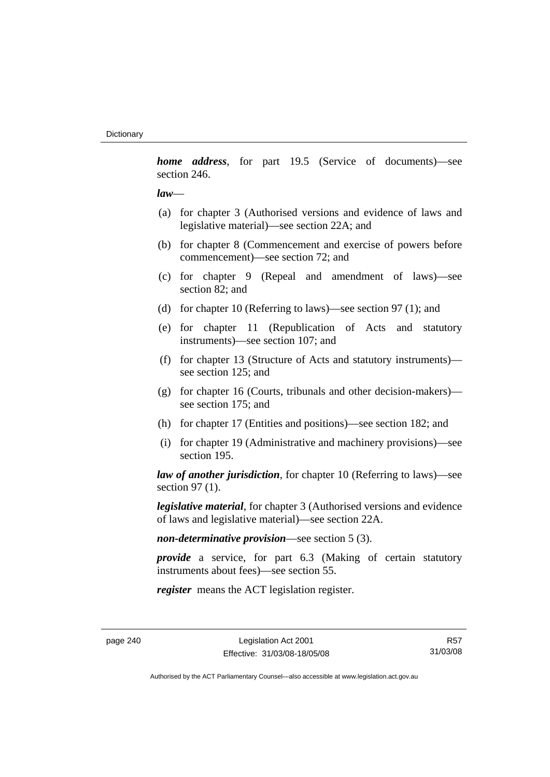*home address*, for part 19.5 (Service of documents)—see section 246.

## *law*—

- (a) for chapter 3 (Authorised versions and evidence of laws and legislative material)—see section 22A; and
- (b) for chapter 8 (Commencement and exercise of powers before commencement)—see section 72; and
- (c) for chapter 9 (Repeal and amendment of laws)—see section 82; and
- (d) for chapter 10 (Referring to laws)—see section 97 (1); and
- (e) for chapter 11 (Republication of Acts and statutory instruments)—see section 107; and
- (f) for chapter 13 (Structure of Acts and statutory instruments) see section 125; and
- (g) for chapter 16 (Courts, tribunals and other decision-makers) see section 175; and
- (h) for chapter 17 (Entities and positions)—see section 182; and
- (i) for chapter 19 (Administrative and machinery provisions)—see section 195.

*law of another jurisdiction*, for chapter 10 (Referring to laws)—see section 97 (1).

*legislative material*, for chapter 3 (Authorised versions and evidence of laws and legislative material)—see section 22A.

*non-determinative provision*—see section 5 (3).

*provide* a service, for part 6.3 (Making of certain statutory instruments about fees)—see section 55.

*register* means the ACT legislation register.

R57 31/03/08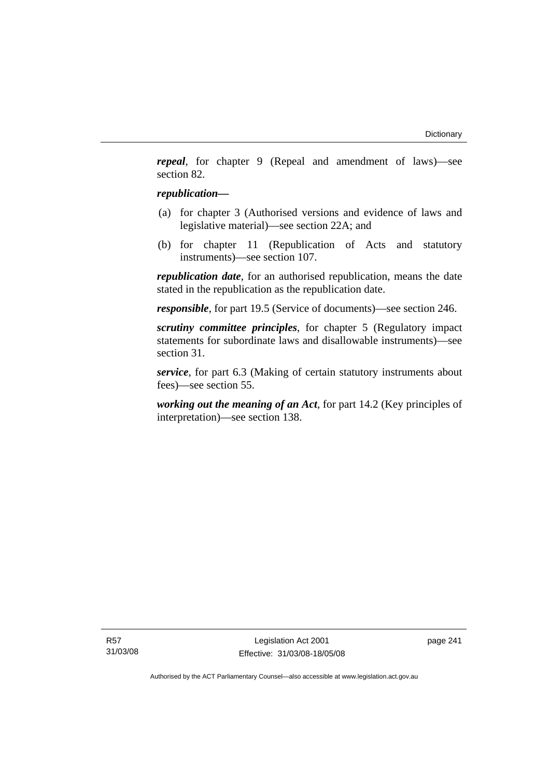*repeal*, for chapter 9 (Repeal and amendment of laws)—see section 82.

## *republication—*

- (a) for chapter 3 (Authorised versions and evidence of laws and legislative material)—see section 22A; and
- (b) for chapter 11 (Republication of Acts and statutory instruments)—see section 107.

*republication date*, for an authorised republication, means the date stated in the republication as the republication date.

*responsible*, for part 19.5 (Service of documents)—see section 246.

*scrutiny committee principles*, for chapter 5 (Regulatory impact statements for subordinate laws and disallowable instruments)—see section 31.

*service*, for part 6.3 (Making of certain statutory instruments about fees)—see section 55.

*working out the meaning of an Act*, for part 14.2 (Key principles of interpretation)—see section 138.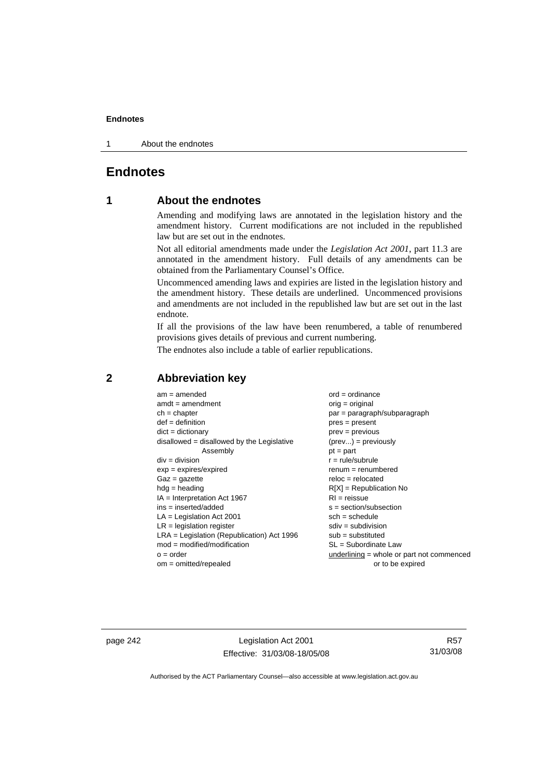1 About the endnotes

# **Endnotes**

# **1 About the endnotes**

Amending and modifying laws are annotated in the legislation history and the amendment history. Current modifications are not included in the republished law but are set out in the endnotes.

Not all editorial amendments made under the *Legislation Act 2001*, part 11.3 are annotated in the amendment history. Full details of any amendments can be obtained from the Parliamentary Counsel's Office.

Uncommenced amending laws and expiries are listed in the legislation history and the amendment history. These details are underlined. Uncommenced provisions and amendments are not included in the republished law but are set out in the last endnote.

If all the provisions of the law have been renumbered, a table of renumbered provisions gives details of previous and current numbering.

The endnotes also include a table of earlier republications.

| $am = amended$                               | $ord = ordinance$                         |
|----------------------------------------------|-------------------------------------------|
| $amdt = amendment$                           | $orig = original$                         |
| $ch = chapter$                               | par = paragraph/subparagraph              |
| $def = definition$                           | $pres = present$                          |
| $dict = dictionary$                          | $prev = previous$                         |
| $disallowed = disallowed by the Legislative$ | $(\text{prev}) = \text{previously}$       |
| Assembly                                     | $pt = part$                               |
| $div = division$                             | $r = rule/subrule$                        |
| $exp = expires/expired$                      | $renum = renumbered$                      |
| $Gaz = gazette$                              | $reloc = relocated$                       |
| $hdg =$ heading                              | $R[X]$ = Republication No                 |
| $IA = Interpretation Act 1967$               | $RI = reissue$                            |
| $ins = inserted/added$                       | $s = section/subsection$                  |
| $LA =$ Legislation Act 2001                  | $sch = schedule$                          |
| $LR =$ legislation register                  | $sdiv = subdivision$                      |
| $LRA =$ Legislation (Republication) Act 1996 | $sub = substituted$                       |
| $mod = modified/modification$                | $SL = Subordinate$ Law                    |
| $o = order$                                  | underlining = whole or part not commenced |
| $om = omitted/report$                        | or to be expired                          |
|                                              |                                           |

# **2 Abbreviation key**

page 242 Legislation Act 2001 Effective: 31/03/08-18/05/08

R57 31/03/08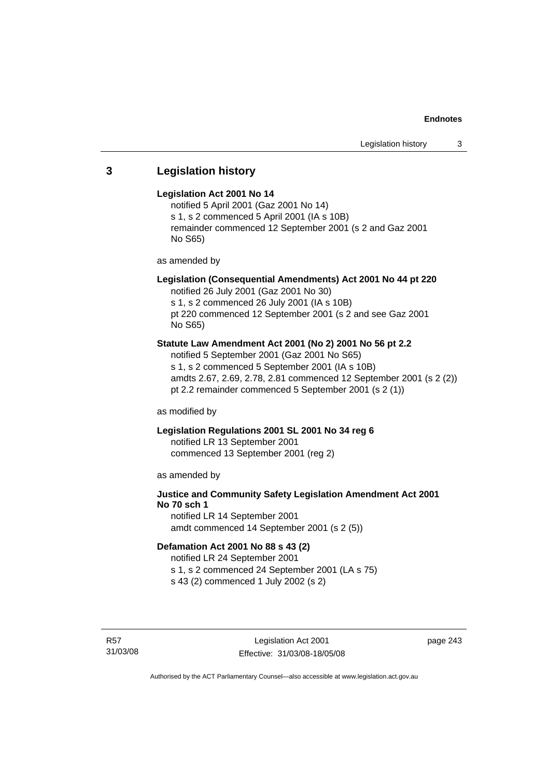# **3 Legislation history**

## **Legislation Act 2001 No 14**

notified 5 April 2001 (Gaz 2001 No 14) s 1, s 2 commenced 5 April 2001 (IA s 10B) remainder commenced 12 September 2001 (s 2 and Gaz 2001 No S65)

as amended by

# **Legislation (Consequential Amendments) Act 2001 No 44 pt 220**

notified 26 July 2001 (Gaz 2001 No 30) s 1, s 2 commenced 26 July 2001 (IA s 10B)

pt 220 commenced 12 September 2001 (s 2 and see Gaz 2001 No S65)

# **Statute Law Amendment Act 2001 (No 2) 2001 No 56 pt 2.2**

notified 5 September 2001 (Gaz 2001 No S65) s 1, s 2 commenced 5 September 2001 (IA s 10B) amdts 2.67, 2.69, 2.78, 2.81 commenced 12 September 2001 (s 2 (2)) pt 2.2 remainder commenced 5 September 2001 (s 2 (1))

as modified by

# **Legislation Regulations 2001 SL 2001 No 34 reg 6**

notified LR 13 September 2001 commenced 13 September 2001 (reg 2)

as amended by

# **Justice and Community Safety Legislation Amendment Act 2001 No 70 sch 1**

notified LR 14 September 2001 amdt commenced 14 September 2001 (s 2 (5))

# **Defamation Act 2001 No 88 s 43 (2)**

notified LR 24 September 2001 s 1, s 2 commenced 24 September 2001 (LA s 75)

s 43 (2) commenced 1 July 2002 (s 2)

R57 31/03/08 page 243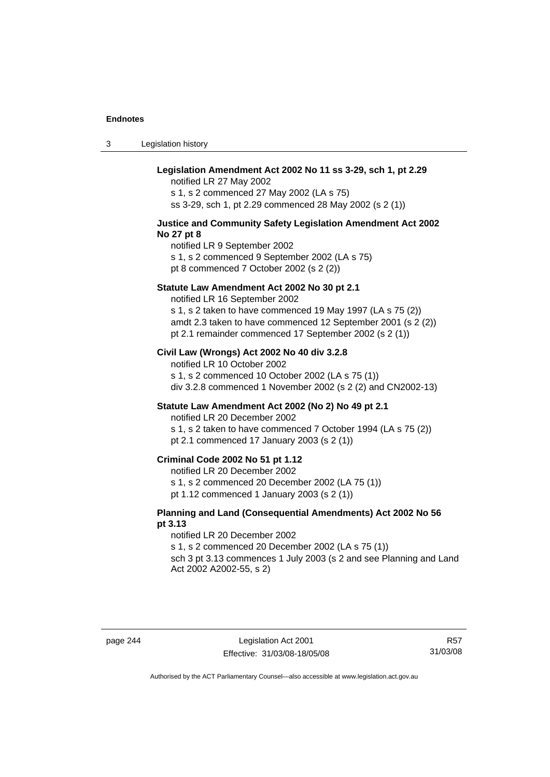3 Legislation history

# **Legislation Amendment Act 2002 No 11 ss 3-29, sch 1, pt 2.29**

notified LR 27 May 2002 s 1, s 2 commenced 27 May 2002 (LA s 75) ss 3-29, sch 1, pt 2.29 commenced 28 May 2002 (s 2 (1))

#### **Justice and Community Safety Legislation Amendment Act 2002 No 27 pt 8**

notified LR 9 September 2002 s 1, s 2 commenced 9 September 2002 (LA s 75) pt 8 commenced 7 October 2002 (s 2 (2))

#### **Statute Law Amendment Act 2002 No 30 pt 2.1**

notified LR 16 September 2002 s 1, s 2 taken to have commenced 19 May 1997 (LA s 75 (2)) amdt 2.3 taken to have commenced 12 September 2001 (s 2 (2)) pt 2.1 remainder commenced 17 September 2002 (s 2 (1))

#### **Civil Law (Wrongs) Act 2002 No 40 div 3.2.8**

notified LR 10 October 2002 s 1, s 2 commenced 10 October 2002 (LA s 75 (1)) div 3.2.8 commenced 1 November 2002 (s 2 (2) and CN2002-13)

## **Statute Law Amendment Act 2002 (No 2) No 49 pt 2.1**

notified LR 20 December 2002

s 1, s 2 taken to have commenced 7 October 1994 (LA s 75 (2)) pt 2.1 commenced 17 January 2003 (s 2 (1))

## **Criminal Code 2002 No 51 pt 1.12**

notified LR 20 December 2002

s 1, s 2 commenced 20 December 2002 (LA 75 (1))

pt 1.12 commenced 1 January 2003 (s 2 (1))

## **Planning and Land (Consequential Amendments) Act 2002 No 56 pt 3.13**

#### notified LR 20 December 2002

s 1, s 2 commenced 20 December 2002 (LA s 75 (1))

sch 3 pt 3.13 commences 1 July 2003 (s 2 and see Planning and Land Act 2002 A2002-55, s 2)

page 244 Legislation Act 2001 Effective: 31/03/08-18/05/08

R57 31/03/08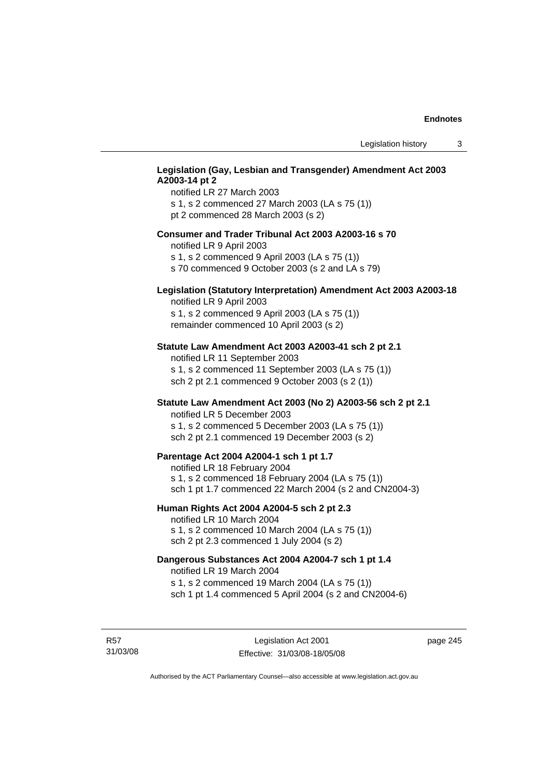# **Legislation (Gay, Lesbian and Transgender) Amendment Act 2003 A2003-14 pt 2**

notified LR 27 March 2003 s 1, s 2 commenced 27 March 2003 (LA s 75 (1)) pt 2 commenced 28 March 2003 (s 2)

#### **Consumer and Trader Tribunal Act 2003 A2003-16 s 70**

notified LR 9 April 2003

s 1, s 2 commenced 9 April 2003 (LA s 75 (1))

s 70 commenced 9 October 2003 (s 2 and LA s 79)

# **Legislation (Statutory Interpretation) Amendment Act 2003 A2003-18**

notified LR 9 April 2003 s 1, s 2 commenced 9 April 2003 (LA s 75 (1)) remainder commenced 10 April 2003 (s 2)

#### **Statute Law Amendment Act 2003 A2003-41 sch 2 pt 2.1**

notified LR 11 September 2003 s 1, s 2 commenced 11 September 2003 (LA s 75 (1)) sch 2 pt 2.1 commenced 9 October 2003 (s 2 (1))

## **Statute Law Amendment Act 2003 (No 2) A2003-56 sch 2 pt 2.1**

notified LR 5 December 2003 s 1, s 2 commenced 5 December 2003 (LA s 75 (1)) sch 2 pt 2.1 commenced 19 December 2003 (s 2)

#### **Parentage Act 2004 A2004-1 sch 1 pt 1.7**

notified LR 18 February 2004 s 1, s 2 commenced 18 February 2004 (LA s 75 (1)) sch 1 pt 1.7 commenced 22 March 2004 (s 2 and CN2004-3)

#### **Human Rights Act 2004 A2004-5 sch 2 pt 2.3**

notified LR 10 March 2004 s 1, s 2 commenced 10 March 2004 (LA s 75 (1)) sch 2 pt 2.3 commenced 1 July 2004 (s 2)

#### **Dangerous Substances Act 2004 A2004-7 sch 1 pt 1.4**

notified LR 19 March 2004 s 1, s 2 commenced 19 March 2004 (LA s 75 (1)) sch 1 pt 1.4 commenced 5 April 2004 (s 2 and CN2004-6)

R57 31/03/08 page 245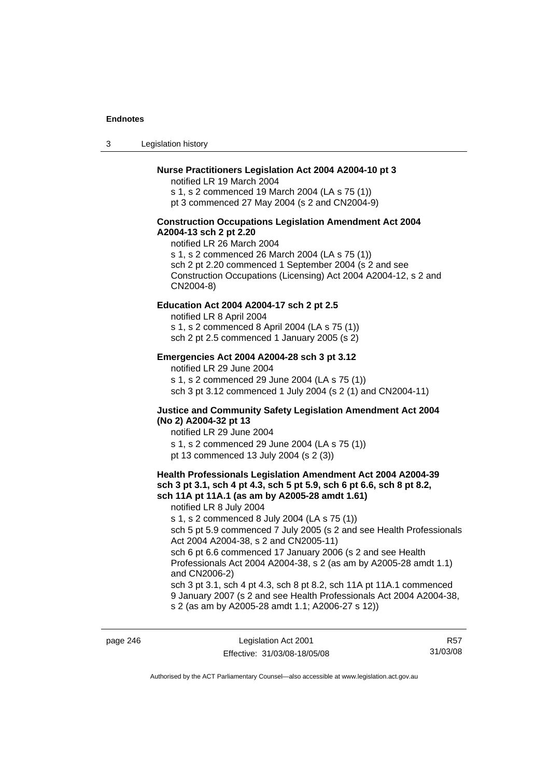3 Legislation history

## **Nurse Practitioners Legislation Act 2004 A2004-10 pt 3**

notified LR 19 March 2004 s 1, s 2 commenced 19 March 2004 (LA s 75 (1)) pt 3 commenced 27 May 2004 (s 2 and CN2004-9)

#### **Construction Occupations Legislation Amendment Act 2004 A2004-13 sch 2 pt 2.20**

notified LR 26 March 2004 s 1, s 2 commenced 26 March 2004 (LA s 75 (1)) sch 2 pt 2.20 commenced 1 September 2004 (s 2 and see Construction Occupations (Licensing) Act 2004 A2004-12, s 2 and CN2004-8)

#### **Education Act 2004 A2004-17 sch 2 pt 2.5**

notified LR 8 April 2004 s 1, s 2 commenced 8 April 2004 (LA s 75 (1))

sch 2 pt 2.5 commenced 1 January 2005 (s 2)

#### **Emergencies Act 2004 A2004-28 sch 3 pt 3.12**

notified LR 29 June 2004

s 1, s 2 commenced 29 June 2004 (LA s 75 (1)) sch 3 pt 3.12 commenced 1 July 2004 (s 2 (1) and CN2004-11)

## **Justice and Community Safety Legislation Amendment Act 2004 (No 2) A2004-32 pt 13**

notified LR 29 June 2004 s 1, s 2 commenced 29 June 2004 (LA s 75 (1)) pt 13 commenced 13 July 2004 (s 2 (3))

#### **Health Professionals Legislation Amendment Act 2004 A2004-39 sch 3 pt 3.1, sch 4 pt 4.3, sch 5 pt 5.9, sch 6 pt 6.6, sch 8 pt 8.2, sch 11A pt 11A.1 (as am by A2005-28 amdt 1.61)**

notified LR 8 July 2004

s 1, s 2 commenced 8 July 2004 (LA s 75 (1))

sch 5 pt 5.9 commenced 7 July 2005 (s 2 and see Health Professionals Act 2004 A2004-38, s 2 and CN2005-11)

sch 6 pt 6.6 commenced 17 January 2006 (s 2 and see Health Professionals Act 2004 A2004-38, s 2 (as am by A2005-28 amdt 1.1) and CN2006-2)

sch 3 pt 3.1, sch 4 pt 4.3, sch 8 pt 8.2, sch 11A pt 11A.1 commenced 9 January 2007 (s 2 and see Health Professionals Act 2004 A2004-38, s 2 (as am by A2005-28 amdt 1.1; A2006-27 s 12))

page 246 Legislation Act 2001 Effective: 31/03/08-18/05/08

R57 31/03/08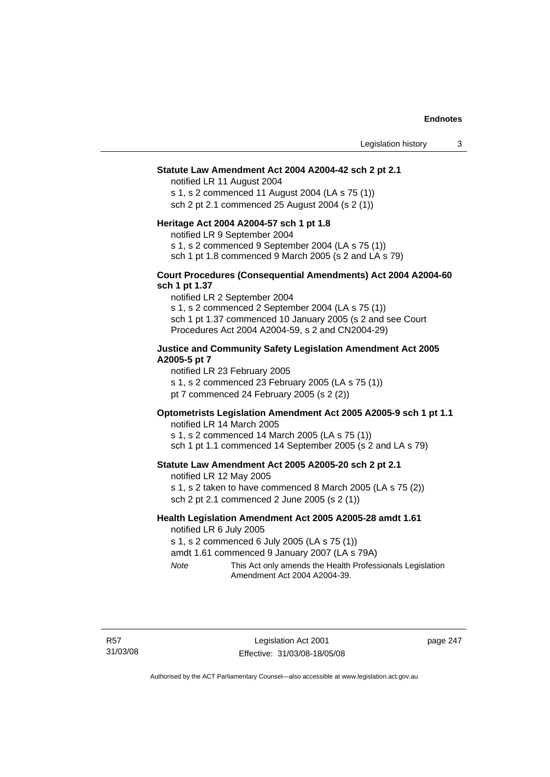#### **Statute Law Amendment Act 2004 A2004-42 sch 2 pt 2.1**

notified LR 11 August 2004 s 1, s 2 commenced 11 August 2004 (LA s 75 (1)) sch 2 pt 2.1 commenced 25 August 2004 (s 2 (1))

#### **Heritage Act 2004 A2004-57 sch 1 pt 1.8**

notified LR 9 September 2004

s 1, s 2 commenced 9 September 2004 (LA s 75 (1))

sch 1 pt 1.8 commenced 9 March 2005 (s 2 and LA s 79)

#### **Court Procedures (Consequential Amendments) Act 2004 A2004-60 sch 1 pt 1.37**

notified LR 2 September 2004 s 1, s 2 commenced 2 September 2004 (LA s 75 (1)) sch 1 pt 1.37 commenced 10 January 2005 (s 2 and see Court Procedures Act 2004 A2004-59, s 2 and CN2004-29)

## **Justice and Community Safety Legislation Amendment Act 2005 A2005-5 pt 7**

notified LR 23 February 2005

s 1, s 2 commenced 23 February 2005 (LA s 75 (1))

pt 7 commenced 24 February 2005 (s 2 (2))

# **Optometrists Legislation Amendment Act 2005 A2005-9 sch 1 pt 1.1**

notified LR 14 March 2005 s 1, s 2 commenced 14 March 2005 (LA s 75 (1)) sch 1 pt 1.1 commenced 14 September 2005 (s 2 and LA s 79)

#### **Statute Law Amendment Act 2005 A2005-20 sch 2 pt 2.1**

notified LR 12 May 2005 s 1, s 2 taken to have commenced 8 March 2005 (LA s 75 (2)) sch 2 pt 2.1 commenced 2 June 2005 (s 2 (1))

#### **Health Legislation Amendment Act 2005 A2005-28 amdt 1.61**  notified LR 6 July 2005

s 1, s 2 commenced 6 July 2005 (LA s 75 (1))

amdt 1.61 commenced 9 January 2007 (LA s 79A)

*Note* This Act only amends the Health Professionals Legislation Amendment Act 2004 A2004-39.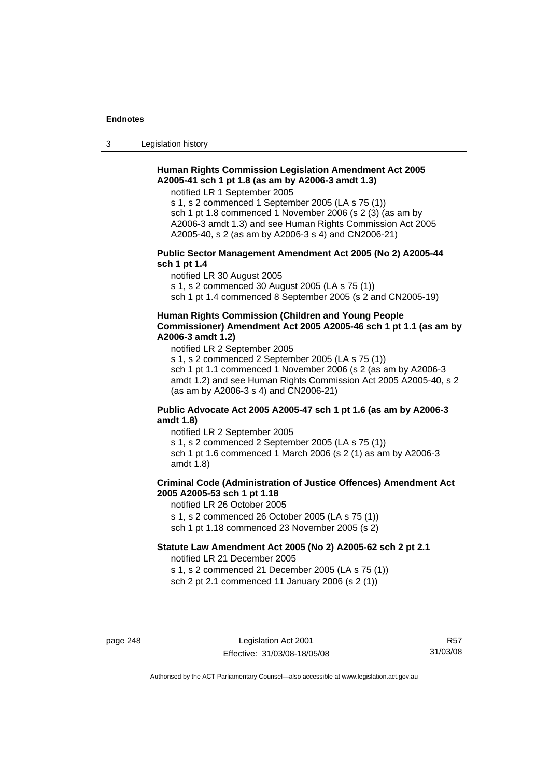3 Legislation history

## **Human Rights Commission Legislation Amendment Act 2005 A2005-41 sch 1 pt 1.8 (as am by A2006-3 amdt 1.3)**

notified LR 1 September 2005

s 1, s 2 commenced 1 September 2005 (LA s 75 (1)) sch 1 pt 1.8 commenced 1 November 2006 (s 2 (3) (as am by A2006-3 amdt 1.3) and see Human Rights Commission Act 2005 A2005-40, s 2 (as am by A2006-3 s 4) and CN2006-21)

#### **Public Sector Management Amendment Act 2005 (No 2) A2005-44 sch 1 pt 1.4**

notified LR 30 August 2005

s 1, s 2 commenced 30 August 2005 (LA s 75 (1))

sch 1 pt 1.4 commenced 8 September 2005 (s 2 and CN2005-19)

# **Human Rights Commission (Children and Young People Commissioner) Amendment Act 2005 A2005-46 sch 1 pt 1.1 (as am by A2006-3 amdt 1.2)**

notified LR 2 September 2005

s 1, s 2 commenced 2 September 2005 (LA s 75 (1)) sch 1 pt 1.1 commenced 1 November 2006 (s 2 (as am by A2006-3 amdt 1.2) and see Human Rights Commission Act 2005 A2005-40, s 2 (as am by A2006-3 s 4) and CN2006-21)

## **Public Advocate Act 2005 A2005-47 sch 1 pt 1.6 (as am by A2006-3 amdt 1.8)**

notified LR 2 September 2005 s 1, s 2 commenced 2 September 2005 (LA s 75 (1)) sch 1 pt 1.6 commenced 1 March 2006 (s 2 (1) as am by A2006-3 amdt 1.8)

# **Criminal Code (Administration of Justice Offences) Amendment Act 2005 A2005-53 sch 1 pt 1.18**

notified LR 26 October 2005 s 1, s 2 commenced 26 October 2005 (LA s 75 (1))

sch 1 pt 1.18 commenced 23 November 2005 (s 2)

# **Statute Law Amendment Act 2005 (No 2) A2005-62 sch 2 pt 2.1**

notified LR 21 December 2005 s 1, s 2 commenced 21 December 2005 (LA s 75 (1))

sch 2 pt 2.1 commenced 11 January 2006 (s 2 (1))

page 248 Legislation Act 2001 Effective: 31/03/08-18/05/08

R57 31/03/08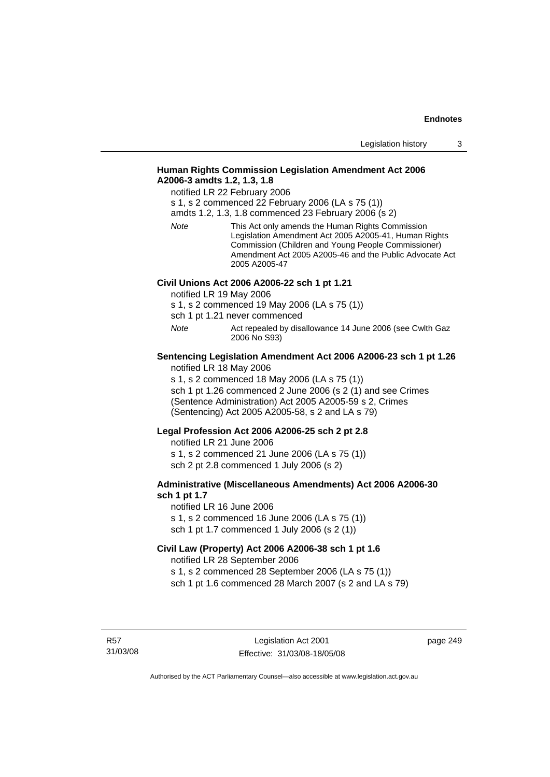# **Human Rights Commission Legislation Amendment Act 2006 A2006-3 amdts 1.2, 1.3, 1.8**

notified LR 22 February 2006

s 1, s 2 commenced 22 February 2006 (LA s 75 (1))

amdts 1.2, 1.3, 1.8 commenced 23 February 2006 (s 2)

*Note* This Act only amends the Human Rights Commission Legislation Amendment Act 2005 A2005-41, Human Rights Commission (Children and Young People Commissioner) Amendment Act 2005 A2005-46 and the Public Advocate Act 2005 A2005-47

## **Civil Unions Act 2006 A2006-22 sch 1 pt 1.21**

notified LR 19 May 2006

s 1, s 2 commenced 19 May 2006 (LA s 75 (1))

sch 1 pt 1.21 never commenced

*Note* Act repealed by disallowance 14 June 2006 (see Cwlth Gaz 2006 No S93)

#### **Sentencing Legislation Amendment Act 2006 A2006-23 sch 1 pt 1.26**  notified LR 18 May 2006

s 1, s 2 commenced 18 May 2006 (LA s 75 (1))

sch 1 pt 1.26 commenced 2 June 2006 (s 2 (1) and see Crimes (Sentence Administration) Act 2005 A2005-59 s 2, Crimes (Sentencing) Act 2005 A2005-58, s 2 and LA s 79)

## **Legal Profession Act 2006 A2006-25 sch 2 pt 2.8**

notified LR 21 June 2006 s 1, s 2 commenced 21 June 2006 (LA s 75 (1)) sch 2 pt 2.8 commenced 1 July 2006 (s 2)

## **Administrative (Miscellaneous Amendments) Act 2006 A2006-30 sch 1 pt 1.7**

notified LR 16 June 2006 s 1, s 2 commenced 16 June 2006 (LA s 75 (1)) sch 1 pt 1.7 commenced 1 July 2006 (s 2 (1))

# **Civil Law (Property) Act 2006 A2006-38 sch 1 pt 1.6**  notified LR 28 September 2006

s 1, s 2 commenced 28 September 2006 (LA s 75 (1)) sch 1 pt 1.6 commenced 28 March 2007 (s 2 and LA s 79)

R57 31/03/08 page 249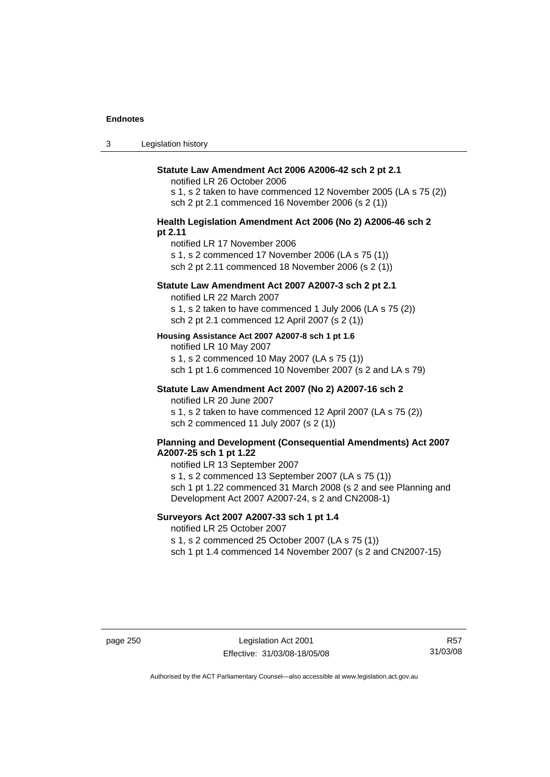3 Legislation history

#### **Statute Law Amendment Act 2006 A2006-42 sch 2 pt 2.1**

notified LR 26 October 2006

s 1, s 2 taken to have commenced 12 November 2005 (LA s 75 (2)) sch 2 pt 2.1 commenced 16 November 2006 (s 2 (1))

#### **Health Legislation Amendment Act 2006 (No 2) A2006-46 sch 2 pt 2.11**

notified LR 17 November 2006

s 1, s 2 commenced 17 November 2006 (LA s 75 (1))

sch 2 pt 2.11 commenced 18 November 2006 (s 2 (1))

# **Statute Law Amendment Act 2007 A2007-3 sch 2 pt 2.1**

notified LR 22 March 2007

s 1, s 2 taken to have commenced 1 July 2006 (LA s 75 (2)) sch 2 pt 2.1 commenced 12 April 2007 (s 2 (1))

#### **Housing Assistance Act 2007 A2007-8 sch 1 pt 1.6**

notified LR 10 May 2007

s 1, s 2 commenced 10 May 2007 (LA s 75 (1)) sch 1 pt 1.6 commenced 10 November 2007 (s 2 and LA s 79)

#### **Statute Law Amendment Act 2007 (No 2) A2007-16 sch 2**  notified LR 20 June 2007

s 1, s 2 taken to have commenced 12 April 2007 (LA s 75 (2)) sch 2 commenced 11 July 2007 (s 2 (1))

## **Planning and Development (Consequential Amendments) Act 2007 A2007-25 sch 1 pt 1.22**

notified LR 13 September 2007

s 1, s 2 commenced 13 September 2007 (LA s 75 (1)) sch 1 pt 1.22 commenced 31 March 2008 (s 2 and see Planning and

Development Act 2007 A2007-24, s 2 and CN2008-1)

# **Surveyors Act 2007 A2007-33 sch 1 pt 1.4**  notified LR 25 October 2007

s 1, s 2 commenced 25 October 2007 (LA s 75 (1))

sch 1 pt 1.4 commenced 14 November 2007 (s 2 and CN2007-15)

page 250 Legislation Act 2001 Effective: 31/03/08-18/05/08

R57 31/03/08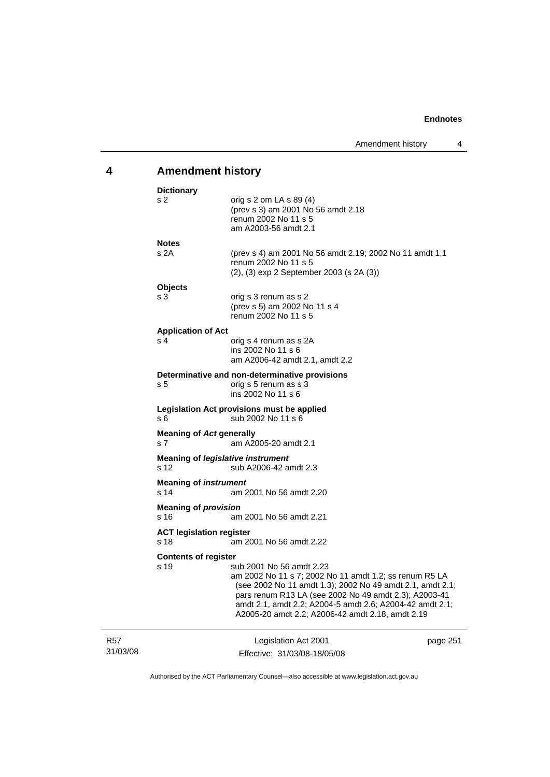# **4 Amendment history**

| <b>Dictionary</b>                       |                                                                                                                                                                                                                                                                                                                          |          |
|-----------------------------------------|--------------------------------------------------------------------------------------------------------------------------------------------------------------------------------------------------------------------------------------------------------------------------------------------------------------------------|----------|
| s 2                                     | orig s $2$ om LA s $89(4)$<br>(prev s 3) am 2001 No 56 amdt 2.18<br>renum 2002 No 11 s 5<br>am A2003-56 amdt 2.1                                                                                                                                                                                                         |          |
| <b>Notes</b>                            |                                                                                                                                                                                                                                                                                                                          |          |
| s 2A                                    | (prev s 4) am 2001 No 56 amdt 2.19; 2002 No 11 amdt 1.1<br>renum 2002 No 11 s 5<br>(2), (3) exp 2 September 2003 (s 2A (3))                                                                                                                                                                                              |          |
| <b>Objects</b>                          |                                                                                                                                                                                                                                                                                                                          |          |
| s 3                                     | orig s 3 renum as s 2<br>(prev s 5) am 2002 No 11 s 4<br>renum 2002 No 11 s 5                                                                                                                                                                                                                                            |          |
| <b>Application of Act</b>               |                                                                                                                                                                                                                                                                                                                          |          |
| s <sub>4</sub>                          | orig s 4 renum as s 2A<br>ins 2002 No 11 s 6<br>am A2006-42 amdt 2.1, amdt 2.2                                                                                                                                                                                                                                           |          |
|                                         | Determinative and non-determinative provisions                                                                                                                                                                                                                                                                           |          |
| s 5                                     | orig s 5 renum as s 3<br>ins 2002 No 11 s 6                                                                                                                                                                                                                                                                              |          |
| s 6                                     | Legislation Act provisions must be applied<br>sub 2002 No 11 s 6                                                                                                                                                                                                                                                         |          |
| <b>Meaning of Act generally</b><br>s 7  | am A2005-20 amdt 2.1                                                                                                                                                                                                                                                                                                     |          |
| s 12                                    | <b>Meaning of legislative instrument</b><br>sub A2006-42 amdt 2.3                                                                                                                                                                                                                                                        |          |
| <b>Meaning of instrument</b><br>s 14    | am 2001 No 56 amdt 2.20                                                                                                                                                                                                                                                                                                  |          |
| <b>Meaning of provision</b><br>s 16     | am 2001 No 56 amdt 2.21                                                                                                                                                                                                                                                                                                  |          |
| <b>ACT legislation register</b><br>s 18 | am 2001 No 56 amdt 2.22                                                                                                                                                                                                                                                                                                  |          |
| <b>Contents of register</b>             |                                                                                                                                                                                                                                                                                                                          |          |
| s 19                                    | sub 2001 No 56 amdt 2.23<br>am 2002 No 11 s 7; 2002 No 11 amdt 1.2; ss renum R5 LA<br>(see 2002 No 11 amdt 1.3); 2002 No 49 amdt 2.1, amdt 2.1;<br>pars renum R13 LA (see 2002 No 49 amdt 2.3); A2003-41<br>amdt 2.1, amdt 2.2; A2004-5 amdt 2.6; A2004-42 amdt 2.1;<br>A2005-20 amdt 2.2; A2006-42 amdt 2.18, amdt 2.19 |          |
|                                         | Legislation Act 2001                                                                                                                                                                                                                                                                                                     | page 251 |

R57 31/03/08 Effective: 31/03/08-18/05/08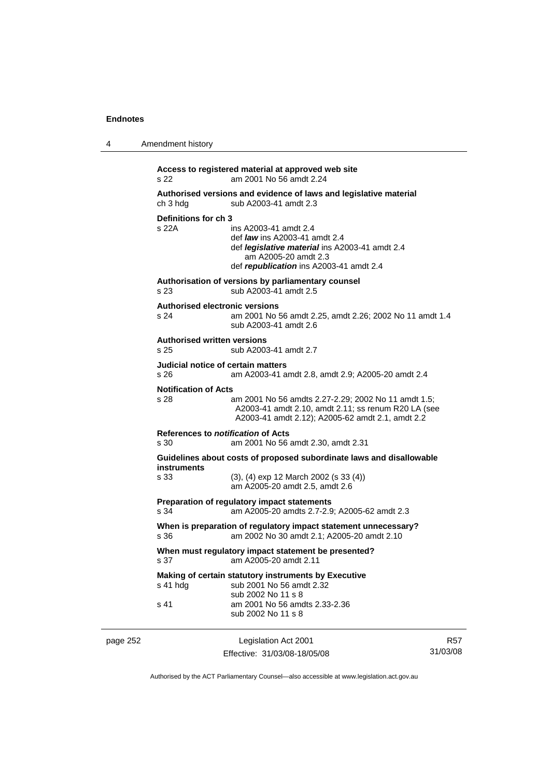4 Amendment history

|          | s 22                                              | Access to registered material at approved web site<br>am 2001 No 56 amdt 2.24                                                                                                             |                        |
|----------|---------------------------------------------------|-------------------------------------------------------------------------------------------------------------------------------------------------------------------------------------------|------------------------|
|          | ch 3 hdg                                          | Authorised versions and evidence of laws and legislative material<br>sub A2003-41 amdt 2.3                                                                                                |                        |
|          | Definitions for ch 3<br>s22A                      | ins A2003-41 amdt 2.4<br>def <i>law</i> ins A2003-41 amdt 2.4<br>def <i>legislative material</i> ins A2003-41 amdt 2.4<br>am A2005-20 amdt 2.3<br>def republication ins A2003-41 amdt 2.4 |                        |
|          | s 23                                              | Authorisation of versions by parliamentary counsel<br>sub A2003-41 amdt 2.5                                                                                                               |                        |
|          | <b>Authorised electronic versions</b><br>s 24     | am 2001 No 56 amdt 2.25, amdt 2.26; 2002 No 11 amdt 1.4<br>sub A2003-41 amdt 2.6                                                                                                          |                        |
|          | <b>Authorised written versions</b><br>s 25        | sub A2003-41 amdt 2.7                                                                                                                                                                     |                        |
|          | Judicial notice of certain matters<br>s 26        | am A2003-41 amdt 2.8, amdt 2.9; A2005-20 amdt 2.4                                                                                                                                         |                        |
|          | <b>Notification of Acts</b><br>s 28               | am 2001 No 56 amdts 2.27-2.29; 2002 No 11 amdt 1.5;<br>A2003-41 amdt 2.10, amdt 2.11; ss renum R20 LA (see<br>A2003-41 amdt 2.12); A2005-62 amdt 2.1, amdt 2.2                            |                        |
|          | References to <i>notification</i> of Acts<br>s 30 | am 2001 No 56 amdt 2.30, amdt 2.31                                                                                                                                                        |                        |
|          | <b>instruments</b><br>s 33                        | Guidelines about costs of proposed subordinate laws and disallowable<br>$(3)$ , $(4)$ exp 12 March 2002 $(s 33 (4))$<br>am A2005-20 amdt 2.5, amdt 2.6                                    |                        |
|          | s 34                                              | Preparation of regulatory impact statements<br>am A2005-20 amdts 2.7-2.9; A2005-62 amdt 2.3                                                                                               |                        |
|          | s 36                                              | When is preparation of regulatory impact statement unnecessary?<br>am 2002 No 30 amdt 2.1; A2005-20 amdt 2.10                                                                             |                        |
|          | s 37                                              | When must regulatory impact statement be presented?<br>am A2005-20 amdt 2.11                                                                                                              |                        |
|          | s 41 hdg                                          | Making of certain statutory instruments by Executive<br>sub 2001 No 56 amdt 2.32                                                                                                          |                        |
|          | s 41                                              | sub 2002 No 11 s 8<br>am 2001 No 56 amdts 2.33-2.36<br>sub 2002 No 11 s 8                                                                                                                 |                        |
| page 252 |                                                   | Legislation Act 2001<br>Effective: 31/03/08-18/05/08                                                                                                                                      | <b>R57</b><br>31/03/08 |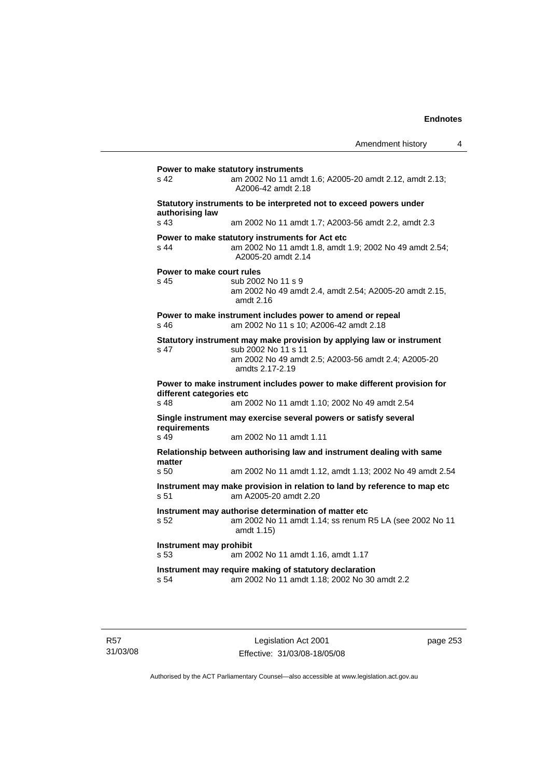| s 42                                               | am 2002 No 11 amdt 1.6; A2005-20 amdt 2.12, amdt 2.13;<br>A2006-42 amdt 2.18                                                     |
|----------------------------------------------------|----------------------------------------------------------------------------------------------------------------------------------|
| authorising law                                    | Statutory instruments to be interpreted not to exceed powers under                                                               |
| s <sub>43</sub>                                    | am 2002 No 11 amdt 1.7; A2003-56 amdt 2.2, amdt 2.3                                                                              |
| s 44                                               | Power to make statutory instruments for Act etc<br>am 2002 No 11 amdt 1.8, amdt 1.9; 2002 No 49 amdt 2.54;<br>A2005-20 amdt 2.14 |
|                                                    | Power to make court rules                                                                                                        |
| s 45                                               | sub 2002 No 11 s 9<br>am 2002 No 49 amdt 2.4, amdt 2.54; A2005-20 amdt 2.15,<br>amdt 2.16                                        |
|                                                    | Power to make instrument includes power to amend or repeal                                                                       |
| s 46                                               | am 2002 No 11 s 10; A2006-42 amdt 2.18                                                                                           |
|                                                    | Statutory instrument may make provision by applying law or instrument                                                            |
| s <sub>47</sub>                                    | sub 2002 No 11 s 11<br>am 2002 No 49 amdt 2.5; A2003-56 amdt 2.4; A2005-20<br>amdts 2.17-2.19                                    |
|                                                    |                                                                                                                                  |
|                                                    | Power to make instrument includes power to make different provision for                                                          |
| s 48                                               | am 2002 No 11 amdt 1.10; 2002 No 49 amdt 2.54                                                                                    |
|                                                    | Single instrument may exercise several powers or satisfy several                                                                 |
| different categories etc<br>requirements<br>$s$ 49 | am 2002 No 11 amdt 1.11                                                                                                          |
|                                                    | Relationship between authorising law and instrument dealing with same                                                            |
| matter<br>s <sub>50</sub>                          | am 2002 No 11 amdt 1.12, amdt 1.13; 2002 No 49 amdt 2.54                                                                         |
| s 51                                               | Instrument may make provision in relation to land by reference to map etc<br>am A2005-20 amdt 2.20                               |
| s 52                                               | Instrument may authorise determination of matter etc<br>am 2002 No 11 amdt 1.14; ss renum R5 LA (see 2002 No 11<br>amdt 1.15)    |
| s <sub>53</sub>                                    | Instrument may prohibit<br>am 2002 No 11 amdt 1.16, amdt 1.17                                                                    |
|                                                    | Instrument may require making of statutory declaration                                                                           |

R57 31/03/08

Legislation Act 2001 Effective: 31/03/08-18/05/08 page 253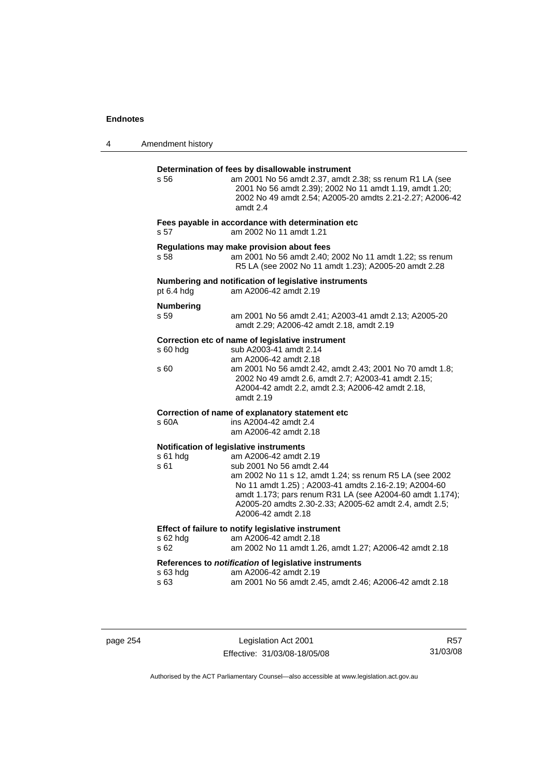| 4 | Amendment history                                                                                                                                                                                                                                                                                                                                                               |
|---|---------------------------------------------------------------------------------------------------------------------------------------------------------------------------------------------------------------------------------------------------------------------------------------------------------------------------------------------------------------------------------|
|   | Determination of fees by disallowable instrument<br>am 2001 No 56 amdt 2.37, amdt 2.38; ss renum R1 LA (see<br>s 56<br>2001 No 56 amdt 2.39); 2002 No 11 amdt 1.19, amdt 1.20;<br>2002 No 49 amdt 2.54; A2005-20 amdts 2.21-2.27; A2006-42<br>amdt 2.4                                                                                                                          |
|   | Fees payable in accordance with determination etc<br>am 2002 No 11 amdt 1.21<br>s 57                                                                                                                                                                                                                                                                                            |
|   | Regulations may make provision about fees<br>am 2001 No 56 amdt 2.40; 2002 No 11 amdt 1.22; ss renum<br>s 58<br>R5 LA (see 2002 No 11 amdt 1.23); A2005-20 amdt 2.28                                                                                                                                                                                                            |
|   | Numbering and notification of legislative instruments<br>am A2006-42 amdt 2.19<br>pt 6.4 hdg                                                                                                                                                                                                                                                                                    |
|   | <b>Numbering</b><br>s 59<br>am 2001 No 56 amdt 2.41; A2003-41 amdt 2.13; A2005-20<br>amdt 2.29; A2006-42 amdt 2.18, amdt 2.19                                                                                                                                                                                                                                                   |
|   | Correction etc of name of legislative instrument<br>sub A2003-41 amdt 2.14<br>s 60 hdg<br>am A2006-42 amdt 2.18<br>am 2001 No 56 amdt 2.42, amdt 2.43; 2001 No 70 amdt 1.8;<br>s 60<br>2002 No 49 amdt 2.6, amdt 2.7; A2003-41 amdt 2.15;<br>A2004-42 amdt 2.2, amdt 2.3; A2006-42 amdt 2.18,<br>amdt 2.19                                                                      |
|   | Correction of name of explanatory statement etc<br>ins A2004-42 amdt 2.4<br>s 60A<br>am A2006-42 amdt 2.18                                                                                                                                                                                                                                                                      |
|   | Notification of legislative instruments<br>s 61 hdg<br>am A2006-42 amdt 2.19<br>sub 2001 No 56 amdt 2.44<br>s 61<br>am 2002 No 11 s 12, amdt 1.24; ss renum R5 LA (see 2002<br>No 11 amdt 1.25); A2003-41 amdts 2.16-2.19; A2004-60<br>amdt 1.173; pars renum R31 LA (see A2004-60 amdt 1.174);<br>A2005-20 amdts 2.30-2.33; A2005-62 amdt 2.4, amdt 2.5;<br>A2006-42 amdt 2.18 |
|   | Effect of failure to notify legislative instrument<br>s 62 hdg<br>am A2006-42 amdt 2.18<br>s <sub>62</sub><br>am 2002 No 11 amdt 1.26, amdt 1.27; A2006-42 amdt 2.18                                                                                                                                                                                                            |
|   | References to notification of legislative instruments<br>s 63 hdg<br>am A2006-42 amdt 2.19<br>s 63<br>am 2001 No 56 amdt 2.45, amdt 2.46; A2006-42 amdt 2.18                                                                                                                                                                                                                    |
|   |                                                                                                                                                                                                                                                                                                                                                                                 |

page 254 Legislation Act 2001 Effective: 31/03/08-18/05/08

R57 31/03/08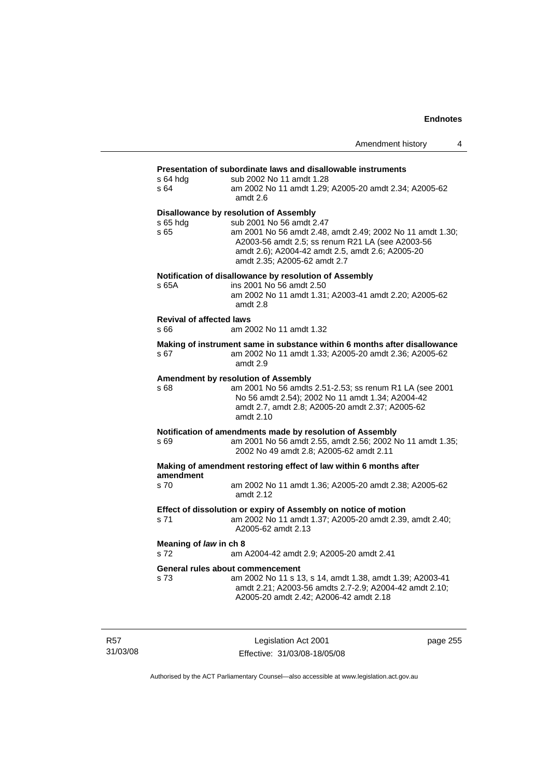## **Presentation of subordinate laws and disallowable instruments**

|                                 | r reschilding in superuntale laws and uisanowable instruments                                                                                                                                     |
|---------------------------------|---------------------------------------------------------------------------------------------------------------------------------------------------------------------------------------------------|
| s 64 hda<br>s 64                | sub 2002 No 11 amdt 1.28<br>am 2002 No 11 amdt 1.29; A2005-20 amdt 2.34; A2005-62<br>amdt 2.6                                                                                                     |
|                                 |                                                                                                                                                                                                   |
| s 65 hdg                        | Disallowance by resolution of Assembly<br>sub 2001 No 56 amdt 2.47                                                                                                                                |
| s 65                            | am 2001 No 56 amdt 2.48, amdt 2.49; 2002 No 11 amdt 1.30;<br>A2003-56 amdt 2.5; ss renum R21 LA (see A2003-56<br>amdt 2.6); A2004-42 amdt 2.5, amdt 2.6; A2005-20<br>amdt 2.35; A2005-62 amdt 2.7 |
|                                 | Notification of disallowance by resolution of Assembly                                                                                                                                            |
| s 65A                           | ins 2001 No 56 amdt 2.50<br>am 2002 No 11 amdt 1.31; A2003-41 amdt 2.20; A2005-62<br>amdt 2.8                                                                                                     |
| <b>Revival of affected laws</b> |                                                                                                                                                                                                   |
| s 66                            | am 2002 No 11 amdt 1.32                                                                                                                                                                           |
| s 67                            | Making of instrument same in substance within 6 months after disallowance<br>am 2002 No 11 amdt 1.33; A2005-20 amdt 2.36; A2005-62<br>amdt 2.9                                                    |
|                                 | Amendment by resolution of Assembly                                                                                                                                                               |
| s 68                            | am 2001 No 56 amdts 2.51-2.53; ss renum R1 LA (see 2001<br>No 56 amdt 2.54); 2002 No 11 amdt 1.34; A2004-42<br>amdt 2.7, amdt 2.8; A2005-20 amdt 2.37; A2005-62<br>amdt 2.10                      |
|                                 | Notification of amendments made by resolution of Assembly                                                                                                                                         |
| s 69                            | am 2001 No 56 amdt 2.55, amdt 2.56; 2002 No 11 amdt 1.35;<br>2002 No 49 amdt 2.8; A2005-62 amdt 2.11                                                                                              |
| amendment                       | Making of amendment restoring effect of law within 6 months after                                                                                                                                 |
| s 70                            | am 2002 No 11 amdt 1.36; A2005-20 amdt 2.38; A2005-62<br>amdt 2.12                                                                                                                                |
|                                 | Effect of dissolution or expiry of Assembly on notice of motion                                                                                                                                   |
| s 71                            | am 2002 No 11 amdt 1.37; A2005-20 amdt 2.39, amdt 2.40;<br>A2005-62 amdt 2.13                                                                                                                     |
| Meaning of law in ch 8          |                                                                                                                                                                                                   |
| s 72                            | am A2004-42 amdt 2.9; A2005-20 amdt 2.41                                                                                                                                                          |
|                                 | General rules about commencement                                                                                                                                                                  |
| s 73                            | am 2002 No 11 s 13, s 14, amdt 1.38, amdt 1.39; A2003-41<br>amdt 2.21; A2003-56 amdts 2.7-2.9; A2004-42 amdt 2.10;<br>A2005-20 amdt 2.42; A2006-42 amdt 2.18                                      |
|                                 |                                                                                                                                                                                                   |

R57 31/03/08

Legislation Act 2001 Effective: 31/03/08-18/05/08 page 255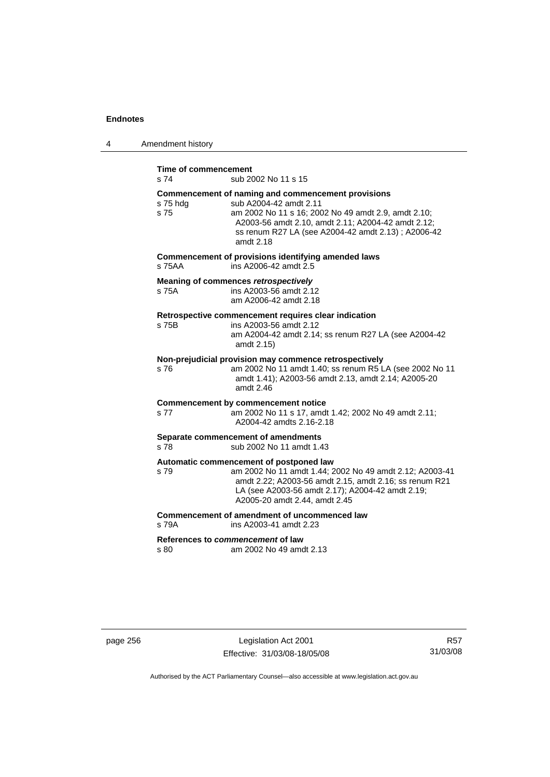| 4 | Amendment history            |                                                                                                                                                                                                                                                               |
|---|------------------------------|---------------------------------------------------------------------------------------------------------------------------------------------------------------------------------------------------------------------------------------------------------------|
|   | Time of commencement<br>s 74 | sub 2002 No 11 s 15                                                                                                                                                                                                                                           |
|   | s 75 hdg<br>s 75             | Commencement of naming and commencement provisions<br>sub A2004-42 amdt 2.11<br>am 2002 No 11 s 16; 2002 No 49 amdt 2.9, amdt 2.10;<br>A2003-56 amdt 2.10, amdt 2.11; A2004-42 amdt 2.12;<br>ss renum R27 LA (see A2004-42 amdt 2.13) ; A2006-42<br>amdt 2.18 |
|   | s 75AA                       | Commencement of provisions identifying amended laws<br>ins A2006-42 amdt 2.5                                                                                                                                                                                  |
|   | s 75A                        | Meaning of commences retrospectively<br>ins A2003-56 amdt 2.12<br>am A2006-42 amdt 2.18                                                                                                                                                                       |
|   | s 75B                        | Retrospective commencement requires clear indication<br>ins A2003-56 amdt 2.12<br>am A2004-42 amdt 2.14; ss renum R27 LA (see A2004-42<br>amdt 2.15)                                                                                                          |
|   | s 76                         | Non-prejudicial provision may commence retrospectively<br>am 2002 No 11 amdt 1.40; ss renum R5 LA (see 2002 No 11<br>amdt 1.41); A2003-56 amdt 2.13, amdt 2.14; A2005-20<br>amdt $2.46$                                                                       |
|   | s 77                         | <b>Commencement by commencement notice</b><br>am 2002 No 11 s 17, amdt 1.42; 2002 No 49 amdt 2.11;<br>A2004-42 amdts 2.16-2.18                                                                                                                                |
|   | s 78                         | Separate commencement of amendments<br>sub 2002 No 11 amdt 1.43                                                                                                                                                                                               |
|   | s 79                         | Automatic commencement of postponed law<br>am 2002 No 11 amdt 1.44; 2002 No 49 amdt 2.12; A2003-41<br>amdt 2.22; A2003-56 amdt 2.15, amdt 2.16; ss renum R21<br>LA (see A2003-56 amdt 2.17); A2004-42 amdt 2.19;<br>A2005-20 amdt 2.44, amdt 2.45             |
|   | s 79A                        | Commencement of amendment of uncommenced law<br>ins A2003-41 amdt 2.23                                                                                                                                                                                        |
|   | s 80                         | References to commencement of law<br>am 2002 No 49 amdt 2.13                                                                                                                                                                                                  |

page 256 Legislation Act 2001 Effective: 31/03/08-18/05/08

R57 31/03/08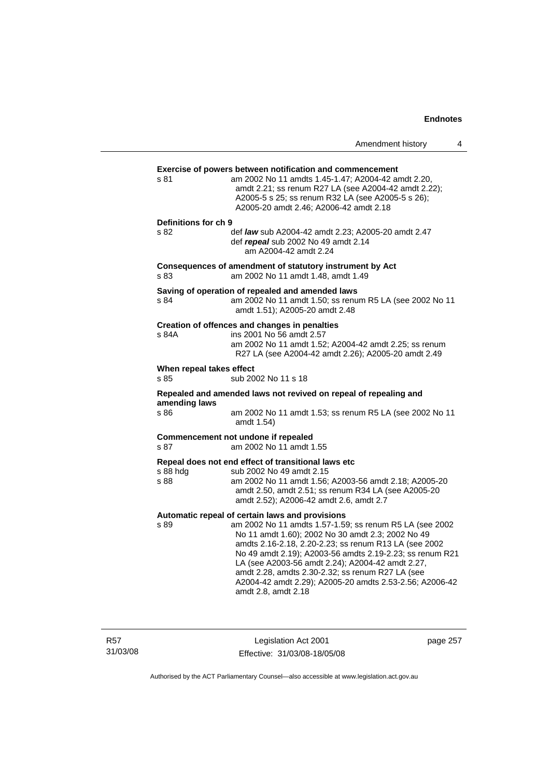|                                  |                                                                                                                                                                                                                                                                                                                                                                                                                                                                                | Amendment history | 4 |
|----------------------------------|--------------------------------------------------------------------------------------------------------------------------------------------------------------------------------------------------------------------------------------------------------------------------------------------------------------------------------------------------------------------------------------------------------------------------------------------------------------------------------|-------------------|---|
| s 81                             | <b>Exercise of powers between notification and commencement</b><br>am 2002 No 11 amdts 1.45-1.47; A2004-42 amdt 2.20,<br>amdt 2.21; ss renum R27 LA (see A2004-42 amdt 2.22);<br>A2005-5 s 25; ss renum R32 LA (see A2005-5 s 26);<br>A2005-20 amdt 2.46; A2006-42 amdt 2.18                                                                                                                                                                                                   |                   |   |
| Definitions for ch 9<br>S.82     | def law sub A2004-42 amdt 2.23; A2005-20 amdt 2.47<br>def repeal sub 2002 No 49 amdt 2.14<br>am A2004-42 amdt 2.24                                                                                                                                                                                                                                                                                                                                                             |                   |   |
| s 83                             | Consequences of amendment of statutory instrument by Act<br>am 2002 No 11 amdt 1.48, amdt 1.49                                                                                                                                                                                                                                                                                                                                                                                 |                   |   |
| s 84                             | Saving of operation of repealed and amended laws<br>am 2002 No 11 amdt 1.50; ss renum R5 LA (see 2002 No 11<br>amdt 1.51); A2005-20 amdt 2.48                                                                                                                                                                                                                                                                                                                                  |                   |   |
| s 84A                            | Creation of offences and changes in penalties<br>ins 2001 No 56 amdt 2.57<br>am 2002 No 11 amdt 1.52; A2004-42 amdt 2.25; ss renum<br>R27 LA (see A2004-42 amdt 2.26); A2005-20 amdt 2.49                                                                                                                                                                                                                                                                                      |                   |   |
| When repeal takes effect<br>s 85 | sub 2002 No 11 s 18                                                                                                                                                                                                                                                                                                                                                                                                                                                            |                   |   |
| amending laws<br>s 86            | Repealed and amended laws not revived on repeal of repealing and<br>am 2002 No 11 amdt 1.53; ss renum R5 LA (see 2002 No 11<br>amdt 1.54)                                                                                                                                                                                                                                                                                                                                      |                   |   |
| s 87                             | Commencement not undone if repealed<br>am 2002 No 11 amdt 1.55                                                                                                                                                                                                                                                                                                                                                                                                                 |                   |   |
| s 88 hdg<br>s 88                 | Repeal does not end effect of transitional laws etc<br>sub 2002 No 49 amdt 2.15<br>am 2002 No 11 amdt 1.56; A2003-56 amdt 2.18; A2005-20<br>amdt 2.50, amdt 2.51; ss renum R34 LA (see A2005-20<br>amdt 2.52); A2006-42 amdt 2.6, amdt 2.7                                                                                                                                                                                                                                     |                   |   |
| s 89                             | Automatic repeal of certain laws and provisions<br>am 2002 No 11 amdts 1.57-1.59; ss renum R5 LA (see 2002<br>No 11 amdt 1.60); 2002 No 30 amdt 2.3; 2002 No 49<br>amdts 2.16-2.18, 2.20-2.23; ss renum R13 LA (see 2002<br>No 49 amdt 2.19); A2003-56 amdts 2.19-2.23; ss renum R21<br>LA (see A2003-56 amdt 2.24); A2004-42 amdt 2.27,<br>amdt 2.28, amdts 2.30-2.32; ss renum R27 LA (see<br>A2004-42 amdt 2.29); A2005-20 amdts 2.53-2.56; A2006-42<br>amdt 2.8, amdt 2.18 |                   |   |

R57 31/03/08

Legislation Act 2001 Effective: 31/03/08-18/05/08 page 257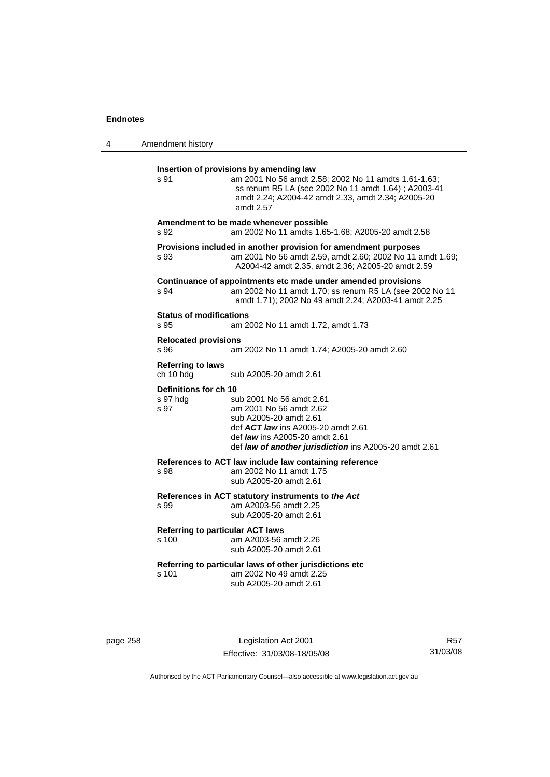| 4 | Amendment history                                                                                                                                                                                                                                                          |
|---|----------------------------------------------------------------------------------------------------------------------------------------------------------------------------------------------------------------------------------------------------------------------------|
|   | Insertion of provisions by amending law<br>s 91<br>am 2001 No 56 amdt 2.58; 2002 No 11 amdts 1.61-1.63;<br>ss renum R5 LA (see 2002 No 11 amdt 1.64); A2003-41<br>amdt 2.24; A2004-42 amdt 2.33, amdt 2.34; A2005-20<br>amdt 2.57                                          |
|   | Amendment to be made whenever possible<br>am 2002 No 11 amdts 1.65-1.68; A2005-20 amdt 2.58<br>s 92                                                                                                                                                                        |
|   | Provisions included in another provision for amendment purposes<br>am 2001 No 56 amdt 2.59, amdt 2.60; 2002 No 11 amdt 1.69;<br>s 93<br>A2004-42 amdt 2.35, amdt 2.36; A2005-20 amdt 2.59                                                                                  |
|   | Continuance of appointments etc made under amended provisions<br>s 94<br>am 2002 No 11 amdt 1.70; ss renum R5 LA (see 2002 No 11<br>amdt 1.71); 2002 No 49 amdt 2.24; A2003-41 amdt 2.25                                                                                   |
|   | <b>Status of modifications</b><br>s 95<br>am 2002 No 11 amdt 1.72, amdt 1.73                                                                                                                                                                                               |
|   | <b>Relocated provisions</b><br>s 96<br>am 2002 No 11 amdt 1.74; A2005-20 amdt 2.60                                                                                                                                                                                         |
|   | <b>Referring to laws</b><br>ch 10 hdg<br>sub A2005-20 amdt 2.61                                                                                                                                                                                                            |
|   | Definitions for ch 10<br>s 97 hdg<br>sub 2001 No 56 amdt 2.61<br>s 97<br>am 2001 No 56 amdt 2.62<br>sub A2005-20 amdt 2.61<br>def <b>ACT law</b> ins A2005-20 amdt 2.61<br>def <i>law</i> ins A2005-20 amdt 2.61<br>def law of another jurisdiction ins A2005-20 amdt 2.61 |
|   | References to ACT law include law containing reference<br>s 98<br>am 2002 No 11 amdt 1.75<br>sub A2005-20 amdt 2.61                                                                                                                                                        |
|   | References in ACT statutory instruments to the Act<br>s 99<br>am A2003-56 amdt 2.25<br>sub A2005-20 amdt 2.61                                                                                                                                                              |
|   | <b>Referring to particular ACT laws</b><br>s 100<br>am A2003-56 amdt 2.26<br>sub A2005-20 amdt 2.61                                                                                                                                                                        |
|   | Referring to particular laws of other jurisdictions etc<br>am 2002 No 49 amdt 2.25<br>s 101<br>sub A2005-20 amdt 2.61                                                                                                                                                      |
|   |                                                                                                                                                                                                                                                                            |

page 258 Legislation Act 2001 Effective: 31/03/08-18/05/08

R57 31/03/08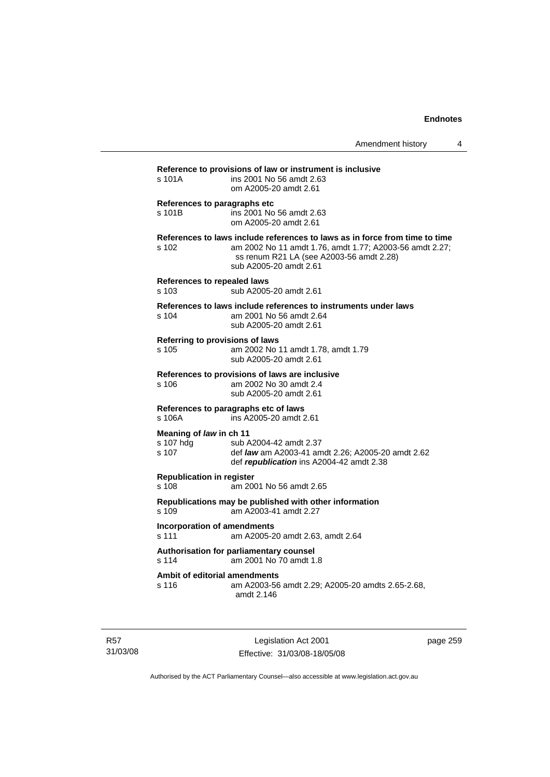| s 101A                                        | ins 2001 No 56 amdt 2.63<br>om A2005-20 amdt 2.61                                                                                                                                                            |
|-----------------------------------------------|--------------------------------------------------------------------------------------------------------------------------------------------------------------------------------------------------------------|
| References to paragraphs etc<br>s 101B        | ins 2001 No 56 amdt 2.63<br>om A2005-20 amdt 2.61                                                                                                                                                            |
| s 102                                         | References to laws include references to laws as in force from time to time<br>am 2002 No 11 amdt 1.76, amdt 1.77; A2003-56 amdt 2.27;<br>ss renum R21 LA (see A2003-56 amdt 2.28)<br>sub A2005-20 amdt 2.61 |
| <b>References to repealed laws</b><br>s 103   | sub A2005-20 amdt 2.61                                                                                                                                                                                       |
| s 104                                         | References to laws include references to instruments under laws<br>am 2001 No 56 amdt 2.64<br>sub A2005-20 amdt 2.61                                                                                         |
| s 105                                         | Referring to provisions of laws<br>am 2002 No 11 amdt 1.78, amdt 1.79<br>sub A2005-20 amdt 2.61                                                                                                              |
| s 106                                         | References to provisions of laws are inclusive<br>am 2002 No 30 amdt 2.4<br>sub A2005-20 amdt 2.61                                                                                                           |
| s 106A                                        | References to paragraphs etc of laws<br>ins A2005-20 amdt 2.61                                                                                                                                               |
| Meaning of law in ch 11<br>s 107 hdg<br>s 107 | sub A2004-42 amdt 2.37<br>def law am A2003-41 amdt 2.26; A2005-20 amdt 2.62<br>def republication ins A2004-42 amdt 2.38                                                                                      |
| <b>Republication in register</b><br>s 108     | am 2001 No 56 amdt 2.65                                                                                                                                                                                      |
| s 109                                         | Republications may be published with other information<br>am A2003-41 amdt 2.27                                                                                                                              |
| <b>Incorporation of amendments</b><br>s 111   | am A2005-20 amdt 2.63, amdt 2.64                                                                                                                                                                             |
| s 114                                         | Authorisation for parliamentary counsel<br>am 2001 No 70 amdt 1.8                                                                                                                                            |
| s 116                                         | Ambit of editorial amendments<br>am A2003-56 amdt 2.29; A2005-20 amdts 2.65-2.68,<br>amdt 2.146                                                                                                              |

R57 31/03/08

Legislation Act 2001 Effective: 31/03/08-18/05/08 page 259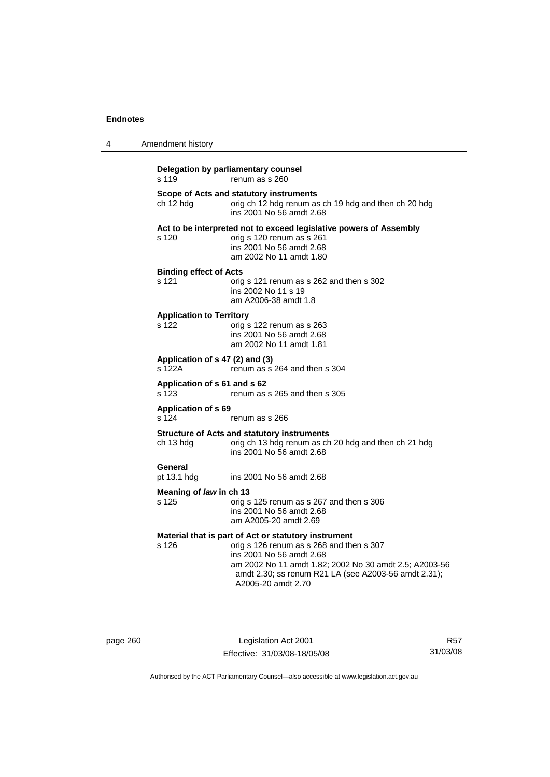| 4 | Amendment history                         |                                                                                                                                                                                                                                                                      |
|---|-------------------------------------------|----------------------------------------------------------------------------------------------------------------------------------------------------------------------------------------------------------------------------------------------------------------------|
|   | s 119                                     | Delegation by parliamentary counsel<br>renum as s 260                                                                                                                                                                                                                |
|   | ch 12 hdg                                 | Scope of Acts and statutory instruments<br>orig ch 12 hdg renum as ch 19 hdg and then ch 20 hdg<br>ins 2001 No 56 amdt 2.68                                                                                                                                          |
|   | s 120                                     | Act to be interpreted not to exceed legislative powers of Assembly<br>orig s 120 renum as s 261<br>ins 2001 No 56 amdt 2.68<br>am 2002 No 11 amdt 1.80                                                                                                               |
|   | <b>Binding effect of Acts</b><br>s 121    | orig s 121 renum as s 262 and then s 302<br>ins 2002 No 11 s 19<br>am A2006-38 amdt 1.8                                                                                                                                                                              |
|   | <b>Application to Territory</b><br>s 122  | orig s 122 renum as s 263<br>ins 2001 No 56 amdt 2.68<br>am 2002 No 11 amdt 1.81                                                                                                                                                                                     |
|   | Application of s 47 (2) and (3)<br>s 122A | renum as s 264 and then s 304                                                                                                                                                                                                                                        |
|   | Application of s 61 and s 62<br>s 123     | renum as s 265 and then s 305                                                                                                                                                                                                                                        |
|   | <b>Application of s 69</b><br>s 124       | renum as s 266                                                                                                                                                                                                                                                       |
|   | ch 13 hdg                                 | <b>Structure of Acts and statutory instruments</b><br>orig ch 13 hdg renum as ch 20 hdg and then ch 21 hdg<br>ins 2001 No 56 amdt 2.68                                                                                                                               |
|   | General<br>pt 13.1 hdg                    | ins 2001 No 56 amdt 2.68                                                                                                                                                                                                                                             |
|   | Meaning of law in ch 13<br>s 125          | orig s 125 renum as s 267 and then s 306<br>ins 2001 No 56 amdt 2.68<br>am A2005-20 amdt 2.69                                                                                                                                                                        |
|   | s 126                                     | Material that is part of Act or statutory instrument<br>orig s 126 renum as s 268 and then s 307<br>ins 2001 No 56 amdt 2.68<br>am 2002 No 11 amdt 1.82; 2002 No 30 amdt 2.5; A2003-56<br>amdt 2.30; ss renum R21 LA (see A2003-56 amdt 2.31);<br>A2005-20 amdt 2.70 |

page 260 Legislation Act 2001 Effective: 31/03/08-18/05/08

R57 31/03/08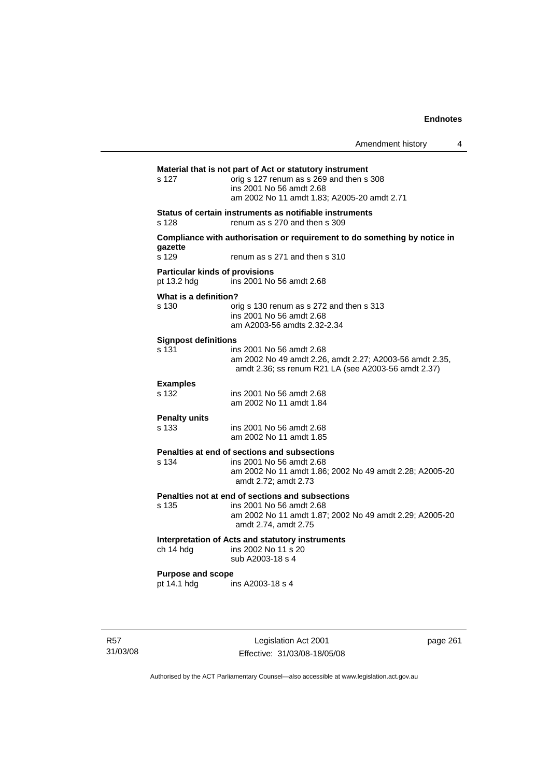|                                                      |                                                                                                                                                                                 | Amendment history | 4 |
|------------------------------------------------------|---------------------------------------------------------------------------------------------------------------------------------------------------------------------------------|-------------------|---|
| s 127                                                | Material that is not part of Act or statutory instrument<br>orig s 127 renum as s 269 and then s 308<br>ins 2001 No 56 amdt 2.68<br>am 2002 No 11 amdt 1.83; A2005-20 amdt 2.71 |                   |   |
| s 128                                                | Status of certain instruments as notifiable instruments<br>renum as s 270 and then s 309                                                                                        |                   |   |
| gazette<br>s 129                                     | Compliance with authorisation or requirement to do something by notice in<br>renum as s 271 and then s 310                                                                      |                   |   |
| <b>Particular kinds of provisions</b><br>pt 13.2 hdg | ins 2001 No 56 amdt 2.68                                                                                                                                                        |                   |   |
| What is a definition?<br>s 130                       | orig s 130 renum as s 272 and then s 313<br>ins 2001 No 56 amdt 2.68<br>am A2003-56 amdts 2.32-2.34                                                                             |                   |   |
| <b>Signpost definitions</b><br>s 131                 | ins 2001 No 56 amdt 2.68<br>am 2002 No 49 amdt 2.26, amdt 2.27; A2003-56 amdt 2.35,<br>amdt 2.36; ss renum R21 LA (see A2003-56 amdt 2.37)                                      |                   |   |
| <b>Examples</b><br>s 132                             | ins 2001 No 56 amdt 2.68<br>am 2002 No 11 amdt 1.84                                                                                                                             |                   |   |
| <b>Penalty units</b><br>s 133                        | ins 2001 No 56 amdt 2.68<br>am 2002 No 11 amdt 1.85                                                                                                                             |                   |   |
| s 134                                                | Penalties at end of sections and subsections<br>ins 2001 No 56 amdt 2.68<br>am 2002 No 11 amdt 1.86; 2002 No 49 amdt 2.28; A2005-20<br>amdt 2.72; amdt 2.73                     |                   |   |
| s 135                                                | Penalties not at end of sections and subsections<br>ins 2001 No 56 amdt 2.68<br>am 2002 No 11 amdt 1.87; 2002 No 49 amdt 2.29; A2005-20<br>amdt 2.74, amdt 2.75                 |                   |   |
| ch 14 hdg                                            | Interpretation of Acts and statutory instruments<br>ins 2002 No 11 s 20<br>sub A2003-18 s 4                                                                                     |                   |   |
| <b>Purpose and scope</b><br>pt 14.1 hdg              | ins A2003-18 s 4                                                                                                                                                                |                   |   |

R57 31/03/08

Legislation Act 2001 Effective: 31/03/08-18/05/08 page 261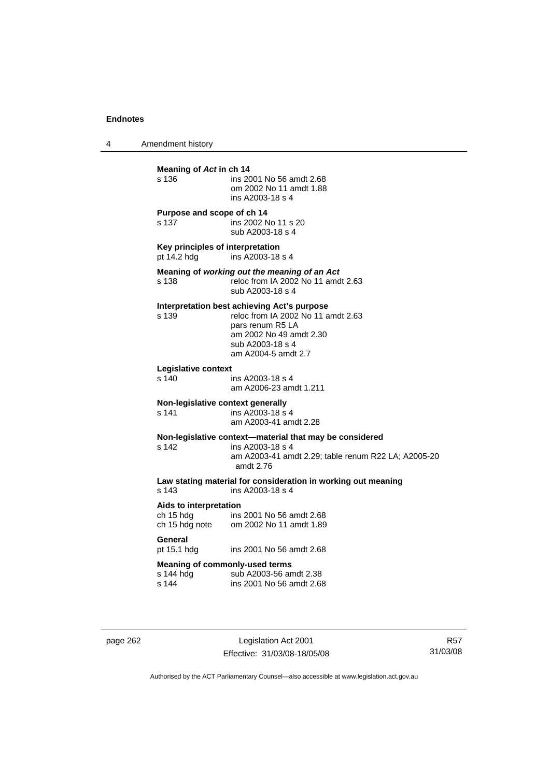4 Amendment history

| s 136            | Meaning of Act in ch 14             | ins 2001 No 56 amdt 2.68<br>om 2002 No 11 amdt 1.88<br>ins A2003-18 s 4                                                                                                     |
|------------------|-------------------------------------|-----------------------------------------------------------------------------------------------------------------------------------------------------------------------------|
| s 137            | Purpose and scope of ch 14          | ins 2002 No 11 s 20<br>sub A2003-18 s 4                                                                                                                                     |
|                  | pt 14.2 hdg                         | Key principles of interpretation<br>ins A2003-18 s 4                                                                                                                        |
| s 138            |                                     | Meaning of working out the meaning of an Act<br>reloc from IA 2002 No 11 amdt 2.63<br>sub A2003-18 s 4                                                                      |
| s 139            |                                     | Interpretation best achieving Act's purpose<br>reloc from IA 2002 No 11 amdt 2.63<br>pars renum R5 LA<br>am 2002 No 49 amdt 2.30<br>sub A2003-18 s 4<br>am A2004-5 amdt 2.7 |
| $s$ 140          | Legislative context                 | ins A2003-18 s 4<br>am A2006-23 amdt 1.211                                                                                                                                  |
| s 141            |                                     | Non-legislative context generally<br>ins A2003-18 s 4<br>am A2003-41 amdt 2.28                                                                                              |
| s <sub>142</sub> |                                     | Non-legislative context-material that may be considered<br>ins A2003-18 s 4<br>am A2003-41 amdt 2.29; table renum R22 LA; A2005-20<br>amdt 2.76                             |
| s 143            |                                     | Law stating material for consideration in working out meaning<br>ins A2003-18 s 4                                                                                           |
|                  | Aids to interpretation<br>ch 15 hdg | ins 2001 No 56 amdt 2.68<br>ch 15 hdg note om 2002 No 11 amdt 1.89                                                                                                          |
| General          | pt 15.1 hdg                         | ins 2001 No 56 amdt 2.68                                                                                                                                                    |
| s 144            | s 144 hdg                           | <b>Meaning of commonly-used terms</b><br>sub A2003-56 amdt 2.38<br>ins 2001 No 56 amdt 2.68                                                                                 |

page 262 Legislation Act 2001 Effective: 31/03/08-18/05/08

R57 31/03/08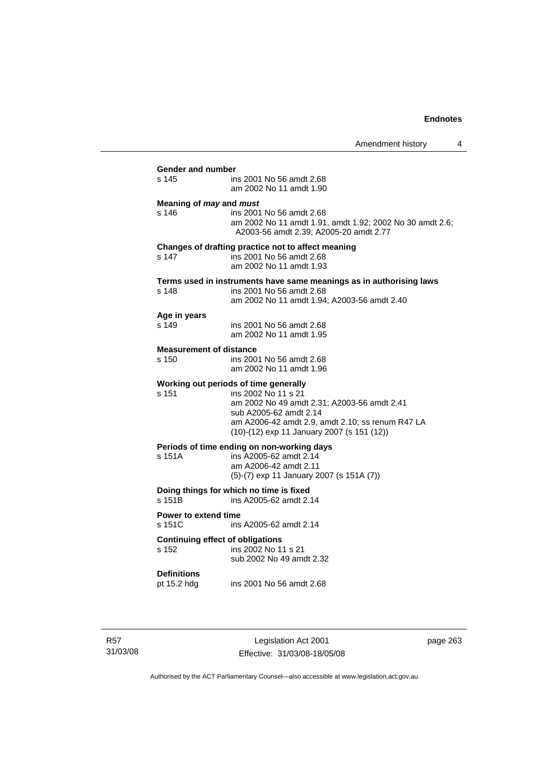Amendment history 4 **Gender and number**  ins 2001 No 56 amdt 2.68 am 2002 No 11 amdt 1.90 **Meaning of** *may* **and** *must* s 146 ins 2001 No 56 amdt 2.68 am 2002 No 11 amdt 1.91, amdt 1.92; 2002 No 30 amdt 2.6; A2003-56 amdt 2.39; A2005-20 amdt 2.77 **Changes of drafting practice not to affect meaning**  s 147 ins 2001 No 56 amdt 2.68 am 2002 No 11 amdt 1.93 **Terms used in instruments have same meanings as in authorising laws**  s 148 ins 2001 No 56 amdt 2.68 am 2002 No 11 amdt 1.94; A2003-56 amdt 2.40 **Age in years**  ins 2001 No 56 amdt 2.68 am 2002 No 11 amdt 1.95 **Measurement of distance**  s 150 ins 2001 No 56 amdt 2.68 am 2002 No 11 amdt 1.96 **Working out periods of time generally**  s 151 ins 2002 No 11 s 21 am 2002 No 49 amdt 2.31; A2003-56 amdt 2.41 sub A2005-62 amdt 2.14 am A2006-42 amdt 2.9, amdt 2.10; ss renum R47 LA (10)-(12) exp 11 January 2007 (s 151 (12)) **Periods of time ending on non-working days**  s 151A ins A2005-62 amdt 2.14 am A2006-42 amdt 2.11 (5)-(7) exp 11 January 2007 (s 151A (7)) **Doing things for which no time is fixed**<br>s 151B ins A2005-62 amdt 2. ins A2005-62 amdt 2.14 **Power to extend time**  s 151C ins A2005-62 amdt 2.14 **Continuing effect of obligations**<br> **s** 152 **ins 2002 No 11** ins 2002 No 11 s 21 sub 2002 No 49 amdt 2.32 **Definitions**  ins 2001 No 56 amdt 2.68

R57 31/03/08

Legislation Act 2001 Effective: 31/03/08-18/05/08 page 263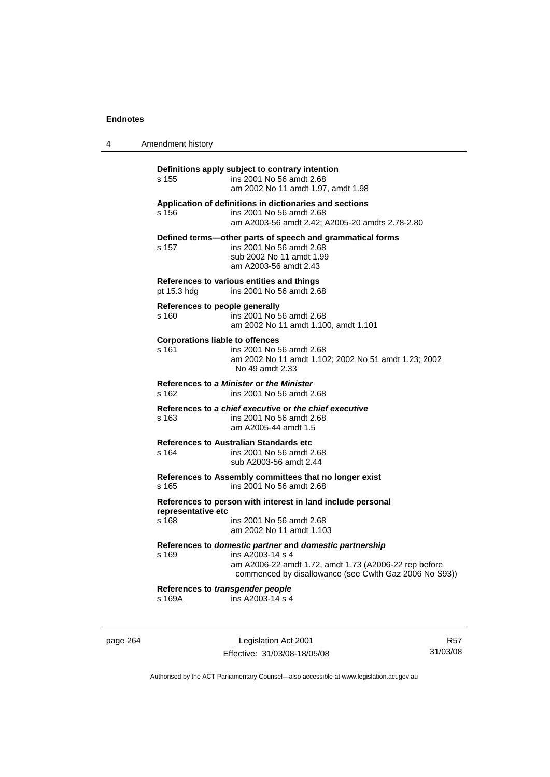| 4 | Amendment history                               |                                                                                                                                                                                                |
|---|-------------------------------------------------|------------------------------------------------------------------------------------------------------------------------------------------------------------------------------------------------|
|   | s 155                                           | Definitions apply subject to contrary intention<br>ins 2001 No 56 amdt 2.68<br>am 2002 No 11 amdt 1.97, amdt 1.98                                                                              |
|   | s 156                                           | Application of definitions in dictionaries and sections<br>ins 2001 No 56 amdt 2.68<br>am A2003-56 amdt 2.42; A2005-20 amdts 2.78-2.80                                                         |
|   | s 157                                           | Defined terms-other parts of speech and grammatical forms<br>ins 2001 No 56 amdt 2.68<br>sub 2002 No 11 amdt 1.99<br>am A2003-56 amdt 2.43                                                     |
|   | pt 15.3 hdg                                     | References to various entities and things<br>ins 2001 No 56 amdt 2.68                                                                                                                          |
|   | References to people generally<br>s 160         | ins 2001 No 56 amdt 2.68<br>am 2002 No 11 amdt 1.100, amdt 1.101                                                                                                                               |
|   | <b>Corporations liable to offences</b><br>s 161 | ins 2001 No 56 amdt 2.68<br>am 2002 No 11 amdt 1.102; 2002 No 51 amdt 1.23; 2002<br>No 49 amdt 2.33                                                                                            |
|   | s 162                                           | References to a Minister or the Minister<br>ins 2001 No 56 amdt 2.68                                                                                                                           |
|   | s 163                                           | References to a chief executive or the chief executive<br>ins 2001 No 56 amdt 2.68<br>am A2005-44 amdt 1.5                                                                                     |
|   | s 164                                           | References to Australian Standards etc<br>ins 2001 No 56 amdt 2.68<br>sub A2003-56 amdt 2.44                                                                                                   |
|   | s 165                                           | References to Assembly committees that no longer exist<br>ins 2001 No 56 amdt 2.68                                                                                                             |
|   | representative etc<br>s 168                     | References to person with interest in land include personal<br>ins 2001 No 56 amdt 2.68<br>am 2002 No 11 amdt 1.103                                                                            |
|   | s 169                                           | References to domestic partner and domestic partnership<br>ins A2003-14 s 4<br>am A2006-22 amdt 1.72, amdt 1.73 (A2006-22 rep before<br>commenced by disallowance (see Cwlth Gaz 2006 No S93)) |
|   | References to transgender people<br>s 169A      | ins A2003-14 s 4                                                                                                                                                                               |
|   |                                                 |                                                                                                                                                                                                |

page 264 Legislation Act 2001 Effective: 31/03/08-18/05/08

R57 31/03/08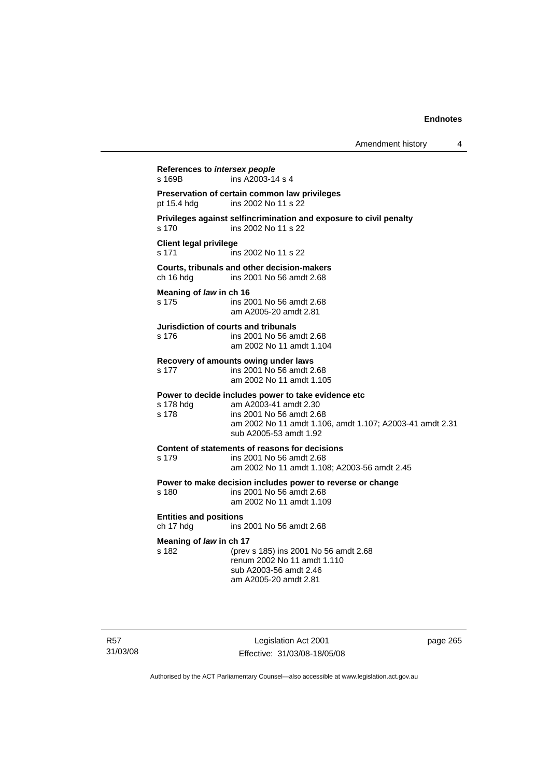| Amendment history |  |
|-------------------|--|
|-------------------|--|

**References to** *intersex people*  s 169B ins A2003-14 s 4 **Preservation of certain common law privileges**  pt 15.4 hdg ins 2002 No 11 s 22 **Privileges against selfincrimination and exposure to civil penalty**  s 170 ins 2002 No 11 s 22 **Client legal privilege**  s 171 ins 2002 No 11 s 22 **Courts, tribunals and other decision-makers**  ins 2001 No 56 amdt 2.68 **Meaning of** *law* **in ch 16**  s 175 ins 2001 No 56 amdt 2.68 am A2005-20 amdt 2.81 **Jurisdiction of courts and tribunals**  s 176 ins 2001 No 56 amdt 2.68 am 2002 No 11 amdt 1.104 **Recovery of amounts owing under laws**  s 177 ins 2001 No 56 amdt 2.68 am 2002 No 11 amdt 1.105 **Power to decide includes power to take evidence etc** s 178 hdq am A2003-41 amdt 2.30 am A2003-41 amdt 2.30 s 178 ins 2001 No 56 amdt 2.68 am 2002 No 11 amdt 1.106, amdt 1.107; A2003-41 amdt 2.31 sub A2005-53 amdt 1.92 **Content of statements of reasons for decisions**  s 179 ins 2001 No 56 amdt 2.68 am 2002 No 11 amdt 1.108; A2003-56 amdt 2.45 **Power to make decision includes power to reverse or change**  s 180 ins 2001 No 56 amdt 2.68 am 2002 No 11 amdt 1.109 **Entities and positions**  ch 17 hdg ins 2001 No 56 amdt 2.68 **Meaning of** *law* **in ch 17**  s 182 (prev s 185) ins 2001 No 56 amdt 2.68 renum 2002 No 11 amdt 1.110 sub A2003-56 amdt 2.46 am A2005-20 amdt 2.81

Legislation Act 2001 Effective: 31/03/08-18/05/08 page 265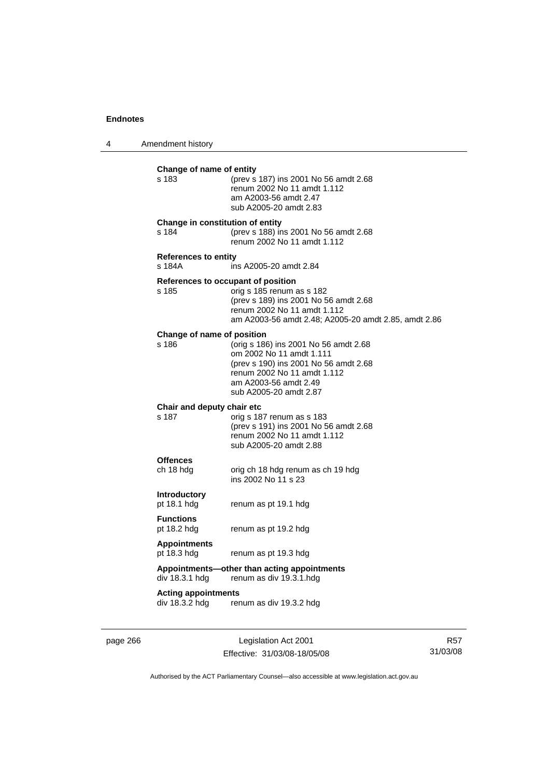4 Amendment history

| s 183                                 | Change of name of entity<br>(prev s 187) ins 2001 No 56 amdt 2.68<br>renum 2002 No 11 amdt 1.112<br>am A2003-56 amdt 2.47<br>sub A2005-20 amdt 2.83                                             |
|---------------------------------------|-------------------------------------------------------------------------------------------------------------------------------------------------------------------------------------------------|
| s 184                                 | Change in constitution of entity<br>(prev s 188) ins 2001 No 56 amdt 2.68<br>renum 2002 No 11 amdt 1.112                                                                                        |
| <b>References to entity</b><br>s 184A | ins A2005-20 amdt 2.84                                                                                                                                                                          |
| s 185                                 | References to occupant of position<br>orig s 185 renum as s 182<br>(prev s 189) ins 2001 No 56 amdt 2.68<br>renum 2002 No 11 amdt 1.112<br>am A2003-56 amdt 2.48; A2005-20 amdt 2.85, amdt 2.86 |
| Change of name of position<br>s 186   | (orig s 186) ins 2001 No 56 amdt 2.68<br>om 2002 No 11 amdt 1.111<br>(prev s 190) ins 2001 No 56 amdt 2.68<br>renum 2002 No 11 amdt 1.112<br>am A2003-56 amdt 2.49<br>sub A2005-20 amdt 2.87    |
| Chair and deputy chair etc<br>s 187   | orig s 187 renum as s 183<br>(prev s 191) ins 2001 No 56 amdt 2.68<br>renum 2002 No 11 amdt 1.112<br>sub A2005-20 amdt 2.88                                                                     |
| <b>Offences</b><br>ch 18 hdg          | orig ch 18 hdg renum as ch 19 hdg<br>ins 2002 No 11 s 23                                                                                                                                        |
| <b>Introductory</b><br>pt 18.1 hdg    | renum as pt 19.1 hdg                                                                                                                                                                            |
| <b>Functions</b><br>pt 18.2 hdg       | renum as pt 19.2 hdg                                                                                                                                                                            |
|                                       |                                                                                                                                                                                                 |
| <b>Appointments</b><br>pt 18.3 hdg    | renum as pt 19.3 hdg                                                                                                                                                                            |
| div 18.3.1 hdg                        | Appointments-other than acting appointments<br>renum as div 19.3.1.hdg                                                                                                                          |

page 266 Legislation Act 2001 Effective: 31/03/08-18/05/08

R57 31/03/08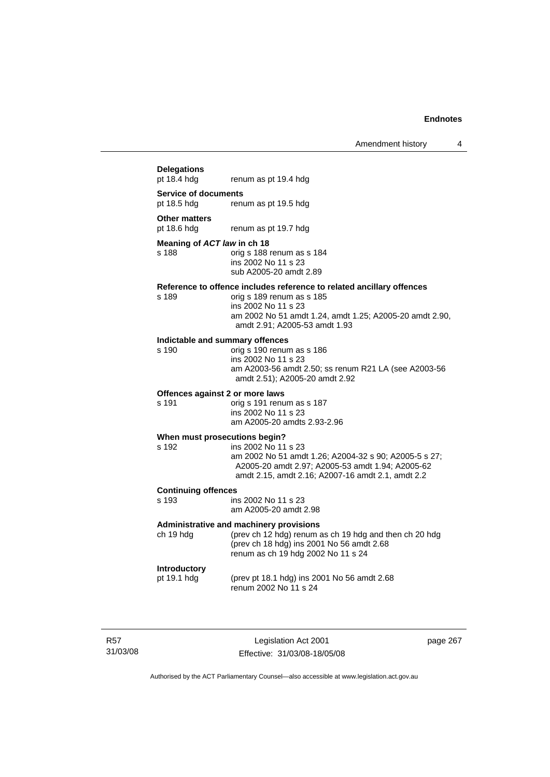# **Delegations**  renum as pt 19.4 hdg **Service of documents**  pt 18.5 hdg renum as pt 19.5 hdg **Other matters**<br>pt 18.6 hdg renum as pt 19.7 hdg **Meaning of** *ACT law* **in ch 18**  s 188 orig s 188 renum as s 184 ins 2002 No 11 s 23 sub A2005-20 amdt 2.89 **Reference to offence includes reference to related ancillary offences**  orig s 189 renum as s 185 ins 2002 No 11 s 23 am 2002 No 51 amdt 1.24, amdt 1.25; A2005-20 amdt 2.90, amdt 2.91; A2005-53 amdt 1.93 **Indictable and summary offences**  orig s 190 renum as s 186 ins 2002 No 11 s 23 am A2003-56 amdt 2.50; ss renum R21 LA (see A2003-56 amdt 2.51); A2005-20 amdt 2.92 **Offences against 2 or more laws**  s 191 orig s 191 renum as s 187 ins 2002 No 11 s 23 am A2005-20 amdts 2.93-2.96 **When must prosecutions begin?**  s 192 ins 2002 No 11 s 23 am 2002 No 51 amdt 1.26; A2004-32 s 90; A2005-5 s 27; A2005-20 amdt 2.97; A2005-53 amdt 1.94; A2005-62 amdt 2.15, amdt 2.16; A2007-16 amdt 2.1, amdt 2.2 **Continuing offences**  ins 2002 No 11 s 23 am A2005-20 amdt 2.98 **Administrative and machinery provisions**  ch 19 hdg (prev ch 12 hdg) renum as ch 19 hdg and then ch 20 hdg (prev ch 18 hdg) ins 2001 No 56 amdt 2.68 renum as ch 19 hdg 2002 No 11 s 24 **Introductory**  pt 19.1 hdg (prev pt 18.1 hdg) ins 2001 No 56 amdt 2.68 renum 2002 No 11 s 24

R57 31/03/08

Legislation Act 2001 Effective: 31/03/08-18/05/08 page 267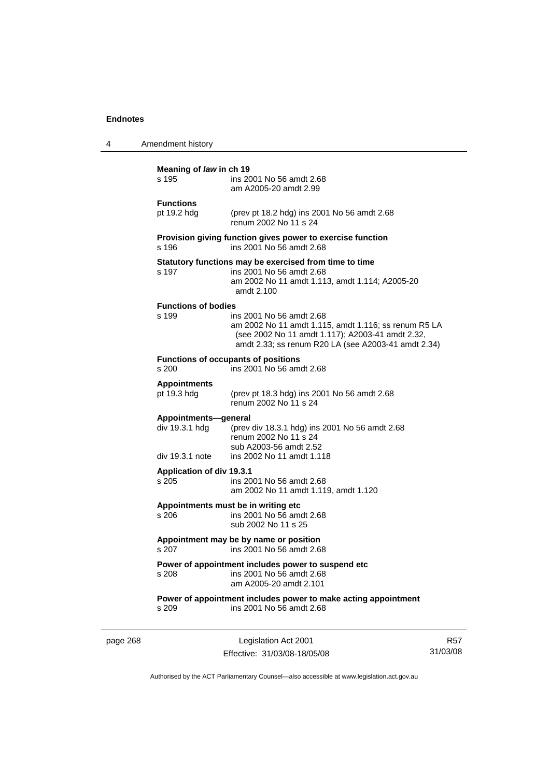| 4        | Amendment history                                         |                                                                                                                                                                                             |
|----------|-----------------------------------------------------------|---------------------------------------------------------------------------------------------------------------------------------------------------------------------------------------------|
|          | Meaning of law in ch 19<br>s 195                          | ins 2001 No 56 amdt 2.68<br>am A2005-20 amdt 2.99                                                                                                                                           |
|          | <b>Functions</b><br>pt 19.2 hdg                           | (prev pt 18.2 hdg) ins 2001 No 56 amdt 2.68<br>renum 2002 No 11 s 24                                                                                                                        |
|          | s 196                                                     | Provision giving function gives power to exercise function<br>ins 2001 No 56 amdt 2.68                                                                                                      |
|          | s 197                                                     | Statutory functions may be exercised from time to time<br>ins 2001 No 56 amdt 2.68<br>am 2002 No 11 amdt 1.113, amdt 1.114; A2005-20<br>amdt 2.100                                          |
|          | <b>Functions of bodies</b><br>s 199                       | ins 2001 No 56 amdt 2.68<br>am 2002 No 11 amdt 1.115, amdt 1.116; ss renum R5 LA<br>(see 2002 No 11 amdt 1.117); A2003-41 amdt 2.32,<br>amdt 2.33; ss renum R20 LA (see A2003-41 amdt 2.34) |
|          | s 200                                                     | <b>Functions of occupants of positions</b><br>ins 2001 No 56 amdt 2.68                                                                                                                      |
|          | <b>Appointments</b><br>pt 19.3 hdg                        | (prev pt 18.3 hdg) ins 2001 No 56 amdt 2.68<br>renum 2002 No 11 s 24                                                                                                                        |
|          | Appointments-general<br>div 19.3.1 hdg<br>div 19.3.1 note | (prev div 18.3.1 hdg) ins 2001 No 56 amdt 2.68<br>renum 2002 No 11 s 24<br>sub A2003-56 amdt 2.52<br>ins 2002 No 11 amdt 1.118                                                              |
|          | Application of div 19.3.1<br>s 205                        | ins 2001 No 56 amdt 2.68<br>am 2002 No 11 amdt 1.119, amdt 1.120                                                                                                                            |
|          | s 206                                                     | Appointments must be in writing etc<br>ins 2001 No 56 amdt 2.68<br>sub 2002 No 11 s 25                                                                                                      |
|          |                                                           | Appointment may be by name or position<br>s 207 ins 2001 No 56 amdt 2.68                                                                                                                    |
|          | s 208                                                     | Power of appointment includes power to suspend etc<br>ins 2001 No 56 amdt 2.68<br>am A2005-20 amdt 2.101                                                                                    |
|          | s 209                                                     | Power of appointment includes power to make acting appointment<br>ins 2001 No 56 amdt 2.68                                                                                                  |
| page 268 |                                                           | Legislation Act 2001                                                                                                                                                                        |

Effective: 31/03/08-18/05/08

R57 31/03/08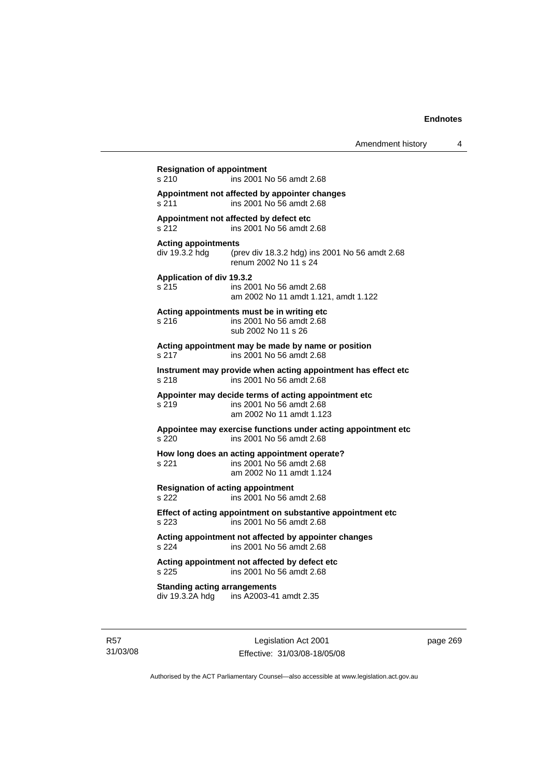**Resignation of appointment**  s 210 ins 2001 No 56 amdt 2.68 **Appointment not affected by appointer changes**  s 211 ins 2001 No 56 amdt 2.68 **Appointment not affected by defect etc**  s 212 ins 2001 No 56 amdt 2.68 **Acting appointments**  div 19.3.2 hdg (prev div 18.3.2 hdg) ins 2001 No 56 amdt 2.68 renum 2002 No 11 s 24 **Application of div 19.3.2**  s 215 ins 2001 No 56 amdt 2.68 am 2002 No 11 amdt 1.121, amdt 1.122 **Acting appointments must be in writing etc**  s 216 ins 2001 No 56 amdt 2.68 sub 2002 No 11 s 26 **Acting appointment may be made by name or position**  s 217 ins 2001 No 56 amdt 2.68 **Instrument may provide when acting appointment has effect etc**  s 218 ins 2001 No 56 amdt 2.68 **Appointer may decide terms of acting appointment etc**  s 219 ins 2001 No 56 amdt 2.68 am 2002 No 11 amdt 1.123 **Appointee may exercise functions under acting appointment etc**  s 220 ins 2001 No 56 amdt 2.68 **How long does an acting appointment operate?**  s 221 ins 2001 No 56 amdt 2.68 am 2002 No 11 amdt 1.124 **Resignation of acting appointment**  s 222 ins 2001 No 56 amdt 2.68 **Effect of acting appointment on substantive appointment etc**  s 223 ins 2001 No 56 amdt 2.68 **Acting appointment not affected by appointer changes**  s 224 ins 2001 No 56 amdt 2.68 **Acting appointment not affected by defect etc**  s 225 ins 2001 No 56 amdt 2.68 **Standing acting arrangements**  div 19.3.2A hdg ins A2003-41 amdt 2.35

R57 31/03/08

Legislation Act 2001 Effective: 31/03/08-18/05/08 page 269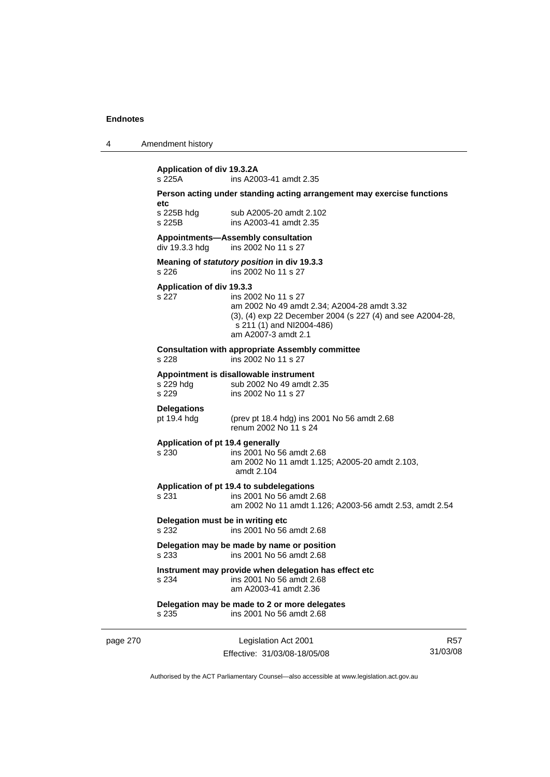|  | Amendment history |  |
|--|-------------------|--|
|--|-------------------|--|

|          | Application of div 19.3.2A<br>s 225A                                            | ins A2003-41 amdt 2.35                                                                                                                                                               |     |  |
|----------|---------------------------------------------------------------------------------|--------------------------------------------------------------------------------------------------------------------------------------------------------------------------------------|-----|--|
|          | Person acting under standing acting arrangement may exercise functions<br>etc   |                                                                                                                                                                                      |     |  |
|          | s 225B hdg<br>s 225B                                                            | sub A2005-20 amdt 2.102<br>ins A2003-41 amdt 2.35                                                                                                                                    |     |  |
|          | div 19.3.3 hdg                                                                  | Appointments-Assembly consultation<br>ins 2002 No 11 s 27                                                                                                                            |     |  |
|          | s 226                                                                           | Meaning of statutory position in div 19.3.3<br>ins 2002 No 11 s 27                                                                                                                   |     |  |
|          | Application of div 19.3.3<br>s 227                                              | ins 2002 No 11 s 27<br>am 2002 No 49 amdt 2.34; A2004-28 amdt 3.32<br>(3), (4) exp 22 December 2004 (s 227 (4) and see A2004-28,<br>s 211 (1) and NI2004-486)<br>am A2007-3 amdt 2.1 |     |  |
|          | s 228                                                                           | <b>Consultation with appropriate Assembly committee</b><br>ins 2002 No 11 s 27                                                                                                       |     |  |
|          | s 229 hdg<br>s 229                                                              | Appointment is disallowable instrument<br>sub 2002 No 49 amdt 2.35<br>ins 2002 No 11 s 27                                                                                            |     |  |
|          | <b>Delegations</b><br>pt 19.4 hdg                                               | (prev pt 18.4 hdg) ins 2001 No 56 amdt 2.68<br>renum 2002 No 11 s 24                                                                                                                 |     |  |
|          | Application of pt 19.4 generally<br>s 230                                       | ins 2001 No 56 amdt 2.68<br>am 2002 No 11 amdt 1.125; A2005-20 amdt 2.103,<br>amdt 2.104                                                                                             |     |  |
|          | s 231                                                                           | Application of pt 19.4 to subdelegations<br>ins 2001 No 56 amdt 2.68<br>am 2002 No 11 amdt 1.126; A2003-56 amdt 2.53, amdt 2.54                                                      |     |  |
|          | Delegation must be in writing etc<br>s 232                                      | ins 2001 No 56 amdt 2.68                                                                                                                                                             |     |  |
|          | Delegation may be made by name or position<br>ins 2001 No 56 amdt 2.68<br>s 233 |                                                                                                                                                                                      |     |  |
|          | s 234                                                                           | Instrument may provide when delegation has effect etc<br>ins 2001 No 56 amdt 2.68<br>am A2003-41 amdt 2.36                                                                           |     |  |
|          | s 235                                                                           | Delegation may be made to 2 or more delegates<br>ins 2001 No 56 amdt 2.68                                                                                                            |     |  |
| page 270 |                                                                                 | Legislation Act 2001                                                                                                                                                                 | R57 |  |

Effective: 31/03/08-18/05/08

R57 31/03/08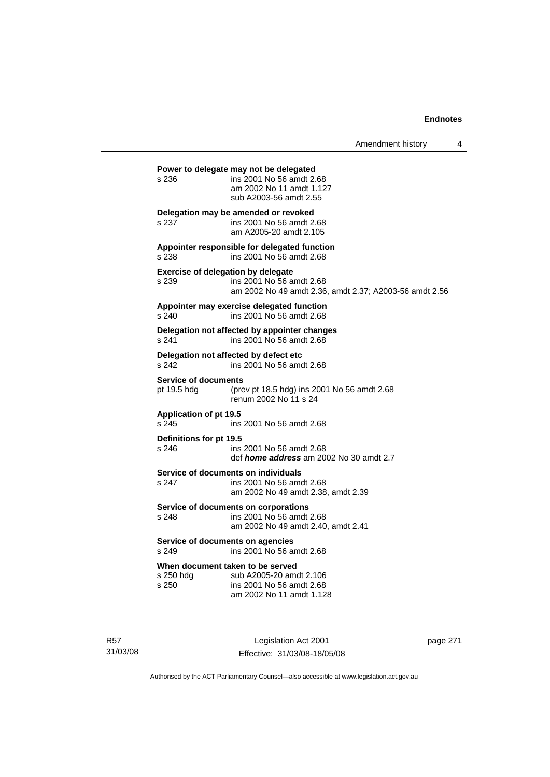Amendment history 4

**Power to delegate may not be delegated**  s 236 ins 2001 No 56 amdt 2.68 am 2002 No 11 amdt 1.127 sub A2003-56 amdt 2.55 **Delegation may be amended or revoked**  s 237 ins 2001 No 56 amdt 2.68 am A2005-20 amdt 2.105 **Appointer responsible for delegated function**  s 238 ins 2001 No 56 amdt 2.68 **Exercise of delegation by delegate**  s 239 ins 2001 No 56 amdt 2.68 am 2002 No 49 amdt 2.36, amdt 2.37; A2003-56 amdt 2.56 **Appointer may exercise delegated function**  s 240 ins 2001 No 56 amdt 2.68 **Delegation not affected by appointer changes**  s 241 ins 2001 No 56 amdt 2.68 **Delegation not affected by defect etc**  s 242 ins 2001 No 56 amdt 2.68 **Service of documents**<br>pt 19.5 hdg (pre (prev pt 18.5 hdg) ins 2001 No 56 amdt  $2.68$ renum 2002 No 11 s 24 **Application of pt 19.5**  s 245 ins 2001 No 56 amdt 2.68 **Definitions for pt 19.5**  ins 2001 No 56 amdt 2.68 def *home address* am 2002 No 30 amdt 2.7 **Service of documents on individuals**<br>s 247 **ins 2001 No 56 am** ins 2001 No 56 amdt 2.68 am 2002 No 49 amdt 2.38, amdt 2.39 **Service of documents on corporations**  s 248 ins 2001 No 56 amdt 2.68 am 2002 No 49 amdt 2.40, amdt 2.41 **Service of documents on agencies**  s 249 ins 2001 No 56 amdt 2.68 **When document taken to be served**  s 250 hdg sub A2005-20 amdt 2.106 s 250 ins 2001 No 56 amdt 2.68 am 2002 No 11 amdt 1.128

Legislation Act 2001 Effective: 31/03/08-18/05/08 page 271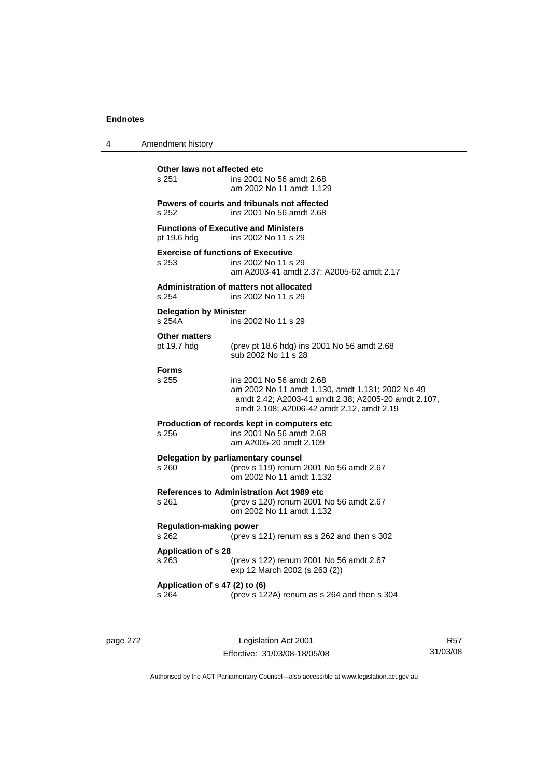| 4 | Amendment history                                  |                                                                                                                                                                                  |
|---|----------------------------------------------------|----------------------------------------------------------------------------------------------------------------------------------------------------------------------------------|
|   | Other laws not affected etc<br>s 251               | ins 2001 No 56 amdt 2.68<br>am 2002 No 11 amdt 1.129                                                                                                                             |
|   | s 252                                              | Powers of courts and tribunals not affected<br>ins 2001 No 56 amdt 2.68                                                                                                          |
|   | pt 19.6 hdg                                        | <b>Functions of Executive and Ministers</b><br>ins 2002 No 11 s 29                                                                                                               |
|   | <b>Exercise of functions of Executive</b><br>s 253 | ins 2002 No 11 s 29<br>am A2003-41 amdt 2.37; A2005-62 amdt 2.17                                                                                                                 |
|   | s 254                                              | <b>Administration of matters not allocated</b><br>ins 2002 No 11 s 29                                                                                                            |
|   | <b>Delegation by Minister</b><br>s 254A            | ins 2002 No 11 s 29                                                                                                                                                              |
|   | <b>Other matters</b><br>pt 19.7 hdg                | (prev pt 18.6 hdg) ins 2001 No 56 amdt 2.68<br>sub 2002 No 11 s 28                                                                                                               |
|   | <b>Forms</b><br>s 255                              | ins 2001 No 56 amdt 2.68<br>am 2002 No 11 amdt 1.130, amdt 1.131; 2002 No 49<br>amdt 2.42; A2003-41 amdt 2.38; A2005-20 amdt 2.107,<br>amdt 2.108; A2006-42 amdt 2.12, amdt 2.19 |
|   | s 256                                              | Production of records kept in computers etc<br>ins 2001 No 56 amdt 2.68<br>am A2005-20 amdt 2.109                                                                                |
|   | s 260.                                             | Delegation by parliamentary counsel<br>(prev s 119) renum 2001 No 56 amdt 2.67<br>om 2002 No 11 amdt 1.132                                                                       |
|   | s 261                                              | <b>References to Administration Act 1989 etc</b><br>(prev s 120) renum 2001 No 56 amdt 2.67<br>om 2002 No 11 amdt 1.132                                                          |
|   | <b>Regulation-making power</b><br>s 262            | (prev s 121) renum as s 262 and then s 302                                                                                                                                       |
|   | <b>Application of s 28</b><br>s 263                | (prev s 122) renum 2001 No 56 amdt 2.67<br>exp 12 March 2002 (s 263 (2))                                                                                                         |
|   | Application of s 47 (2) to (6)<br>s 264            | (prev s 122A) renum as s 264 and then s 304                                                                                                                                      |
|   |                                                    |                                                                                                                                                                                  |

page 272 Legislation Act 2001 Effective: 31/03/08-18/05/08

R57 31/03/08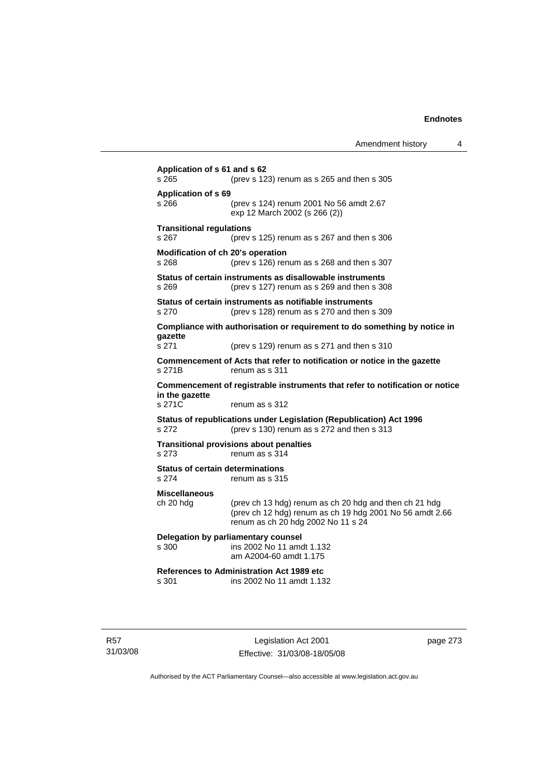| Amendment history |  |  |
|-------------------|--|--|
|-------------------|--|--|

**Application of s 61 and s 62**  s 265 (prev s 123) renum as s 265 and then s 305 **Application of s 69**  s 266 (prev s 124) renum 2001 No 56 amdt 2.67 exp 12 March 2002 (s 266 (2)) **Transitional regulations**  s 267 (prev s 125) renum as s 267 and then s 306 **Modification of ch 20's operation**  s 268 (prev s 126) renum as s 268 and then s 307 **Status of certain instruments as disallowable instruments**  s 269 (prev s 127) renum as s 269 and then s 308 **Status of certain instruments as notifiable instruments**  s 270 (prev s 128) renum as s 270 and then s 309 **Compliance with authorisation or requirement to do something by notice in gazette**  s 271 (prev s 129) renum as s 271 and then s 310 **Commencement of Acts that refer to notification or notice in the gazette**  s 271B renum as s 311 **Commencement of registrable instruments that refer to notification or notice in the gazette**  s 271C renum as s 312 **Status of republications under Legislation (Republication) Act 1996**  s 272 (prev s 130) renum as s 272 and then s 313 **Transitional provisions about penalties** s 273 renum as s 314 **Status of certain determinations**  s 274 renum as s 315 **Miscellaneous**  ch 20 hdg (prev ch 13 hdg) renum as ch 20 hdg and then ch 21 hdg (prev ch 12 hdg) renum as ch 19 hdg 2001 No 56 amdt 2.66 renum as ch 20 hdg 2002 No 11 s 24 **Delegation by parliamentary counsel**  s 300 ins 2002 No 11 amdt 1.132 am A2004-60 amdt 1.175 **References to Administration Act 1989 etc**  ins 2002 No 11 amdt 1.132

R57 31/03/08

Legislation Act 2001 Effective: 31/03/08-18/05/08 page 273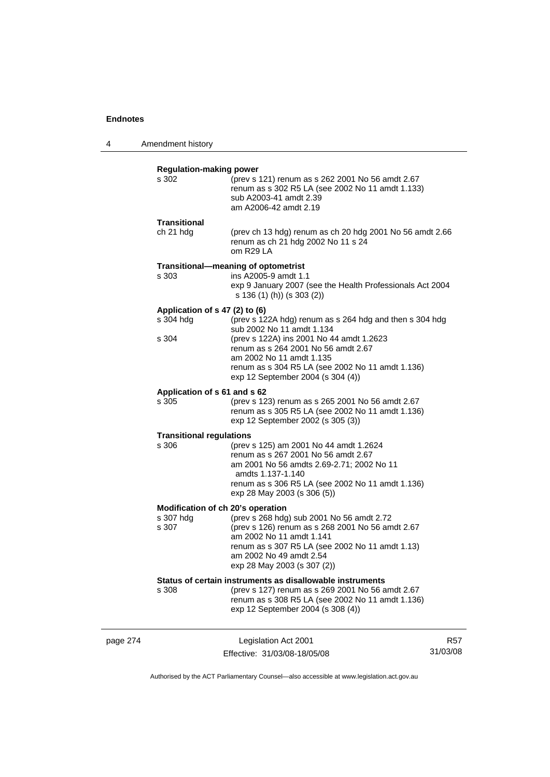4 Amendment history

|                                                         | renum as s 308 R5 LA (see 2002 No 11 amdt 1.136)<br>exp 12 September 2004 (s 308 (4))                                                                                                                                                                                                        |  |
|---------------------------------------------------------|----------------------------------------------------------------------------------------------------------------------------------------------------------------------------------------------------------------------------------------------------------------------------------------------|--|
| s 308                                                   | Status of certain instruments as disallowable instruments<br>(prev s 127) renum as s 269 2001 No 56 amdt 2.67                                                                                                                                                                                |  |
| Modification of ch 20's operation<br>s 307 hdg<br>s 307 | (prev s 268 hdg) sub 2001 No 56 amdt 2.72<br>(prev s 126) renum as s 268 2001 No 56 amdt 2.67<br>am 2002 No 11 amdt 1.141<br>renum as s 307 R5 LA (see 2002 No 11 amdt 1.13)<br>am 2002 No 49 amdt 2.54<br>exp 28 May 2003 (s 307 (2))                                                       |  |
| <b>Transitional regulations</b><br>s 306                | (prev s 125) am 2001 No 44 amdt 1.2624<br>renum as s 267 2001 No 56 amdt 2.67<br>am 2001 No 56 amdts 2.69-2.71; 2002 No 11<br>amdts 1.137-1.140<br>renum as s 306 R5 LA (see 2002 No 11 amdt 1.136)<br>exp 28 May 2003 (s 306 (5))                                                           |  |
| Application of s 61 and s 62<br>s 305                   | (prev s 123) renum as s 265 2001 No 56 amdt 2.67<br>renum as s 305 R5 LA (see 2002 No 11 amdt 1.136)<br>exp 12 September 2002 (s 305 (3))                                                                                                                                                    |  |
| Application of s 47 (2) to (6)<br>s 304 hdg<br>s 304    | (prev s 122A hdg) renum as s 264 hdg and then s 304 hdg<br>sub 2002 No 11 amdt 1.134<br>(prev s 122A) ins 2001 No 44 amdt 1.2623<br>renum as s 264 2001 No 56 amdt 2.67<br>am 2002 No 11 amdt 1.135<br>renum as s 304 R5 LA (see 2002 No 11 amdt 1.136)<br>exp 12 September 2004 (s 304 (4)) |  |
| s 303                                                   | Transitional-meaning of optometrist<br>ins A2005-9 amdt 1.1<br>exp 9 January 2007 (see the Health Professionals Act 2004<br>s 136 (1) (h)) (s 303 (2))                                                                                                                                       |  |
| <b>Transitional</b><br>ch 21 hdg                        | (prev ch 13 hdg) renum as ch 20 hdg 2001 No 56 amdt 2.66<br>renum as ch 21 hdg 2002 No 11 s 24<br>om R29LA                                                                                                                                                                                   |  |
| <b>Regulation-making power</b><br>s 302                 | (prev s 121) renum as s 262 2001 No 56 amdt 2.67<br>renum as s 302 R5 LA (see 2002 No 11 amdt 1.133)<br>sub A2003-41 amdt 2.39<br>am A2006-42 amdt 2.19                                                                                                                                      |  |

Authorised by the ACT Parliamentary Counsel—also accessible at www.legislation.act.gov.au

31/03/08

Effective: 31/03/08-18/05/08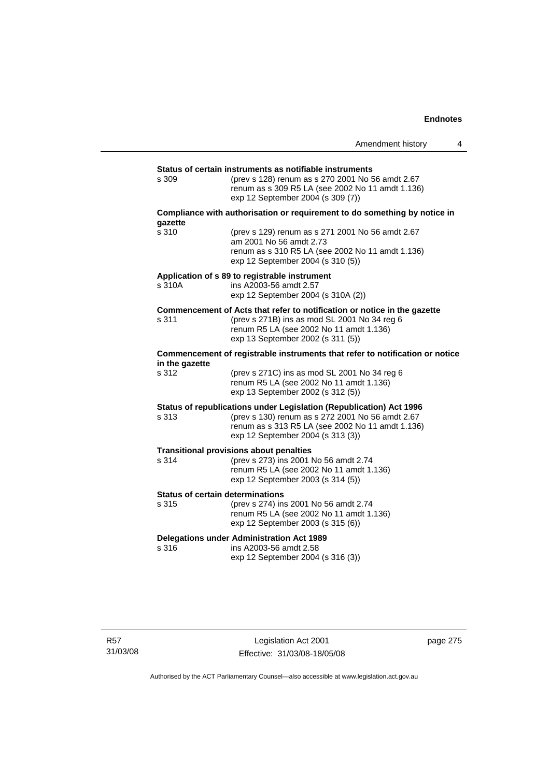|                                                  |                                                                                                                                                                                                                  | Amendment history | 4 |
|--------------------------------------------------|------------------------------------------------------------------------------------------------------------------------------------------------------------------------------------------------------------------|-------------------|---|
|                                                  |                                                                                                                                                                                                                  |                   |   |
| s 309                                            | Status of certain instruments as notifiable instruments<br>(prev s 128) renum as s 270 2001 No 56 amdt 2.67<br>renum as s 309 R5 LA (see 2002 No 11 amdt 1.136)<br>exp 12 September 2004 (s 309 (7))             |                   |   |
| gazette                                          | Compliance with authorisation or requirement to do something by notice in                                                                                                                                        |                   |   |
| s 310                                            | (prev s 129) renum as s 271 2001 No 56 amdt 2.67<br>am 2001 No 56 amdt 2.73<br>renum as s 310 R5 LA (see 2002 No 11 amdt 1.136)<br>exp 12 September 2004 (s 310 (5))                                             |                   |   |
| s 310A                                           | Application of s 89 to registrable instrument<br>ins A2003-56 amdt 2.57<br>exp 12 September 2004 (s 310A (2))                                                                                                    |                   |   |
| s 311                                            | Commencement of Acts that refer to notification or notice in the gazette<br>(prev s 271B) ins as mod SL 2001 No 34 reg 6<br>renum R5 LA (see 2002 No 11 amdt 1.136)<br>exp 13 September 2002 (s 311 (5))         |                   |   |
| in the gazette                                   | Commencement of registrable instruments that refer to notification or notice                                                                                                                                     |                   |   |
| s 312                                            | (prev s 271C) ins as mod SL 2001 No 34 reg 6<br>renum R5 LA (see 2002 No 11 amdt 1.136)<br>exp 13 September 2002 (s 312 (5))                                                                                     |                   |   |
| s 313                                            | Status of republications under Legislation (Republication) Act 1996<br>(prev s 130) renum as s 272 2001 No 56 amdt 2.67<br>renum as s 313 R5 LA (see 2002 No 11 amdt 1.136)<br>exp 12 September 2004 (s 313 (3)) |                   |   |
| s 314                                            | <b>Transitional provisions about penalties</b><br>(prev s 273) ins 2001 No 56 amdt 2.74<br>renum R5 LA (see 2002 No 11 amdt 1.136)<br>exp 12 September 2003 (s 314 (5))                                          |                   |   |
| <b>Status of certain determinations</b><br>s 315 | (prev s 274) ins 2001 No 56 amdt 2.74<br>renum R5 LA (see 2002 No 11 amdt 1.136)<br>exp 12 September 2003 (s 315 (6))                                                                                            |                   |   |
| s 316                                            | <b>Delegations under Administration Act 1989</b><br>ins A2003-56 amdt 2.58<br>exp 12 September 2004 (s 316 (3))                                                                                                  |                   |   |

page 275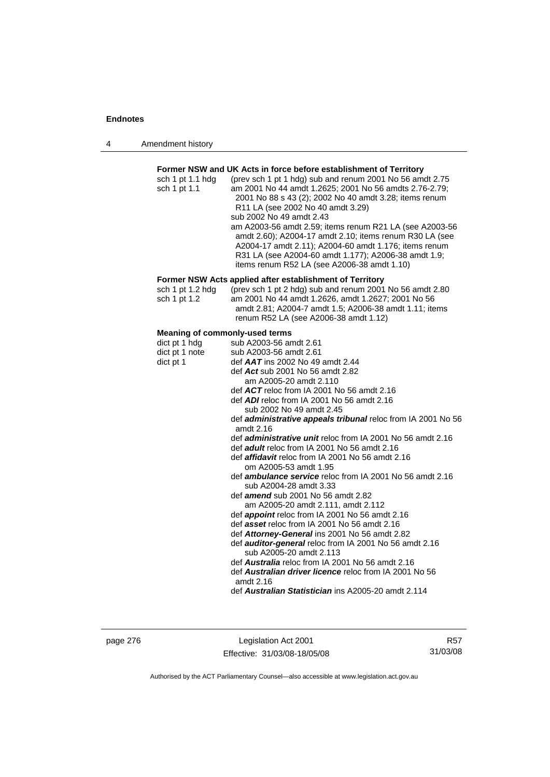| Amendment history<br>4 |  |
|------------------------|--|
|------------------------|--|

## **Former NSW and UK Acts in force before establishment of Territory**

| sch 1 pt 1.1 hdg | (prev sch 1 pt 1 hdg) sub and renum 2001 No 56 amdt 2.75 |
|------------------|----------------------------------------------------------|
| sch 1 pt 1.1     | am 2001 No 44 amdt 1.2625; 2001 No 56 amdts 2.76-2.79;   |
|                  | 2001 No 88 s 43 (2); 2002 No 40 amdt 3.28; items renum   |
|                  | R11 LA (see 2002 No 40 amdt 3.29)                        |
|                  | sub 2002 No 49 amdt 2.43                                 |
|                  | am A2003-56 amdt 2.59; items renum R21 LA (see A2003-56  |
|                  | amdt 2.60); A2004-17 amdt 2.10; items renum R30 LA (see  |
|                  | A2004-17 amdt 2.11); A2004-60 amdt 1.176; items renum    |
|                  | R31 LA (see A2004-60 amdt 1.177); A2006-38 amdt 1.9;     |
|                  | items renum R52 LA (see A2006-38 amdt 1.10)              |
|                  |                                                          |

## **Former NSW Acts applied after establishment of Territory**

| sch 1 pt 1.2 hda | (prev sch 1 pt 2 hdg) sub and renum 2001 No 56 amdt 2.80 |
|------------------|----------------------------------------------------------|
| sch 1 pt 1.2     | am 2001 No 44 amdt 1.2626, amdt 1.2627; 2001 No 56       |
|                  | amdt 2.81; A2004-7 amdt 1.5; A2006-38 amdt 1.11; items   |
|                  | renum R52 LA (see A2006-38 amdt 1.12)                    |

## **Meaning of commonly-used terms**

| dict pt 1 hdg  | sub A2003-56 amdt 2.61                                                                   |
|----------------|------------------------------------------------------------------------------------------|
| dict pt 1 note | sub A2003-56 amdt 2.61                                                                   |
| dict pt 1      | def <b>AAT</b> ins 2002 No 49 amdt 2.44                                                  |
|                | def Act sub 2001 No 56 amdt 2.82                                                         |
|                | am A2005-20 amdt 2.110                                                                   |
|                | def $ACT$ reloc from IA 2001 No 56 amdt 2.16                                             |
|                | def <b>ADI</b> reloc from IA 2001 No 56 amdt 2.16                                        |
|                | sub 2002 No 49 amdt 2.45                                                                 |
|                | def <b>administrative appeals tribunal</b> reloc from IA 2001 No 56<br>amdt $2.16$       |
|                | def <i>administrative unit</i> reloc from IA 2001 No 56 amdt 2.16                        |
|                | def <i>adult</i> reloc from IA 2001 No 56 amdt 2.16                                      |
|                | def <i>affidavit</i> reloc from IA 2001 No 56 amdt 2.16                                  |
|                | om A2005-53 amdt 1.95                                                                    |
|                | def <b>ambulance service</b> reloc from IA 2001 No 56 amdt 2.16                          |
|                | sub A2004-28 amdt 3.33                                                                   |
|                | def <b>amend</b> sub 2001 No 56 amdt 2.82                                                |
|                | am A2005-20 amdt 2.111, amdt 2.112                                                       |
|                | def <b>appoint</b> reloc from IA 2001 No 56 amdt 2.16                                    |
|                | def asset reloc from IA 2001 No 56 amdt 2.16                                             |
|                | def Attorney-General ins 2001 No 56 amdt 2.82                                            |
|                | def <b>auditor-general</b> reloc from IA 2001 No 56 amdt 2.16<br>sub A2005-20 amdt 2.113 |
|                | def <b>Australia</b> reloc from IA 2001 No 56 amdt 2.16                                  |
|                | def <b>Australian driver licence</b> reloc from IA 2001 No 56                            |
|                | amdt $2.16$                                                                              |
|                | def Australian Statistician ins A2005-20 amdt 2.114                                      |

page 276 Legislation Act 2001 Effective: 31/03/08-18/05/08

R57 31/03/08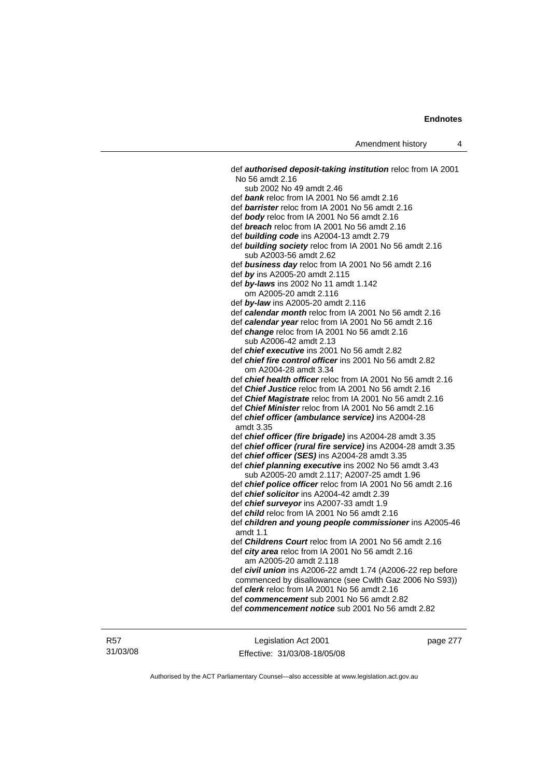def *authorised deposit-taking institution* reloc from IA 2001 No 56 amdt 2.16 sub 2002 No 49 amdt 2.46 def *bank* reloc from IA 2001 No 56 amdt 2.16 def *barrister* reloc from IA 2001 No 56 amdt 2.16 def *body* reloc from IA 2001 No 56 amdt 2.16 def *breach* reloc from IA 2001 No 56 amdt 2.16 def *building code* ins A2004-13 amdt 2.79 def *building society* reloc from IA 2001 No 56 amdt 2.16 sub A2003-56 amdt 2.62 def *business day* reloc from IA 2001 No 56 amdt 2.16 def *by* ins A2005-20 amdt 2.115 def *by-laws* ins 2002 No 11 amdt 1.142 om A2005-20 amdt 2.116 def *by-law* ins A2005-20 amdt 2.116 def *calendar month* reloc from IA 2001 No 56 amdt 2.16 def *calendar year* reloc from IA 2001 No 56 amdt 2.16 def *change* reloc from IA 2001 No 56 amdt 2.16 sub A2006-42 amdt 2.13 def *chief executive* ins 2001 No 56 amdt 2.82 def *chief fire control officer* ins 2001 No 56 amdt 2.82 om A2004-28 amdt 3.34 def *chief health officer* reloc from IA 2001 No 56 amdt 2.16 def *Chief Justice* reloc from IA 2001 No 56 amdt 2.16 def *Chief Magistrate* reloc from IA 2001 No 56 amdt 2.16 def *Chief Minister* reloc from IA 2001 No 56 amdt 2.16 def *chief officer (ambulance service)* ins A2004-28 amdt 3.35 def *chief officer (fire brigade)* ins A2004-28 amdt 3.35 def *chief officer (rural fire service)* ins A2004-28 amdt 3.35 def *chief officer (SES)* ins A2004-28 amdt 3.35 def *chief planning executive* ins 2002 No 56 amdt 3.43 sub A2005-20 amdt 2.117; A2007-25 amdt 1.96 def *chief police officer* reloc from IA 2001 No 56 amdt 2.16 def *chief solicitor* ins A2004-42 amdt 2.39 def *chief surveyor* ins A2007-33 amdt 1.9 def *child* reloc from IA 2001 No 56 amdt 2.16 def *children and young people commissioner* ins A2005-46 amdt 1.1 def *Childrens Court* reloc from IA 2001 No 56 amdt 2.16 def *city area* reloc from IA 2001 No 56 amdt 2.16 am A2005-20 amdt 2.118 def *civil union* ins A2006-22 amdt 1.74 (A2006-22 rep before commenced by disallowance (see Cwlth Gaz 2006 No S93)) def *clerk* reloc from IA 2001 No 56 amdt 2.16 def *commencement* sub 2001 No 56 amdt 2.82 def *commencement notice* sub 2001 No 56 amdt 2.82

Legislation Act 2001 Effective: 31/03/08-18/05/08 page 277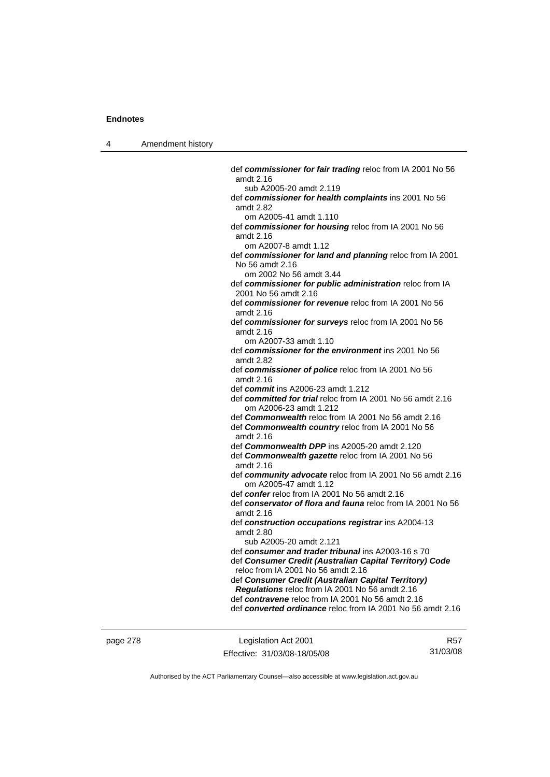4 Amendment history

 def *commissioner for fair trading* reloc from IA 2001 No 56 amdt 2.16 sub A2005-20 amdt 2.119 def *commissioner for health complaints* ins 2001 No 56 amdt 2.82 om A2005-41 amdt 1.110 def *commissioner for housing* reloc from IA 2001 No 56 amdt 2.16 om A2007-8 amdt 1.12 def *commissioner for land and planning* reloc from IA 2001 No 56 amdt 2.16 om 2002 No 56 amdt 3.44 def *commissioner for public administration* reloc from IA 2001 No 56 amdt 2.16 def *commissioner for revenue* reloc from IA 2001 No 56 amdt 2.16 def *commissioner for surveys* reloc from IA 2001 No 56 amdt 2.16 om A2007-33 amdt 1.10 def *commissioner for the environment* ins 2001 No 56 amdt 2.82 def *commissioner of police* reloc from IA 2001 No 56 amdt 2.16 def *commit* ins A2006-23 amdt 1.212 def *committed for trial* reloc from IA 2001 No 56 amdt 2.16 om A2006-23 amdt 1.212 def *Commonwealth* reloc from IA 2001 No 56 amdt 2.16 def *Commonwealth country* reloc from IA 2001 No 56 amdt 2.16 def *Commonwealth DPP* ins A2005-20 amdt 2.120 def *Commonwealth gazette* reloc from IA 2001 No 56 amdt 2.16 def *community advocate* reloc from IA 2001 No 56 amdt 2.16 om A2005-47 amdt 1.12 def *confer* reloc from IA 2001 No 56 amdt 2.16 def *conservator of flora and fauna* reloc from IA 2001 No 56 amdt 2.16 def *construction occupations registrar* ins A2004-13 amdt 2.80 sub A2005-20 amdt 2.121 def *consumer and trader tribunal* ins A2003-16 s 70 def *Consumer Credit (Australian Capital Territory) Code* reloc from IA 2001 No 56 amdt 2.16 def *Consumer Credit (Australian Capital Territory) Regulations* reloc from IA 2001 No 56 amdt 2.16 def *contravene* reloc from IA 2001 No 56 amdt 2.16 def *converted ordinance* reloc from IA 2001 No 56 amdt 2.16

page 278 Legislation Act 2001 Effective: 31/03/08-18/05/08

R57 31/03/08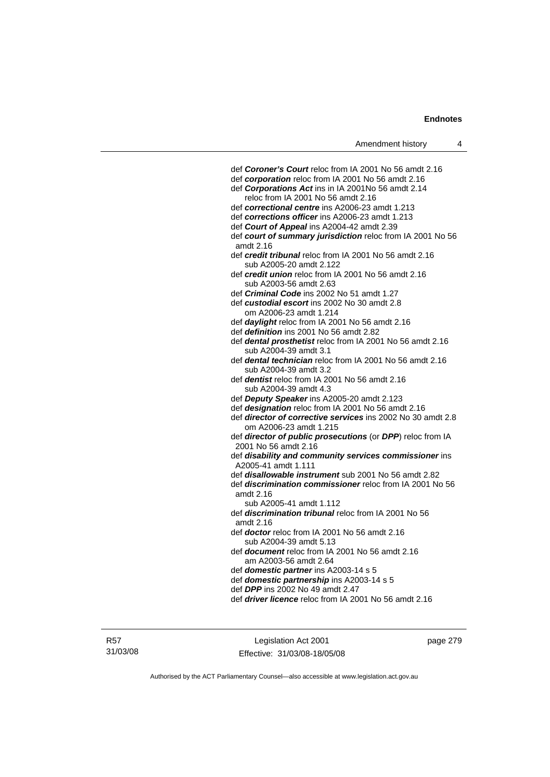| def Coroner's Court reloc from IA 2001 No 56 amdt 2.16          |
|-----------------------------------------------------------------|
| def corporation reloc from IA 2001 No 56 amdt 2.16              |
| def Corporations Act ins in IA 2001No 56 amdt 2.14              |
| reloc from IA 2001 No 56 amdt 2.16                              |
| def correctional centre ins A2006-23 amdt 1.213                 |
| def corrections officer ins A2006-23 amdt 1.213                 |
| def Court of Appeal ins A2004-42 amdt 2.39                      |
| def court of summary jurisdiction reloc from IA 2001 No 56      |
| amdt 2.16                                                       |
| def credit tribunal reloc from IA 2001 No 56 amdt 2.16          |
| sub A2005-20 amdt 2.122                                         |
| def credit union reloc from IA 2001 No 56 amdt 2.16             |
| sub A2003-56 amdt 2.63                                          |
| def Criminal Code ins 2002 No 51 amdt 1.27                      |
| def custodial escort ins 2002 No 30 amdt 2.8                    |
| om A2006-23 amdt 1.214                                          |
| def daylight reloc from IA 2001 No 56 amdt 2.16                 |
| def definition ins 2001 No 56 amdt 2.82                         |
| def dental prosthetist reloc from IA 2001 No 56 amdt 2.16       |
| sub A2004-39 amdt 3.1                                           |
| def dental technician reloc from IA 2001 No 56 amdt 2.16        |
| sub A2004-39 amdt 3.2                                           |
| def dentist reloc from IA 2001 No 56 amdt 2.16                  |
| sub A2004-39 amdt 4.3                                           |
| def Deputy Speaker ins A2005-20 amdt 2.123                      |
| def designation reloc from IA 2001 No 56 amdt 2.16              |
| def director of corrective services ins 2002 No 30 amdt 2.8     |
| om A2006-23 amdt 1.215                                          |
| def director of public prosecutions (or DPP) reloc from IA      |
| 2001 No 56 amdt 2.16                                            |
| def disability and community services commissioner ins          |
| A2005-41 amdt 1.111                                             |
| def <i>disallowable instrument</i> sub 2001 No 56 amdt 2.82     |
| def <i>discrimination commissioner</i> reloc from IA 2001 No 56 |
| amdt 2.16                                                       |
| sub A2005-41 amdt 1.112                                         |
| def <b>discrimination tribunal</b> reloc from IA 2001 No 56     |
| amdt 2.16                                                       |
| def doctor reloc from IA 2001 No 56 amdt 2.16                   |
| sub A2004-39 amdt 5.13                                          |
| def document reloc from IA 2001 No 56 amdt 2.16                 |
| am A2003-56 amdt 2.64                                           |
| def domestic partner ins A2003-14 s 5                           |
| def domestic partnership ins A2003-14 s 5                       |
| def DPP ins 2002 No 49 amdt 2.47                                |
| def driver licence reloc from IA 2001 No 56 amdt 2.16           |
|                                                                 |
|                                                                 |

R57 31/03/08

Legislation Act 2001 Effective: 31/03/08-18/05/08 page 279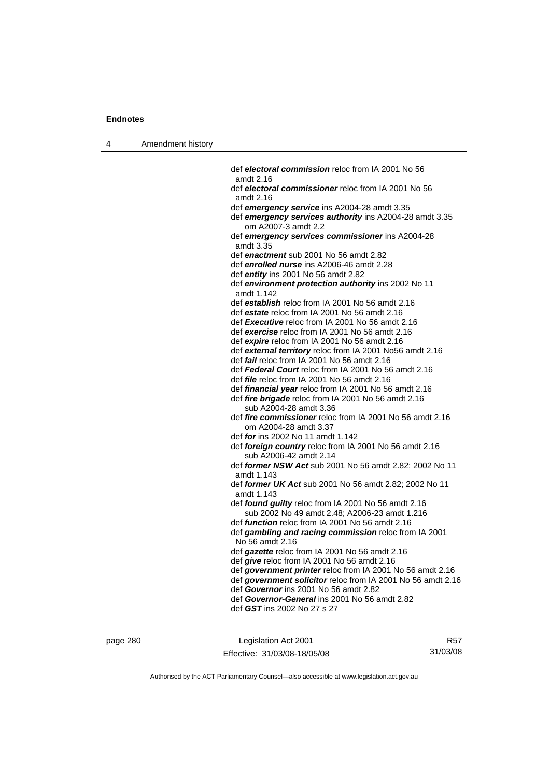4 Amendment history

| def electoral commission reloc from IA 2001 No 56                                |
|----------------------------------------------------------------------------------|
| amdt 2.16                                                                        |
| def electoral commissioner reloc from IA 2001 No 56<br>amdt 2.16                 |
| def emergency service ins A2004-28 amdt 3.35                                     |
| def emergency services authority ins A2004-28 amdt 3.35<br>om A2007-3 amdt 2.2   |
| def emergency services commissioner ins A2004-28<br>amdt 3.35                    |
| def enactment sub 2001 No 56 amdt 2.82                                           |
| def enrolled nurse ins A2006-46 amdt 2.28                                        |
| def entity ins 2001 No 56 amdt 2.82                                              |
| def environment protection authority ins 2002 No 11<br>amdt 1.142                |
| def establish reloc from IA 2001 No 56 amdt 2.16                                 |
| def estate reloc from IA 2001 No 56 amdt 2.16                                    |
| def Executive reloc from IA 2001 No 56 amdt 2.16                                 |
| def exercise reloc from IA 2001 No 56 amdt 2.16                                  |
| def expire reloc from IA 2001 No 56 amdt 2.16                                    |
| def external territory reloc from IA 2001 No56 amdt 2.16                         |
| def fail reloc from IA 2001 No 56 amdt 2.16                                      |
| def Federal Court reloc from IA 2001 No 56 amdt 2.16                             |
| def <i>file</i> reloc from IA 2001 No 56 amdt 2.16                               |
| def <i>financial year</i> reloc from IA 2001 No 56 amdt 2.16                     |
| def fire brigade reloc from IA 2001 No 56 amdt 2.16                              |
| sub A2004-28 amdt 3.36                                                           |
| def fire commissioner reloc from IA 2001 No 56 amdt 2.16                         |
| om A2004-28 amdt 3.37                                                            |
| def for ins 2002 No 11 amdt 1.142                                                |
| def foreign country reloc from IA 2001 No 56 amdt 2.16<br>sub A2006-42 amdt 2.14 |
| def former NSW Act sub 2001 No 56 amdt 2.82; 2002 No 11<br>amdt 1.143            |
| def former UK Act sub 2001 No 56 amdt 2.82; 2002 No 11                           |
| amdt 1.143                                                                       |
| def <i>found guilty</i> reloc from IA 2001 No 56 amdt 2.16                       |
| sub 2002 No 49 amdt 2.48; A2006-23 amdt 1.216                                    |
| def <i>function</i> reloc from IA 2001 No 56 amdt 2.16                           |
| def gambling and racing commission reloc from IA 2001<br>No 56 amdt 2.16         |
| def gazette reloc from IA 2001 No 56 amdt 2.16                                   |
| def give reloc from IA 2001 No 56 amdt 2.16                                      |
| def government printer reloc from IA 2001 No 56 amdt 2.16                        |
| def government solicitor reloc from IA 2001 No 56 amdt 2.16                      |
| def Governor ins 2001 No 56 amdt 2.82                                            |
| def Governor-General ins 2001 No 56 amdt 2.82                                    |
| def GST ins 2002 No 27 s 27                                                      |
|                                                                                  |
|                                                                                  |

page 280 Legislation Act 2001 Effective: 31/03/08-18/05/08

R57 31/03/08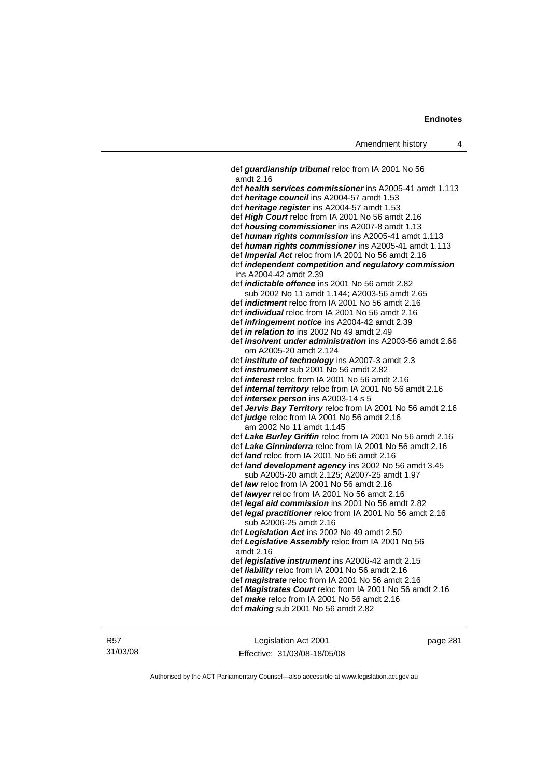def *guardianship tribunal* reloc from IA 2001 No 56 amdt 2.16 def *health services commissioner* ins A2005-41 amdt 1.113 def *heritage council* ins A2004-57 amdt 1.53 def *heritage register* ins A2004-57 amdt 1.53 def *High Court* reloc from IA 2001 No 56 amdt 2.16 def *housing commissioner* ins A2007-8 amdt 1.13 def *human rights commission* ins A2005-41 amdt 1.113 def *human rights commissioner* ins A2005-41 amdt 1.113 def *Imperial Act* reloc from IA 2001 No 56 amdt 2.16 def *independent competition and regulatory commission*  ins A2004-42 amdt 2.39 def *indictable offence* ins 2001 No 56 amdt 2.82 sub 2002 No 11 amdt 1.144; A2003-56 amdt 2.65 def *indictment* reloc from IA 2001 No 56 amdt 2.16 def *individual* reloc from IA 2001 No 56 amdt 2.16 def *infringement notice* ins A2004-42 amdt 2.39 def *in relation to* ins 2002 No 49 amdt 2.49 def *insolvent under administration* ins A2003-56 amdt 2.66 om A2005-20 amdt 2.124 def *institute of technology* ins A2007-3 amdt 2.3 def *instrument* sub 2001 No 56 amdt 2.82 def *interest* reloc from IA 2001 No 56 amdt 2.16 def *internal territory* reloc from IA 2001 No 56 amdt 2.16 def *intersex person* ins A2003-14 s 5 def *Jervis Bay Territory* reloc from IA 2001 No 56 amdt 2.16 def *judge* reloc from IA 2001 No 56 amdt 2.16 am 2002 No 11 amdt 1.145 def *Lake Burley Griffin* reloc from IA 2001 No 56 amdt 2.16 def *Lake Ginninderra* reloc from IA 2001 No 56 amdt 2.16 def *land* reloc from IA 2001 No 56 amdt 2.16 def *land development agency* ins 2002 No 56 amdt 3.45 sub A2005-20 amdt 2.125; A2007-25 amdt 1.97 def *law* reloc from IA 2001 No 56 amdt 2.16 def *lawyer* reloc from IA 2001 No 56 amdt 2.16 def *legal aid commission* ins 2001 No 56 amdt 2.82 def *legal practitioner* reloc from IA 2001 No 56 amdt 2.16 sub A2006-25 amdt 2.16 def *Legislation Act* ins 2002 No 49 amdt 2.50 def *Legislative Assembly* reloc from IA 2001 No 56 amdt 2.16 def *legislative instrument* ins A2006-42 amdt 2.15 def *liability* reloc from IA 2001 No 56 amdt 2.16 def *magistrate* reloc from IA 2001 No 56 amdt 2.16 def *Magistrates Court* reloc from IA 2001 No 56 amdt 2.16 def *make* reloc from IA 2001 No 56 amdt 2.16 def *making* sub 2001 No 56 amdt 2.82

Legislation Act 2001 Effective: 31/03/08-18/05/08 page 281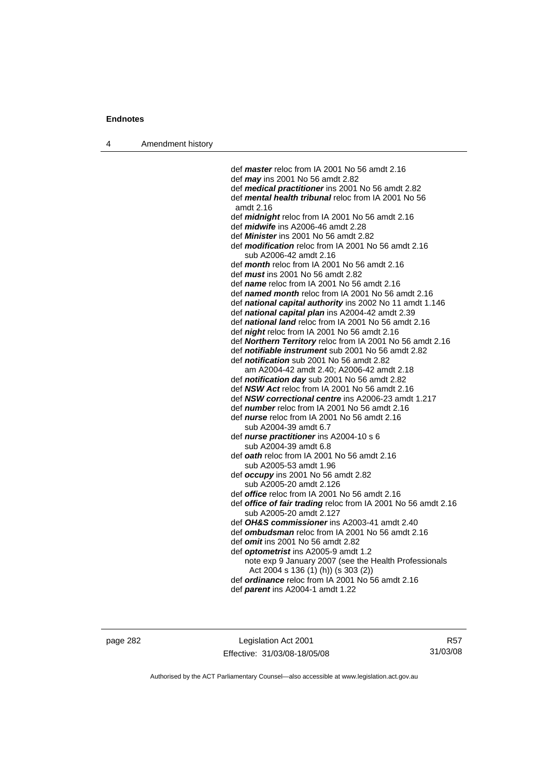4 Amendment history

 def *master* reloc from IA 2001 No 56 amdt 2.16 def *may* ins 2001 No 56 amdt 2.82 def *medical practitioner* ins 2001 No 56 amdt 2.82 def *mental health tribunal* reloc from IA 2001 No 56 amdt 2.16 def *midnight* reloc from IA 2001 No 56 amdt 2.16 def *midwife* ins A2006-46 amdt 2.28 def *Minister* ins 2001 No 56 amdt 2.82 def *modification* reloc from IA 2001 No 56 amdt 2.16 sub A2006-42 amdt 2.16 def *month* reloc from IA 2001 No 56 amdt 2.16 def *must* ins 2001 No 56 amdt 2.82 def *name* reloc from IA 2001 No 56 amdt 2.16 def *named month* reloc from IA 2001 No 56 amdt 2.16 def *national capital authority* ins 2002 No 11 amdt 1.146 def *national capital plan* ins A2004-42 amdt 2.39 def *national land* reloc from IA 2001 No 56 amdt 2.16 def *night* reloc from IA 2001 No 56 amdt 2.16 def *Northern Territory* reloc from IA 2001 No 56 amdt 2.16 def *notifiable instrument* sub 2001 No 56 amdt 2.82 def *notification* sub 2001 No 56 amdt 2.82 am A2004-42 amdt 2.40; A2006-42 amdt 2.18 def *notification day* sub 2001 No 56 amdt 2.82 def *NSW Act* reloc from IA 2001 No 56 amdt 2.16 def *NSW correctional centre* ins A2006-23 amdt 1.217 def *number* reloc from IA 2001 No 56 amdt 2.16 def *nurse* reloc from IA 2001 No 56 amdt 2.16 sub A2004-39 amdt 6.7 def *nurse practitioner* ins A2004-10 s 6 sub A2004-39 amdt 6.8 def *oath* reloc from IA 2001 No 56 amdt 2.16 sub A2005-53 amdt 1.96 def *occupy* ins 2001 No 56 amdt 2.82 sub A2005-20 amdt 2.126 def *office* reloc from IA 2001 No 56 amdt 2.16 def *office of fair trading* reloc from IA 2001 No 56 amdt 2.16 sub A2005-20 amdt 2.127 def *OH&S commissioner* ins A2003-41 amdt 2.40 def *ombudsman* reloc from IA 2001 No 56 amdt 2.16 def *omit* ins 2001 No 56 amdt 2.82 def *optometrist* ins A2005-9 amdt 1.2 note exp 9 January 2007 (see the Health Professionals Act 2004 s 136 (1) (h)) (s 303 (2)) def *ordinance* reloc from IA 2001 No 56 amdt 2.16

def *parent* ins A2004-1 amdt 1.22

page 282 Legislation Act 2001 Effective: 31/03/08-18/05/08

R57 31/03/08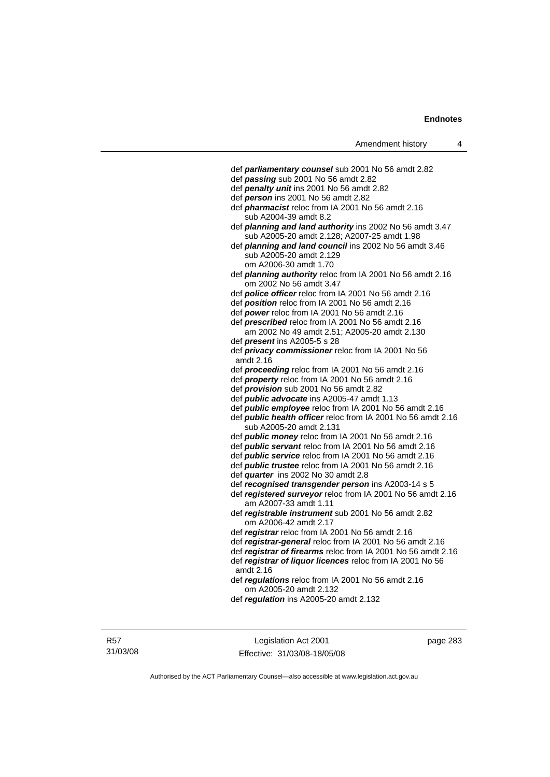| Amendment history                                                                           |
|---------------------------------------------------------------------------------------------|
|                                                                                             |
| def parliamentary counsel sub 2001 No 56 amdt 2.82                                          |
| def passing sub 2001 No 56 amdt 2.82                                                        |
| def penalty unit ins 2001 No 56 amdt 2.82                                                   |
| def person ins 2001 No 56 amdt 2.82                                                         |
| def <i>pharmacist</i> reloc from IA 2001 No 56 amdt 2.16                                    |
| sub A2004-39 amdt 8.2                                                                       |
| def planning and land authority ins 2002 No 56 amdt 3.47                                    |
| sub A2005-20 amdt 2.128; A2007-25 amdt 1.98                                                 |
| def planning and land council ins 2002 No 56 amdt 3.46                                      |
| sub A2005-20 amdt 2.129                                                                     |
| om A2006-30 amdt 1.70                                                                       |
| def <i>planning authority</i> reloc from IA 2001 No 56 amdt 2.16<br>om 2002 No 56 amdt 3.47 |
| def police officer reloc from IA 2001 No 56 amdt 2.16                                       |
| def <b>position</b> reloc from IA 2001 No 56 amdt 2.16                                      |
| def power reloc from IA 2001 No 56 amdt 2.16                                                |
| def prescribed reloc from IA 2001 No 56 amdt 2.16                                           |
| am 2002 No 49 amdt 2.51; A2005-20 amdt 2.130                                                |
| def <i>present</i> ins A2005-5 s 28                                                         |
| def privacy commissioner reloc from IA 2001 No 56<br>amdt 2.16                              |
| def proceeding reloc from IA 2001 No 56 amdt 2.16                                           |
| def property reloc from IA 2001 No 56 amdt 2.16                                             |
| def <i>provision</i> sub 2001 No 56 amdt 2.82                                               |
| def <i>public</i> advocate ins A2005-47 amdt 1.13                                           |
| def <i>public</i> employee reloc from IA 2001 No 56 amdt 2.16                               |
| def public health officer reloc from IA 2001 No 56 amdt 2.16                                |
| sub A2005-20 amdt 2.131                                                                     |
| def <i>public money</i> reloc from IA 2001 No 56 amdt 2.16                                  |
| def <i>public servant</i> reloc from IA 2001 No 56 amdt 2.16                                |
| def <i>public service</i> reloc from IA 2001 No 56 amdt 2.16                                |
| def <i>public trustee</i> reloc from IA 2001 No 56 amdt 2.16                                |
| def quarter ins 2002 No 30 amdt 2.8                                                         |
| def recognised transgender person ins A2003-14 s 5                                          |
| def registered surveyor reloc from IA 2001 No 56 amdt 2.16<br>am A2007-33 amdt 1.11         |
| def registrable instrument sub 2001 No 56 amdt 2.82<br>om A2006-42 amdt 2.17                |
| def registrar reloc from IA 2001 No 56 amdt 2.16                                            |
| def registrar-general reloc from IA 2001 No 56 amdt 2.16                                    |
| def registrar of firearms reloc from IA 2001 No 56 amdt 2.16                                |
| def registrar of liquor licences reloc from IA 2001 No 56<br>amdt 2.16                      |
| def regulations reloc from IA 2001 No 56 amdt 2.16                                          |
| om A2005-20 amdt 2.132<br>def regulation ins $A2005-20$ amdt 2.132                          |
|                                                                                             |
|                                                                                             |

R57 31/03/08

Legislation Act 2001 Effective: 31/03/08-18/05/08 page 283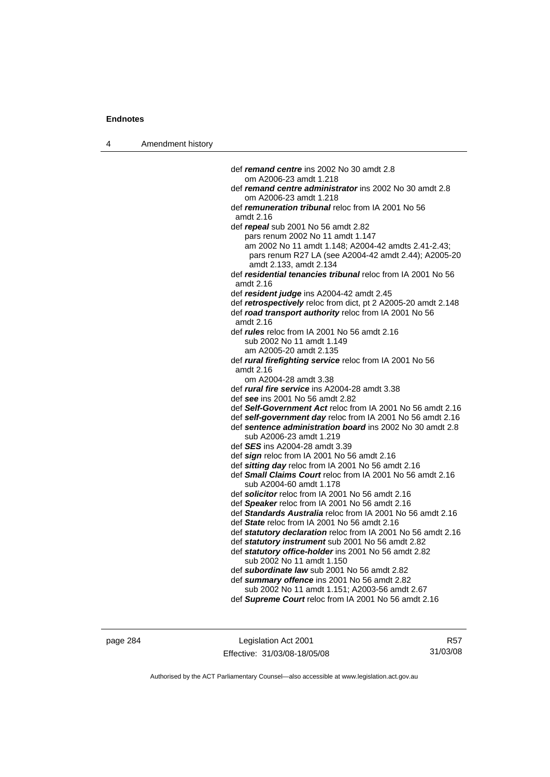4 Amendment history def *remand centre* ins 2002 No 30 amdt 2.8 om A2006-23 amdt 1.218 def *remand centre administrator* ins 2002 No 30 amdt 2.8 om A2006-23 amdt 1.218 def *remuneration tribunal* reloc from IA 2001 No 56 amdt 2.16 def *repeal* sub 2001 No 56 amdt 2.82 pars renum 2002 No 11 amdt 1.147 am 2002 No 11 amdt 1.148; A2004-42 amdts 2.41-2.43; pars renum R27 LA (see A2004-42 amdt 2.44); A2005-20 amdt 2.133, amdt 2.134 def *residential tenancies tribunal* reloc from IA 2001 No 56 amdt 2.16 def *resident judge* ins A2004-42 amdt 2.45 def *retrospectively* reloc from dict, pt 2 A2005-20 amdt 2.148 def *road transport authority* reloc from IA 2001 No 56 amdt 2.16 def *rules* reloc from IA 2001 No 56 amdt 2.16 sub 2002 No 11 amdt 1.149 am A2005-20 amdt 2.135 def *rural firefighting service* reloc from IA 2001 No 56 amdt 2.16 om A2004-28 amdt 3.38 def *rural fire service* ins A2004-28 amdt 3.38 def *see* ins 2001 No 56 amdt 2.82 def *Self-Government Act* reloc from IA 2001 No 56 amdt 2.16 def *self-government day* reloc from IA 2001 No 56 amdt 2.16 def *sentence administration board* ins 2002 No 30 amdt 2.8 sub A2006-23 amdt 1.219 def *SES* ins A2004-28 amdt 3.39 def *sign* reloc from IA 2001 No 56 amdt 2.16 def *sitting day* reloc from IA 2001 No 56 amdt 2.16 def *Small Claims Court* reloc from IA 2001 No 56 amdt 2.16 sub A2004-60 amdt 1.178 def *solicitor* reloc from IA 2001 No 56 amdt 2.16 def *Speaker* reloc from IA 2001 No 56 amdt 2.16 def *Standards Australia* reloc from IA 2001 No 56 amdt 2.16 def *State* reloc from IA 2001 No 56 amdt 2.16 def *statutory declaration* reloc from IA 2001 No 56 amdt 2.16 def *statutory instrument* sub 2001 No 56 amdt 2.82 def *statutory office-holder* ins 2001 No 56 amdt 2.82 sub 2002 No 11 amdt 1.150 def *subordinate law* sub 2001 No 56 amdt 2.82 def *summary offence* ins 2001 No 56 amdt 2.82 sub 2002 No 11 amdt 1.151; A2003-56 amdt 2.67 def *Supreme Court* reloc from IA 2001 No 56 amdt 2.16

page 284 Legislation Act 2001 Effective: 31/03/08-18/05/08

R57 31/03/08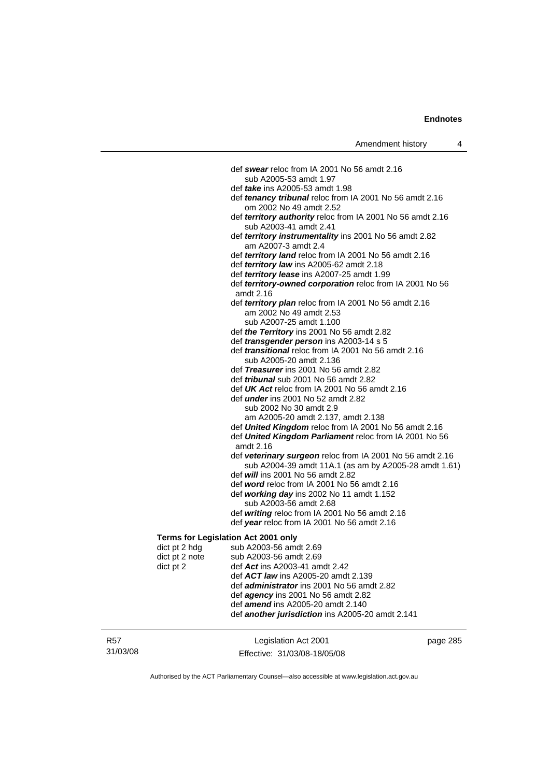|                                     | def swear reloc from IA 2001 No 56 amdt 2.16                                                  |
|-------------------------------------|-----------------------------------------------------------------------------------------------|
|                                     | sub A2005-53 amdt 1.97                                                                        |
|                                     | def <i>take</i> ins A2005-53 amdt 1.98                                                        |
|                                     | def tenancy tribunal reloc from IA 2001 No 56 amdt 2.16<br>om 2002 No 49 amdt 2.52            |
|                                     | def territory authority reloc from IA 2001 No 56 amdt 2.16<br>sub A2003-41 amdt 2.41          |
|                                     | def territory instrumentality ins 2001 No 56 amdt 2.82                                        |
|                                     | am A2007-3 amdt 2.4<br>def territory land reloc from IA 2001 No 56 amdt 2.16                  |
|                                     | def territory law ins A2005-62 amdt 2.18                                                      |
|                                     | def <i>territory lease</i> ins A2007-25 amdt 1.99                                             |
|                                     | def territory-owned corporation reloc from IA 2001 No 56<br>amdt 2.16                         |
|                                     | def territory plan reloc from IA 2001 No 56 amdt 2.16                                         |
|                                     | am 2002 No 49 amdt 2.53                                                                       |
|                                     | sub A2007-25 amdt 1.100                                                                       |
|                                     | def the Territory ins 2001 No 56 amdt 2.82                                                    |
|                                     | def <i>transgender person</i> ins A2003-14 s 5                                                |
|                                     | def <i>transitional</i> reloc from IA 2001 No 56 amdt 2.16                                    |
|                                     | sub A2005-20 amdt 2.136                                                                       |
|                                     | def Treasurer ins 2001 No 56 amdt 2.82                                                        |
|                                     | def <i>tribunal</i> sub 2001 No 56 amdt 2.82                                                  |
|                                     | def UK Act reloc from IA 2001 No 56 amdt 2.16                                                 |
|                                     | def <i>under</i> ins 2001 No 52 amdt 2.82                                                     |
|                                     | sub 2002 No 30 amdt 2.9                                                                       |
|                                     | am A2005-20 amdt 2.137, amdt 2.138                                                            |
|                                     | def United Kingdom reloc from IA 2001 No 56 amdt 2.16                                         |
|                                     | def United Kingdom Parliament reloc from IA 2001 No 56                                        |
|                                     | amdt 2.16                                                                                     |
|                                     | def veterinary surgeon reloc from IA 2001 No 56 amdt 2.16                                     |
|                                     | sub A2004-39 amdt 11A.1 (as am by A2005-28 amdt 1.61)                                         |
|                                     | def will ins 2001 No 56 amdt 2.82                                                             |
|                                     | def word reloc from IA 2001 No 56 amdt 2.16                                                   |
|                                     | def working day ins 2002 No 11 amdt 1.152                                                     |
|                                     | sub A2003-56 amdt 2.68                                                                        |
|                                     | def writing reloc from IA 2001 No 56 amdt 2.16<br>def year reloc from IA 2001 No 56 amdt 2.16 |
|                                     |                                                                                               |
| Terms for Legislation Act 2001 only |                                                                                               |
| dict pt 2 hdg                       | sub A2003-56 amdt 2.69                                                                        |
| dict pt 2 note                      | sub A2003-56 amdt 2.69                                                                        |
| dict pt 2                           | def Act ins A2003-41 amdt 2.42                                                                |
|                                     | def ACT law ins A2005-20 amdt 2.139                                                           |
|                                     | def administrator ins 2001 No 56 amdt 2.82                                                    |
|                                     | def <i>agency</i> ins 2001 No 56 amdt 2.82                                                    |
|                                     | def amend ins A2005-20 amdt 2.140                                                             |

R57 31/03/08 Legislation Act 2001 Effective: 31/03/08-18/05/08 page 285

def *another jurisdiction* ins A2005-20 amdt 2.141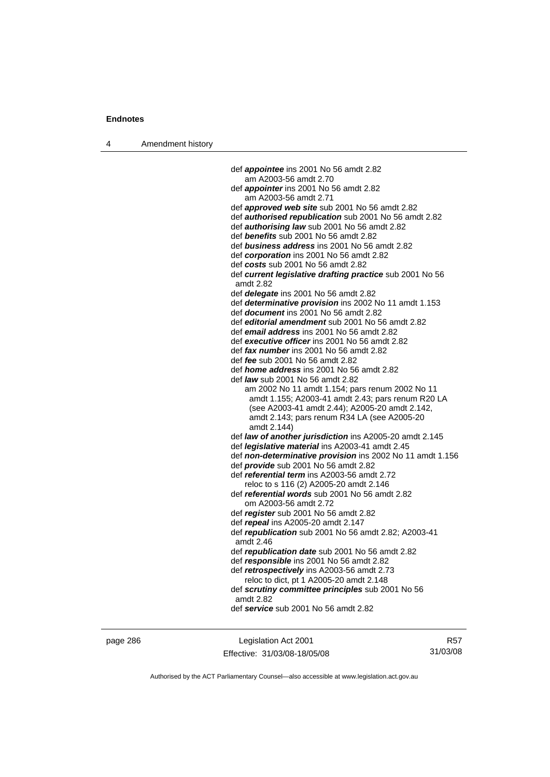4 Amendment history

 def *appointee* ins 2001 No 56 amdt 2.82 am A2003-56 amdt 2.70 def *appointer* ins 2001 No 56 amdt 2.82 am A2003-56 amdt 2.71 def *approved web site* sub 2001 No 56 amdt 2.82 def *authorised republication* sub 2001 No 56 amdt 2.82 def *authorising law* sub 2001 No 56 amdt 2.82 def *benefits* sub 2001 No 56 amdt 2.82 def *business address* ins 2001 No 56 amdt 2.82 def *corporation* ins 2001 No 56 amdt 2.82 def *costs* sub 2001 No 56 amdt 2.82 def *current legislative drafting practice* sub 2001 No 56 amdt 2.82 def *delegate* ins 2001 No 56 amdt 2.82 def *determinative provision* ins 2002 No 11 amdt 1.153 def *document* ins 2001 No 56 amdt 2.82 def *editorial amendment* sub 2001 No 56 amdt 2.82 def *email address* ins 2001 No 56 amdt 2.82 def *executive officer* ins 2001 No 56 amdt 2.82 def *fax number* ins 2001 No 56 amdt 2.82 def *fee* sub 2001 No 56 amdt 2.82 def *home address* ins 2001 No 56 amdt 2.82 def *law* sub 2001 No 56 amdt 2.82 am 2002 No 11 amdt 1.154; pars renum 2002 No 11 amdt 1.155; A2003-41 amdt 2.43; pars renum R20 LA (see A2003-41 amdt 2.44); A2005-20 amdt 2.142, amdt 2.143; pars renum R34 LA (see A2005-20 amdt 2.144) def *law of another jurisdiction* ins A2005-20 amdt 2.145 def *legislative material* ins A2003-41 amdt 2.45 def *non-determinative provision* ins 2002 No 11 amdt 1.156 def *provide* sub 2001 No 56 amdt 2.82 def *referential term* ins A2003-56 amdt 2.72 reloc to s 116 (2) A2005-20 amdt 2.146 def *referential words* sub 2001 No 56 amdt 2.82 om A2003-56 amdt 2.72 def *register* sub 2001 No 56 amdt 2.82 def *repeal* ins A2005-20 amdt 2.147 def *republication* sub 2001 No 56 amdt 2.82; A2003-41 amdt 2.46 def *republication date* sub 2001 No 56 amdt 2.82 def *responsible* ins 2001 No 56 amdt 2.82 def *retrospectively* ins A2003-56 amdt 2.73 reloc to dict, pt 1 A2005-20 amdt 2.148 def *scrutiny committee principles* sub 2001 No 56 amdt 2.82 def *service* sub 2001 No 56 amdt 2.82

page 286 Legislation Act 2001 Effective: 31/03/08-18/05/08

R57 31/03/08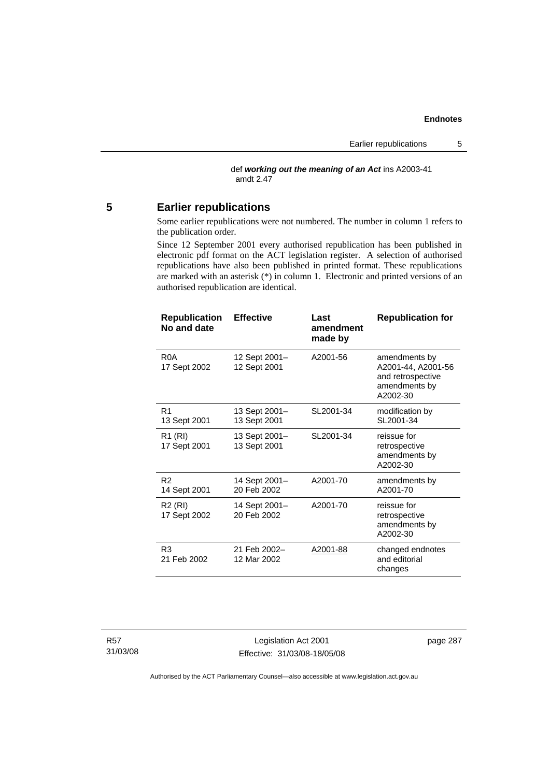def *working out the meaning of an Act* ins A2003-41 amdt 2.47

# **5 Earlier republications**

Some earlier republications were not numbered. The number in column 1 refers to the publication order.

Since 12 September 2001 every authorised republication has been published in electronic pdf format on the ACT legislation register. A selection of authorised republications have also been published in printed format. These republications are marked with an asterisk (\*) in column 1. Electronic and printed versions of an authorised republication are identical.

| <b>Republication</b><br>No and date | <b>Effective</b>              | Last<br>amendment<br>made by | <b>Republication for</b>                                                              |
|-------------------------------------|-------------------------------|------------------------------|---------------------------------------------------------------------------------------|
| R <sub>0</sub> A<br>17 Sept 2002    | 12 Sept 2001-<br>12 Sept 2001 | A2001-56                     | amendments by<br>A2001-44, A2001-56<br>and retrospective<br>amendments by<br>A2002-30 |
| R <sub>1</sub><br>13 Sept 2001      | 13 Sept 2001-<br>13 Sept 2001 | SL2001-34                    | modification by<br>SL2001-34                                                          |
| R <sub>1</sub> (RI)<br>17 Sept 2001 | 13 Sept 2001-<br>13 Sept 2001 | SL2001-34                    | reissue for<br>retrospective<br>amendments by<br>A2002-30                             |
| R <sub>2</sub><br>14 Sept 2001      | 14 Sept 2001-<br>20 Feb 2002  | A2001-70                     | amendments by<br>A2001-70                                                             |
| R <sub>2</sub> (RI)<br>17 Sept 2002 | 14 Sept 2001-<br>20 Feb 2002  | A2001-70                     | reissue for<br>retrospective<br>amendments by<br>A2002-30                             |
| R <sub>3</sub><br>21 Feb 2002       | 21 Feb 2002-<br>12 Mar 2002   | A2001-88                     | changed endnotes<br>and editorial<br>changes                                          |

Legislation Act 2001 Effective: 31/03/08-18/05/08 page 287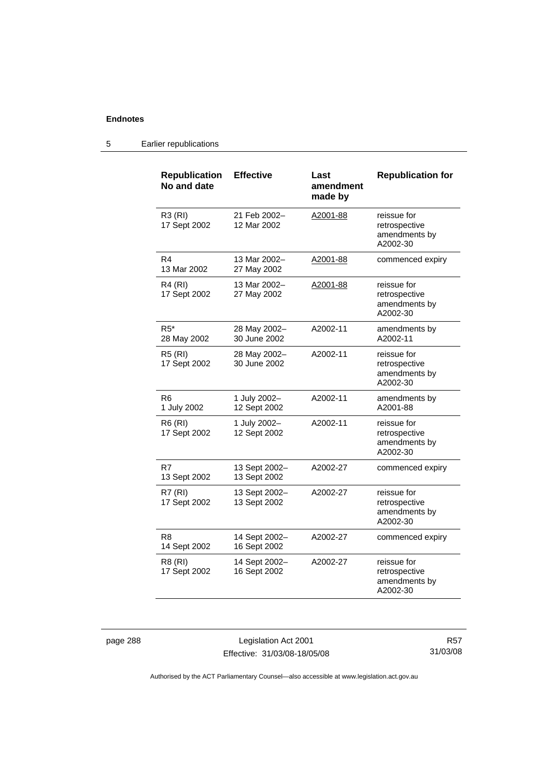# 5 Earlier republications

| <b>Republication</b><br>No and date | <b>Effective</b>              | Last<br>amendment<br>made by | <b>Republication for</b>                                  |
|-------------------------------------|-------------------------------|------------------------------|-----------------------------------------------------------|
| R3 (RI)<br>17 Sept 2002             | 21 Feb 2002-<br>12 Mar 2002   | A2001-88                     | reissue for<br>retrospective<br>amendments by<br>A2002-30 |
| R <sub>4</sub><br>13 Mar 2002       | 13 Mar 2002-<br>27 May 2002   | A2001-88                     | commenced expiry                                          |
| R4 (RI)<br>17 Sept 2002             | 13 Mar 2002-<br>27 May 2002   | A2001-88                     | reissue for<br>retrospective<br>amendments by<br>A2002-30 |
| $R5^*$<br>28 May 2002               | 28 May 2002-<br>30 June 2002  | A2002-11                     | amendments by<br>A2002-11                                 |
| <b>R5 (RI)</b><br>17 Sept 2002      | 28 May 2002-<br>30 June 2002  | A2002-11                     | reissue for<br>retrospective<br>amendments by<br>A2002-30 |
| R6<br>1 July 2002                   | 1 July 2002-<br>12 Sept 2002  | A2002-11                     | amendments by<br>A2001-88                                 |
| <b>R6 (RI)</b><br>17 Sept 2002      | 1 July 2002-<br>12 Sept 2002  | A2002-11                     | reissue for<br>retrospective<br>amendments by<br>A2002-30 |
| R7<br>13 Sept 2002                  | 13 Sept 2002-<br>13 Sept 2002 | A2002-27                     | commenced expiry                                          |
| <b>R7 (RI)</b><br>17 Sept 2002      | 13 Sept 2002-<br>13 Sept 2002 | A2002-27                     | reissue for<br>retrospective<br>amendments by<br>A2002-30 |
| R8<br>14 Sept 2002                  | 14 Sept 2002-<br>16 Sept 2002 | A2002-27                     | commenced expiry                                          |
| R8 (RI)<br>17 Sept 2002             | 14 Sept 2002-<br>16 Sept 2002 | A2002-27                     | reissue for<br>retrospective<br>amendments by<br>A2002-30 |

page 288 Legislation Act 2001 Effective: 31/03/08-18/05/08

R57 31/03/08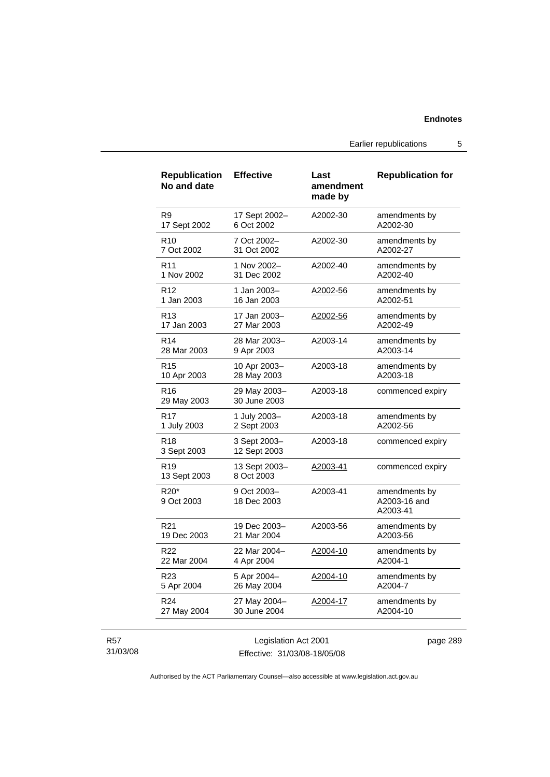Earlier republications 5

| <b>Republication</b><br>No and date        | <b>Effective</b>             | Last<br>amendment<br>made by | <b>Republication for</b>                  |
|--------------------------------------------|------------------------------|------------------------------|-------------------------------------------|
| R <sub>9</sub>                             | 17 Sept 2002-                | A2002-30                     | amendments by                             |
| 17 Sept 2002                               | 6 Oct 2002                   |                              | A2002-30                                  |
| R <sub>10</sub>                            | 7 Oct 2002-                  | A2002-30                     | amendments by                             |
| 7 Oct 2002                                 | 31 Oct 2002                  |                              | A2002-27                                  |
| R <sub>11</sub>                            | 1 Nov 2002-                  | A2002-40                     | amendments by                             |
| 1 Nov 2002                                 | 31 Dec 2002                  |                              | A2002-40                                  |
| R <sub>12</sub>                            | 1 Jan 2003-                  | A2002-56                     | amendments by                             |
| 1 Jan 2003                                 | 16 Jan 2003                  |                              | A2002-51                                  |
| R <sub>13</sub>                            | 17 Jan 2003-                 | A2002-56                     | amendments by                             |
| 17 Jan 2003                                | 27 Mar 2003                  |                              | A2002-49                                  |
| R <sub>14</sub>                            | 28 Mar 2003-                 | A2003-14                     | amendments by                             |
| 28 Mar 2003                                | 9 Apr 2003                   |                              | A2003-14                                  |
| R <sub>15</sub>                            | 10 Apr 2003-                 | A2003-18                     | amendments by                             |
| 10 Apr 2003                                | 28 May 2003                  |                              | A2003-18                                  |
| R <sub>16</sub><br>29 May 2003             | 29 May 2003-<br>30 June 2003 | A2003-18                     | commenced expiry                          |
| R <sub>17</sub>                            | 1 July 2003-                 | A2003-18                     | amendments by                             |
| 1 July 2003                                | 2 Sept 2003                  |                              | A2002-56                                  |
| R <sub>18</sub><br>3 Sept 2003             | 3 Sept 2003-<br>12 Sept 2003 | A2003-18                     | commenced expiry                          |
| R19<br>13 Sept 2003                        | 13 Sept 2003-<br>8 Oct 2003  | A2003-41                     | commenced expiry                          |
| R <sub>20</sub> <sup>*</sup><br>9 Oct 2003 | 9 Oct 2003-<br>18 Dec 2003   | A2003-41                     | amendments by<br>A2003-16 and<br>A2003-41 |
| R21                                        | 19 Dec 2003-                 | A2003-56                     | amendments by                             |
| 19 Dec 2003                                | 21 Mar 2004                  |                              | A2003-56                                  |
| R22                                        | 22 Mar 2004-                 | A2004-10                     | amendments by                             |
| 22 Mar 2004                                | 4 Apr 2004                   |                              | A2004-1                                   |
| R23                                        | 5 Apr 2004-                  | A2004-10                     | amendments by                             |
| 5 Apr 2004                                 | 26 May 2004                  |                              | A2004-7                                   |
| R <sub>24</sub>                            | 27 May 2004-                 | A2004-17                     | amendments by                             |
| 27 May 2004                                | 30 June 2004                 |                              | A2004-10                                  |

### R57 31/03/08

Legislation Act 2001 Effective: 31/03/08-18/05/08 page 289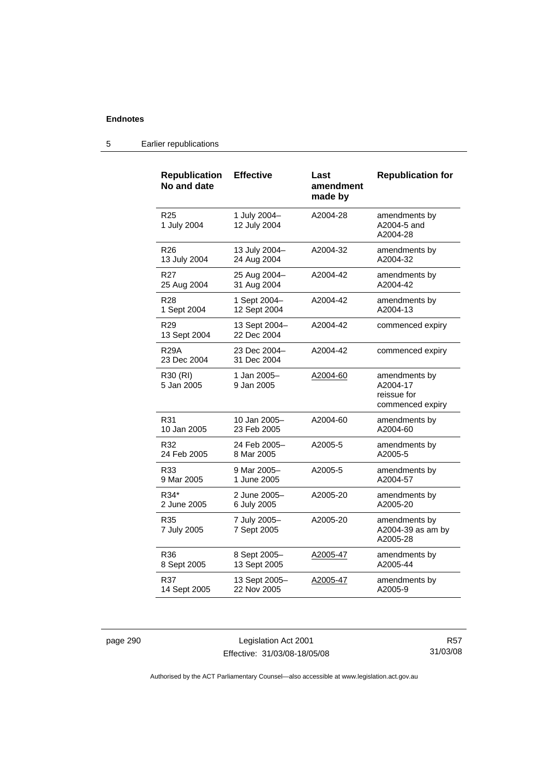| <b>Republication</b><br>No and date | <b>Effective</b>             | Last<br>amendment<br>made by | <b>Republication for</b>                                     |
|-------------------------------------|------------------------------|------------------------------|--------------------------------------------------------------|
| R <sub>25</sub><br>1 July 2004      | 1 July 2004-<br>12 July 2004 | A2004-28                     | amendments by<br>A2004-5 and<br>A2004-28                     |
| R <sub>26</sub>                     | 13 July 2004-                | A2004-32                     | amendments by                                                |
| 13 July 2004                        | 24 Aug 2004                  |                              | A2004-32                                                     |
| R27                                 | 25 Aug 2004-                 | A2004-42                     | amendments by                                                |
| 25 Aug 2004                         | 31 Aug 2004                  |                              | A2004-42                                                     |
| R <sub>28</sub>                     | 1 Sept 2004-                 | A2004-42                     | amendments by                                                |
| 1 Sept 2004                         | 12 Sept 2004                 |                              | A2004-13                                                     |
| R <sub>29</sub><br>13 Sept 2004     | 13 Sept 2004-<br>22 Dec 2004 | A2004-42                     | commenced expiry                                             |
| R <sub>29</sub> A<br>23 Dec 2004    | 23 Dec 2004–<br>31 Dec 2004  | A2004-42                     | commenced expiry                                             |
| R30 (RI)<br>5 Jan 2005              | 1 Jan 2005-<br>9 Jan 2005    | A2004-60                     | amendments by<br>A2004-17<br>reissue for<br>commenced expiry |
| R31                                 | 10 Jan 2005-                 | A2004-60                     | amendments by                                                |
| 10 Jan 2005                         | 23 Feb 2005                  |                              | A2004-60                                                     |
| R32                                 | 24 Feb 2005–                 | A2005-5                      | amendments by                                                |
| 24 Feb 2005                         | 8 Mar 2005                   |                              | A2005-5                                                      |
| R33                                 | 9 Mar 2005–                  | A2005-5                      | amendments by                                                |
| 9 Mar 2005                          | 1 June 2005                  |                              | A2004-57                                                     |
| R34*                                | 2 June 2005-                 | A2005-20                     | amendments by                                                |
| 2 June 2005                         | 6 July 2005                  |                              | A2005-20                                                     |
| R35<br>7 July 2005                  | 7 July 2005-<br>7 Sept 2005  | A2005-20                     | amendments by<br>A2004-39 as am by<br>A2005-28               |
| R36                                 | 8 Sept 2005-                 | A2005-47                     | amendments by                                                |
| 8 Sept 2005                         | 13 Sept 2005                 |                              | A2005-44                                                     |
| R37                                 | 13 Sept 2005-                | A2005-47                     | amendments by                                                |
| 14 Sept 2005                        | 22 Nov 2005                  |                              | A2005-9                                                      |

# 5 Earlier republications

page 290 Legislation Act 2001 Effective: 31/03/08-18/05/08

R57 31/03/08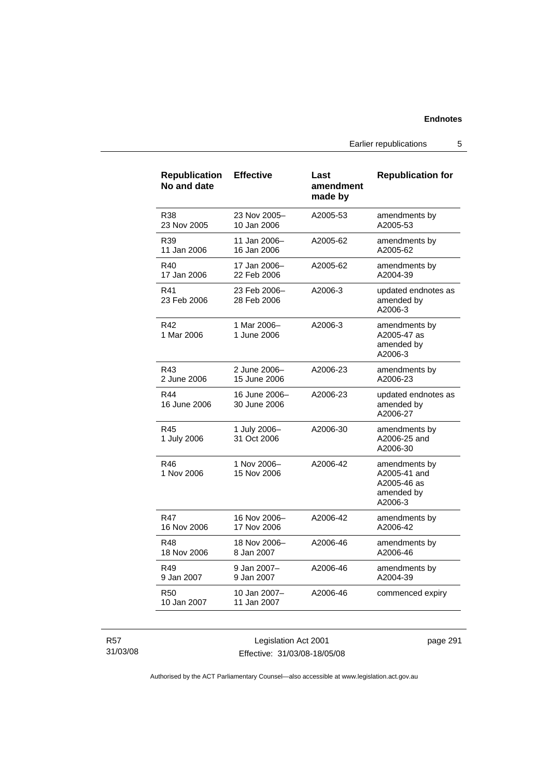Earlier republications 5

| <b>Republication</b><br>No and date | <b>Effective</b>              | Last<br>amendment<br>made by | <b>Republication for</b>                                              |
|-------------------------------------|-------------------------------|------------------------------|-----------------------------------------------------------------------|
| R38                                 | 23 Nov 2005-                  | A2005-53                     | amendments by                                                         |
| 23 Nov 2005                         | 10 Jan 2006                   |                              | A2005-53                                                              |
| R39                                 | 11 Jan 2006-                  | A2005-62                     | amendments by                                                         |
| 11 Jan 2006                         | 16 Jan 2006                   |                              | A2005-62                                                              |
| R40                                 | 17 Jan 2006–                  | A2005-62                     | amendments by                                                         |
| 17 Jan 2006                         | 22 Feb 2006                   |                              | A2004-39                                                              |
| R41<br>23 Feb 2006                  | 23 Feb 2006-<br>28 Feb 2006   | A2006-3                      | updated endnotes as<br>amended by<br>A2006-3                          |
| R42<br>1 Mar 2006                   | 1 Mar 2006-<br>1 June 2006    | A2006-3                      | amendments by<br>A2005-47 as<br>amended by<br>A2006-3                 |
| R43                                 | 2 June 2006-                  | A2006-23                     | amendments by                                                         |
| 2 June 2006                         | 15 June 2006                  |                              | A2006-23                                                              |
| R44<br>16 June 2006                 | 16 June 2006-<br>30 June 2006 | A2006-23                     | updated endnotes as<br>amended by<br>A2006-27                         |
| R45<br>1 July 2006                  | 1 July 2006-<br>31 Oct 2006   | A2006-30                     | amendments by<br>A2006-25 and<br>A2006-30                             |
| R46<br>1 Nov 2006                   | 1 Nov 2006-<br>15 Nov 2006    | A2006-42                     | amendments by<br>A2005-41 and<br>A2005-46 as<br>amended by<br>A2006-3 |
| R47                                 | 16 Nov 2006-                  | A2006-42                     | amendments by                                                         |
| 16 Nov 2006                         | 17 Nov 2006                   |                              | A2006-42                                                              |
| R48                                 | 18 Nov 2006-                  | A2006-46                     | amendments by                                                         |
| 18 Nov 2006                         | 8 Jan 2007                    |                              | A2006-46                                                              |
| R49                                 | 9 Jan 2007-                   | A2006-46                     | amendments by                                                         |
| 9 Jan 2007                          | 9 Jan 2007                    |                              | A2004-39                                                              |
| <b>R50</b><br>10 Jan 2007           | 10 Jan 2007-<br>11 Jan 2007   | A2006-46                     | commenced expiry                                                      |

R57 31/03/08

Legislation Act 2001 Effective: 31/03/08-18/05/08 page 291